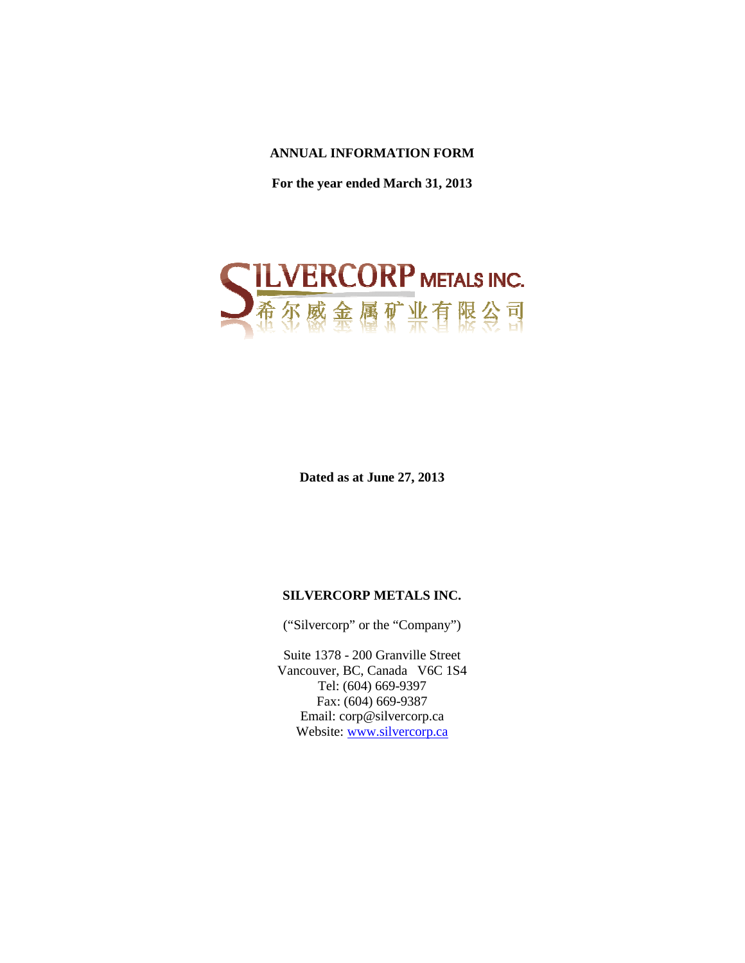#### **ANNUAL INFORMATION FORM**

**For the year ended March 31, 2013**



**Dated as at June 27, 2013**

# **SILVERCORP METALS INC.**

("Silvercorp" or the "Company")

Suite 1378 - 200 Granville Street Vancouver, BC, Canada V6C 1S4 Tel: (604) 669-9397 Fax: (604) 669-9387 Email: corp@silvercorp.ca Website: www.silvercorp.ca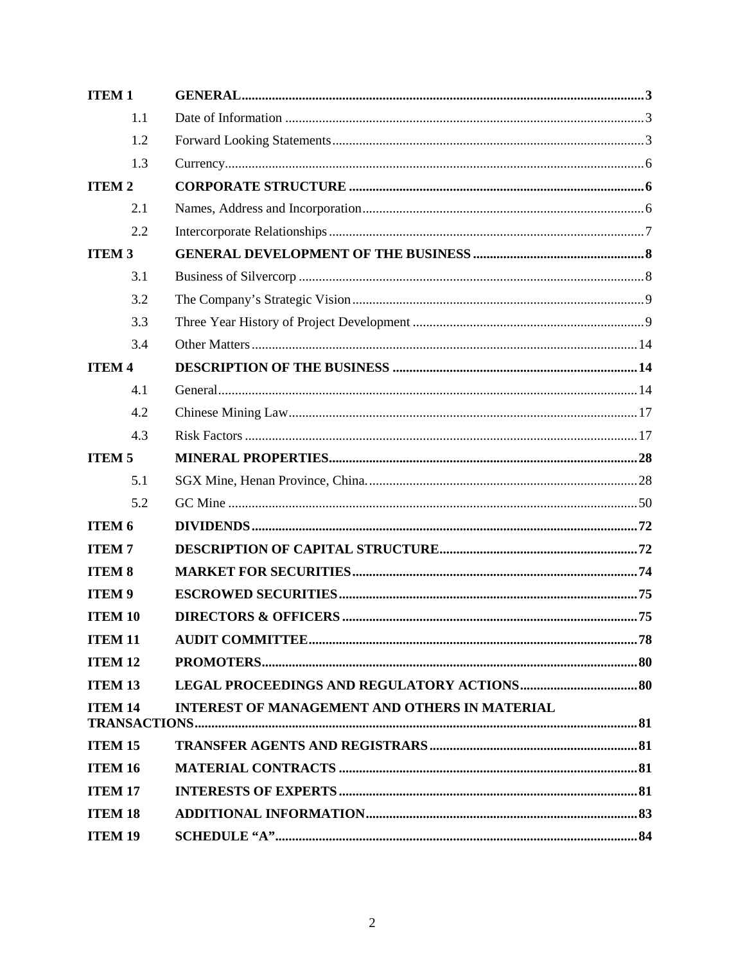| <b>ITEM1</b>   |                                                      |
|----------------|------------------------------------------------------|
| 1.1            |                                                      |
| 1.2            |                                                      |
| 1.3            |                                                      |
| <b>ITEM2</b>   |                                                      |
| 2.1            |                                                      |
| 2.2            |                                                      |
| <b>ITEM 3</b>  |                                                      |
| 3.1            |                                                      |
| 3.2            |                                                      |
| 3.3            |                                                      |
| 3.4            |                                                      |
| <b>ITEM 4</b>  |                                                      |
| 4.1            |                                                      |
| 4.2            |                                                      |
| 4.3            |                                                      |
| <b>ITEM 5</b>  |                                                      |
| 5.1            |                                                      |
| 5.2            |                                                      |
| <b>ITEM 6</b>  |                                                      |
| <b>ITEM7</b>   |                                                      |
| <b>ITEM 8</b>  |                                                      |
| <b>ITEM9</b>   |                                                      |
| <b>ITEM 10</b> |                                                      |
| <b>ITEM 11</b> |                                                      |
| <b>ITEM 12</b> |                                                      |
| <b>ITEM 13</b> |                                                      |
| <b>ITEM 14</b> | <b>INTEREST OF MANAGEMENT AND OTHERS IN MATERIAL</b> |
|                |                                                      |
| <b>ITEM 15</b> |                                                      |
| <b>ITEM 16</b> |                                                      |
| <b>ITEM 17</b> |                                                      |
| <b>ITEM 18</b> |                                                      |
| <b>ITEM 19</b> |                                                      |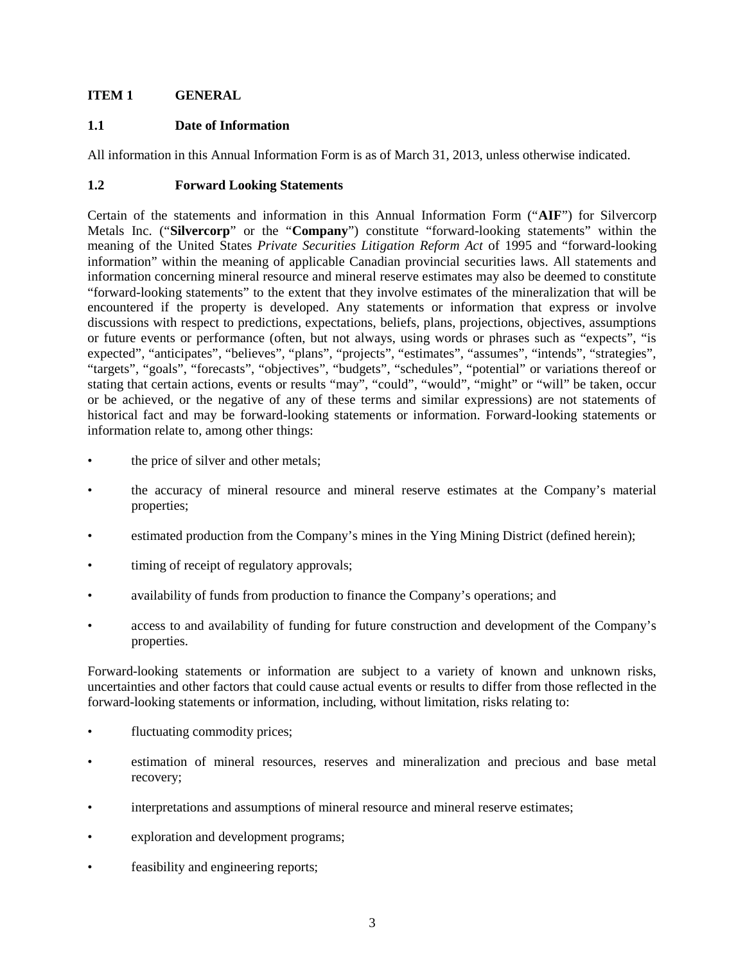# **ITEM 1 GENERAL**

# **1.1 Date of Information**

All information in this Annual Information Form is as of March 31, 2013, unless otherwise indicated.

# **1.2 Forward Looking Statements**

Certain of the statements and information in this Annual Information Form ("**AIF**") for Silvercorp Metals Inc. ("**Silvercorp**" or the "**Company**") constitute "forward-looking statements" within the meaning of the United States *Private Securities Litigation Reform Act* of 1995 and "forward-looking information" within the meaning of applicable Canadian provincial securities laws. All statements and information concerning mineral resource and mineral reserve estimates may also be deemed to constitute "forward-looking statements" to the extent that they involve estimates of the mineralization that will be encountered if the property is developed. Any statements or information that express or involve discussions with respect to predictions, expectations, beliefs, plans, projections, objectives, assumptions or future events or performance (often, but not always, using words or phrases such as "expects", "is expected", "anticipates", "believes", "plans", "projects", "estimates", "assumes", "intends", "strategies", "targets", "goals", "forecasts", "objectives", "budgets", "schedules", "potential" or variations thereof or stating that certain actions, events or results "may", "could", "would", "might" or "will" be taken, occur or be achieved, or the negative of any of these terms and similar expressions) are not statements of historical fact and may be forward-looking statements or information. Forward-looking statements or information relate to, among other things:

- the price of silver and other metals;
- the accuracy of mineral resource and mineral reserve estimates at the Company's material properties;
- estimated production from the Company's mines in the Ying Mining District (defined herein);
- timing of receipt of regulatory approvals;
- availability of funds from production to finance the Company's operations; and
- access to and availability of funding for future construction and development of the Company's properties.

Forward-looking statements or information are subject to a variety of known and unknown risks, uncertainties and other factors that could cause actual events or results to differ from those reflected in the forward-looking statements or information, including, without limitation, risks relating to:

- fluctuating commodity prices;
- estimation of mineral resources, reserves and mineralization and precious and base metal recovery;
- interpretations and assumptions of mineral resource and mineral reserve estimates;
- exploration and development programs;
- feasibility and engineering reports;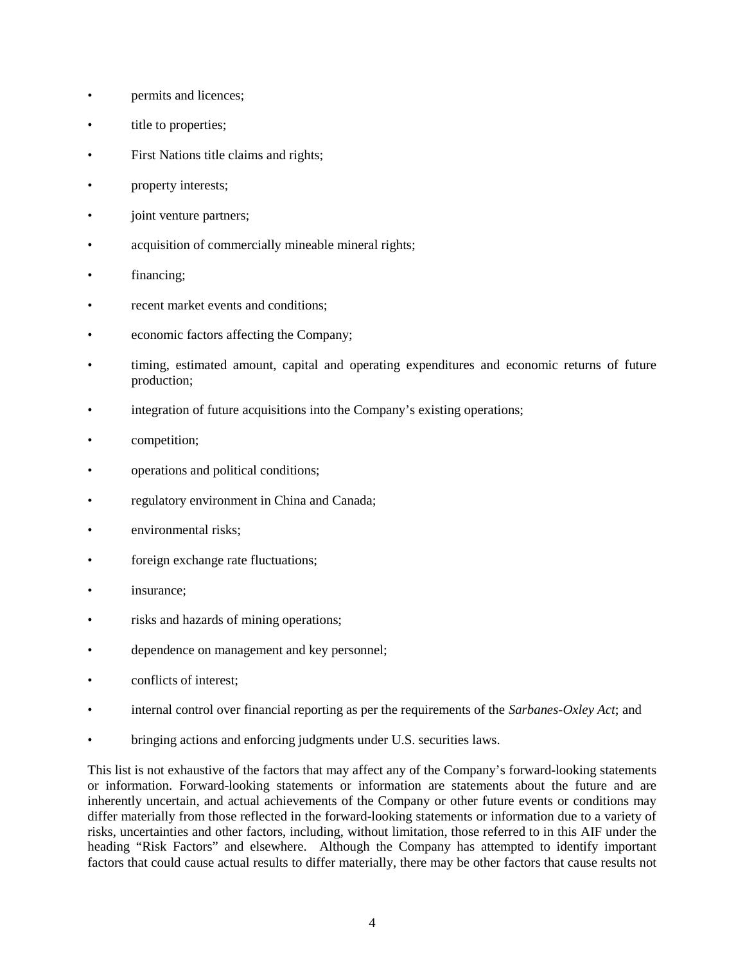- permits and licences;
- title to properties;
- First Nations title claims and rights;
- property interests;
- joint venture partners;
- acquisition of commercially mineable mineral rights;
- financing;
- recent market events and conditions:
- economic factors affecting the Company;
- timing, estimated amount, capital and operating expenditures and economic returns of future production;
- integration of future acquisitions into the Company's existing operations;
- competition;
- operations and political conditions;
- regulatory environment in China and Canada;
- environmental risks;
- foreign exchange rate fluctuations;
- insurance:
- risks and hazards of mining operations;
- dependence on management and key personnel;
- conflicts of interest;
- internal control over financial reporting as per the requirements of the *Sarbanes-Oxley Act*; and
- bringing actions and enforcing judgments under U.S. securities laws.

This list is not exhaustive of the factors that may affect any of the Company's forward-looking statements or information. Forward-looking statements or information are statements about the future and are inherently uncertain, and actual achievements of the Company or other future events or conditions may differ materially from those reflected in the forward-looking statements or information due to a variety of risks, uncertainties and other factors, including, without limitation, those referred to in this AIF under the heading "Risk Factors" and elsewhere. Although the Company has attempted to identify important factors that could cause actual results to differ materially, there may be other factors that cause results not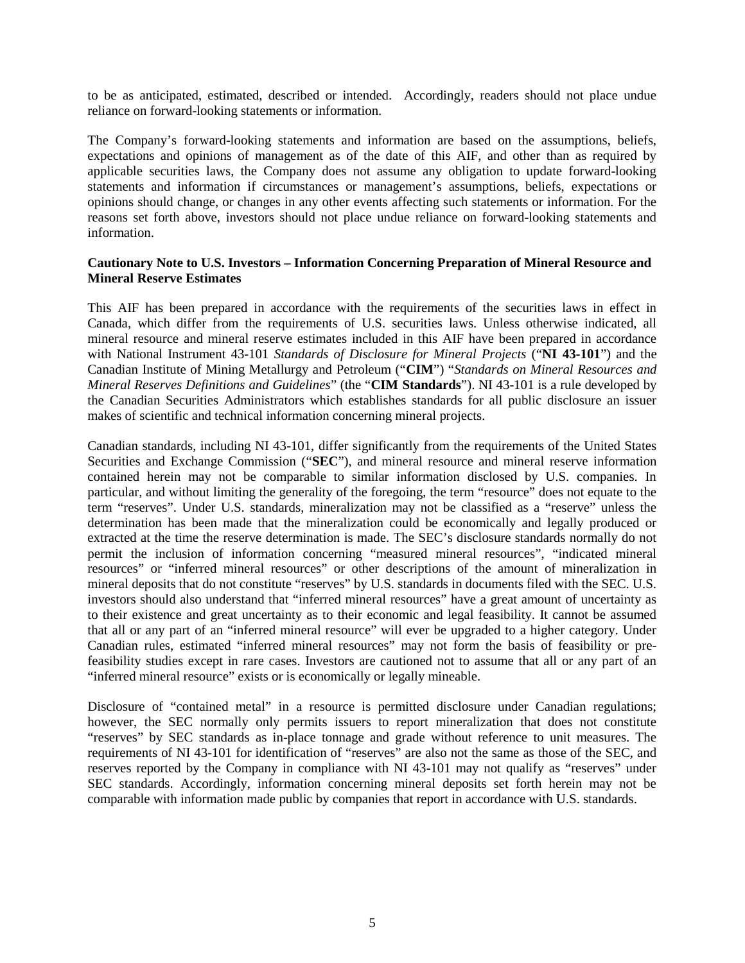to be as anticipated, estimated, described or intended. Accordingly, readers should not place undue reliance on forward-looking statements or information.

The Company's forward-looking statements and information are based on the assumptions, beliefs, expectations and opinions of management as of the date of this AIF, and other than as required by applicable securities laws, the Company does not assume any obligation to update forward-looking statements and information if circumstances or management's assumptions, beliefs, expectations or opinions should change, or changes in any other events affecting such statements or information. For the reasons set forth above, investors should not place undue reliance on forward-looking statements and information.

#### **Cautionary Note to U.S. Investors – Information Concerning Preparation of Mineral Resource and Mineral Reserve Estimates**

This AIF has been prepared in accordance with the requirements of the securities laws in effect in Canada, which differ from the requirements of U.S. securities laws. Unless otherwise indicated, all mineral resource and mineral reserve estimates included in this AIF have been prepared in accordance with National Instrument 43-101 *Standards of Disclosure for Mineral Projects* ("**NI 43-101**") and the Canadian Institute of Mining Metallurgy and Petroleum ("**CIM**") "*Standards on Mineral Resources and Mineral Reserves Definitions and Guidelines*" (the "**CIM Standards**"). NI 43-101 is a rule developed by the Canadian Securities Administrators which establishes standards for all public disclosure an issuer makes of scientific and technical information concerning mineral projects.

Canadian standards, including NI 43-101, differ significantly from the requirements of the United States Securities and Exchange Commission ("**SEC**"), and mineral resource and mineral reserve information contained herein may not be comparable to similar information disclosed by U.S. companies. In particular, and without limiting the generality of the foregoing, the term "resource" does not equate to the term "reserves". Under U.S. standards, mineralization may not be classified as a "reserve" unless the determination has been made that the mineralization could be economically and legally produced or extracted at the time the reserve determination is made. The SEC's disclosure standards normally do not permit the inclusion of information concerning "measured mineral resources", "indicated mineral resources" or "inferred mineral resources" or other descriptions of the amount of mineralization in mineral deposits that do not constitute "reserves" by U.S. standards in documents filed with the SEC. U.S. investors should also understand that "inferred mineral resources" have a great amount of uncertainty as to their existence and great uncertainty as to their economic and legal feasibility. It cannot be assumed that all or any part of an "inferred mineral resource" will ever be upgraded to a higher category. Under Canadian rules, estimated "inferred mineral resources" may not form the basis of feasibility or prefeasibility studies except in rare cases. Investors are cautioned not to assume that all or any part of an "inferred mineral resource" exists or is economically or legally mineable.

Disclosure of "contained metal" in a resource is permitted disclosure under Canadian regulations; however, the SEC normally only permits issuers to report mineralization that does not constitute "reserves" by SEC standards as in-place tonnage and grade without reference to unit measures. The requirements of NI 43-101 for identification of "reserves" are also not the same as those of the SEC, and reserves reported by the Company in compliance with NI 43-101 may not qualify as "reserves" under SEC standards. Accordingly, information concerning mineral deposits set forth herein may not be comparable with information made public by companies that report in accordance with U.S. standards.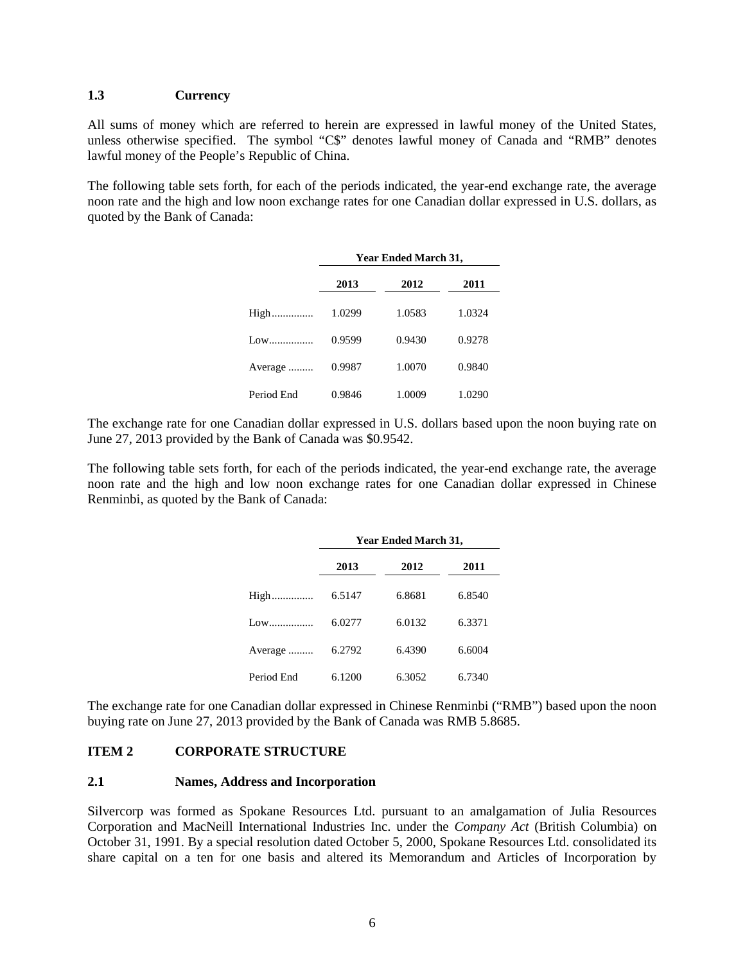#### **1.3 Currency**

All sums of money which are referred to herein are expressed in lawful money of the United States, unless otherwise specified. The symbol "C\$" denotes lawful money of Canada and "RMB" denotes lawful money of the People's Republic of China.

The following table sets forth, for each of the periods indicated, the year-end exchange rate, the average noon rate and the high and low noon exchange rates for one Canadian dollar expressed in U.S. dollars, as quoted by the Bank of Canada:

|            |        | Year Ended March 31, |        |  |  |  |  |  |  |  |
|------------|--------|----------------------|--------|--|--|--|--|--|--|--|
|            | 2013   | 2012                 | 2011   |  |  |  |  |  |  |  |
| High       | 1.0299 | 1.0583               | 1.0324 |  |  |  |  |  |  |  |
| Low        | 0.9599 | 0.9430               | 0.9278 |  |  |  |  |  |  |  |
| Average    | 0.9987 | 1.0070               | 0.9840 |  |  |  |  |  |  |  |
| Period End | 0.9846 | 1.0009               | 1.0290 |  |  |  |  |  |  |  |

The exchange rate for one Canadian dollar expressed in U.S. dollars based upon the noon buying rate on June 27, 2013 provided by the Bank of Canada was \$0.9542.

The following table sets forth, for each of the periods indicated, the year-end exchange rate, the average noon rate and the high and low noon exchange rates for one Canadian dollar expressed in Chinese Renminbi, as quoted by the Bank of Canada:

|            | <b>Year Ended March 31,</b> |        |        |  |  |  |  |  |  |  |
|------------|-----------------------------|--------|--------|--|--|--|--|--|--|--|
|            | 2013                        | 2012   | 2011   |  |  |  |  |  |  |  |
| High       | 6.5147                      | 6.8681 | 6.8540 |  |  |  |  |  |  |  |
| Low        | 6.0277                      | 6.0132 | 6.3371 |  |  |  |  |  |  |  |
| Average    | 6.2792                      | 6.4390 | 6.6004 |  |  |  |  |  |  |  |
| Period End | 6.1200                      | 6.3052 | 6.7340 |  |  |  |  |  |  |  |

The exchange rate for one Canadian dollar expressed in Chinese Renminbi ("RMB") based upon the noon buying rate on June 27, 2013 provided by the Bank of Canada was RMB 5.8685.

#### **ITEM 2 CORPORATE STRUCTURE**

#### **2.1 Names, Address and Incorporation**

Silvercorp was formed as Spokane Resources Ltd. pursuant to an amalgamation of Julia Resources Corporation and MacNeill International Industries Inc. under the *Company Act* (British Columbia) on October 31, 1991. By a special resolution dated October 5, 2000, Spokane Resources Ltd. consolidated its share capital on a ten for one basis and altered its Memorandum and Articles of Incorporation by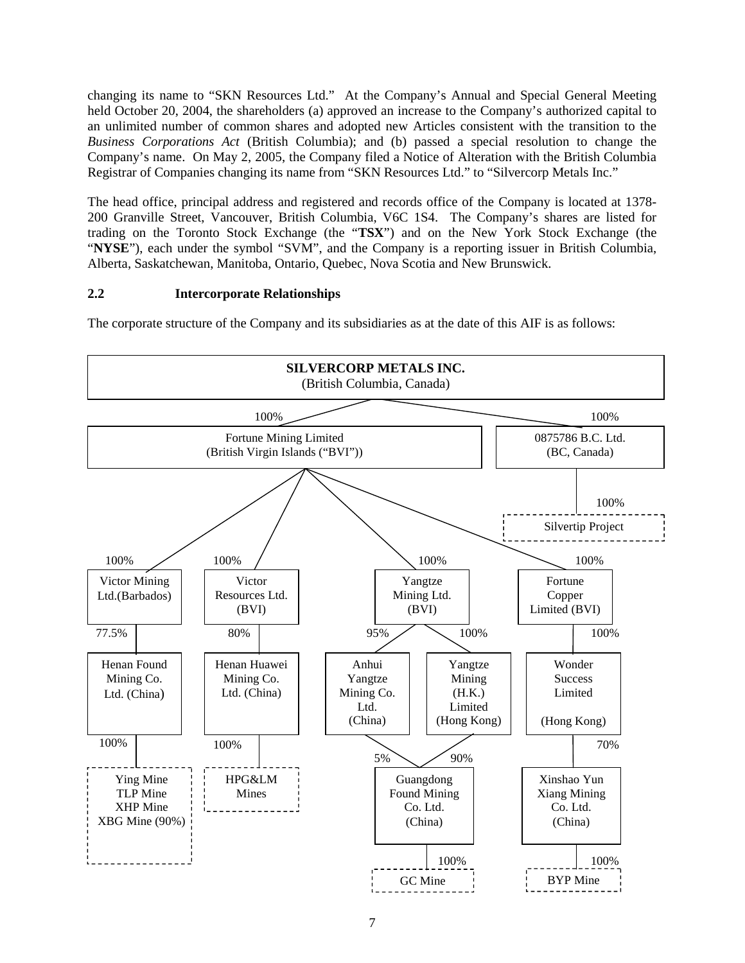changing its name to "SKN Resources Ltd." At the Company's Annual and Special General Meeting held October 20, 2004, the shareholders (a) approved an increase to the Company's authorized capital to an unlimited number of common shares and adopted new Articles consistent with the transition to the *Business Corporations Act* (British Columbia); and (b) passed a special resolution to change the Company's name. On May 2, 2005, the Company filed a Notice of Alteration with the British Columbia Registrar of Companies changing its name from "SKN Resources Ltd." to "Silvercorp Metals Inc."

The head office, principal address and registered and records office of the Company is located at 1378- 200 Granville Street, Vancouver, British Columbia, V6C 1S4. The Company's shares are listed for trading on the Toronto Stock Exchange (the "**TSX**") and on the New York Stock Exchange (the "**NYSE**"), each under the symbol "SVM", and the Company is a reporting issuer in British Columbia, Alberta, Saskatchewan, Manitoba, Ontario, Quebec, Nova Scotia and New Brunswick.

# **2.2 Intercorporate Relationships**

The corporate structure of the Company and its subsidiaries as at the date of this AIF is as follows:

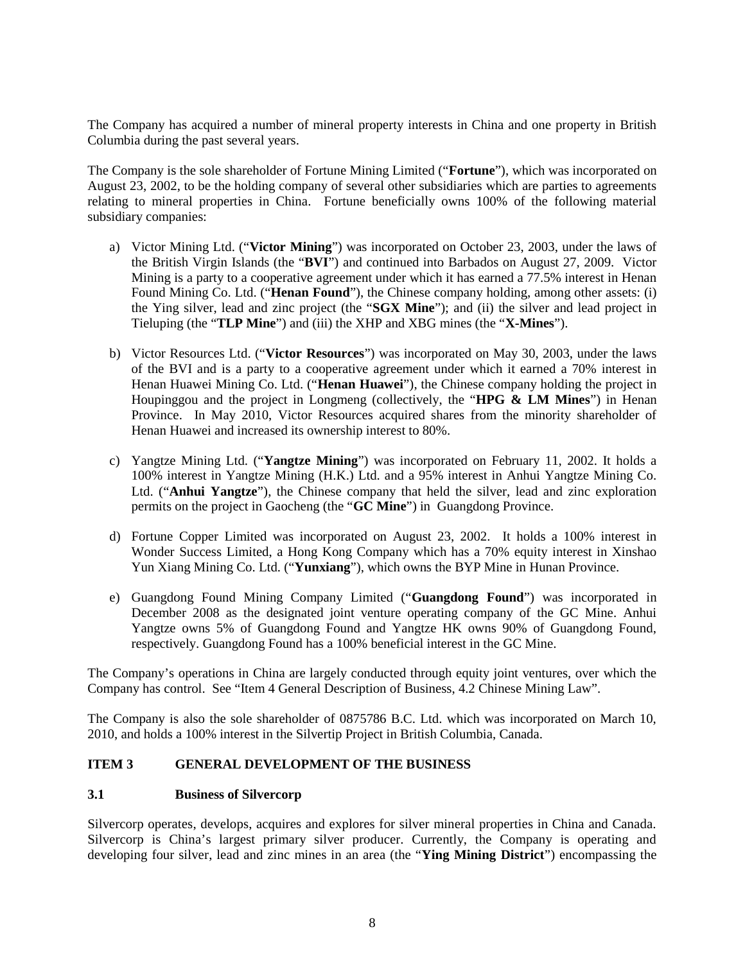The Company has acquired a number of mineral property interests in China and one property in British Columbia during the past several years.

The Company is the sole shareholder of Fortune Mining Limited ("**Fortune**"), which was incorporated on August 23, 2002, to be the holding company of several other subsidiaries which are parties to agreements relating to mineral properties in China. Fortune beneficially owns 100% of the following material subsidiary companies:

- a) Victor Mining Ltd. ("**Victor Mining**") was incorporated on October 23, 2003, under the laws of the British Virgin Islands (the "**BVI**") and continued into Barbados on August 27, 2009. Victor Mining is a party to a cooperative agreement under which it has earned a 77.5% interest in Henan Found Mining Co. Ltd. ("**Henan Found**"), the Chinese company holding, among other assets: (i) the Ying silver, lead and zinc project (the "**SGX Mine**"); and (ii) the silver and lead project in Tieluping (the "**TLP Mine**") and (iii) the XHP and XBG mines (the "**X-Mines**").
- b) Victor Resources Ltd. ("**Victor Resources**") was incorporated on May 30, 2003, under the laws of the BVI and is a party to a cooperative agreement under which it earned a 70% interest in Henan Huawei Mining Co. Ltd. ("**Henan Huawei**"), the Chinese company holding the project in Houpinggou and the project in Longmeng (collectively, the "**HPG & LM Mines**") in Henan Province. In May 2010, Victor Resources acquired shares from the minority shareholder of Henan Huawei and increased its ownership interest to 80%.
- c) Yangtze Mining Ltd. ("**Yangtze Mining**") was incorporated on February 11, 2002. It holds a 100% interest in Yangtze Mining (H.K.) Ltd. and a 95% interest in Anhui Yangtze Mining Co. Ltd. ("**Anhui Yangtze**"), the Chinese company that held the silver, lead and zinc exploration permits on the project in Gaocheng (the "**GC Mine**") in Guangdong Province.
- d) Fortune Copper Limited was incorporated on August 23, 2002. It holds a 100% interest in Wonder Success Limited, a Hong Kong Company which has a 70% equity interest in Xinshao Yun Xiang Mining Co. Ltd. ("**Yunxiang**"), which owns the BYP Mine in Hunan Province.
- e) Guangdong Found Mining Company Limited ("**Guangdong Found**") was incorporated in December 2008 as the designated joint venture operating company of the GC Mine. Anhui Yangtze owns 5% of Guangdong Found and Yangtze HK owns 90% of Guangdong Found, respectively. Guangdong Found has a 100% beneficial interest in the GC Mine.

The Company's operations in China are largely conducted through equity joint ventures, over which the Company has control. See "Item 4 General Description of Business, 4.2 Chinese Mining Law".

The Company is also the sole shareholder of 0875786 B.C. Ltd. which was incorporated on March 10, 2010, and holds a 100% interest in the Silvertip Project in British Columbia, Canada.

#### **ITEM 3 GENERAL DEVELOPMENT OF THE BUSINESS**

#### **3.1 Business of Silvercorp**

Silvercorp operates, develops, acquires and explores for silver mineral properties in China and Canada. Silvercorp is China's largest primary silver producer. Currently, the Company is operating and developing four silver, lead and zinc mines in an area (the "**Ying Mining District**") encompassing the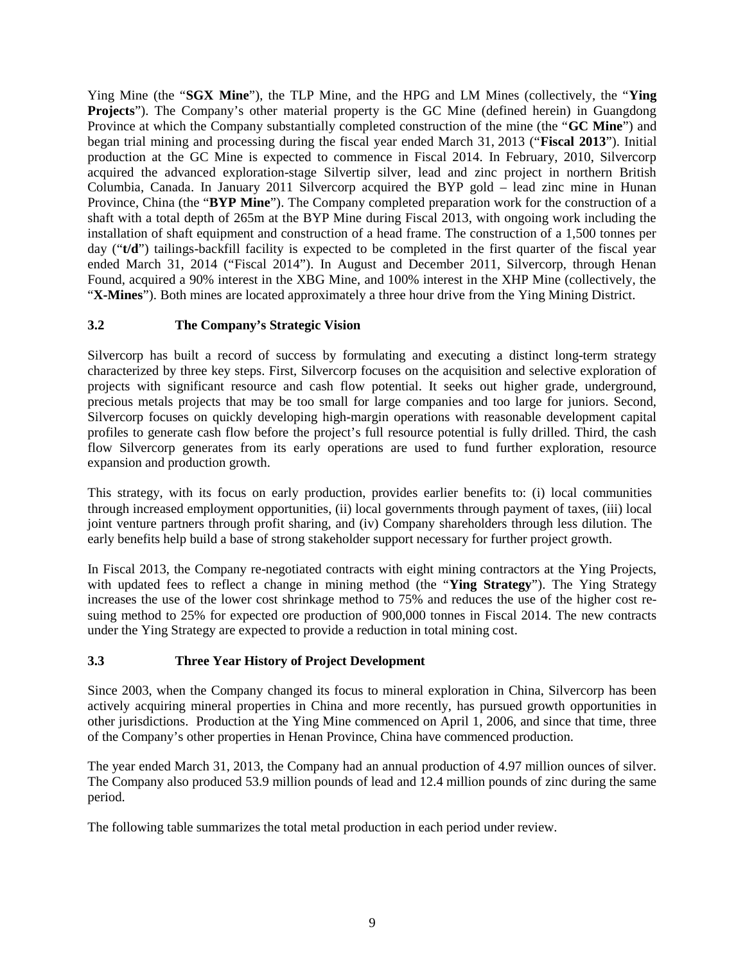Ying Mine (the "**SGX Mine**"), the TLP Mine, and the HPG and LM Mines (collectively, the "**Ying Projects**"). The Company's other material property is the GC Mine (defined herein) in Guangdong Province at which the Company substantially completed construction of the mine (the "**GC Mine**") and began trial mining and processing during the fiscal year ended March 31, 2013 ("**Fiscal 2013**"). Initial production at the GC Mine is expected to commence in Fiscal 2014. In February, 2010, Silvercorp acquired the advanced exploration-stage Silvertip silver, lead and zinc project in northern British Columbia, Canada. In January 2011 Silvercorp acquired the BYP gold – lead zinc mine in Hunan Province, China (the "**BYP Mine**"). The Company completed preparation work for the construction of a shaft with a total depth of 265m at the BYP Mine during Fiscal 2013, with ongoing work including the installation of shaft equipment and construction of a head frame. The construction of a 1,500 tonnes per day ("**t/d**") tailings-backfill facility is expected to be completed in the first quarter of the fiscal year ended March 31, 2014 ("Fiscal 2014"). In August and December 2011, Silvercorp, through Henan Found, acquired a 90% interest in the XBG Mine, and 100% interest in the XHP Mine (collectively, the "**X-Mines**"). Both mines are located approximately a three hour drive from the Ying Mining District.

# **3.2 The Company's Strategic Vision**

Silvercorp has built a record of success by formulating and executing a distinct long-term strategy characterized by three key steps. First, Silvercorp focuses on the acquisition and selective exploration of projects with significant resource and cash flow potential. It seeks out higher grade, underground, precious metals projects that may be too small for large companies and too large for juniors. Second, Silvercorp focuses on quickly developing high-margin operations with reasonable development capital profiles to generate cash flow before the project's full resource potential is fully drilled. Third, the cash flow Silvercorp generates from its early operations are used to fund further exploration, resource expansion and production growth.

This strategy, with its focus on early production, provides earlier benefits to: (i) local communities through increased employment opportunities, (ii) local governments through payment of taxes, (iii) local joint venture partners through profit sharing, and (iv) Company shareholders through less dilution. The early benefits help build a base of strong stakeholder support necessary for further project growth.

In Fiscal 2013, the Company re-negotiated contracts with eight mining contractors at the Ying Projects, with updated fees to reflect a change in mining method (the "**Ying Strategy**"). The Ying Strategy increases the use of the lower cost shrinkage method to 75% and reduces the use of the higher cost resuing method to 25% for expected ore production of 900,000 tonnes in Fiscal 2014. The new contracts under the Ying Strategy are expected to provide a reduction in total mining cost.

#### **3.3 Three Year History of Project Development**

Since 2003, when the Company changed its focus to mineral exploration in China, Silvercorp has been actively acquiring mineral properties in China and more recently, has pursued growth opportunities in other jurisdictions. Production at the Ying Mine commenced on April 1, 2006, and since that time, three of the Company's other properties in Henan Province, China have commenced production.

The year ended March 31, 2013, the Company had an annual production of 4.97 million ounces of silver. The Company also produced 53.9 million pounds of lead and 12.4 million pounds of zinc during the same period.

The following table summarizes the total metal production in each period under review.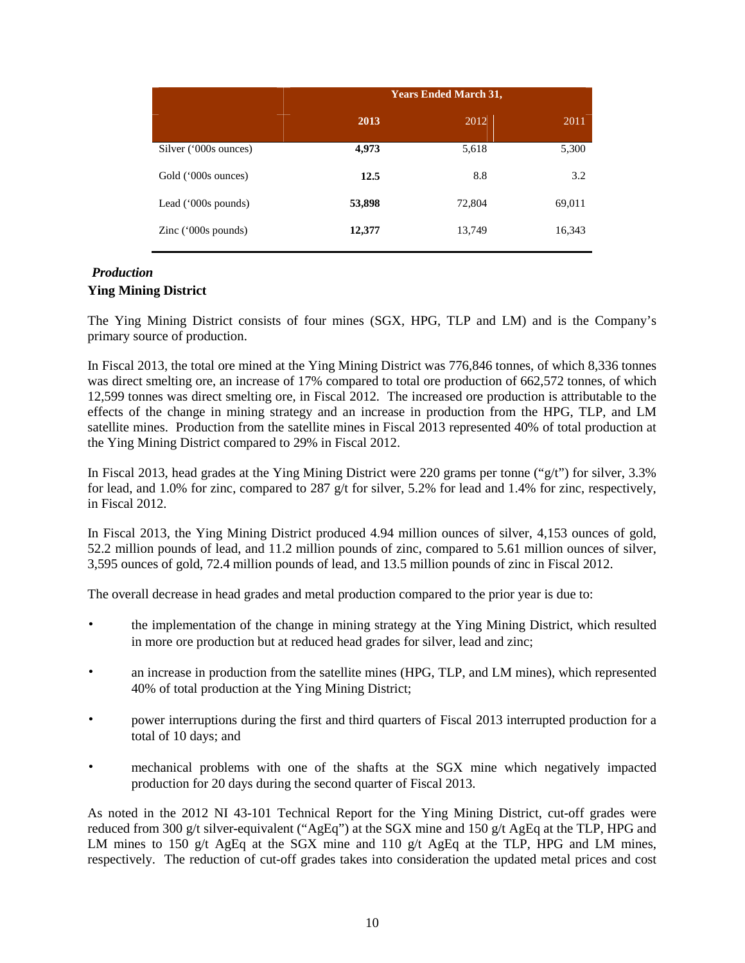|                       | <b>Years Ended March 31,</b> |        |        |  |  |  |
|-----------------------|------------------------------|--------|--------|--|--|--|
|                       | 2013                         | 2012   | 2011   |  |  |  |
| Silver ('000s ounces) | 4,973                        | 5,618  | 5,300  |  |  |  |
| Gold ('000s ounces)   | 12.5                         | 8.8    | 3.2    |  |  |  |
| Lead $(000s$ pounds)  | 53,898                       | 72,804 | 69,011 |  |  |  |
| Zinc $('000s$ pounds) | 12,377                       | 13,749 | 16,343 |  |  |  |

### *Production* **Ying Mining District**

The Ying Mining District consists of four mines (SGX, HPG, TLP and LM) and is the Company's primary source of production.

In Fiscal 2013, the total ore mined at the Ying Mining District was 776,846 tonnes, of which 8,336 tonnes was direct smelting ore, an increase of 17% compared to total ore production of 662,572 tonnes, of which 12,599 tonnes was direct smelting ore, in Fiscal 2012. The increased ore production is attributable to the effects of the change in mining strategy and an increase in production from the HPG, TLP, and LM satellite mines. Production from the satellite mines in Fiscal 2013 represented 40% of total production at the Ying Mining District compared to 29% in Fiscal 2012.

In Fiscal 2013, head grades at the Ying Mining District were 220 grams per tonne ("g/t") for silver, 3.3% for lead, and 1.0% for zinc, compared to 287 g/t for silver, 5.2% for lead and 1.4% for zinc, respectively, in Fiscal 2012.

In Fiscal 2013, the Ying Mining District produced 4.94 million ounces of silver, 4,153 ounces of gold, 52.2 million pounds of lead, and 11.2 million pounds of zinc, compared to 5.61 million ounces of silver, 3,595 ounces of gold, 72.4 million pounds of lead, and 13.5 million pounds of zinc in Fiscal 2012.

The overall decrease in head grades and metal production compared to the prior year is due to:

- the implementation of the change in mining strategy at the Ying Mining District, which resulted in more ore production but at reduced head grades for silver, lead and zinc;
- an increase in production from the satellite mines (HPG, TLP, and LM mines), which represented 40% of total production at the Ying Mining District;
- power interruptions during the first and third quarters of Fiscal 2013 interrupted production for a total of 10 days; and
- mechanical problems with one of the shafts at the SGX mine which negatively impacted production for 20 days during the second quarter of Fiscal 2013.

As noted in the 2012 NI 43-101 Technical Report for the Ying Mining District, cut-off grades were reduced from 300 g/t silver-equivalent ("AgEq") at the SGX mine and 150 g/t AgEq at the TLP, HPG and LM mines to 150 g/t AgEq at the SGX mine and 110 g/t AgEq at the TLP, HPG and LM mines, respectively. The reduction of cut-off grades takes into consideration the updated metal prices and cost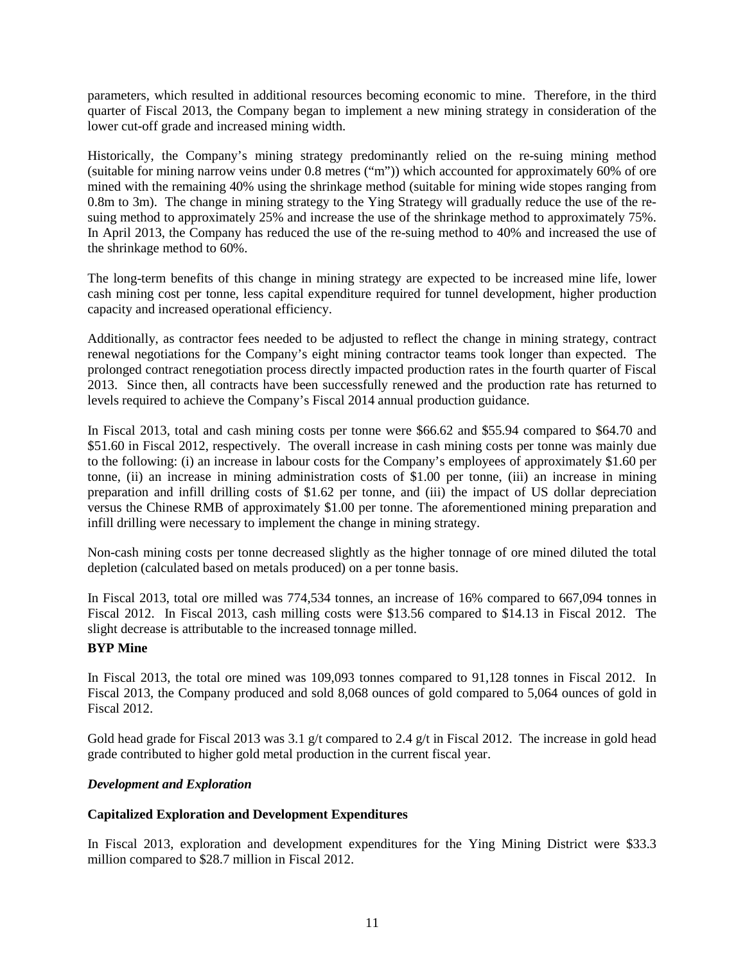parameters, which resulted in additional resources becoming economic to mine. Therefore, in the third quarter of Fiscal 2013, the Company began to implement a new mining strategy in consideration of the lower cut-off grade and increased mining width.

Historically, the Company's mining strategy predominantly relied on the re-suing mining method (suitable for mining narrow veins under 0.8 metres ("m")) which accounted for approximately 60% of ore mined with the remaining 40% using the shrinkage method (suitable for mining wide stopes ranging from 0.8m to 3m). The change in mining strategy to the Ying Strategy will gradually reduce the use of the resuing method to approximately 25% and increase the use of the shrinkage method to approximately 75%. In April 2013, the Company has reduced the use of the re-suing method to 40% and increased the use of the shrinkage method to 60%.

The long-term benefits of this change in mining strategy are expected to be increased mine life, lower cash mining cost per tonne, less capital expenditure required for tunnel development, higher production capacity and increased operational efficiency.

Additionally, as contractor fees needed to be adjusted to reflect the change in mining strategy, contract renewal negotiations for the Company's eight mining contractor teams took longer than expected. The prolonged contract renegotiation process directly impacted production rates in the fourth quarter of Fiscal 2013. Since then, all contracts have been successfully renewed and the production rate has returned to levels required to achieve the Company's Fiscal 2014 annual production guidance.

In Fiscal 2013, total and cash mining costs per tonne were \$66.62 and \$55.94 compared to \$64.70 and \$51.60 in Fiscal 2012, respectively. The overall increase in cash mining costs per tonne was mainly due to the following: (i) an increase in labour costs for the Company's employees of approximately \$1.60 per tonne, (ii) an increase in mining administration costs of \$1.00 per tonne, (iii) an increase in mining preparation and infill drilling costs of \$1.62 per tonne, and (iii) the impact of US dollar depreciation versus the Chinese RMB of approximately \$1.00 per tonne. The aforementioned mining preparation and infill drilling were necessary to implement the change in mining strategy.

Non-cash mining costs per tonne decreased slightly as the higher tonnage of ore mined diluted the total depletion (calculated based on metals produced) on a per tonne basis.

In Fiscal 2013, total ore milled was 774,534 tonnes, an increase of 16% compared to 667,094 tonnes in Fiscal 2012. In Fiscal 2013, cash milling costs were \$13.56 compared to \$14.13 in Fiscal 2012. The slight decrease is attributable to the increased tonnage milled.

# **BYP Mine**

In Fiscal 2013, the total ore mined was 109,093 tonnes compared to 91,128 tonnes in Fiscal 2012. In Fiscal 2013, the Company produced and sold 8,068 ounces of gold compared to 5,064 ounces of gold in Fiscal 2012.

Gold head grade for Fiscal 2013 was 3.1 g/t compared to 2.4 g/t in Fiscal 2012. The increase in gold head grade contributed to higher gold metal production in the current fiscal year.

#### *Development and Exploration*

#### **Capitalized Exploration and Development Expenditures**

In Fiscal 2013, exploration and development expenditures for the Ying Mining District were \$33.3 million compared to \$28.7 million in Fiscal 2012.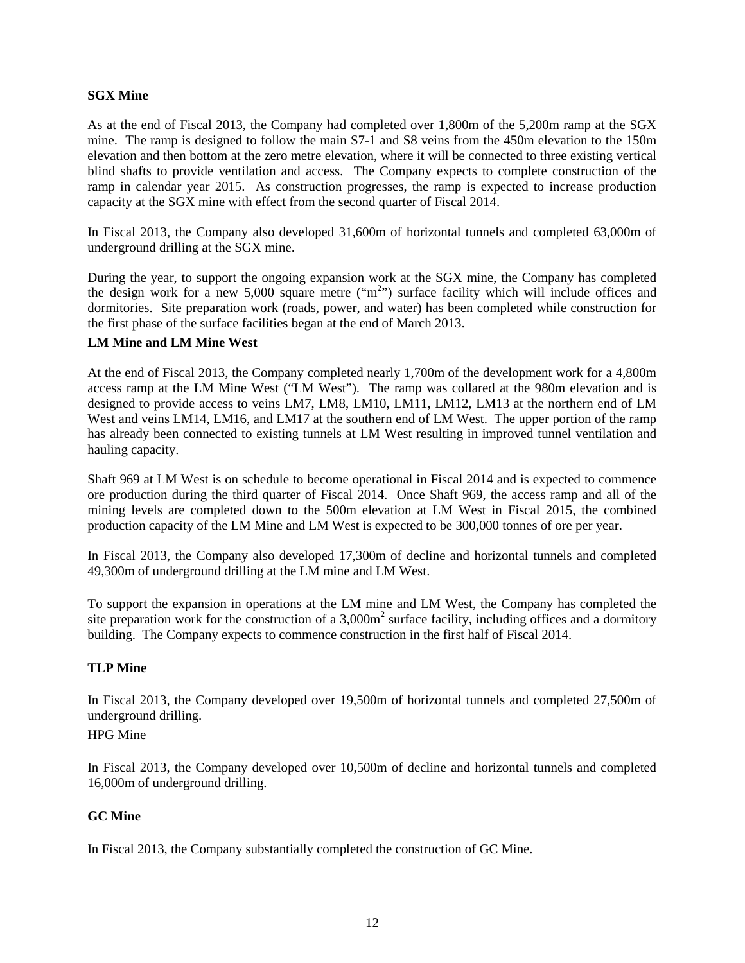# **SGX Mine**

As at the end of Fiscal 2013, the Company had completed over 1,800m of the 5,200m ramp at the SGX mine. The ramp is designed to follow the main S7-1 and S8 veins from the 450m elevation to the 150m elevation and then bottom at the zero metre elevation, where it will be connected to three existing vertical blind shafts to provide ventilation and access. The Company expects to complete construction of the ramp in calendar year 2015. As construction progresses, the ramp is expected to increase production capacity at the SGX mine with effect from the second quarter of Fiscal 2014.

In Fiscal 2013, the Company also developed 31,600m of horizontal tunnels and completed 63,000m of underground drilling at the SGX mine.

During the year, to support the ongoing expansion work at the SGX mine, the Company has completed the design work for a new  $5,000$  square metre ("m<sup>2</sup>") surface facility which will include offices and dormitories. Site preparation work (roads, power, and water) has been completed while construction for the first phase of the surface facilities began at the end of March 2013.

#### **LM Mine and LM Mine West**

At the end of Fiscal 2013, the Company completed nearly 1,700m of the development work for a 4,800m access ramp at the LM Mine West ("LM West"). The ramp was collared at the 980m elevation and is designed to provide access to veins LM7, LM8, LM10, LM11, LM12, LM13 at the northern end of LM West and veins LM14, LM16, and LM17 at the southern end of LM West. The upper portion of the ramp has already been connected to existing tunnels at LM West resulting in improved tunnel ventilation and hauling capacity.

Shaft 969 at LM West is on schedule to become operational in Fiscal 2014 and is expected to commence ore production during the third quarter of Fiscal 2014. Once Shaft 969, the access ramp and all of the mining levels are completed down to the 500m elevation at LM West in Fiscal 2015, the combined production capacity of the LM Mine and LM West is expected to be 300,000 tonnes of ore per year.

In Fiscal 2013, the Company also developed 17,300m of decline and horizontal tunnels and completed 49,300m of underground drilling at the LM mine and LM West.

To support the expansion in operations at the LM mine and LM West, the Company has completed the site preparation work for the construction of a  $3,000m^2$  surface facility, including offices and a dormitory building. The Company expects to commence construction in the first half of Fiscal 2014.

#### **TLP Mine**

In Fiscal 2013, the Company developed over 19,500m of horizontal tunnels and completed 27,500m of underground drilling.

# HPG Mine

In Fiscal 2013, the Company developed over 10,500m of decline and horizontal tunnels and completed 16,000m of underground drilling.

#### **GC Mine**

In Fiscal 2013, the Company substantially completed the construction of GC Mine.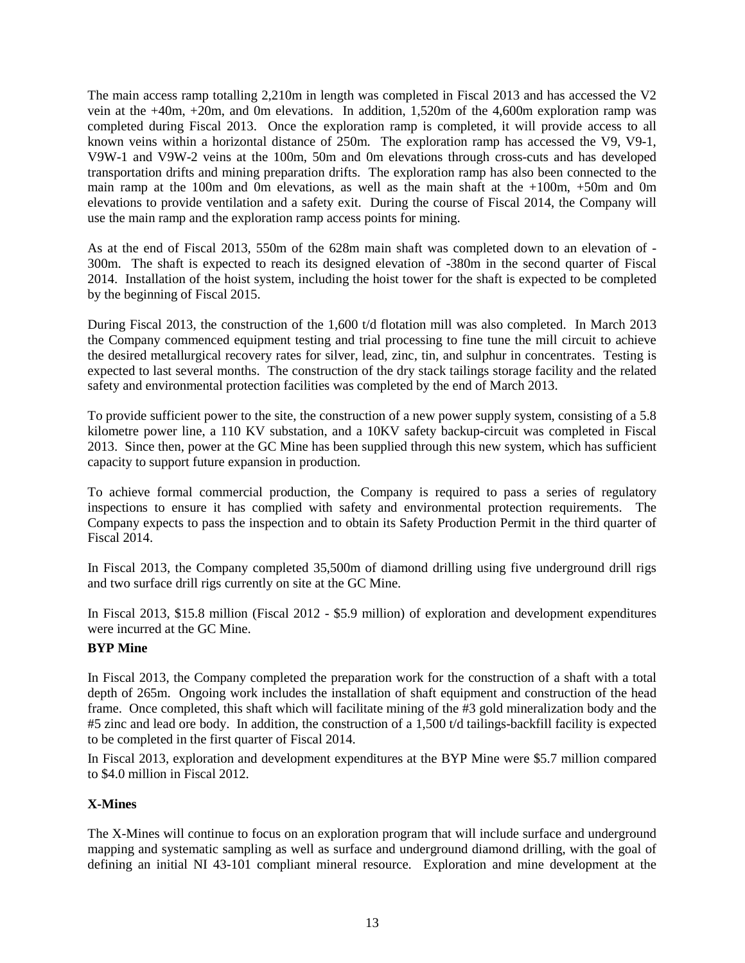The main access ramp totalling 2,210m in length was completed in Fiscal 2013 and has accessed the V2 vein at the +40m, +20m, and 0m elevations. In addition, 1,520m of the 4,600m exploration ramp was completed during Fiscal 2013. Once the exploration ramp is completed, it will provide access to all known veins within a horizontal distance of 250m. The exploration ramp has accessed the V9, V9-1, V9W-1 and V9W-2 veins at the 100m, 50m and 0m elevations through cross-cuts and has developed transportation drifts and mining preparation drifts. The exploration ramp has also been connected to the main ramp at the 100m and 0m elevations, as well as the main shaft at the +100m, +50m and 0m elevations to provide ventilation and a safety exit. During the course of Fiscal 2014, the Company will use the main ramp and the exploration ramp access points for mining.

As at the end of Fiscal 2013, 550m of the 628m main shaft was completed down to an elevation of - 300m. The shaft is expected to reach its designed elevation of -380m in the second quarter of Fiscal 2014. Installation of the hoist system, including the hoist tower for the shaft is expected to be completed by the beginning of Fiscal 2015.

During Fiscal 2013, the construction of the 1,600 t/d flotation mill was also completed. In March 2013 the Company commenced equipment testing and trial processing to fine tune the mill circuit to achieve the desired metallurgical recovery rates for silver, lead, zinc, tin, and sulphur in concentrates. Testing is expected to last several months. The construction of the dry stack tailings storage facility and the related safety and environmental protection facilities was completed by the end of March 2013.

To provide sufficient power to the site, the construction of a new power supply system, consisting of a 5.8 kilometre power line, a 110 KV substation, and a 10KV safety backup-circuit was completed in Fiscal 2013. Since then, power at the GC Mine has been supplied through this new system, which has sufficient capacity to support future expansion in production.

To achieve formal commercial production, the Company is required to pass a series of regulatory inspections to ensure it has complied with safety and environmental protection requirements. The Company expects to pass the inspection and to obtain its Safety Production Permit in the third quarter of Fiscal 2014.

In Fiscal 2013, the Company completed 35,500m of diamond drilling using five underground drill rigs and two surface drill rigs currently on site at the GC Mine.

In Fiscal 2013, \$15.8 million (Fiscal 2012 - \$5.9 million) of exploration and development expenditures were incurred at the GC Mine.

# **BYP Mine**

In Fiscal 2013, the Company completed the preparation work for the construction of a shaft with a total depth of 265m. Ongoing work includes the installation of shaft equipment and construction of the head frame. Once completed, this shaft which will facilitate mining of the #3 gold mineralization body and the #5 zinc and lead ore body. In addition, the construction of a 1,500 t/d tailings-backfill facility is expected to be completed in the first quarter of Fiscal 2014.

In Fiscal 2013, exploration and development expenditures at the BYP Mine were \$5.7 million compared to \$4.0 million in Fiscal 2012.

# **X-Mines**

The X-Mines will continue to focus on an exploration program that will include surface and underground mapping and systematic sampling as well as surface and underground diamond drilling, with the goal of defining an initial NI 43-101 compliant mineral resource. Exploration and mine development at the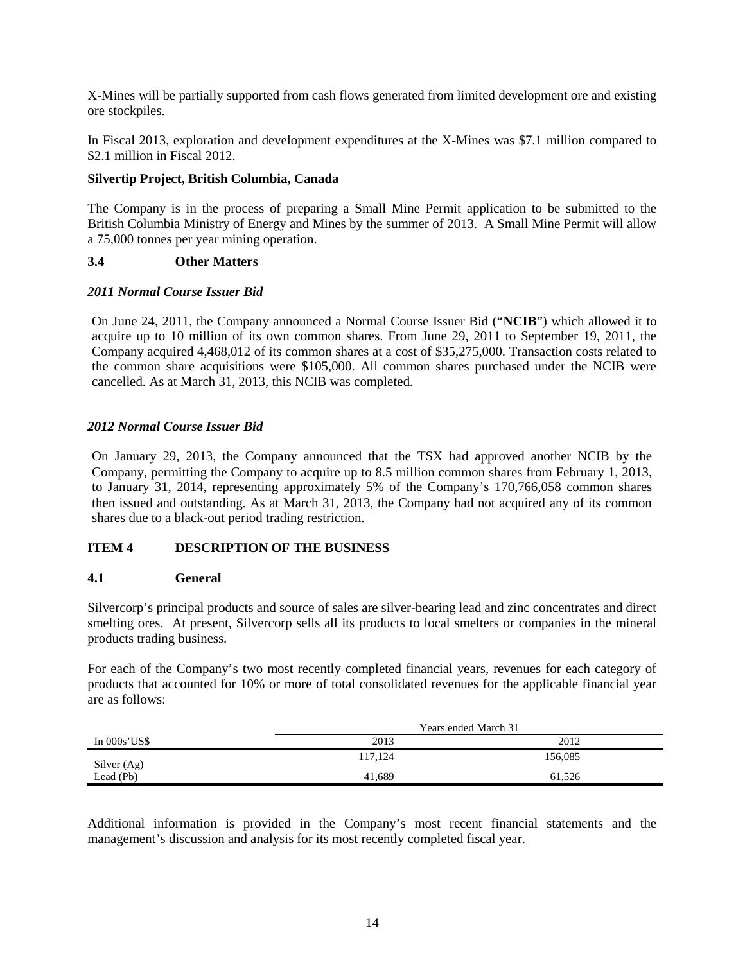X-Mines will be partially supported from cash flows generated from limited development ore and existing ore stockpiles.

In Fiscal 2013, exploration and development expenditures at the X-Mines was \$7.1 million compared to \$2.1 million in Fiscal 2012.

## **Silvertip Project, British Columbia, Canada**

The Company is in the process of preparing a Small Mine Permit application to be submitted to the British Columbia Ministry of Energy and Mines by the summer of 2013. A Small Mine Permit will allow a 75,000 tonnes per year mining operation.

# **3.4 Other Matters**

# *2011 Normal Course Issuer Bid*

On June 24, 2011, the Company announced a Normal Course Issuer Bid ("**NCIB**") which allowed it to acquire up to 10 million of its own common shares. From June 29, 2011 to September 19, 2011, the Company acquired 4,468,012 of its common shares at a cost of \$35,275,000. Transaction costs related to the common share acquisitions were \$105,000. All common shares purchased under the NCIB were cancelled. As at March 31, 2013, this NCIB was completed.

# *2012 Normal Course Issuer Bid*

On January 29, 2013, the Company announced that the TSX had approved another NCIB by the Company, permitting the Company to acquire up to 8.5 million common shares from February 1, 2013, to January 31, 2014, representing approximately 5% of the Company's 170,766,058 common shares then issued and outstanding. As at March 31, 2013, the Company had not acquired any of its common shares due to a black-out period trading restriction.

# **ITEM 4 DESCRIPTION OF THE BUSINESS**

#### **4.1 General**

Silvercorp's principal products and source of sales are silver-bearing lead and zinc concentrates and direct smelting ores. At present, Silvercorp sells all its products to local smelters or companies in the mineral products trading business.

For each of the Company's two most recently completed financial years, revenues for each category of products that accounted for 10% or more of total consolidated revenues for the applicable financial year are as follows:

|              | Years ended March 31 |         |
|--------------|----------------------|---------|
| In 000s'US\$ | 2013                 | 2012    |
| Silver (Ag)  | 117.124              | 156,085 |
| Lead (Pb)    | 41.689               | 61.526  |

Additional information is provided in the Company's most recent financial statements and the management's discussion and analysis for its most recently completed fiscal year.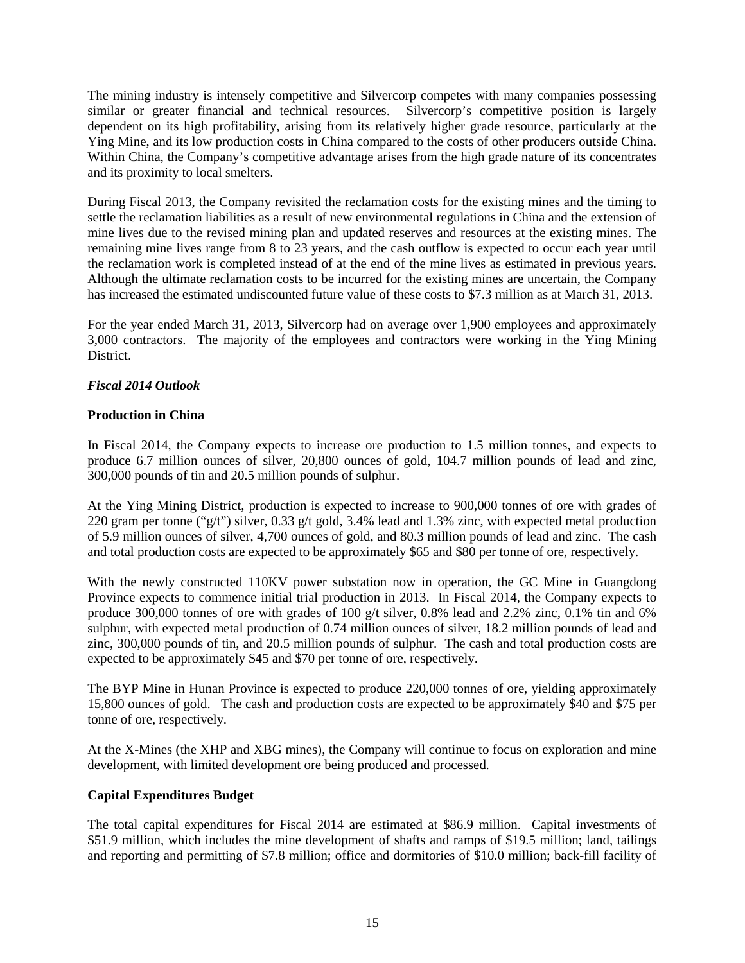The mining industry is intensely competitive and Silvercorp competes with many companies possessing similar or greater financial and technical resources. Silvercorp's competitive position is largely dependent on its high profitability, arising from its relatively higher grade resource, particularly at the Ying Mine, and its low production costs in China compared to the costs of other producers outside China. Within China, the Company's competitive advantage arises from the high grade nature of its concentrates and its proximity to local smelters.

During Fiscal 2013, the Company revisited the reclamation costs for the existing mines and the timing to settle the reclamation liabilities as a result of new environmental regulations in China and the extension of mine lives due to the revised mining plan and updated reserves and resources at the existing mines. The remaining mine lives range from 8 to 23 years, and the cash outflow is expected to occur each year until the reclamation work is completed instead of at the end of the mine lives as estimated in previous years. Although the ultimate reclamation costs to be incurred for the existing mines are uncertain, the Company has increased the estimated undiscounted future value of these costs to \$7.3 million as at March 31, 2013.

For the year ended March 31, 2013, Silvercorp had on average over 1,900 employees and approximately 3,000 contractors. The majority of the employees and contractors were working in the Ying Mining District.

# *Fiscal 2014 Outlook*

# **Production in China**

In Fiscal 2014, the Company expects to increase ore production to 1.5 million tonnes, and expects to produce 6.7 million ounces of silver, 20,800 ounces of gold, 104.7 million pounds of lead and zinc, 300,000 pounds of tin and 20.5 million pounds of sulphur.

At the Ying Mining District, production is expected to increase to 900,000 tonnes of ore with grades of 220 gram per tonne ("g/t") silver, 0.33 g/t gold, 3.4% lead and 1.3% zinc, with expected metal production of 5.9 million ounces of silver, 4,700 ounces of gold, and 80.3 million pounds of lead and zinc. The cash and total production costs are expected to be approximately \$65 and \$80 per tonne of ore, respectively.

With the newly constructed 110KV power substation now in operation, the GC Mine in Guangdong Province expects to commence initial trial production in 2013. In Fiscal 2014, the Company expects to produce 300,000 tonnes of ore with grades of 100 g/t silver, 0.8% lead and 2.2% zinc, 0.1% tin and 6% sulphur, with expected metal production of 0.74 million ounces of silver, 18.2 million pounds of lead and zinc, 300,000 pounds of tin, and 20.5 million pounds of sulphur. The cash and total production costs are expected to be approximately \$45 and \$70 per tonne of ore, respectively.

The BYP Mine in Hunan Province is expected to produce 220,000 tonnes of ore, yielding approximately 15,800 ounces of gold. The cash and production costs are expected to be approximately \$40 and \$75 per tonne of ore, respectively.

At the X-Mines (the XHP and XBG mines), the Company will continue to focus on exploration and mine development, with limited development ore being produced and processed.

#### **Capital Expenditures Budget**

The total capital expenditures for Fiscal 2014 are estimated at \$86.9 million. Capital investments of \$51.9 million, which includes the mine development of shafts and ramps of \$19.5 million; land, tailings and reporting and permitting of \$7.8 million; office and dormitories of \$10.0 million; back-fill facility of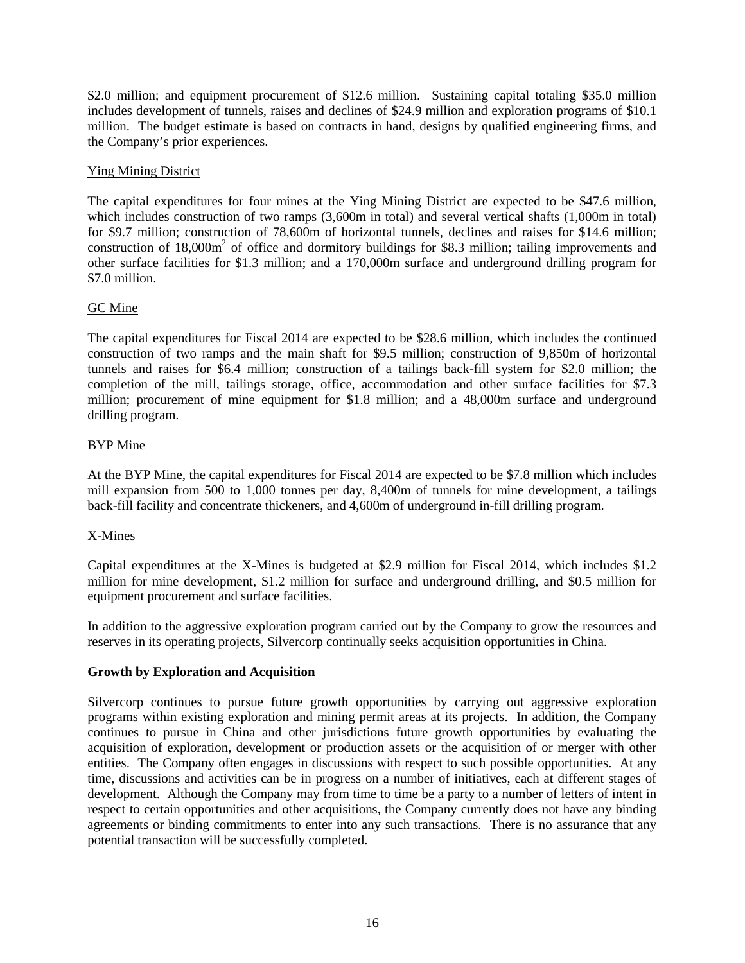\$2.0 million; and equipment procurement of \$12.6 million. Sustaining capital totaling \$35.0 million includes development of tunnels, raises and declines of \$24.9 million and exploration programs of \$10.1 million. The budget estimate is based on contracts in hand, designs by qualified engineering firms, and the Company's prior experiences.

# Ying Mining District

The capital expenditures for four mines at the Ying Mining District are expected to be \$47.6 million, which includes construction of two ramps (3,600m in total) and several vertical shafts (1,000m in total) for \$9.7 million; construction of 78,600m of horizontal tunnels, declines and raises for \$14.6 million; construction of 18,000m<sup>2</sup> of office and dormitory buildings for \$8.3 million; tailing improvements and other surface facilities for \$1.3 million; and a 170,000m surface and underground drilling program for \$7.0 million.

# GC Mine

The capital expenditures for Fiscal 2014 are expected to be \$28.6 million, which includes the continued construction of two ramps and the main shaft for \$9.5 million; construction of 9,850m of horizontal tunnels and raises for \$6.4 million; construction of a tailings back-fill system for \$2.0 million; the completion of the mill, tailings storage, office, accommodation and other surface facilities for \$7.3 million; procurement of mine equipment for \$1.8 million; and a 48,000m surface and underground drilling program.

#### BYP Mine

At the BYP Mine, the capital expenditures for Fiscal 2014 are expected to be \$7.8 million which includes mill expansion from 500 to 1,000 tonnes per day, 8,400m of tunnels for mine development, a tailings back-fill facility and concentrate thickeners, and 4,600m of underground in-fill drilling program.

# X-Mines

Capital expenditures at the X-Mines is budgeted at \$2.9 million for Fiscal 2014, which includes \$1.2 million for mine development, \$1.2 million for surface and underground drilling, and \$0.5 million for equipment procurement and surface facilities.

In addition to the aggressive exploration program carried out by the Company to grow the resources and reserves in its operating projects, Silvercorp continually seeks acquisition opportunities in China.

# **Growth by Exploration and Acquisition**

Silvercorp continues to pursue future growth opportunities by carrying out aggressive exploration programs within existing exploration and mining permit areas at its projects. In addition, the Company continues to pursue in China and other jurisdictions future growth opportunities by evaluating the acquisition of exploration, development or production assets or the acquisition of or merger with other entities. The Company often engages in discussions with respect to such possible opportunities. At any time, discussions and activities can be in progress on a number of initiatives, each at different stages of development. Although the Company may from time to time be a party to a number of letters of intent in respect to certain opportunities and other acquisitions, the Company currently does not have any binding agreements or binding commitments to enter into any such transactions. There is no assurance that any potential transaction will be successfully completed.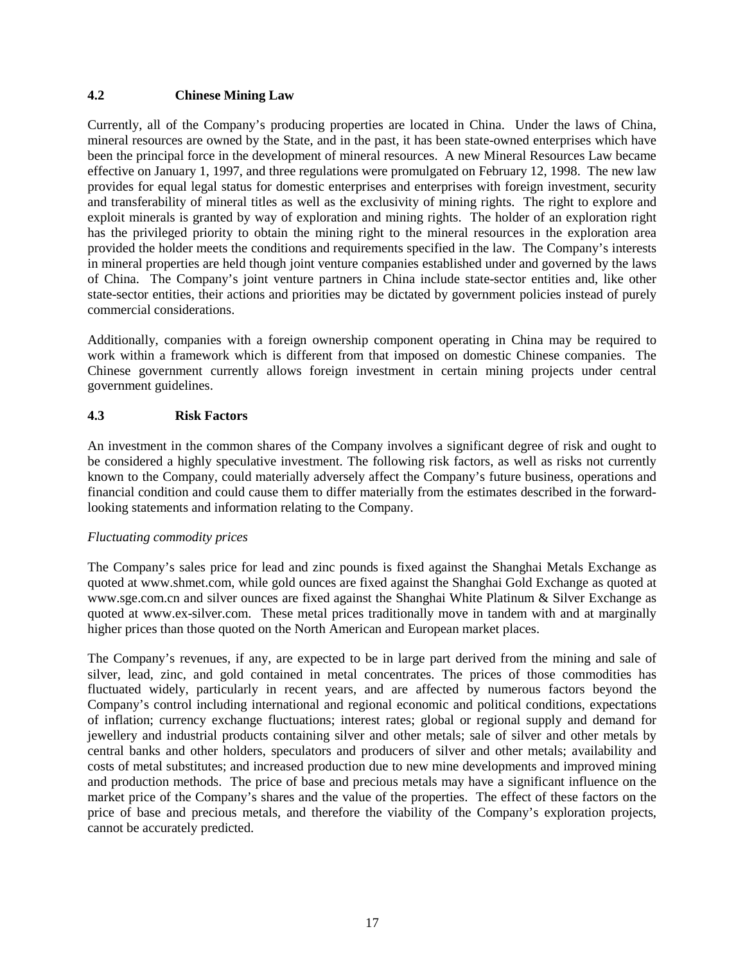# **4.2 Chinese Mining Law**

Currently, all of the Company's producing properties are located in China. Under the laws of China, mineral resources are owned by the State, and in the past, it has been state-owned enterprises which have been the principal force in the development of mineral resources. A new Mineral Resources Law became effective on January 1, 1997, and three regulations were promulgated on February 12, 1998. The new law provides for equal legal status for domestic enterprises and enterprises with foreign investment, security and transferability of mineral titles as well as the exclusivity of mining rights. The right to explore and exploit minerals is granted by way of exploration and mining rights. The holder of an exploration right has the privileged priority to obtain the mining right to the mineral resources in the exploration area provided the holder meets the conditions and requirements specified in the law. The Company's interests in mineral properties are held though joint venture companies established under and governed by the laws of China. The Company's joint venture partners in China include state-sector entities and, like other state-sector entities, their actions and priorities may be dictated by government policies instead of purely commercial considerations.

Additionally, companies with a foreign ownership component operating in China may be required to work within a framework which is different from that imposed on domestic Chinese companies. The Chinese government currently allows foreign investment in certain mining projects under central government guidelines.

# **4.3 Risk Factors**

An investment in the common shares of the Company involves a significant degree of risk and ought to be considered a highly speculative investment. The following risk factors, as well as risks not currently known to the Company, could materially adversely affect the Company's future business, operations and financial condition and could cause them to differ materially from the estimates described in the forwardlooking statements and information relating to the Company.

#### *Fluctuating commodity prices*

The Company's sales price for lead and zinc pounds is fixed against the Shanghai Metals Exchange as quoted at www.shmet.com, while gold ounces are fixed against the Shanghai Gold Exchange as quoted at www.sge.com.cn and silver ounces are fixed against the Shanghai White Platinum & Silver Exchange as quoted at www.ex-silver.com. These metal prices traditionally move in tandem with and at marginally higher prices than those quoted on the North American and European market places.

The Company's revenues, if any, are expected to be in large part derived from the mining and sale of silver, lead, zinc, and gold contained in metal concentrates. The prices of those commodities has fluctuated widely, particularly in recent years, and are affected by numerous factors beyond the Company's control including international and regional economic and political conditions, expectations of inflation; currency exchange fluctuations; interest rates; global or regional supply and demand for jewellery and industrial products containing silver and other metals; sale of silver and other metals by central banks and other holders, speculators and producers of silver and other metals; availability and costs of metal substitutes; and increased production due to new mine developments and improved mining and production methods. The price of base and precious metals may have a significant influence on the market price of the Company's shares and the value of the properties. The effect of these factors on the price of base and precious metals, and therefore the viability of the Company's exploration projects, cannot be accurately predicted.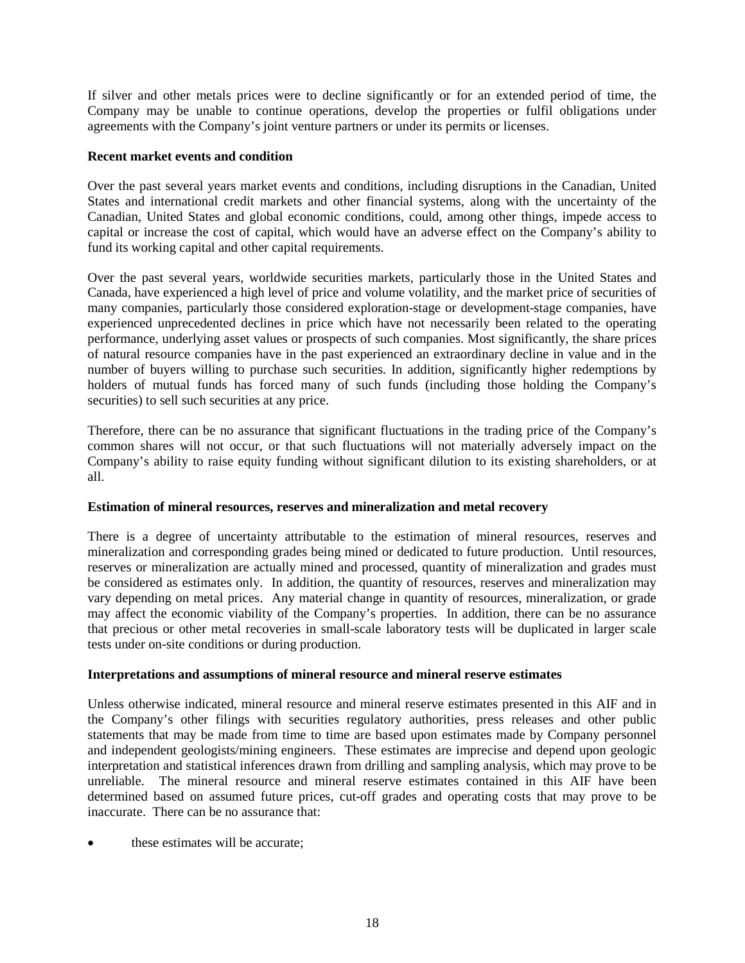If silver and other metals prices were to decline significantly or for an extended period of time, the Company may be unable to continue operations, develop the properties or fulfil obligations under agreements with the Company's joint venture partners or under its permits or licenses.

#### **Recent market events and condition**

Over the past several years market events and conditions, including disruptions in the Canadian, United States and international credit markets and other financial systems, along with the uncertainty of the Canadian, United States and global economic conditions, could, among other things, impede access to capital or increase the cost of capital, which would have an adverse effect on the Company's ability to fund its working capital and other capital requirements.

Over the past several years, worldwide securities markets, particularly those in the United States and Canada, have experienced a high level of price and volume volatility, and the market price of securities of many companies, particularly those considered exploration-stage or development-stage companies, have experienced unprecedented declines in price which have not necessarily been related to the operating performance, underlying asset values or prospects of such companies. Most significantly, the share prices of natural resource companies have in the past experienced an extraordinary decline in value and in the number of buyers willing to purchase such securities. In addition, significantly higher redemptions by holders of mutual funds has forced many of such funds (including those holding the Company's securities) to sell such securities at any price.

Therefore, there can be no assurance that significant fluctuations in the trading price of the Company's common shares will not occur, or that such fluctuations will not materially adversely impact on the Company's ability to raise equity funding without significant dilution to its existing shareholders, or at all.

# **Estimation of mineral resources, reserves and mineralization and metal recovery**

There is a degree of uncertainty attributable to the estimation of mineral resources, reserves and mineralization and corresponding grades being mined or dedicated to future production. Until resources, reserves or mineralization are actually mined and processed, quantity of mineralization and grades must be considered as estimates only. In addition, the quantity of resources, reserves and mineralization may vary depending on metal prices. Any material change in quantity of resources, mineralization, or grade may affect the economic viability of the Company's properties. In addition, there can be no assurance that precious or other metal recoveries in small-scale laboratory tests will be duplicated in larger scale tests under on-site conditions or during production.

#### **Interpretations and assumptions of mineral resource and mineral reserve estimates**

Unless otherwise indicated, mineral resource and mineral reserve estimates presented in this AIF and in the Company's other filings with securities regulatory authorities, press releases and other public statements that may be made from time to time are based upon estimates made by Company personnel and independent geologists/mining engineers. These estimates are imprecise and depend upon geologic interpretation and statistical inferences drawn from drilling and sampling analysis, which may prove to be unreliable. The mineral resource and mineral reserve estimates contained in this AIF have been determined based on assumed future prices, cut-off grades and operating costs that may prove to be inaccurate. There can be no assurance that:

these estimates will be accurate;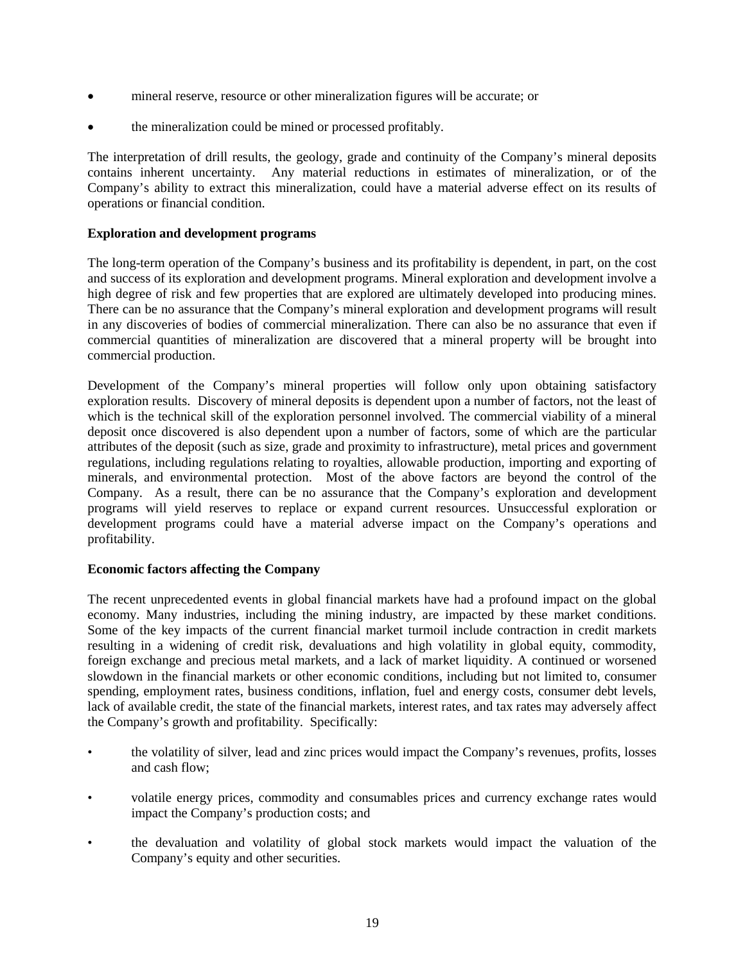- mineral reserve, resource or other mineralization figures will be accurate; or
- the mineralization could be mined or processed profitably.

The interpretation of drill results, the geology, grade and continuity of the Company's mineral deposits contains inherent uncertainty. Any material reductions in estimates of mineralization, or of the Company's ability to extract this mineralization, could have a material adverse effect on its results of operations or financial condition.

## **Exploration and development programs**

The long-term operation of the Company's business and its profitability is dependent, in part, on the cost and success of its exploration and development programs. Mineral exploration and development involve a high degree of risk and few properties that are explored are ultimately developed into producing mines. There can be no assurance that the Company's mineral exploration and development programs will result in any discoveries of bodies of commercial mineralization. There can also be no assurance that even if commercial quantities of mineralization are discovered that a mineral property will be brought into commercial production.

Development of the Company's mineral properties will follow only upon obtaining satisfactory exploration results. Discovery of mineral deposits is dependent upon a number of factors, not the least of which is the technical skill of the exploration personnel involved. The commercial viability of a mineral deposit once discovered is also dependent upon a number of factors, some of which are the particular attributes of the deposit (such as size, grade and proximity to infrastructure), metal prices and government regulations, including regulations relating to royalties, allowable production, importing and exporting of minerals, and environmental protection. Most of the above factors are beyond the control of the Company. As a result, there can be no assurance that the Company's exploration and development programs will yield reserves to replace or expand current resources. Unsuccessful exploration or development programs could have a material adverse impact on the Company's operations and profitability.

### **Economic factors affecting the Company**

The recent unprecedented events in global financial markets have had a profound impact on the global economy. Many industries, including the mining industry, are impacted by these market conditions. Some of the key impacts of the current financial market turmoil include contraction in credit markets resulting in a widening of credit risk, devaluations and high volatility in global equity, commodity, foreign exchange and precious metal markets, and a lack of market liquidity. A continued or worsened slowdown in the financial markets or other economic conditions, including but not limited to, consumer spending, employment rates, business conditions, inflation, fuel and energy costs, consumer debt levels, lack of available credit, the state of the financial markets, interest rates, and tax rates may adversely affect the Company's growth and profitability. Specifically:

- the volatility of silver, lead and zinc prices would impact the Company's revenues, profits, losses and cash flow;
- volatile energy prices, commodity and consumables prices and currency exchange rates would impact the Company's production costs; and
- the devaluation and volatility of global stock markets would impact the valuation of the Company's equity and other securities.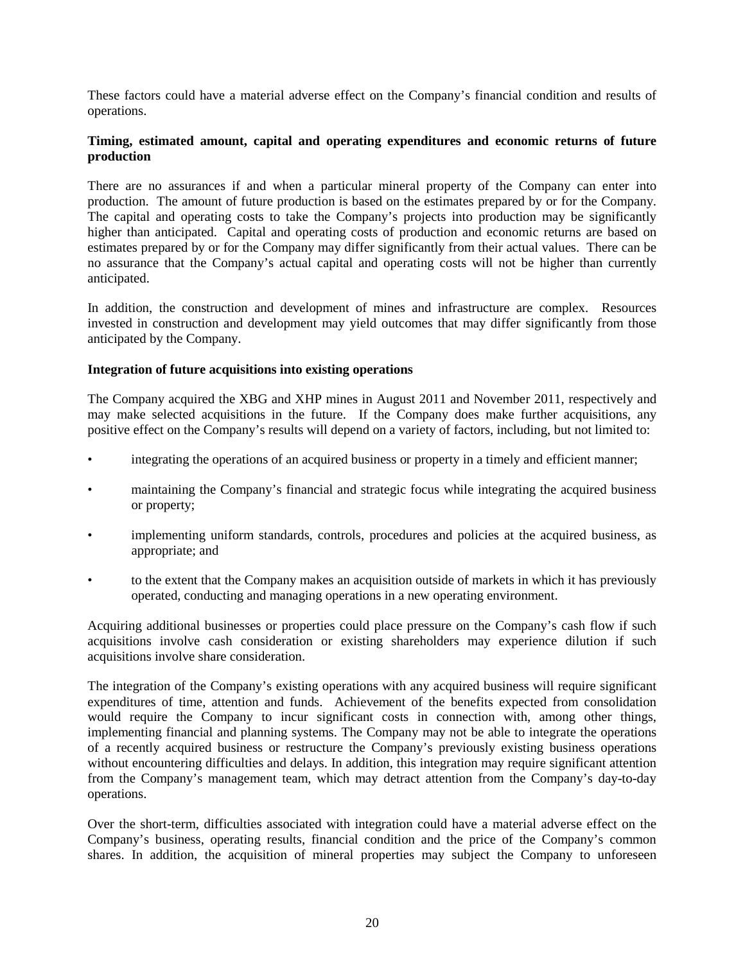These factors could have a material adverse effect on the Company's financial condition and results of operations.

### **Timing, estimated amount, capital and operating expenditures and economic returns of future production**

There are no assurances if and when a particular mineral property of the Company can enter into production. The amount of future production is based on the estimates prepared by or for the Company. The capital and operating costs to take the Company's projects into production may be significantly higher than anticipated. Capital and operating costs of production and economic returns are based on estimates prepared by or for the Company may differ significantly from their actual values. There can be no assurance that the Company's actual capital and operating costs will not be higher than currently anticipated.

In addition, the construction and development of mines and infrastructure are complex. Resources invested in construction and development may yield outcomes that may differ significantly from those anticipated by the Company.

#### **Integration of future acquisitions into existing operations**

The Company acquired the XBG and XHP mines in August 2011 and November 2011, respectively and may make selected acquisitions in the future. If the Company does make further acquisitions, any positive effect on the Company's results will depend on a variety of factors, including, but not limited to:

- integrating the operations of an acquired business or property in a timely and efficient manner;
- maintaining the Company's financial and strategic focus while integrating the acquired business or property;
- implementing uniform standards, controls, procedures and policies at the acquired business, as appropriate; and
- to the extent that the Company makes an acquisition outside of markets in which it has previously operated, conducting and managing operations in a new operating environment.

Acquiring additional businesses or properties could place pressure on the Company's cash flow if such acquisitions involve cash consideration or existing shareholders may experience dilution if such acquisitions involve share consideration.

The integration of the Company's existing operations with any acquired business will require significant expenditures of time, attention and funds. Achievement of the benefits expected from consolidation would require the Company to incur significant costs in connection with, among other things, implementing financial and planning systems. The Company may not be able to integrate the operations of a recently acquired business or restructure the Company's previously existing business operations without encountering difficulties and delays. In addition, this integration may require significant attention from the Company's management team, which may detract attention from the Company's day-to-day operations.

Over the short-term, difficulties associated with integration could have a material adverse effect on the Company's business, operating results, financial condition and the price of the Company's common shares. In addition, the acquisition of mineral properties may subject the Company to unforeseen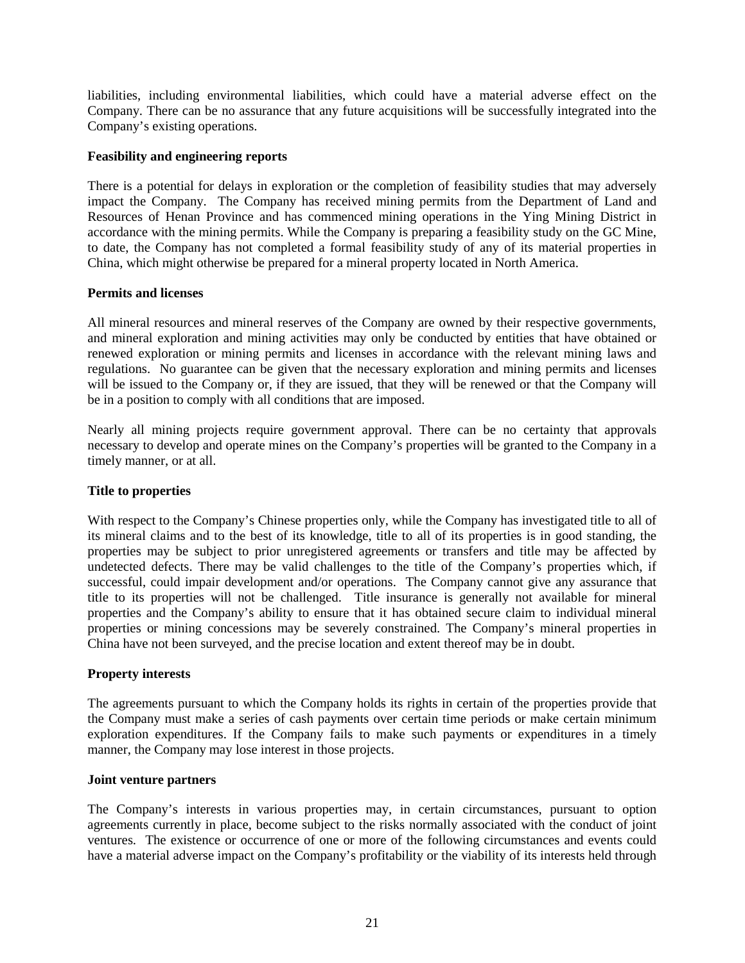liabilities, including environmental liabilities, which could have a material adverse effect on the Company. There can be no assurance that any future acquisitions will be successfully integrated into the Company's existing operations.

#### **Feasibility and engineering reports**

There is a potential for delays in exploration or the completion of feasibility studies that may adversely impact the Company. The Company has received mining permits from the Department of Land and Resources of Henan Province and has commenced mining operations in the Ying Mining District in accordance with the mining permits. While the Company is preparing a feasibility study on the GC Mine, to date, the Company has not completed a formal feasibility study of any of its material properties in China, which might otherwise be prepared for a mineral property located in North America.

#### **Permits and licenses**

All mineral resources and mineral reserves of the Company are owned by their respective governments, and mineral exploration and mining activities may only be conducted by entities that have obtained or renewed exploration or mining permits and licenses in accordance with the relevant mining laws and regulations. No guarantee can be given that the necessary exploration and mining permits and licenses will be issued to the Company or, if they are issued, that they will be renewed or that the Company will be in a position to comply with all conditions that are imposed.

Nearly all mining projects require government approval. There can be no certainty that approvals necessary to develop and operate mines on the Company's properties will be granted to the Company in a timely manner, or at all.

#### **Title to properties**

With respect to the Company's Chinese properties only, while the Company has investigated title to all of its mineral claims and to the best of its knowledge, title to all of its properties is in good standing, the properties may be subject to prior unregistered agreements or transfers and title may be affected by undetected defects. There may be valid challenges to the title of the Company's properties which, if successful, could impair development and/or operations. The Company cannot give any assurance that title to its properties will not be challenged. Title insurance is generally not available for mineral properties and the Company's ability to ensure that it has obtained secure claim to individual mineral properties or mining concessions may be severely constrained. The Company's mineral properties in China have not been surveyed, and the precise location and extent thereof may be in doubt.

#### **Property interests**

The agreements pursuant to which the Company holds its rights in certain of the properties provide that the Company must make a series of cash payments over certain time periods or make certain minimum exploration expenditures. If the Company fails to make such payments or expenditures in a timely manner, the Company may lose interest in those projects.

#### **Joint venture partners**

The Company's interests in various properties may, in certain circumstances, pursuant to option agreements currently in place, become subject to the risks normally associated with the conduct of joint ventures. The existence or occurrence of one or more of the following circumstances and events could have a material adverse impact on the Company's profitability or the viability of its interests held through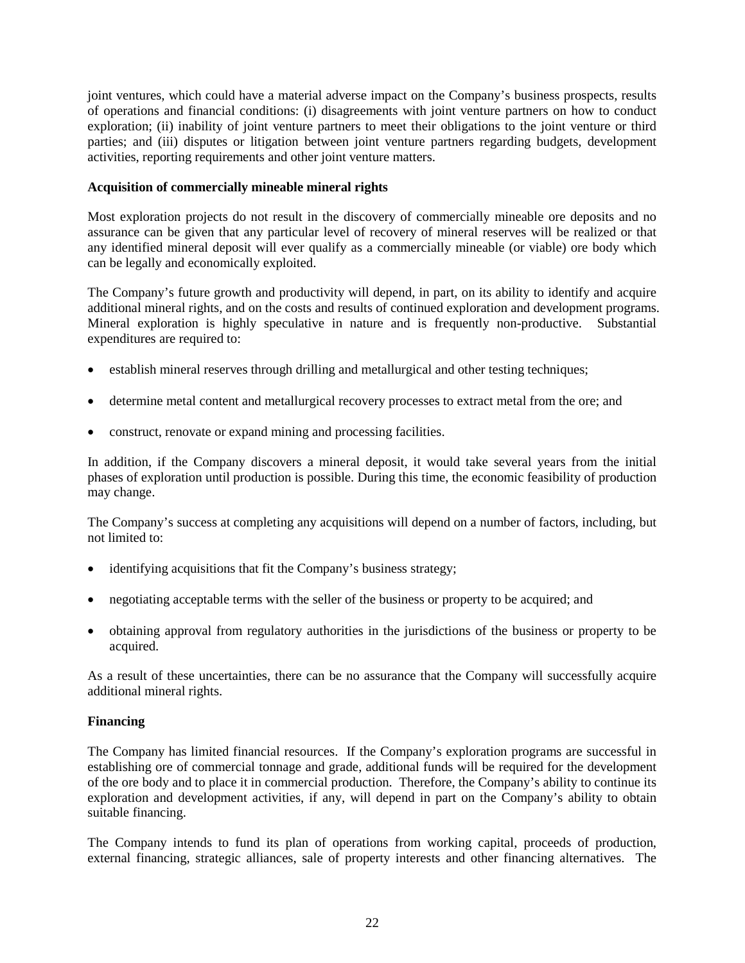joint ventures, which could have a material adverse impact on the Company's business prospects, results of operations and financial conditions: (i) disagreements with joint venture partners on how to conduct exploration; (ii) inability of joint venture partners to meet their obligations to the joint venture or third parties; and (iii) disputes or litigation between joint venture partners regarding budgets, development activities, reporting requirements and other joint venture matters.

## **Acquisition of commercially mineable mineral rights**

Most exploration projects do not result in the discovery of commercially mineable ore deposits and no assurance can be given that any particular level of recovery of mineral reserves will be realized or that any identified mineral deposit will ever qualify as a commercially mineable (or viable) ore body which can be legally and economically exploited.

The Company's future growth and productivity will depend, in part, on its ability to identify and acquire additional mineral rights, and on the costs and results of continued exploration and development programs. Mineral exploration is highly speculative in nature and is frequently non-productive. Substantial expenditures are required to:

- establish mineral reserves through drilling and metallurgical and other testing techniques;
- determine metal content and metallurgical recovery processes to extract metal from the ore; and
- construct, renovate or expand mining and processing facilities.

In addition, if the Company discovers a mineral deposit, it would take several years from the initial phases of exploration until production is possible. During this time, the economic feasibility of production may change.

The Company's success at completing any acquisitions will depend on a number of factors, including, but not limited to:

- identifying acquisitions that fit the Company's business strategy;
- negotiating acceptable terms with the seller of the business or property to be acquired; and
- obtaining approval from regulatory authorities in the jurisdictions of the business or property to be acquired.

As a result of these uncertainties, there can be no assurance that the Company will successfully acquire additional mineral rights.

#### **Financing**

The Company has limited financial resources. If the Company's exploration programs are successful in establishing ore of commercial tonnage and grade, additional funds will be required for the development of the ore body and to place it in commercial production. Therefore, the Company's ability to continue its exploration and development activities, if any, will depend in part on the Company's ability to obtain suitable financing.

The Company intends to fund its plan of operations from working capital, proceeds of production, external financing, strategic alliances, sale of property interests and other financing alternatives. The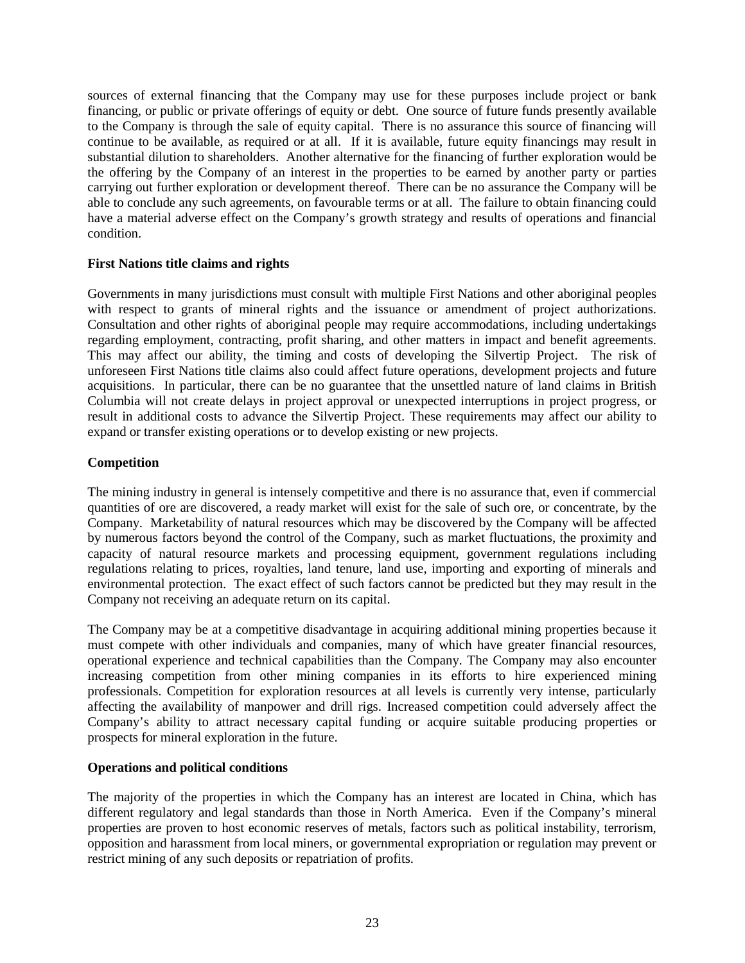sources of external financing that the Company may use for these purposes include project or bank financing, or public or private offerings of equity or debt. One source of future funds presently available to the Company is through the sale of equity capital. There is no assurance this source of financing will continue to be available, as required or at all. If it is available, future equity financings may result in substantial dilution to shareholders. Another alternative for the financing of further exploration would be the offering by the Company of an interest in the properties to be earned by another party or parties carrying out further exploration or development thereof. There can be no assurance the Company will be able to conclude any such agreements, on favourable terms or at all. The failure to obtain financing could have a material adverse effect on the Company's growth strategy and results of operations and financial condition.

# **First Nations title claims and rights**

Governments in many jurisdictions must consult with multiple First Nations and other aboriginal peoples with respect to grants of mineral rights and the issuance or amendment of project authorizations. Consultation and other rights of aboriginal people may require accommodations, including undertakings regarding employment, contracting, profit sharing, and other matters in impact and benefit agreements. This may affect our ability, the timing and costs of developing the Silvertip Project. The risk of unforeseen First Nations title claims also could affect future operations, development projects and future acquisitions. In particular, there can be no guarantee that the unsettled nature of land claims in British Columbia will not create delays in project approval or unexpected interruptions in project progress, or result in additional costs to advance the Silvertip Project. These requirements may affect our ability to expand or transfer existing operations or to develop existing or new projects.

# **Competition**

The mining industry in general is intensely competitive and there is no assurance that, even if commercial quantities of ore are discovered, a ready market will exist for the sale of such ore, or concentrate, by the Company. Marketability of natural resources which may be discovered by the Company will be affected by numerous factors beyond the control of the Company, such as market fluctuations, the proximity and capacity of natural resource markets and processing equipment, government regulations including regulations relating to prices, royalties, land tenure, land use, importing and exporting of minerals and environmental protection. The exact effect of such factors cannot be predicted but they may result in the Company not receiving an adequate return on its capital.

The Company may be at a competitive disadvantage in acquiring additional mining properties because it must compete with other individuals and companies, many of which have greater financial resources, operational experience and technical capabilities than the Company. The Company may also encounter increasing competition from other mining companies in its efforts to hire experienced mining professionals. Competition for exploration resources at all levels is currently very intense, particularly affecting the availability of manpower and drill rigs. Increased competition could adversely affect the Company's ability to attract necessary capital funding or acquire suitable producing properties or prospects for mineral exploration in the future.

#### **Operations and political conditions**

The majority of the properties in which the Company has an interest are located in China, which has different regulatory and legal standards than those in North America. Even if the Company's mineral properties are proven to host economic reserves of metals, factors such as political instability, terrorism, opposition and harassment from local miners, or governmental expropriation or regulation may prevent or restrict mining of any such deposits or repatriation of profits.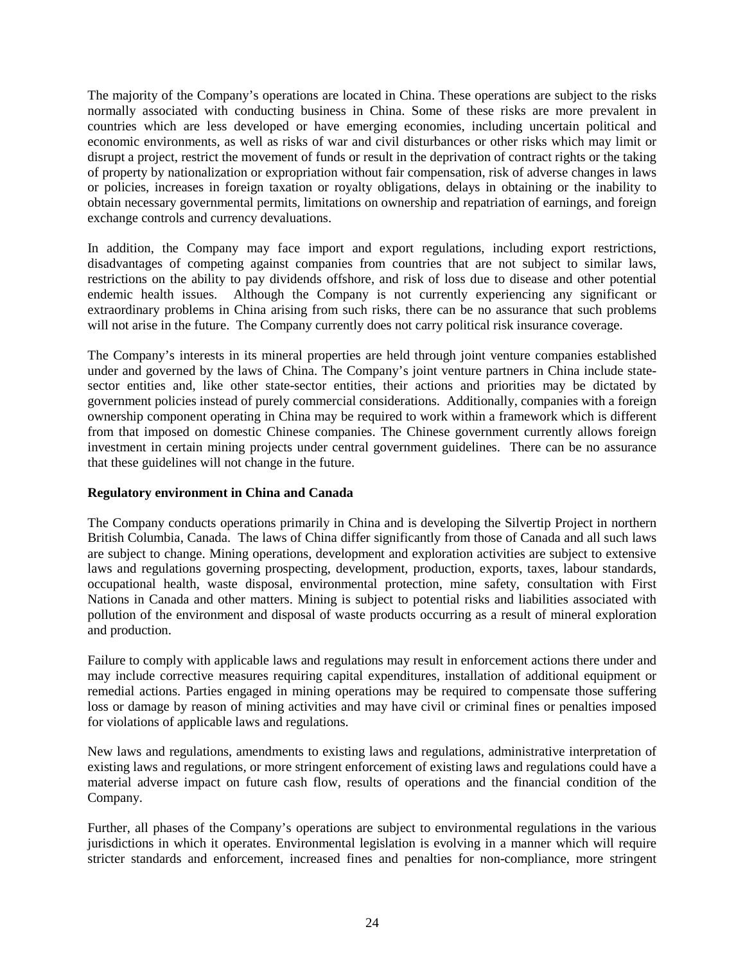The majority of the Company's operations are located in China. These operations are subject to the risks normally associated with conducting business in China. Some of these risks are more prevalent in countries which are less developed or have emerging economies, including uncertain political and economic environments, as well as risks of war and civil disturbances or other risks which may limit or disrupt a project, restrict the movement of funds or result in the deprivation of contract rights or the taking of property by nationalization or expropriation without fair compensation, risk of adverse changes in laws or policies, increases in foreign taxation or royalty obligations, delays in obtaining or the inability to obtain necessary governmental permits, limitations on ownership and repatriation of earnings, and foreign exchange controls and currency devaluations.

In addition, the Company may face import and export regulations, including export restrictions, disadvantages of competing against companies from countries that are not subject to similar laws, restrictions on the ability to pay dividends offshore, and risk of loss due to disease and other potential endemic health issues. Although the Company is not currently experiencing any significant or extraordinary problems in China arising from such risks, there can be no assurance that such problems will not arise in the future. The Company currently does not carry political risk insurance coverage.

The Company's interests in its mineral properties are held through joint venture companies established under and governed by the laws of China. The Company's joint venture partners in China include statesector entities and, like other state-sector entities, their actions and priorities may be dictated by government policies instead of purely commercial considerations. Additionally, companies with a foreign ownership component operating in China may be required to work within a framework which is different from that imposed on domestic Chinese companies. The Chinese government currently allows foreign investment in certain mining projects under central government guidelines. There can be no assurance that these guidelines will not change in the future.

#### **Regulatory environment in China and Canada**

The Company conducts operations primarily in China and is developing the Silvertip Project in northern British Columbia, Canada. The laws of China differ significantly from those of Canada and all such laws are subject to change. Mining operations, development and exploration activities are subject to extensive laws and regulations governing prospecting, development, production, exports, taxes, labour standards, occupational health, waste disposal, environmental protection, mine safety, consultation with First Nations in Canada and other matters. Mining is subject to potential risks and liabilities associated with pollution of the environment and disposal of waste products occurring as a result of mineral exploration and production.

Failure to comply with applicable laws and regulations may result in enforcement actions there under and may include corrective measures requiring capital expenditures, installation of additional equipment or remedial actions. Parties engaged in mining operations may be required to compensate those suffering loss or damage by reason of mining activities and may have civil or criminal fines or penalties imposed for violations of applicable laws and regulations.

New laws and regulations, amendments to existing laws and regulations, administrative interpretation of existing laws and regulations, or more stringent enforcement of existing laws and regulations could have a material adverse impact on future cash flow, results of operations and the financial condition of the Company.

Further, all phases of the Company's operations are subject to environmental regulations in the various jurisdictions in which it operates. Environmental legislation is evolving in a manner which will require stricter standards and enforcement, increased fines and penalties for non-compliance, more stringent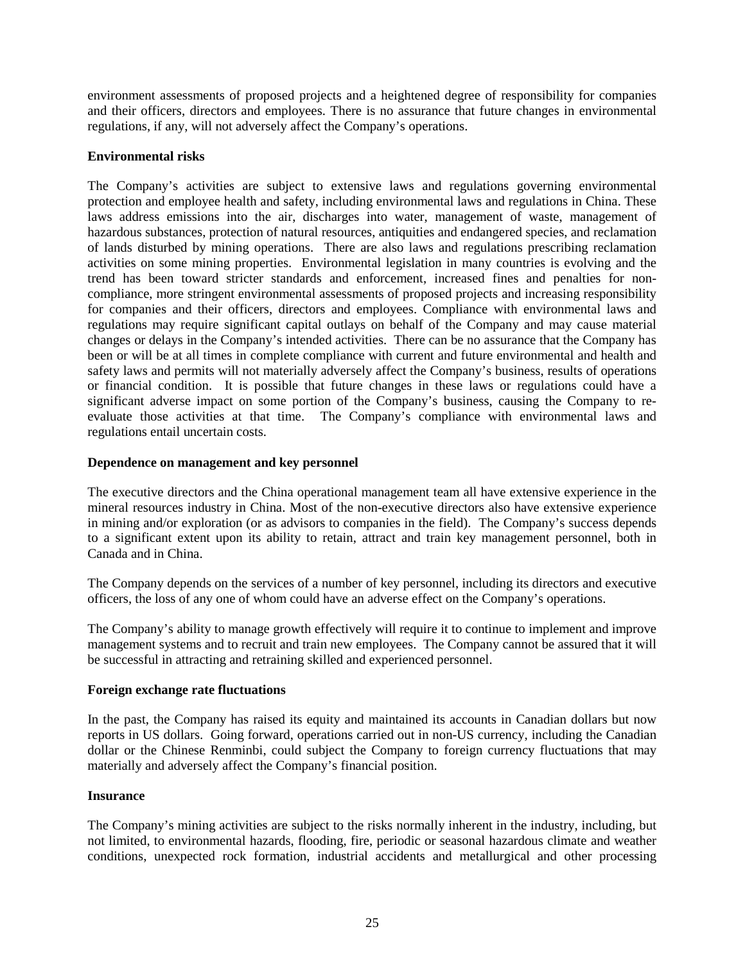environment assessments of proposed projects and a heightened degree of responsibility for companies and their officers, directors and employees. There is no assurance that future changes in environmental regulations, if any, will not adversely affect the Company's operations.

## **Environmental risks**

The Company's activities are subject to extensive laws and regulations governing environmental protection and employee health and safety, including environmental laws and regulations in China. These laws address emissions into the air, discharges into water, management of waste, management of hazardous substances, protection of natural resources, antiquities and endangered species, and reclamation of lands disturbed by mining operations. There are also laws and regulations prescribing reclamation activities on some mining properties. Environmental legislation in many countries is evolving and the trend has been toward stricter standards and enforcement, increased fines and penalties for noncompliance, more stringent environmental assessments of proposed projects and increasing responsibility for companies and their officers, directors and employees. Compliance with environmental laws and regulations may require significant capital outlays on behalf of the Company and may cause material changes or delays in the Company's intended activities. There can be no assurance that the Company has been or will be at all times in complete compliance with current and future environmental and health and safety laws and permits will not materially adversely affect the Company's business, results of operations or financial condition. It is possible that future changes in these laws or regulations could have a significant adverse impact on some portion of the Company's business, causing the Company to reevaluate those activities at that time. The Company's compliance with environmental laws and regulations entail uncertain costs.

#### **Dependence on management and key personnel**

The executive directors and the China operational management team all have extensive experience in the mineral resources industry in China. Most of the non-executive directors also have extensive experience in mining and/or exploration (or as advisors to companies in the field). The Company's success depends to a significant extent upon its ability to retain, attract and train key management personnel, both in Canada and in China.

The Company depends on the services of a number of key personnel, including its directors and executive officers, the loss of any one of whom could have an adverse effect on the Company's operations.

The Company's ability to manage growth effectively will require it to continue to implement and improve management systems and to recruit and train new employees. The Company cannot be assured that it will be successful in attracting and retraining skilled and experienced personnel.

#### **Foreign exchange rate fluctuations**

In the past, the Company has raised its equity and maintained its accounts in Canadian dollars but now reports in US dollars. Going forward, operations carried out in non-US currency, including the Canadian dollar or the Chinese Renminbi, could subject the Company to foreign currency fluctuations that may materially and adversely affect the Company's financial position.

#### **Insurance**

The Company's mining activities are subject to the risks normally inherent in the industry, including, but not limited, to environmental hazards, flooding, fire, periodic or seasonal hazardous climate and weather conditions, unexpected rock formation, industrial accidents and metallurgical and other processing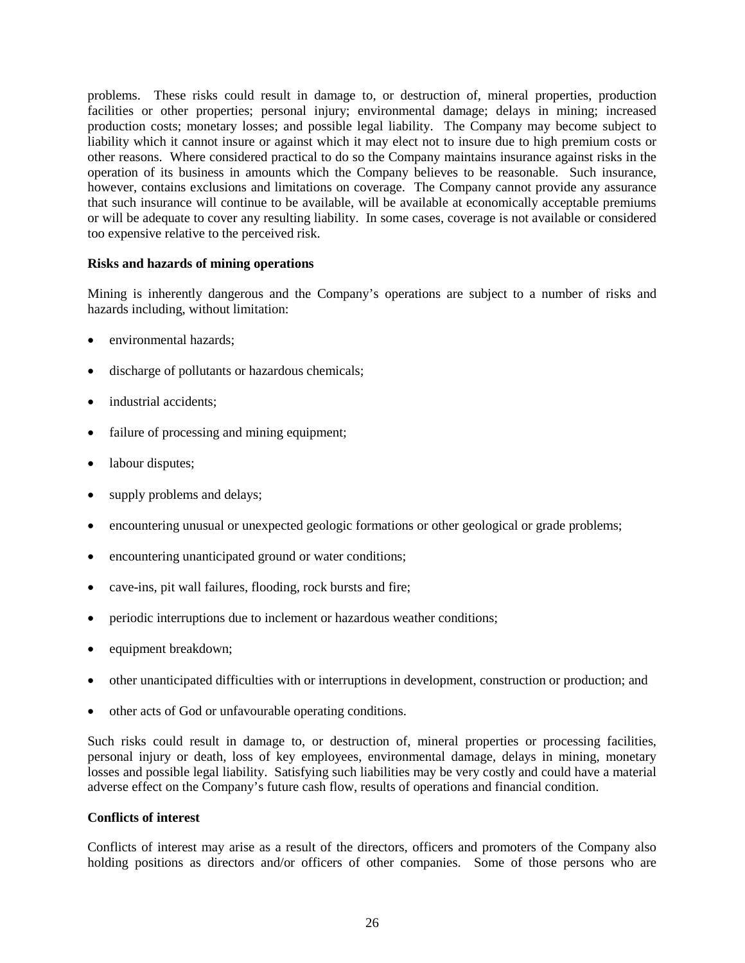problems. These risks could result in damage to, or destruction of, mineral properties, production facilities or other properties; personal injury; environmental damage; delays in mining; increased production costs; monetary losses; and possible legal liability. The Company may become subject to liability which it cannot insure or against which it may elect not to insure due to high premium costs or other reasons. Where considered practical to do so the Company maintains insurance against risks in the operation of its business in amounts which the Company believes to be reasonable. Such insurance, however, contains exclusions and limitations on coverage. The Company cannot provide any assurance that such insurance will continue to be available, will be available at economically acceptable premiums or will be adequate to cover any resulting liability. In some cases, coverage is not available or considered too expensive relative to the perceived risk.

#### **Risks and hazards of mining operations**

Mining is inherently dangerous and the Company's operations are subject to a number of risks and hazards including, without limitation:

- environmental hazards;
- discharge of pollutants or hazardous chemicals;
- industrial accidents;
- failure of processing and mining equipment;
- labour disputes;
- supply problems and delays;
- encountering unusual or unexpected geologic formations or other geological or grade problems;
- encountering unanticipated ground or water conditions;
- cave-ins, pit wall failures, flooding, rock bursts and fire;
- periodic interruptions due to inclement or hazardous weather conditions;
- equipment breakdown;
- other unanticipated difficulties with or interruptions in development, construction or production; and
- other acts of God or unfavourable operating conditions.

Such risks could result in damage to, or destruction of, mineral properties or processing facilities, personal injury or death, loss of key employees, environmental damage, delays in mining, monetary losses and possible legal liability. Satisfying such liabilities may be very costly and could have a material adverse effect on the Company's future cash flow, results of operations and financial condition.

#### **Conflicts of interest**

Conflicts of interest may arise as a result of the directors, officers and promoters of the Company also holding positions as directors and/or officers of other companies. Some of those persons who are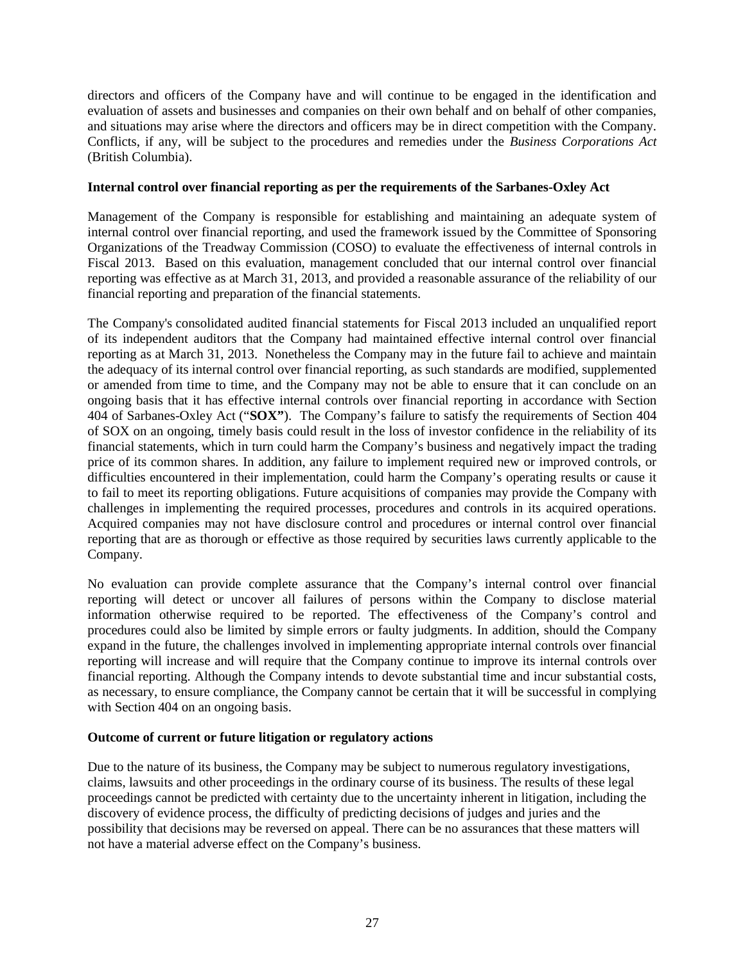directors and officers of the Company have and will continue to be engaged in the identification and evaluation of assets and businesses and companies on their own behalf and on behalf of other companies, and situations may arise where the directors and officers may be in direct competition with the Company. Conflicts, if any, will be subject to the procedures and remedies under the *Business Corporations Act* (British Columbia).

## **Internal control over financial reporting as per the requirements of the Sarbanes-Oxley Act**

Management of the Company is responsible for establishing and maintaining an adequate system of internal control over financial reporting, and used the framework issued by the Committee of Sponsoring Organizations of the Treadway Commission (COSO) to evaluate the effectiveness of internal controls in Fiscal 2013. Based on this evaluation, management concluded that our internal control over financial reporting was effective as at March 31, 2013, and provided a reasonable assurance of the reliability of our financial reporting and preparation of the financial statements.

The Company's consolidated audited financial statements for Fiscal 2013 included an unqualified report of its independent auditors that the Company had maintained effective internal control over financial reporting as at March 31, 2013. Nonetheless the Company may in the future fail to achieve and maintain the adequacy of its internal control over financial reporting, as such standards are modified, supplemented or amended from time to time, and the Company may not be able to ensure that it can conclude on an ongoing basis that it has effective internal controls over financial reporting in accordance with Section 404 of Sarbanes-Oxley Act ("**SOX"**). The Company's failure to satisfy the requirements of Section 404 of SOX on an ongoing, timely basis could result in the loss of investor confidence in the reliability of its financial statements, which in turn could harm the Company's business and negatively impact the trading price of its common shares. In addition, any failure to implement required new or improved controls, or difficulties encountered in their implementation, could harm the Company's operating results or cause it to fail to meet its reporting obligations. Future acquisitions of companies may provide the Company with challenges in implementing the required processes, procedures and controls in its acquired operations. Acquired companies may not have disclosure control and procedures or internal control over financial reporting that are as thorough or effective as those required by securities laws currently applicable to the Company.

No evaluation can provide complete assurance that the Company's internal control over financial reporting will detect or uncover all failures of persons within the Company to disclose material information otherwise required to be reported. The effectiveness of the Company's control and procedures could also be limited by simple errors or faulty judgments. In addition, should the Company expand in the future, the challenges involved in implementing appropriate internal controls over financial reporting will increase and will require that the Company continue to improve its internal controls over financial reporting. Although the Company intends to devote substantial time and incur substantial costs, as necessary, to ensure compliance, the Company cannot be certain that it will be successful in complying with Section 404 on an ongoing basis.

#### **Outcome of current or future litigation or regulatory actions**

Due to the nature of its business, the Company may be subject to numerous regulatory investigations, claims, lawsuits and other proceedings in the ordinary course of its business. The results of these legal proceedings cannot be predicted with certainty due to the uncertainty inherent in litigation, including the discovery of evidence process, the difficulty of predicting decisions of judges and juries and the possibility that decisions may be reversed on appeal. There can be no assurances that these matters will not have a material adverse effect on the Company's business.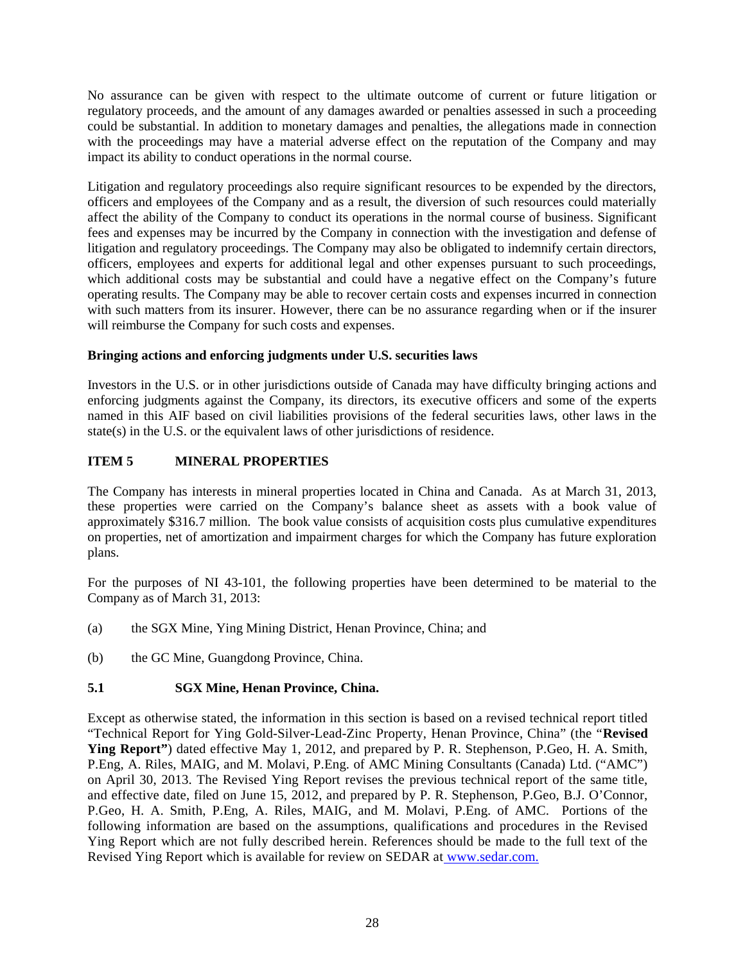No assurance can be given with respect to the ultimate outcome of current or future litigation or regulatory proceeds, and the amount of any damages awarded or penalties assessed in such a proceeding could be substantial. In addition to monetary damages and penalties, the allegations made in connection with the proceedings may have a material adverse effect on the reputation of the Company and may impact its ability to conduct operations in the normal course.

Litigation and regulatory proceedings also require significant resources to be expended by the directors, officers and employees of the Company and as a result, the diversion of such resources could materially affect the ability of the Company to conduct its operations in the normal course of business. Significant fees and expenses may be incurred by the Company in connection with the investigation and defense of litigation and regulatory proceedings. The Company may also be obligated to indemnify certain directors, officers, employees and experts for additional legal and other expenses pursuant to such proceedings, which additional costs may be substantial and could have a negative effect on the Company's future operating results. The Company may be able to recover certain costs and expenses incurred in connection with such matters from its insurer. However, there can be no assurance regarding when or if the insurer will reimburse the Company for such costs and expenses.

# **Bringing actions and enforcing judgments under U.S. securities laws**

Investors in the U.S. or in other jurisdictions outside of Canada may have difficulty bringing actions and enforcing judgments against the Company, its directors, its executive officers and some of the experts named in this AIF based on civil liabilities provisions of the federal securities laws, other laws in the state(s) in the U.S. or the equivalent laws of other jurisdictions of residence.

# **ITEM 5 MINERAL PROPERTIES**

The Company has interests in mineral properties located in China and Canada. As at March 31, 2013, these properties were carried on the Company's balance sheet as assets with a book value of approximately \$316.7 million. The book value consists of acquisition costs plus cumulative expenditures on properties, net of amortization and impairment charges for which the Company has future exploration plans.

For the purposes of NI 43-101, the following properties have been determined to be material to the Company as of March 31, 2013:

- (a) the SGX Mine, Ying Mining District, Henan Province, China; and
- (b) the GC Mine, Guangdong Province, China.

# **5.1 SGX Mine, Henan Province, China.**

Except as otherwise stated, the information in this section is based on a revised technical report titled "Technical Report for Ying Gold-Silver-Lead-Zinc Property, Henan Province, China" (the "**Revised Ying Report"**) dated effective May 1, 2012, and prepared by P. R. Stephenson, P.Geo, H. A. Smith, P.Eng, A. Riles, MAIG, and M. Molavi, P.Eng. of AMC Mining Consultants (Canada) Ltd. ("AMC") on April 30, 2013. The Revised Ying Report revises the previous technical report of the same title, and effective date, filed on June 15, 2012, and prepared by P. R. Stephenson, P.Geo, B.J. O'Connor, P.Geo, H. A. Smith, P.Eng, A. Riles, MAIG, and M. Molavi, P.Eng. of AMC. Portions of the following information are based on the assumptions, qualifications and procedures in the Revised Ying Report which are not fully described herein. References should be made to the full text of the Revised Ying Report which is available for review on SEDAR at www.sedar.com.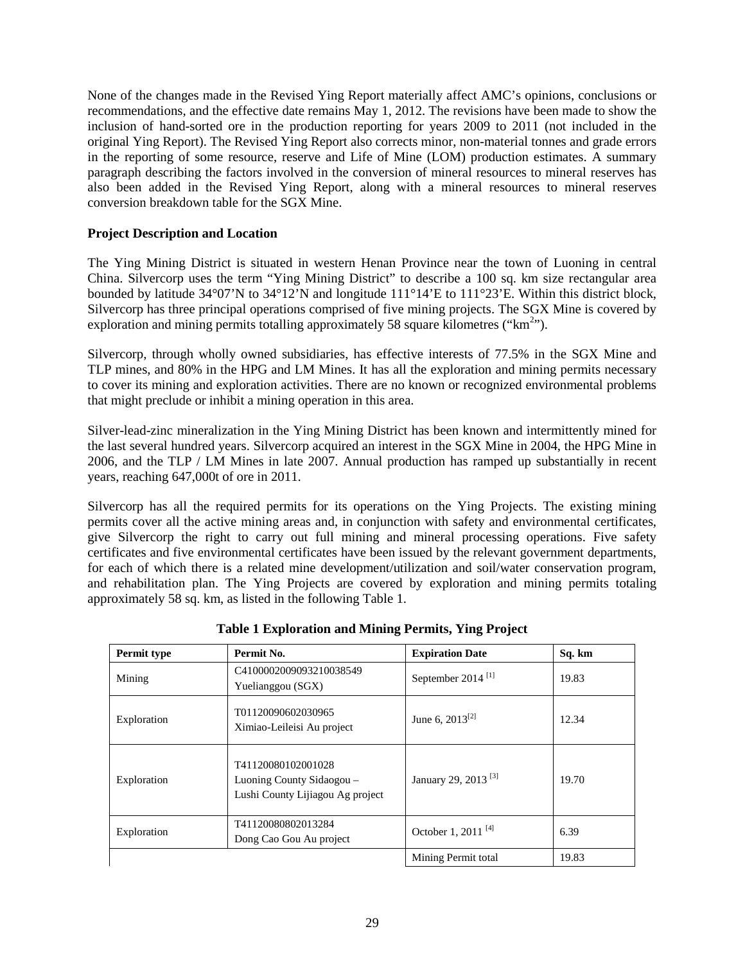None of the changes made in the Revised Ying Report materially affect AMC's opinions, conclusions or recommendations, and the effective date remains May 1, 2012. The revisions have been made to show the inclusion of hand-sorted ore in the production reporting for years 2009 to 2011 (not included in the original Ying Report). The Revised Ying Report also corrects minor, non-material tonnes and grade errors in the reporting of some resource, reserve and Life of Mine (LOM) production estimates. A summary paragraph describing the factors involved in the conversion of mineral resources to mineral reserves has also been added in the Revised Ying Report, along with a mineral resources to mineral reserves conversion breakdown table for the SGX Mine.

## **Project Description and Location**

The Ying Mining District is situated in western Henan Province near the town of Luoning in central China. Silvercorp uses the term "Ying Mining District" to describe a 100 sq. km size rectangular area bounded by latitude 34°07'N to 34°12'N and longitude 111°14'E to 111°23'E. Within this district block, Silvercorp has three principal operations comprised of five mining projects. The SGX Mine is covered by exploration and mining permits totalling approximately 58 square kilometres (" $km<sup>2</sup>$ ").

Silvercorp, through wholly owned subsidiaries, has effective interests of 77.5% in the SGX Mine and TLP mines, and 80% in the HPG and LM Mines. It has all the exploration and mining permits necessary to cover its mining and exploration activities. There are no known or recognized environmental problems that might preclude or inhibit a mining operation in this area.

Silver-lead-zinc mineralization in the Ying Mining District has been known and intermittently mined for the last several hundred years. Silvercorp acquired an interest in the SGX Mine in 2004, the HPG Mine in 2006, and the TLP / LM Mines in late 2007. Annual production has ramped up substantially in recent years, reaching 647,000t of ore in 2011.

Silvercorp has all the required permits for its operations on the Ying Projects. The existing mining permits cover all the active mining areas and, in conjunction with safety and environmental certificates, give Silvercorp the right to carry out full mining and mineral processing operations. Five safety certificates and five environmental certificates have been issued by the relevant government departments, for each of which there is a related mine development/utilization and soil/water conservation program, and rehabilitation plan. The Ying Projects are covered by exploration and mining permits totaling approximately 58 sq. km, as listed in the following Table 1.

| <b>Permit type</b> | Permit No.                                                                          | <b>Expiration Date</b>          | Sq. km |
|--------------------|-------------------------------------------------------------------------------------|---------------------------------|--------|
| Mining             | C4100002009093210038549<br>Yuelianggou (SGX)                                        | September 2014 <sup>[1]</sup>   | 19.83  |
| Exploration        | T01120090602030965<br>Ximiao-Leileisi Au project                                    | June 6, $2013^{[2]}$            | 12.34  |
| Exploration        | T41120080102001028<br>Luoning County Sidaogou –<br>Lushi County Lijiagou Ag project | January 29, 2013 <sup>[3]</sup> | 19.70  |
| Exploration        | T41120080802013284<br>Dong Cao Gou Au project                                       | October 1, 2011 <sup>[4]</sup>  | 6.39   |
|                    |                                                                                     | Mining Permit total             | 19.83  |

**Table 1 Exploration and Mining Permits, Ying Project**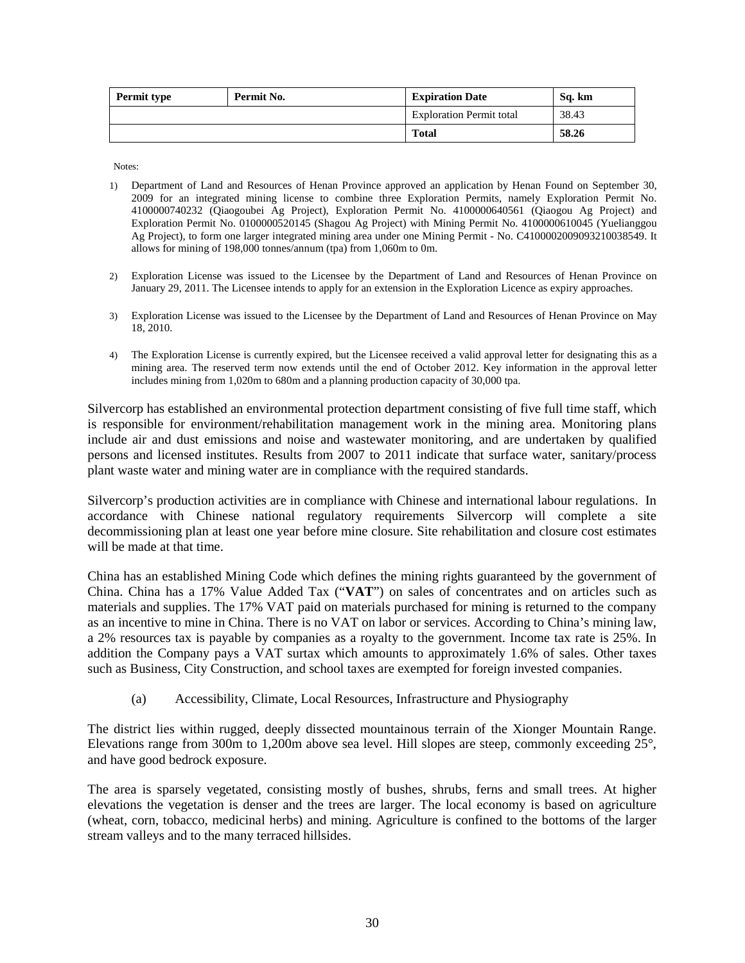| <b>Permit type</b> | Permit No. | <b>Expiration Date</b>          | Sq. km |  |
|--------------------|------------|---------------------------------|--------|--|
|                    |            | <b>Exploration Permit total</b> | 38.43  |  |
|                    |            | <b>Total</b>                    | 58.26  |  |

Notes:

- 1) Department of Land and Resources of Henan Province approved an application by Henan Found on September 30, 2009 for an integrated mining license to combine three Exploration Permits, namely Exploration Permit No. 4100000740232 (Qiaogoubei Ag Project), Exploration Permit No. 4100000640561 (Qiaogou Ag Project) and Exploration Permit No. 0100000520145 (Shagou Ag Project) with Mining Permit No. 4100000610045 (Yuelianggou Ag Project), to form one larger integrated mining area under one Mining Permit - No. C4100002009093210038549. It allows for mining of 198,000 tonnes/annum (tpa) from 1,060m to 0m.
- 2) Exploration License was issued to the Licensee by the Department of Land and Resources of Henan Province on January 29, 2011. The Licensee intends to apply for an extension in the Exploration Licence as expiry approaches.
- 3) Exploration License was issued to the Licensee by the Department of Land and Resources of Henan Province on May 18, 2010.
- 4) The Exploration License is currently expired, but the Licensee received a valid approval letter for designating this as a mining area. The reserved term now extends until the end of October 2012. Key information in the approval letter includes mining from 1,020m to 680m and a planning production capacity of 30,000 tpa.

Silvercorp has established an environmental protection department consisting of five full time staff, which is responsible for environment/rehabilitation management work in the mining area. Monitoring plans include air and dust emissions and noise and wastewater monitoring, and are undertaken by qualified persons and licensed institutes. Results from 2007 to 2011 indicate that surface water, sanitary/process plant waste water and mining water are in compliance with the required standards.

Silvercorp's production activities are in compliance with Chinese and international labour regulations. In accordance with Chinese national regulatory requirements Silvercorp will complete a site decommissioning plan at least one year before mine closure. Site rehabilitation and closure cost estimates will be made at that time.

China has an established Mining Code which defines the mining rights guaranteed by the government of China. China has a 17% Value Added Tax ("**VAT**") on sales of concentrates and on articles such as materials and supplies. The 17% VAT paid on materials purchased for mining is returned to the company as an incentive to mine in China. There is no VAT on labor or services. According to China's mining law, a 2% resources tax is payable by companies as a royalty to the government. Income tax rate is 25%. In addition the Company pays a VAT surtax which amounts to approximately 1.6% of sales. Other taxes such as Business, City Construction, and school taxes are exempted for foreign invested companies.

(a) Accessibility, Climate, Local Resources, Infrastructure and Physiography

The district lies within rugged, deeply dissected mountainous terrain of the Xionger Mountain Range. Elevations range from 300m to 1,200m above sea level. Hill slopes are steep, commonly exceeding 25°, and have good bedrock exposure.

The area is sparsely vegetated, consisting mostly of bushes, shrubs, ferns and small trees. At higher elevations the vegetation is denser and the trees are larger. The local economy is based on agriculture (wheat, corn, tobacco, medicinal herbs) and mining. Agriculture is confined to the bottoms of the larger stream valleys and to the many terraced hillsides.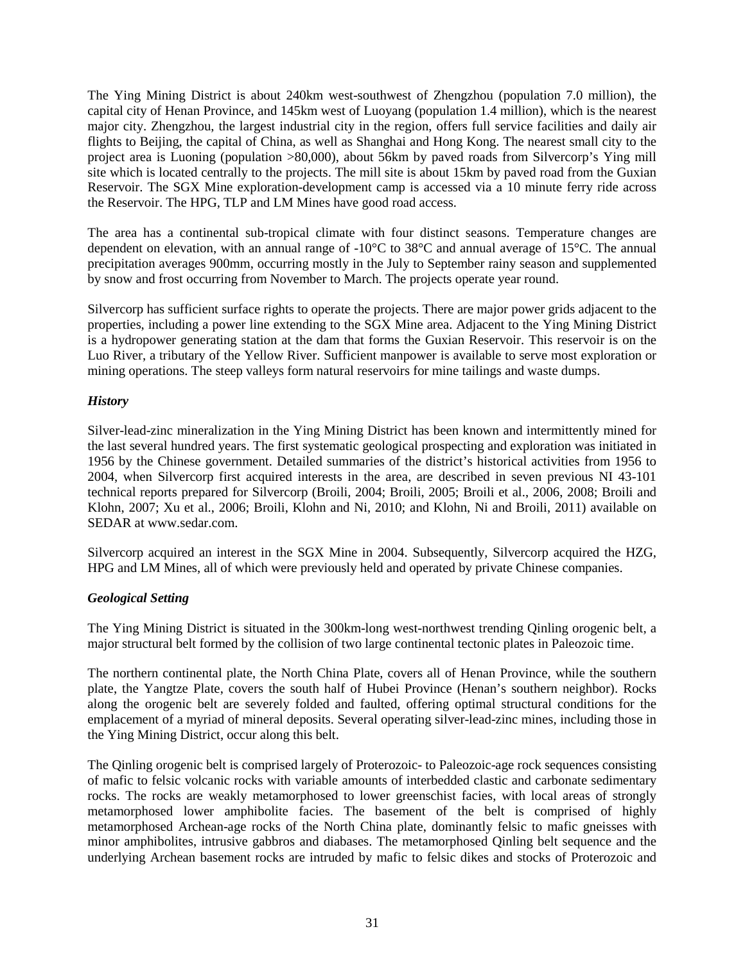The Ying Mining District is about 240km west-southwest of Zhengzhou (population 7.0 million), the capital city of Henan Province, and 145km west of Luoyang (population 1.4 million), which is the nearest major city. Zhengzhou, the largest industrial city in the region, offers full service facilities and daily air flights to Beijing, the capital of China, as well as Shanghai and Hong Kong. The nearest small city to the project area is Luoning (population >80,000), about 56km by paved roads from Silvercorp's Ying mill site which is located centrally to the projects. The mill site is about 15km by paved road from the Guxian Reservoir. The SGX Mine exploration-development camp is accessed via a 10 minute ferry ride across the Reservoir. The HPG, TLP and LM Mines have good road access.

The area has a continental sub-tropical climate with four distinct seasons. Temperature changes are dependent on elevation, with an annual range of -10°C to 38°C and annual average of 15°C. The annual precipitation averages 900mm, occurring mostly in the July to September rainy season and supplemented by snow and frost occurring from November to March. The projects operate year round.

Silvercorp has sufficient surface rights to operate the projects. There are major power grids adjacent to the properties, including a power line extending to the SGX Mine area. Adjacent to the Ying Mining District is a hydropower generating station at the dam that forms the Guxian Reservoir. This reservoir is on the Luo River, a tributary of the Yellow River. Sufficient manpower is available to serve most exploration or mining operations. The steep valleys form natural reservoirs for mine tailings and waste dumps.

# *History*

Silver-lead-zinc mineralization in the Ying Mining District has been known and intermittently mined for the last several hundred years. The first systematic geological prospecting and exploration was initiated in 1956 by the Chinese government. Detailed summaries of the district's historical activities from 1956 to 2004, when Silvercorp first acquired interests in the area, are described in seven previous NI 43-101 technical reports prepared for Silvercorp (Broili, 2004; Broili, 2005; Broili et al., 2006, 2008; Broili and Klohn, 2007; Xu et al., 2006; Broili, Klohn and Ni, 2010; and Klohn, Ni and Broili, 2011) available on SEDAR at www.sedar.com.

Silvercorp acquired an interest in the SGX Mine in 2004. Subsequently, Silvercorp acquired the HZG, HPG and LM Mines, all of which were previously held and operated by private Chinese companies.

#### *Geological Setting*

The Ying Mining District is situated in the 300km-long west-northwest trending Qinling orogenic belt, a major structural belt formed by the collision of two large continental tectonic plates in Paleozoic time.

The northern continental plate, the North China Plate, covers all of Henan Province, while the southern plate, the Yangtze Plate, covers the south half of Hubei Province (Henan's southern neighbor). Rocks along the orogenic belt are severely folded and faulted, offering optimal structural conditions for the emplacement of a myriad of mineral deposits. Several operating silver-lead-zinc mines, including those in the Ying Mining District, occur along this belt.

The Qinling orogenic belt is comprised largely of Proterozoic- to Paleozoic-age rock sequences consisting of mafic to felsic volcanic rocks with variable amounts of interbedded clastic and carbonate sedimentary rocks. The rocks are weakly metamorphosed to lower greenschist facies, with local areas of strongly metamorphosed lower amphibolite facies. The basement of the belt is comprised of highly metamorphosed Archean-age rocks of the North China plate, dominantly felsic to mafic gneisses with minor amphibolites, intrusive gabbros and diabases. The metamorphosed Qinling belt sequence and the underlying Archean basement rocks are intruded by mafic to felsic dikes and stocks of Proterozoic and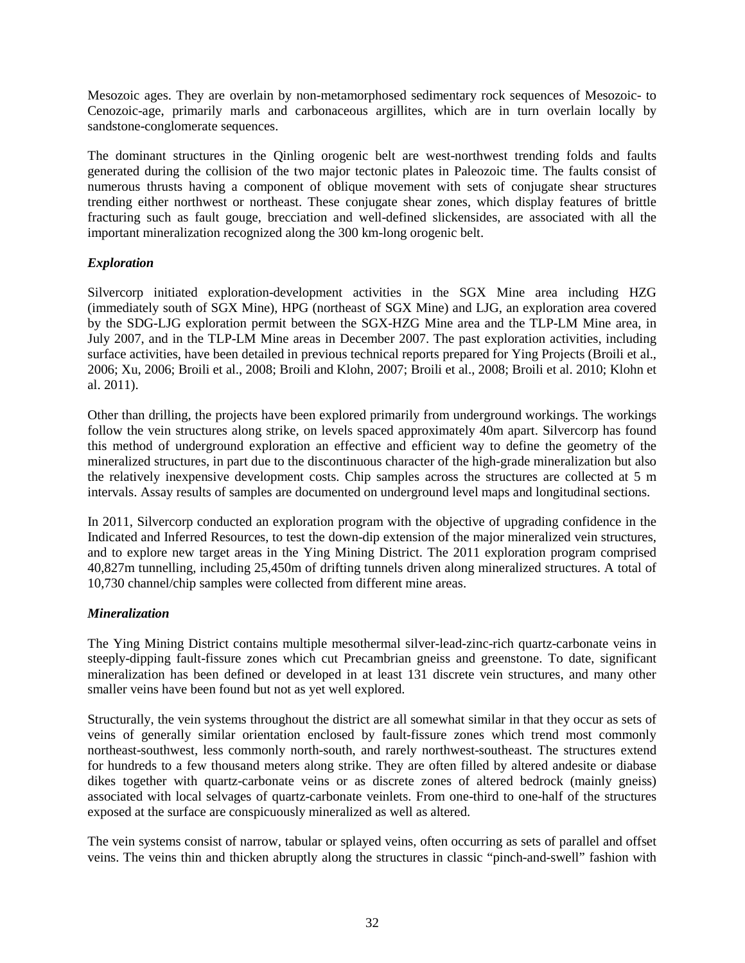Mesozoic ages. They are overlain by non-metamorphosed sedimentary rock sequences of Mesozoic- to Cenozoic-age, primarily marls and carbonaceous argillites, which are in turn overlain locally by sandstone-conglomerate sequences.

The dominant structures in the Qinling orogenic belt are west-northwest trending folds and faults generated during the collision of the two major tectonic plates in Paleozoic time. The faults consist of numerous thrusts having a component of oblique movement with sets of conjugate shear structures trending either northwest or northeast. These conjugate shear zones, which display features of brittle fracturing such as fault gouge, brecciation and well-defined slickensides, are associated with all the important mineralization recognized along the 300 km-long orogenic belt.

# *Exploration*

Silvercorp initiated exploration-development activities in the SGX Mine area including HZG (immediately south of SGX Mine), HPG (northeast of SGX Mine) and LJG, an exploration area covered by the SDG-LJG exploration permit between the SGX-HZG Mine area and the TLP-LM Mine area, in July 2007, and in the TLP-LM Mine areas in December 2007. The past exploration activities, including surface activities, have been detailed in previous technical reports prepared for Ying Projects (Broili et al., 2006; Xu, 2006; Broili et al., 2008; Broili and Klohn, 2007; Broili et al., 2008; Broili et al. 2010; Klohn et al. 2011).

Other than drilling, the projects have been explored primarily from underground workings. The workings follow the vein structures along strike, on levels spaced approximately 40m apart. Silvercorp has found this method of underground exploration an effective and efficient way to define the geometry of the mineralized structures, in part due to the discontinuous character of the high-grade mineralization but also the relatively inexpensive development costs. Chip samples across the structures are collected at 5 m intervals. Assay results of samples are documented on underground level maps and longitudinal sections.

In 2011, Silvercorp conducted an exploration program with the objective of upgrading confidence in the Indicated and Inferred Resources, to test the down-dip extension of the major mineralized vein structures, and to explore new target areas in the Ying Mining District. The 2011 exploration program comprised 40,827m tunnelling, including 25,450m of drifting tunnels driven along mineralized structures. A total of 10,730 channel/chip samples were collected from different mine areas.

#### *Mineralization*

The Ying Mining District contains multiple mesothermal silver-lead-zinc-rich quartz-carbonate veins in steeply-dipping fault-fissure zones which cut Precambrian gneiss and greenstone. To date, significant mineralization has been defined or developed in at least 131 discrete vein structures, and many other smaller veins have been found but not as yet well explored.

Structurally, the vein systems throughout the district are all somewhat similar in that they occur as sets of veins of generally similar orientation enclosed by fault-fissure zones which trend most commonly northeast-southwest, less commonly north-south, and rarely northwest-southeast. The structures extend for hundreds to a few thousand meters along strike. They are often filled by altered andesite or diabase dikes together with quartz-carbonate veins or as discrete zones of altered bedrock (mainly gneiss) associated with local selvages of quartz-carbonate veinlets. From one-third to one-half of the structures exposed at the surface are conspicuously mineralized as well as altered.

The vein systems consist of narrow, tabular or splayed veins, often occurring as sets of parallel and offset veins. The veins thin and thicken abruptly along the structures in classic "pinch-and-swell" fashion with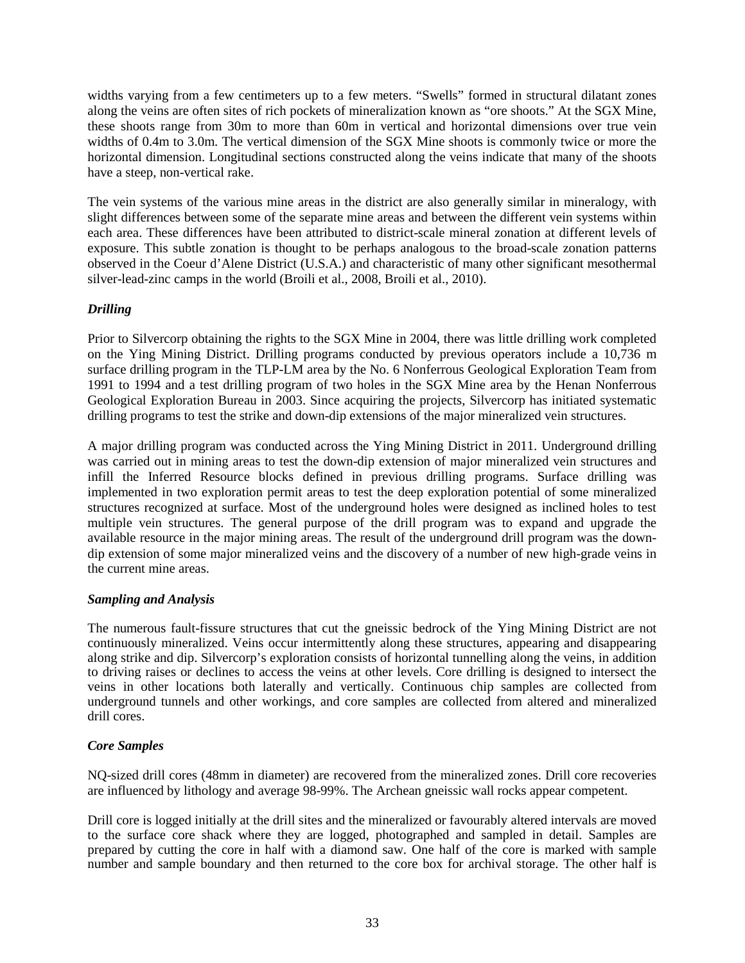widths varying from a few centimeters up to a few meters. "Swells" formed in structural dilatant zones along the veins are often sites of rich pockets of mineralization known as "ore shoots." At the SGX Mine, these shoots range from 30m to more than 60m in vertical and horizontal dimensions over true vein widths of 0.4m to 3.0m. The vertical dimension of the SGX Mine shoots is commonly twice or more the horizontal dimension. Longitudinal sections constructed along the veins indicate that many of the shoots have a steep, non-vertical rake.

The vein systems of the various mine areas in the district are also generally similar in mineralogy, with slight differences between some of the separate mine areas and between the different vein systems within each area. These differences have been attributed to district-scale mineral zonation at different levels of exposure. This subtle zonation is thought to be perhaps analogous to the broad-scale zonation patterns observed in the Coeur d'Alene District (U.S.A.) and characteristic of many other significant mesothermal silver-lead-zinc camps in the world (Broili et al., 2008, Broili et al., 2010).

# *Drilling*

Prior to Silvercorp obtaining the rights to the SGX Mine in 2004, there was little drilling work completed on the Ying Mining District. Drilling programs conducted by previous operators include a 10,736 m surface drilling program in the TLP-LM area by the No. 6 Nonferrous Geological Exploration Team from 1991 to 1994 and a test drilling program of two holes in the SGX Mine area by the Henan Nonferrous Geological Exploration Bureau in 2003. Since acquiring the projects, Silvercorp has initiated systematic drilling programs to test the strike and down-dip extensions of the major mineralized vein structures.

A major drilling program was conducted across the Ying Mining District in 2011. Underground drilling was carried out in mining areas to test the down-dip extension of major mineralized vein structures and infill the Inferred Resource blocks defined in previous drilling programs. Surface drilling was implemented in two exploration permit areas to test the deep exploration potential of some mineralized structures recognized at surface. Most of the underground holes were designed as inclined holes to test multiple vein structures. The general purpose of the drill program was to expand and upgrade the available resource in the major mining areas. The result of the underground drill program was the downdip extension of some major mineralized veins and the discovery of a number of new high-grade veins in the current mine areas.

# *Sampling and Analysis*

The numerous fault-fissure structures that cut the gneissic bedrock of the Ying Mining District are not continuously mineralized. Veins occur intermittently along these structures, appearing and disappearing along strike and dip. Silvercorp's exploration consists of horizontal tunnelling along the veins, in addition to driving raises or declines to access the veins at other levels. Core drilling is designed to intersect the veins in other locations both laterally and vertically. Continuous chip samples are collected from underground tunnels and other workings, and core samples are collected from altered and mineralized drill cores.

# *Core Samples*

NQ-sized drill cores (48mm in diameter) are recovered from the mineralized zones. Drill core recoveries are influenced by lithology and average 98-99%. The Archean gneissic wall rocks appear competent.

Drill core is logged initially at the drill sites and the mineralized or favourably altered intervals are moved to the surface core shack where they are logged, photographed and sampled in detail. Samples are prepared by cutting the core in half with a diamond saw. One half of the core is marked with sample number and sample boundary and then returned to the core box for archival storage. The other half is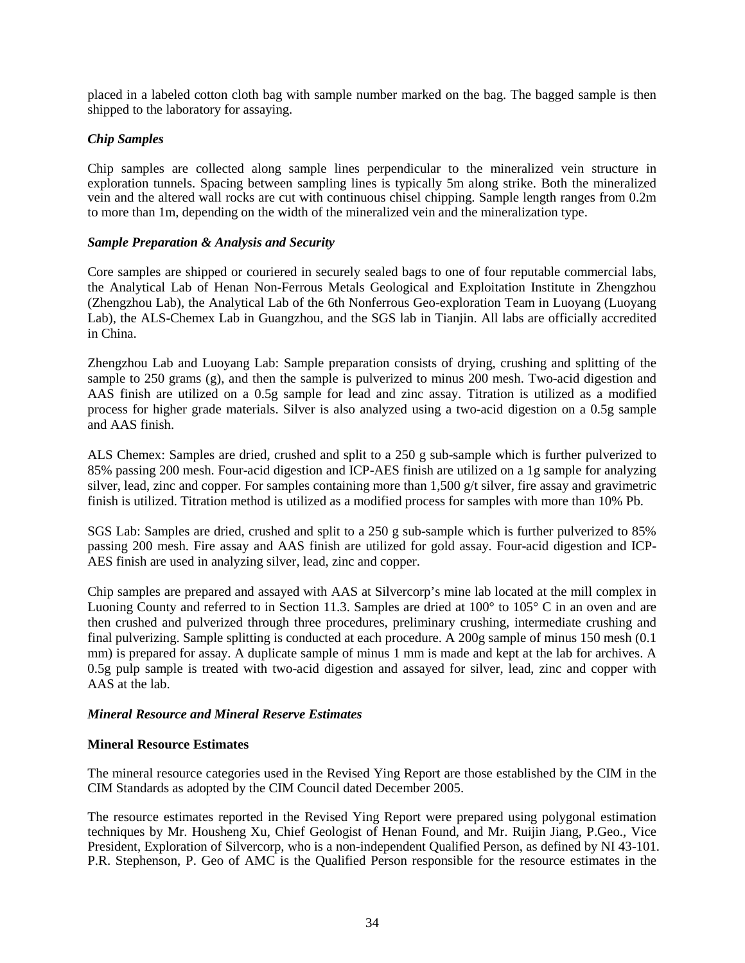placed in a labeled cotton cloth bag with sample number marked on the bag. The bagged sample is then shipped to the laboratory for assaying.

# *Chip Samples*

Chip samples are collected along sample lines perpendicular to the mineralized vein structure in exploration tunnels. Spacing between sampling lines is typically 5m along strike. Both the mineralized vein and the altered wall rocks are cut with continuous chisel chipping. Sample length ranges from 0.2m to more than 1m, depending on the width of the mineralized vein and the mineralization type.

#### *Sample Preparation & Analysis and Security*

Core samples are shipped or couriered in securely sealed bags to one of four reputable commercial labs, the Analytical Lab of Henan Non-Ferrous Metals Geological and Exploitation Institute in Zhengzhou (Zhengzhou Lab), the Analytical Lab of the 6th Nonferrous Geo-exploration Team in Luoyang (Luoyang Lab), the ALS-Chemex Lab in Guangzhou, and the SGS lab in Tianjin. All labs are officially accredited in China.

Zhengzhou Lab and Luoyang Lab: Sample preparation consists of drying, crushing and splitting of the sample to 250 grams (g), and then the sample is pulverized to minus 200 mesh. Two-acid digestion and AAS finish are utilized on a 0.5g sample for lead and zinc assay. Titration is utilized as a modified process for higher grade materials. Silver is also analyzed using a two-acid digestion on a 0.5g sample and AAS finish.

ALS Chemex: Samples are dried, crushed and split to a 250 g sub-sample which is further pulverized to 85% passing 200 mesh. Four-acid digestion and ICP-AES finish are utilized on a 1g sample for analyzing silver, lead, zinc and copper. For samples containing more than 1,500 g/t silver, fire assay and gravimetric finish is utilized. Titration method is utilized as a modified process for samples with more than 10% Pb.

SGS Lab: Samples are dried, crushed and split to a 250 g sub-sample which is further pulverized to 85% passing 200 mesh. Fire assay and AAS finish are utilized for gold assay. Four-acid digestion and ICP-AES finish are used in analyzing silver, lead, zinc and copper.

Chip samples are prepared and assayed with AAS at Silvercorp's mine lab located at the mill complex in Luoning County and referred to in Section 11.3. Samples are dried at 100° to 105° C in an oven and are then crushed and pulverized through three procedures, preliminary crushing, intermediate crushing and final pulverizing. Sample splitting is conducted at each procedure. A 200g sample of minus 150 mesh (0.1 mm) is prepared for assay. A duplicate sample of minus 1 mm is made and kept at the lab for archives. A 0.5g pulp sample is treated with two-acid digestion and assayed for silver, lead, zinc and copper with AAS at the lab.

#### *Mineral Resource and Mineral Reserve Estimates*

#### **Mineral Resource Estimates**

The mineral resource categories used in the Revised Ying Report are those established by the CIM in the CIM Standards as adopted by the CIM Council dated December 2005.

The resource estimates reported in the Revised Ying Report were prepared using polygonal estimation techniques by Mr. Housheng Xu, Chief Geologist of Henan Found, and Mr. Ruijin Jiang, P.Geo., Vice President, Exploration of Silvercorp, who is a non-independent Qualified Person, as defined by NI 43-101. P.R. Stephenson, P. Geo of AMC is the Qualified Person responsible for the resource estimates in the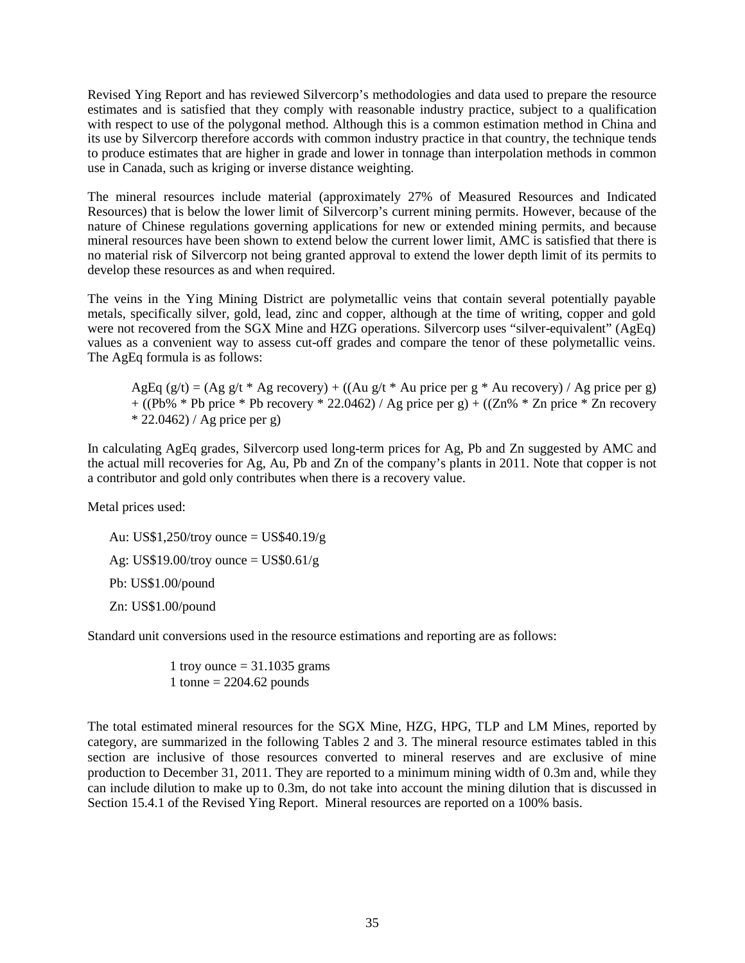Revised Ying Report and has reviewed Silvercorp's methodologies and data used to prepare the resource estimates and is satisfied that they comply with reasonable industry practice, subject to a qualification with respect to use of the polygonal method. Although this is a common estimation method in China and its use by Silvercorp therefore accords with common industry practice in that country, the technique tends to produce estimates that are higher in grade and lower in tonnage than interpolation methods in common use in Canada, such as kriging or inverse distance weighting.

The mineral resources include material (approximately 27% of Measured Resources and Indicated Resources) that is below the lower limit of Silvercorp's current mining permits. However, because of the nature of Chinese regulations governing applications for new or extended mining permits, and because mineral resources have been shown to extend below the current lower limit, AMC is satisfied that there is no material risk of Silvercorp not being granted approval to extend the lower depth limit of its permits to develop these resources as and when required.

The veins in the Ying Mining District are polymetallic veins that contain several potentially payable metals, specifically silver, gold, lead, zinc and copper, although at the time of writing, copper and gold were not recovered from the SGX Mine and HZG operations. Silvercorp uses "silver-equivalent" (AgEq) values as a convenient way to assess cut-off grades and compare the tenor of these polymetallic veins. The AgEq formula is as follows:

AgEq (g/t) = (Ag g/t \* Ag recovery) + ((Au g/t \* Au price per g \* Au recovery) / Ag price per g)  $+ ((Pb% * Pb price * Pb recovery * 22.0462) / Ag price per g) + ((Zn% * Zn price * Zn recovery$  $* 22.0462$  / Ag price per g)

In calculating AgEq grades, Silvercorp used long-term prices for Ag, Pb and Zn suggested by AMC and the actual mill recoveries for Ag, Au, Pb and Zn of the company's plants in 2011. Note that copper is not a contributor and gold only contributes when there is a recovery value.

Metal prices used:

Au: US\$1,250/troy ounce = US\$40.19/g Ag: US\$19.00/troy ounce  $=$  US\$0.61/g Pb: US\$1.00/pound Zn: US\$1.00/pound

Standard unit conversions used in the resource estimations and reporting are as follows:

1 troy ounce  $= 31.1035$  grams 1 tonne =  $2204.62$  pounds

The total estimated mineral resources for the SGX Mine, HZG, HPG, TLP and LM Mines, reported by category, are summarized in the following Tables 2 and 3. The mineral resource estimates tabled in this section are inclusive of those resources converted to mineral reserves and are exclusive of mine production to December 31, 2011. They are reported to a minimum mining width of 0.3m and, while they can include dilution to make up to 0.3m, do not take into account the mining dilution that is discussed in Section 15.4.1 of the Revised Ying Report. Mineral resources are reported on a 100% basis.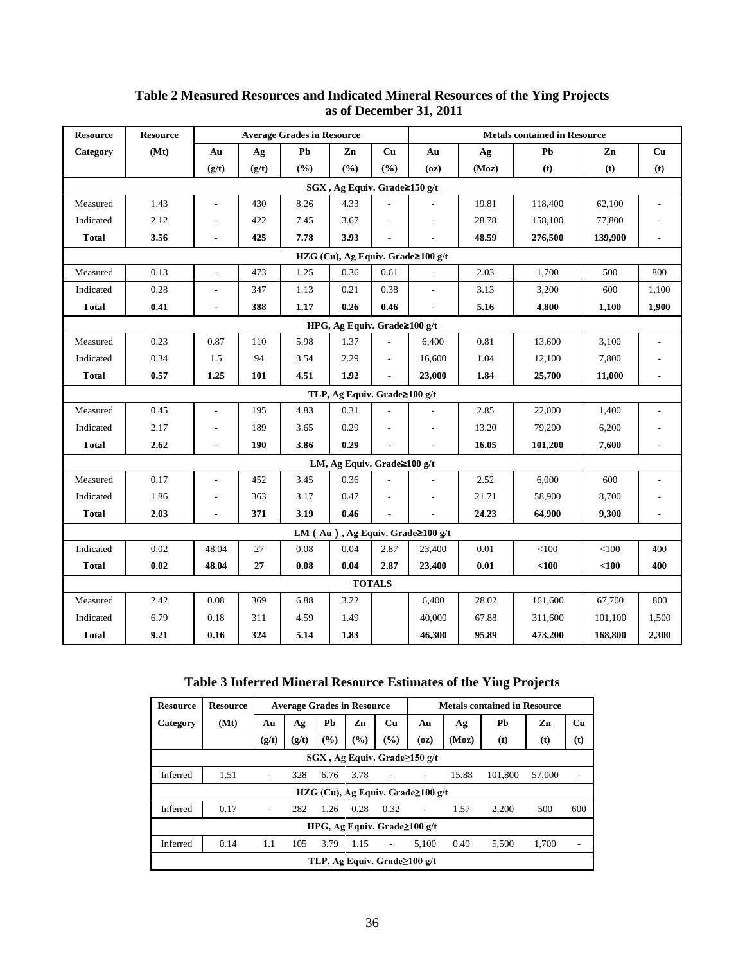| <b>Resource</b> | <b>Resource</b>              | <b>Average Grades in Resource</b> |       |                     |                              |                          |                                   |          | <b>Metals contained in Resource</b> |            |                |
|-----------------|------------------------------|-----------------------------------|-------|---------------------|------------------------------|--------------------------|-----------------------------------|----------|-------------------------------------|------------|----------------|
| Category        | (Mt)                         | Au                                | Ag    | Pb                  | Zn                           | Cu                       | Au                                | Ag       | Pb                                  | Zn         | Cu             |
|                 |                              | (g/t)                             | (g/t) | (9/0)               | (9/0)                        | (%)                      | (oz)                              | (Moz)    | (t)                                 | (t)        | (t)            |
|                 | SGX, Ag Equiv. Grade≥150 g/t |                                   |       |                     |                              |                          |                                   |          |                                     |            |                |
| Measured        | 1.43                         | $\overline{a}$                    | 430   | 8.26                | 4.33                         |                          |                                   | 19.81    | 118,400                             | 62,100     |                |
| Indicated       | 2.12                         | $\overline{\phantom{a}}$          | 422   | 7.45                | 3.67                         | L.                       | $\overline{\phantom{a}}$          | 28.78    | 158,100                             | 77,800     |                |
| <b>Total</b>    | 3.56                         | $\blacksquare$                    | 425   | 7.78                | 3.93                         | $\overline{a}$           |                                   | 48.59    | 276,500                             | 139,900    | $\blacksquare$ |
|                 |                              |                                   |       |                     |                              |                          | HZG (Cu), Ag Equiv. Grade≥100 g/t |          |                                     |            |                |
| Measured        | 0.13                         | $\overline{a}$                    | 473   | 1.25                | 0.36                         | 0.61                     |                                   | 2.03     | 1,700                               | 500        | 800            |
| Indicated       | 0.28                         |                                   | 347   | 1.13                | 0.21                         | 0.38                     |                                   | 3.13     | 3,200                               | 600        | 1,100          |
| <b>Total</b>    | 0.41                         | $\blacksquare$                    | 388   | 1.17                | 0.26                         | 0.46                     | $\blacksquare$                    | 5.16     | 4,800                               | 1,100      | 1,900          |
|                 |                              |                                   |       |                     | HPG, Ag Equiv. Grade≥100 g/t |                          |                                   |          |                                     |            |                |
| Measured        | 0.23                         | 0.87                              | 110   | 5.98                | 1.37                         |                          | 6,400                             | 0.81     | 13,600                              | 3,100      |                |
| Indicated       | 0.34                         | 1.5                               | 94    | 3.54                | 2.29                         | $\overline{\phantom{a}}$ | 16,600                            | 1.04     | 12,100                              | 7,800      |                |
| <b>Total</b>    | 0.57                         | 1.25                              | 101   | 4.51                | 1.92                         | $\overline{\phantom{0}}$ | 23,000                            | 1.84     | 25,700                              | 11,000     | -              |
|                 |                              |                                   |       |                     | TLP, Ag Equiv. Grade≥100 g/t |                          |                                   |          |                                     |            |                |
| Measured        | 0.45                         | L,                                | 195   | 4.83                | 0.31                         |                          |                                   | 2.85     | 22,000                              | 1,400      |                |
| Indicated       | 2.17                         | $\overline{\phantom{a}}$          | 189   | 3.65                | 0.29                         | $\overline{\phantom{a}}$ | L,                                | 13.20    | 79,200                              | 6,200      |                |
| <b>Total</b>    | 2.62                         | $\blacksquare$                    | 190   | 3.86                | 0.29                         | $\overline{a}$           |                                   | 16.05    | 101,200                             | 7,600      | -              |
|                 |                              |                                   |       |                     | LM, Ag Equiv. Grade≥100 g/t  |                          |                                   |          |                                     |            |                |
| Measured        | 0.17                         |                                   | 452   | 3.45                | 0.36                         |                          |                                   | 2.52     | 6,000                               | 600        |                |
| Indicated       | 1.86                         |                                   | 363   | 3.17                | 0.47                         | L,                       | ÷,                                | 21.71    | 58,900                              | 8,700      |                |
| <b>Total</b>    | 2.03                         | $\overline{a}$                    | 371   | 3.19                | 0.46                         | $\overline{a}$           |                                   | 24.23    | 64,900                              | 9,300      |                |
|                 |                              |                                   |       |                     |                              |                          | LM (Au), Ag Equiv. Grade≥100 g/t  |          |                                     |            |                |
| Indicated       | 0.02                         | 48.04                             | 27    | 0.08                | 0.04                         | 2.87                     | 23,400                            | 0.01     | < 100                               | < 100      | 400            |
| <b>Total</b>    | $0.02\,$                     | 48.04                             | 27    | $\boldsymbol{0.08}$ | 0.04                         | 2.87                     | 23,400                            | $0.01\,$ | $<$ 100                             | $<\!\!100$ | 400            |
|                 |                              |                                   |       |                     |                              | <b>TOTALS</b>            |                                   |          |                                     |            |                |
| Measured        | 2.42                         | 0.08                              | 369   | 6.88                | 3.22                         |                          | 6,400                             | 28.02    | 161,600                             | 67,700     | 800            |
| Indicated       | 6.79                         | 0.18                              | 311   | 4.59                | 1.49                         |                          | 40,000                            | 67.88    | 311,600                             | 101,100    | 1,500          |
| <b>Total</b>    | 9.21                         | 0.16                              | 324   | 5.14                | 1.83                         |                          | 46,300                            | 95.89    | 473,200                             | 168,800    | 2,300          |

#### **Table 2 Measured Resources and Indicated Mineral Resources of the Ying Projects as of December 31, 2011**

**Table 3 Inferred Mineral Resource Estimates of the Ying Projects**

| <b>Resource</b>                     | <b>Resource</b> | <b>Average Grades in Resource</b> |       |               |               | <b>Metals contained in Resource</b> |                                          |       |         |        |     |
|-------------------------------------|-----------------|-----------------------------------|-------|---------------|---------------|-------------------------------------|------------------------------------------|-------|---------|--------|-----|
| Category                            | (Mt)            | Au                                | Ag    | Pb            | Zn            | <b>Cu</b>                           | Au                                       | Ag    | Pb      | Zn     | Cu  |
|                                     |                 | (g/t)                             | (g/t) | $\frac{6}{6}$ | $\frac{9}{6}$ | (%)                                 | (oz)                                     | (Moz) | (t)     | (t)    | (t) |
| SGX, Ag Equiv. Grade≥150 g/t        |                 |                                   |       |               |               |                                     |                                          |       |         |        |     |
| Inferred                            | 1.51            | $\overline{\phantom{a}}$          | 328   | 6.76          | 3.78          |                                     | $\overline{\phantom{a}}$                 | 15.88 | 101.800 | 57,000 | ۰   |
|                                     |                 |                                   |       |               |               |                                     | HZG (Cu), Ag Equiv. Grade $\geq 100$ g/t |       |         |        |     |
| Inferred                            | 0.17            |                                   | 282   | 1.26          | 0.28          | 0.32                                | $\overline{a}$                           | 1.57  | 2.200   | 500    | 600 |
| HPG, Ag Equiv. Grade $\geq 100$ g/t |                 |                                   |       |               |               |                                     |                                          |       |         |        |     |
| Inferred                            | 0.14            | 1.1                               | 105   | 3.79          | 1.15          | $\overline{\phantom{a}}$            | 5.100                                    | 0.49  | 5,500   | 1.700  |     |
|                                     |                 |                                   |       |               |               | TLP, Ag Equiv. Grade≥100 g/t        |                                          |       |         |        |     |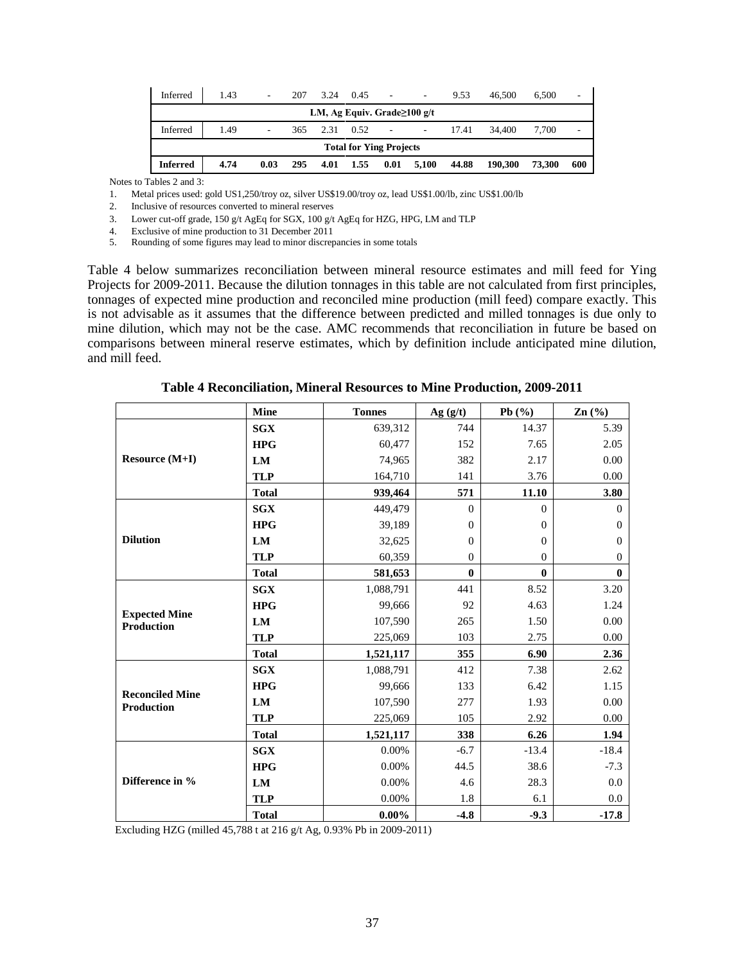| Inferred        | 1.43 |      | 207 | 3.24 | 0.45                               | $\overline{\phantom{a}}$ | ۰.    | 9.53  | 46.500  | 6.500  | -   |
|-----------------|------|------|-----|------|------------------------------------|--------------------------|-------|-------|---------|--------|-----|
|                 |      |      |     |      | LM, Ag Equiv. Grade $\geq 100$ g/t |                          |       |       |         |        |     |
| Inferred        | 1.49 |      | 365 | 2.31 | 0.52                               |                          | ٠.    | 17.41 | 34.400  | 7.700  | -   |
|                 |      |      |     |      | <b>Total for Ying Projects</b>     |                          |       |       |         |        |     |
| <b>Inferred</b> | 4.74 | 0.03 | 295 | 4.01 | 1.55                               | 0.01                     | 5,100 | 44.88 | 190,300 | 73,300 | 600 |

Notes to Tables 2 and 3:

1. Metal prices used: gold US1,250/troy oz, silver US\$19.00/troy oz, lead US\$1.00/lb, zinc US\$1.00/lb

2. Inclusive of resources converted to mineral reserves

3. Lower cut-off grade, 150 g/t AgEq for SGX, 100 g/t AgEq for HZG, HPG, LM and TLP

- 4. Exclusive of mine production to 31 December 2011
- 5. Rounding of some figures may lead to minor discrepancies in some totals

Table 4 below summarizes reconciliation between mineral resource estimates and mill feed for Ying Projects for 2009-2011. Because the dilution tonnages in this table are not calculated from first principles, tonnages of expected mine production and reconciled mine production (mill feed) compare exactly. This is not advisable as it assumes that the difference between predicted and milled tonnages is due only to mine dilution, which may not be the case. AMC recommends that reconciliation in future be based on comparisons between mineral reserve estimates, which by definition include anticipated mine dilution, and mill feed.

|                                             | <b>Mine</b>  | <b>Tonnes</b> | Ag $(g/t)$   | Pb $(%$      | $\text{Zn}$ $\left(\frac{0}{0}\right)$ |
|---------------------------------------------|--------------|---------------|--------------|--------------|----------------------------------------|
|                                             | <b>SGX</b>   | 639,312       | 744          | 14.37        | 5.39                                   |
|                                             | <b>HPG</b>   | 60,477        | 152          | 7.65         | 2.05                                   |
| Resource $(M+I)$                            | LM           | 74,965        | 382          | 2.17         | 0.00                                   |
|                                             | <b>TLP</b>   | 164,710       | 141          | 3.76         | 0.00                                   |
| <b>Reconciled Mine</b><br><b>Production</b> | <b>Total</b> | 939,464       | 571          | 11.10        | 3.80                                   |
|                                             | <b>SGX</b>   | 449,479       | $\mathbf{0}$ | $\Omega$     | $\Omega$                               |
|                                             | <b>HPG</b>   | 39,189        | $\mathbf{0}$ | $\Omega$     | $\Omega$                               |
| <b>Dilution</b>                             | LM           | 32,625        | $\mathbf{0}$ | $\theta$     | $\overline{0}$                         |
|                                             | <b>TLP</b>   | 60,359        | $\theta$     | $\theta$     | $\Omega$                               |
|                                             | <b>Total</b> | 581,653       | $\bf{0}$     | $\mathbf{0}$ | $\bf{0}$                               |
|                                             | <b>SGX</b>   | 1,088,791     | 441          | 8.52         | 3.20                                   |
|                                             | <b>HPG</b>   | 99,666        | 92           | 4.63         | 1.24                                   |
|                                             | LM           | 107,590       | 265          | 1.50         | 0.00                                   |
|                                             | <b>TLP</b>   | 225,069       | 103          | 2.75         | 0.00                                   |
| <b>Expected Mine</b><br><b>Production</b>   | <b>Total</b> | 1,521,117     | 355          | 6.90         | 2.36                                   |
|                                             | <b>SGX</b>   | 1,088,791     | 412          | 7.38         | 2.62                                   |
|                                             | <b>HPG</b>   | 99,666        | 133          | 6.42         | 1.15                                   |
|                                             | LM           | 107,590       | 277          | 1.93         | 0.00                                   |
|                                             | <b>TLP</b>   | 225,069       | 105          | 2.92         | 0.00                                   |
|                                             | <b>Total</b> | 1,521,117     | 338          | 6.26         | 1.94                                   |
|                                             | <b>SGX</b>   | 0.00%         | $-6.7$       | $-13.4$      | $-18.4$                                |
|                                             | <b>HPG</b>   | $0.00\%$      | 44.5         | 38.6         | $-7.3$                                 |
| Difference in %                             | LM           | 0.00%         | 4.6          | 28.3         | 0.0                                    |
|                                             | <b>TLP</b>   | 0.00%         | 1.8          | 6.1          | 0.0                                    |
|                                             | <b>Total</b> | $0.00\%$      | $-4.8$       | $-9.3$       | $-17.8$                                |

**Table 4 Reconciliation, Mineral Resources to Mine Production, 2009-2011**

Excluding HZG (milled 45,788 t at 216 g/t Ag, 0.93% Pb in 2009-2011)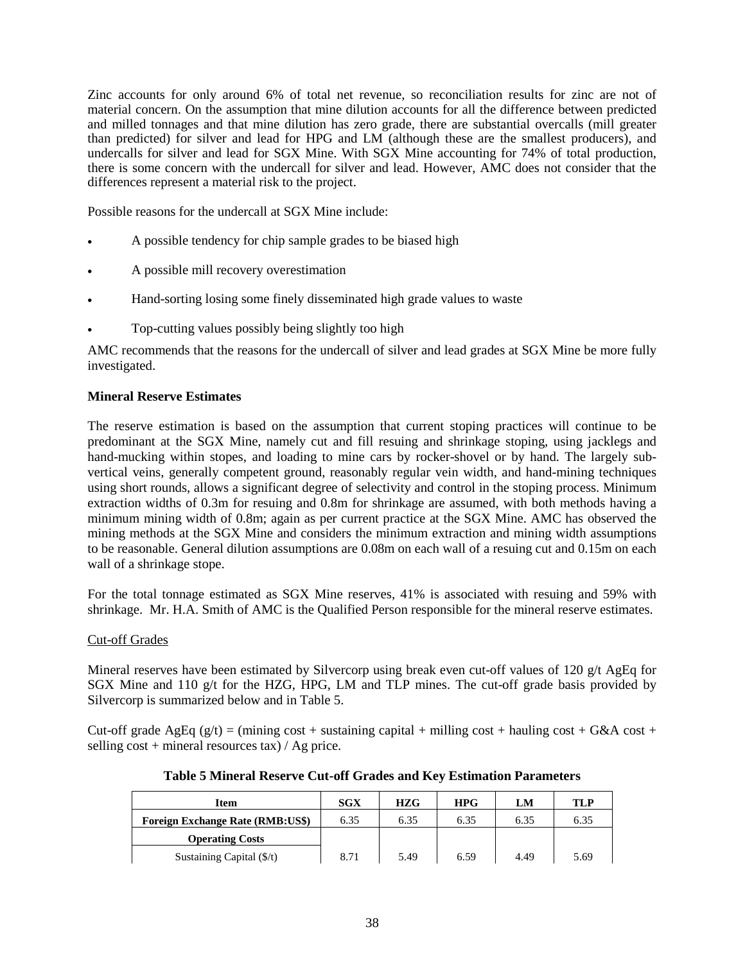Zinc accounts for only around 6% of total net revenue, so reconciliation results for zinc are not of material concern. On the assumption that mine dilution accounts for all the difference between predicted and milled tonnages and that mine dilution has zero grade, there are substantial overcalls (mill greater than predicted) for silver and lead for HPG and LM (although these are the smallest producers), and undercalls for silver and lead for SGX Mine. With SGX Mine accounting for 74% of total production, there is some concern with the undercall for silver and lead. However, AMC does not consider that the differences represent a material risk to the project.

Possible reasons for the undercall at SGX Mine include:

- A possible tendency for chip sample grades to be biased high
- A possible mill recovery overestimation
- Hand-sorting losing some finely disseminated high grade values to waste
- Top-cutting values possibly being slightly too high

AMC recommends that the reasons for the undercall of silver and lead grades at SGX Mine be more fully investigated.

## **Mineral Reserve Estimates**

The reserve estimation is based on the assumption that current stoping practices will continue to be predominant at the SGX Mine, namely cut and fill resuing and shrinkage stoping, using jacklegs and hand-mucking within stopes, and loading to mine cars by rocker-shovel or by hand. The largely subvertical veins, generally competent ground, reasonably regular vein width, and hand-mining techniques using short rounds, allows a significant degree of selectivity and control in the stoping process. Minimum extraction widths of 0.3m for resuing and 0.8m for shrinkage are assumed, with both methods having a minimum mining width of 0.8m; again as per current practice at the SGX Mine. AMC has observed the mining methods at the SGX Mine and considers the minimum extraction and mining width assumptions to be reasonable. General dilution assumptions are 0.08m on each wall of a resuing cut and 0.15m on each wall of a shrinkage stope.

For the total tonnage estimated as SGX Mine reserves, 41% is associated with resuing and 59% with shrinkage. Mr. H.A. Smith of AMC is the Qualified Person responsible for the mineral reserve estimates.

## Cut-off Grades

Mineral reserves have been estimated by Silvercorp using break even cut-off values of 120  $g/t$  AgEq for SGX Mine and 110 g/t for the HZG, HPG, LM and TLP mines. The cut-off grade basis provided by Silvercorp is summarized below and in Table 5.

Cut-off grade AgEq (g/t) = (mining cost + sustaining capital + milling cost + hauling cost + G&A cost + selling  $cost + mineral$  resources  $tax$ ) / Ag price.

| Item                                    | <b>SGX</b> | <b>HZG</b> | <b>HPG</b> | LМ   | TLP  |
|-----------------------------------------|------------|------------|------------|------|------|
| <b>Foreign Exchange Rate (RMB:US\$)</b> | 6.35       | 6.35       | 6.35       | 6.35 | 6.35 |
| <b>Operating Costs</b>                  |            |            |            |      |      |
| Sustaining Capital $(\frac{5}{t})$      | 8.71       | 5.49       | 6.59       | 4.49 | 5.69 |

### **Table 5 Mineral Reserve Cut-off Grades and Key Estimation Parameters**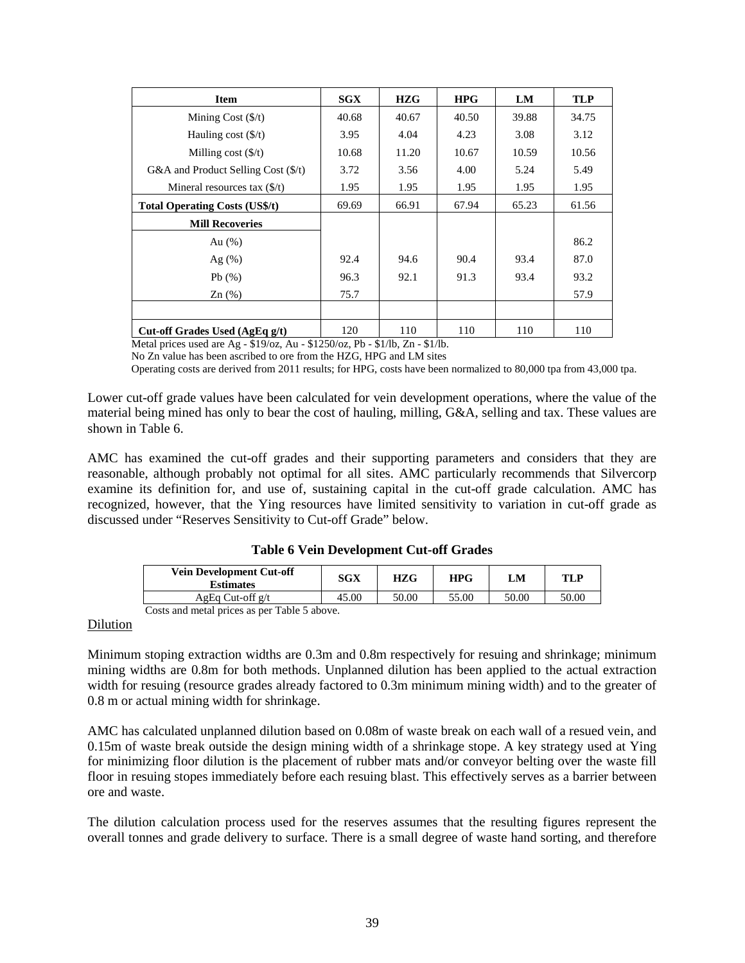| <b>Item</b>                                  | SGX   | <b>HZG</b> | <b>HPG</b> | LM    | <b>TLP</b> |
|----------------------------------------------|-------|------------|------------|-------|------------|
| Mining Cost $(\frac{5}{t})$                  | 40.68 | 40.67      | 40.50      | 39.88 | 34.75      |
| Hauling cost $(\frac{5}{t})$                 | 3.95  | 4.04       | 4.23       | 3.08  | 3.12       |
| Milling cost $(\frac{5}{t})$                 | 10.68 | 11.20      | 10.67      | 10.59 | 10.56      |
| G&A and Product Selling Cost $(\frac{f}{f})$ | 3.72  | 3.56       | 4.00       | 5.24  | 5.49       |
| Mineral resources tax $(\frac{f}{f})$        | 1.95  | 1.95       | 1.95       | 1.95  | 1.95       |
| <b>Total Operating Costs (US\$/t)</b>        | 69.69 | 66.91      | 67.94      | 65.23 | 61.56      |
| <b>Mill Recoveries</b>                       |       |            |            |       |            |
| Au $(\%)$                                    |       |            |            |       | 86.2       |
| Ag(%)                                        | 92.4  | 94.6       | 90.4       | 93.4  | 87.0       |
| Pb(%)                                        | 96.3  | 92.1       | 91.3       | 93.4  | 93.2       |
| $\text{Zn}(\%)$                              | 75.7  |            |            |       | 57.9       |
|                                              |       |            |            |       |            |
| Cut-off Grades Used (AgEq g/t)               | 120   | 110        | 110        | 110   | 110        |

Metal prices used are Ag - \$19/oz, Au - \$1250/oz, Pb - \$1/lb, Zn - \$1/lb.

No Zn value has been ascribed to ore from the HZG, HPG and LM sites

Operating costs are derived from 2011 results; for HPG, costs have been normalized to 80,000 tpa from 43,000 tpa.

Lower cut-off grade values have been calculated for vein development operations, where the value of the material being mined has only to bear the cost of hauling, milling, G&A, selling and tax. These values are shown in Table 6.

AMC has examined the cut-off grades and their supporting parameters and considers that they are reasonable, although probably not optimal for all sites. AMC particularly recommends that Silvercorp examine its definition for, and use of, sustaining capital in the cut-off grade calculation. AMC has recognized, however, that the Ying resources have limited sensitivity to variation in cut-off grade as discussed under "Reserves Sensitivity to Cut-off Grade" below.

**Table 6 Vein Development Cut-off Grades**

| <b>Vein Development Cut-off</b><br><b>Estimates</b> | SGX   | <b>HZG</b> | HPG   | LM    | TLP   |
|-----------------------------------------------------|-------|------------|-------|-------|-------|
| $AgEq$ Cut-off $g/t$                                | 45.00 | 50.00      | 55.00 | 50.00 | 50.00 |

Costs and metal prices as per Table 5 above.

#### Dilution

Minimum stoping extraction widths are 0.3m and 0.8m respectively for resuing and shrinkage; minimum mining widths are 0.8m for both methods. Unplanned dilution has been applied to the actual extraction width for resuing (resource grades already factored to 0.3m minimum mining width) and to the greater of 0.8 m or actual mining width for shrinkage.

AMC has calculated unplanned dilution based on 0.08m of waste break on each wall of a resued vein, and 0.15m of waste break outside the design mining width of a shrinkage stope. A key strategy used at Ying for minimizing floor dilution is the placement of rubber mats and/or conveyor belting over the waste fill floor in resuing stopes immediately before each resuing blast. This effectively serves as a barrier between ore and waste.

The dilution calculation process used for the reserves assumes that the resulting figures represent the overall tonnes and grade delivery to surface. There is a small degree of waste hand sorting, and therefore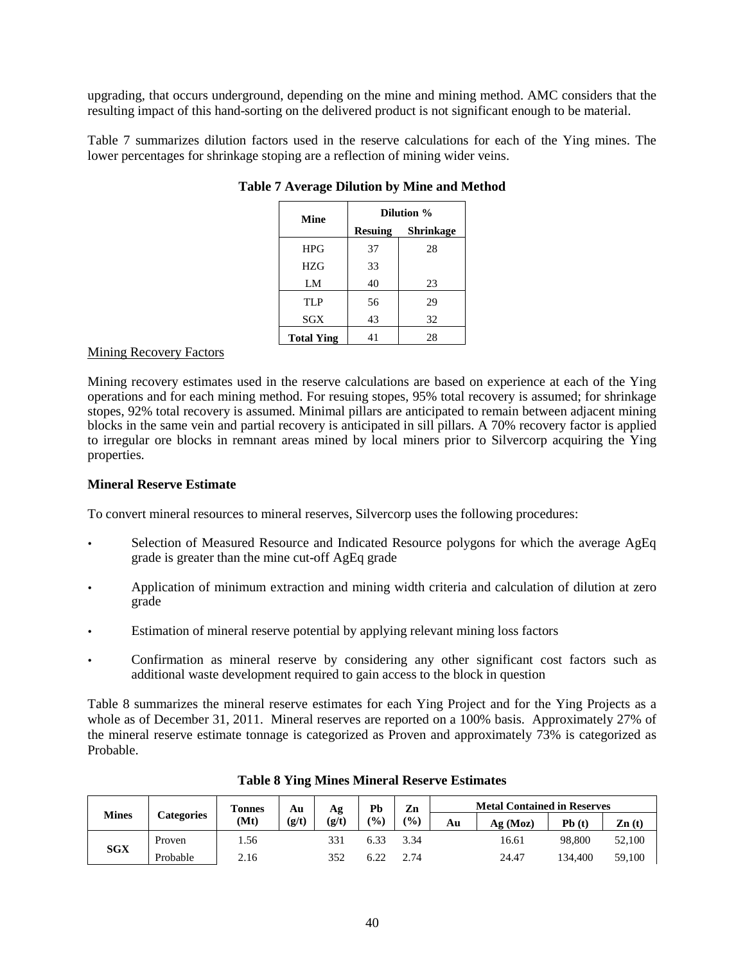upgrading, that occurs underground, depending on the mine and mining method. AMC considers that the resulting impact of this hand-sorting on the delivered product is not significant enough to be material.

Table 7 summarizes dilution factors used in the reserve calculations for each of the Ying mines. The lower percentages for shrinkage stoping are a reflection of mining wider veins.

| <b>Mine</b>       |                | Dilution %       |
|-------------------|----------------|------------------|
|                   | <b>Resuing</b> | <b>Shrinkage</b> |
| HPG               | 37             | 28               |
| HZG               | 33             |                  |
| LM                | 40             | 23               |
| <b>TLP</b>        | 56             | 29               |
| SGX               | 43             | 32               |
| <b>Total Ying</b> | 41             | 28               |

## **Table 7 Average Dilution by Mine and Method**

### Mining Recovery Factors

Mining recovery estimates used in the reserve calculations are based on experience at each of the Ying operations and for each mining method. For resuing stopes, 95% total recovery is assumed; for shrinkage stopes, 92% total recovery is assumed. Minimal pillars are anticipated to remain between adjacent mining blocks in the same vein and partial recovery is anticipated in sill pillars. A 70% recovery factor is applied to irregular ore blocks in remnant areas mined by local miners prior to Silvercorp acquiring the Ying properties.

### **Mineral Reserve Estimate**

To convert mineral resources to mineral reserves, Silvercorp uses the following procedures:

- Selection of Measured Resource and Indicated Resource polygons for which the average AgEq grade is greater than the mine cut-off AgEq grade
- Application of minimum extraction and mining width criteria and calculation of dilution at zero grade
- Estimation of mineral reserve potential by applying relevant mining loss factors
- Confirmation as mineral reserve by considering any other significant cost factors such as additional waste development required to gain access to the block in question

Table 8 summarizes the mineral reserve estimates for each Ying Project and for the Ying Projects as a whole as of December 31, 2011. Mineral reserves are reported on a 100% basis. Approximately 27% of the mineral reserve estimate tonnage is categorized as Proven and approximately 73% is categorized as Probable.

|              | Categories | <b>Tonnes</b> | Au    | Аg    | Pb<br>(%) | Zn<br>$\frac{9}{0}$ | <b>Metal Contained in Reserves</b> |          |         |                   |  |
|--------------|------------|---------------|-------|-------|-----------|---------------------|------------------------------------|----------|---------|-------------------|--|
| <b>Mines</b> |            | (Mt)          | (g/t) | (g/t) |           |                     | Au                                 | Ag (Moz) | Pb(t)   | $\mathbf{Zn}$ (t) |  |
|              | Proven     | .56           |       | 331   | 6.33      | 3.34                |                                    | 16.61    | 98.800  | 52.100            |  |
| <b>SGX</b>   | Probable   | 2.16          |       | 352   | 6.22      | 2.74                |                                    | 24.47    | 134.400 | 59,100            |  |

#### **Table 8 Ying Mines Mineral Reserve Estimates**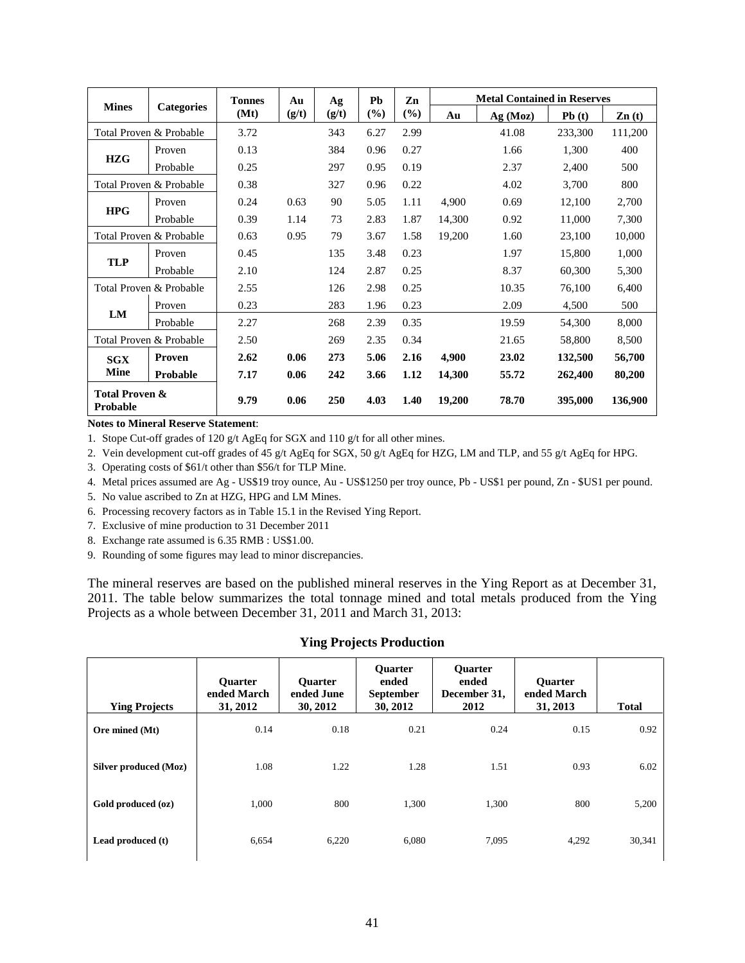|                                       |                         | <b>Tonnes</b> | Au    | Ag    | Pb   | Zn     |        | <b>Metal Contained in Reserves</b> |         |                   |
|---------------------------------------|-------------------------|---------------|-------|-------|------|--------|--------|------------------------------------|---------|-------------------|
| <b>Mines</b>                          | <b>Categories</b>       | (Mt)          | (g/t) | (g/t) | (%)  | $(\%)$ | Au     | Ag (Moz)                           | Pb(t)   | $\mathbf{Zn}$ (t) |
|                                       | Total Proven & Probable | 3.72          |       | 343   | 6.27 | 2.99   |        | 41.08                              | 233,300 | 111,200           |
|                                       | Proven                  | 0.13          |       | 384   | 0.96 | 0.27   |        | 1.66                               | 1,300   | 400               |
| <b>HZG</b>                            | Probable                | 0.25          |       | 297   | 0.95 | 0.19   |        | 2.37                               | 2,400   | 500               |
|                                       | Total Proven & Probable | 0.38          |       | 327   | 0.96 | 0.22   |        | 4.02                               | 3,700   | 800               |
|                                       | Proven                  | 0.24          | 0.63  | 90    | 5.05 | 1.11   | 4,900  | 0.69                               | 12,100  | 2,700             |
| <b>HPG</b>                            | Probable                | 0.39          | 1.14  | 73    | 2.83 | 1.87   | 14,300 | 0.92                               | 11,000  | 7,300             |
| Total Proven & Probable               |                         | 0.63          | 0.95  | 79    | 3.67 | 1.58   | 19,200 | 1.60                               | 23,100  | 10,000            |
|                                       | Proven                  | 0.45          |       | 135   | 3.48 | 0.23   |        | 1.97                               | 15,800  | 1,000             |
| <b>TLP</b>                            | Probable                | 2.10          |       | 124   | 2.87 | 0.25   |        | 8.37                               | 60,300  | 5,300             |
|                                       | Total Proven & Probable | 2.55          |       | 126   | 2.98 | 0.25   |        | 10.35                              | 76,100  | 6,400             |
|                                       | Proven                  | 0.23          |       | 283   | 1.96 | 0.23   |        | 2.09                               | 4,500   | 500               |
| LM                                    | Probable                | 2.27          |       | 268   | 2.39 | 0.35   |        | 19.59                              | 54,300  | 8,000             |
|                                       | Total Proven & Probable | 2.50          |       | 269   | 2.35 | 0.34   |        | 21.65                              | 58,800  | 8,500             |
| <b>SGX</b>                            | <b>Proven</b>           | 2.62          | 0.06  | 273   | 5.06 | 2.16   | 4,900  | 23.02                              | 132,500 | 56,700            |
| <b>Mine</b>                           | Probable                | 7.17          | 0.06  | 242   | 3.66 | 1.12   | 14,300 | 55.72                              | 262,400 | 80,200            |
| <b>Total Proven &amp;</b><br>Probable |                         | 9.79          | 0.06  | 250   | 4.03 | 1.40   | 19,200 | 78.70                              | 395,000 | 136,900           |

**Notes to Mineral Reserve Statement**:

1. Stope Cut-off grades of 120 g/t AgEq for SGX and 110 g/t for all other mines.

2. Vein development cut-off grades of 45 g/t AgEq for SGX, 50 g/t AgEq for HZG, LM and TLP, and 55 g/t AgEq for HPG.

3. Operating costs of \$61/t other than \$56/t for TLP Mine.

4. Metal prices assumed are Ag - US\$19 troy ounce, Au - US\$1250 per troy ounce, Pb - US\$1 per pound, Zn - \$US1 per pound.

5. No value ascribed to Zn at HZG, HPG and LM Mines.

6. Processing recovery factors as in Table 15.1 in the Revised Ying Report.

7. Exclusive of mine production to 31 December 2011

8. Exchange rate assumed is 6.35 RMB : US\$1.00.

9. Rounding of some figures may lead to minor discrepancies.

The mineral reserves are based on the published mineral reserves in the Ying Report as at December 31, 2011. The table below summarizes the total tonnage mined and total metals produced from the Ying Projects as a whole between December 31, 2011 and March 31, 2013:

| <b>Ying Projects</b>  | <b>Ouarter</b><br>ended March<br>31, 2012 | <b>Ouarter</b><br>ended June<br>30, 2012 | <b>Ouarter</b><br>ended<br><b>September</b><br>30, 2012 | <b>Ouarter</b><br>ended<br>December 31,<br>2012 | <b>Ouarter</b><br>ended March<br>31, 2013 | <b>Total</b> |
|-----------------------|-------------------------------------------|------------------------------------------|---------------------------------------------------------|-------------------------------------------------|-------------------------------------------|--------------|
| Ore mined (Mt)        | 0.14                                      | 0.18                                     | 0.21                                                    | 0.24                                            | 0.15                                      | 0.92         |
| Silver produced (Moz) | 1.08                                      | 1.22                                     | 1.28                                                    | 1.51                                            | 0.93                                      | 6.02         |
| Gold produced (oz)    | 1.000                                     | 800                                      | 1,300                                                   | 1,300                                           | 800                                       | 5,200        |
| Lead produced (t)     | 6,654                                     | 6,220                                    | 6,080                                                   | 7,095                                           | 4,292                                     | 30,341       |

## **Ying Projects Production**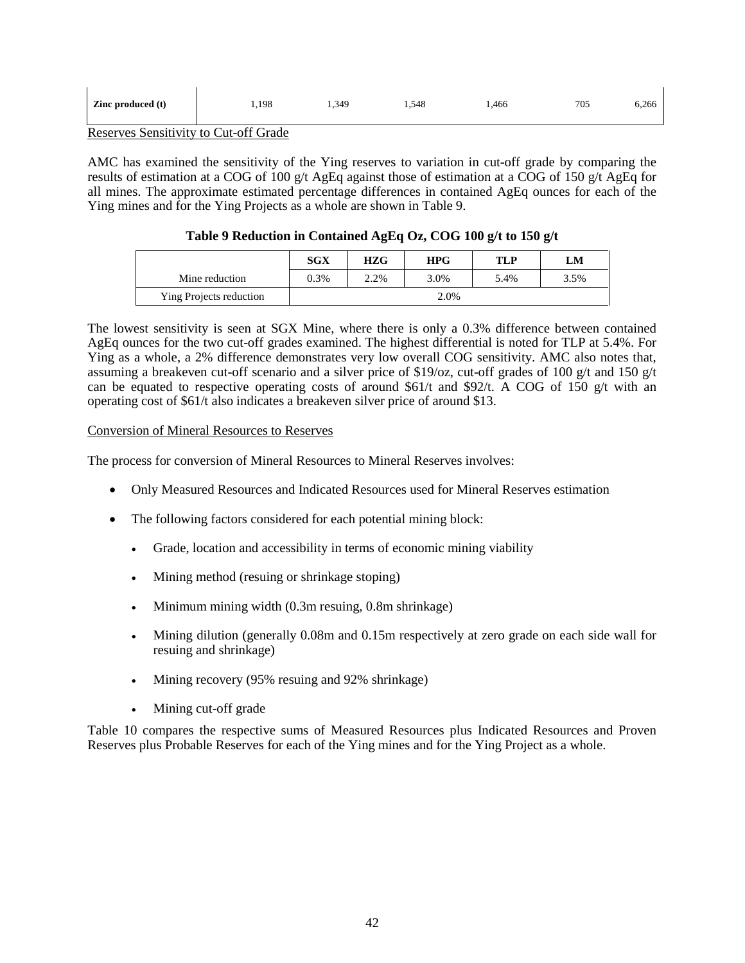| Zinc produced (t) | 1,198 | 1,349 | 1.548 | 1,466 | 705 | 6,266 |
|-------------------|-------|-------|-------|-------|-----|-------|
|                   |       |       |       |       |     |       |

Reserves Sensitivity to Cut-off Grade

AMC has examined the sensitivity of the Ying reserves to variation in cut-off grade by comparing the results of estimation at a COG of 100 g/t AgEq against those of estimation at a COG of 150 g/t AgEq for all mines. The approximate estimated percentage differences in contained AgEq ounces for each of the Ying mines and for the Ying Projects as a whole are shown in Table 9.

|                                | SGX  | <b>HZG</b> | <b>HPG</b> |      | LM   |  |  |
|--------------------------------|------|------------|------------|------|------|--|--|
| Mine reduction                 | 0.3% | 2.2%       | 3.0%       | 5.4% | 3.5% |  |  |
| <b>Ying Projects reduction</b> | 2.0% |            |            |      |      |  |  |

## **Table 9 Reduction in Contained AgEq Oz, COG 100 g/t to 150 g/t**

The lowest sensitivity is seen at SGX Mine, where there is only a 0.3% difference between contained AgEq ounces for the two cut-off grades examined. The highest differential is noted for TLP at 5.4%. For Ying as a whole, a 2% difference demonstrates very low overall COG sensitivity. AMC also notes that, assuming a breakeven cut-off scenario and a silver price of \$19/oz, cut-off grades of 100 g/t and 150 g/t can be equated to respective operating costs of around \$61/t and \$92/t. A COG of 150 g/t with an operating cost of \$61/t also indicates a breakeven silver price of around \$13.

### Conversion of Mineral Resources to Reserves

The process for conversion of Mineral Resources to Mineral Reserves involves:

- Only Measured Resources and Indicated Resources used for Mineral Reserves estimation
- The following factors considered for each potential mining block:
	- Grade, location and accessibility in terms of economic mining viability
	- Mining method (resuing or shrinkage stoping)
	- Minimum mining width (0.3m resuing, 0.8m shrinkage)
	- Mining dilution (generally 0.08m and 0.15m respectively at zero grade on each side wall for resuing and shrinkage)
	- Mining recovery (95% resuing and 92% shrinkage)
	- Mining cut-off grade

Table 10 compares the respective sums of Measured Resources plus Indicated Resources and Proven Reserves plus Probable Reserves for each of the Ying mines and for the Ying Project as a whole.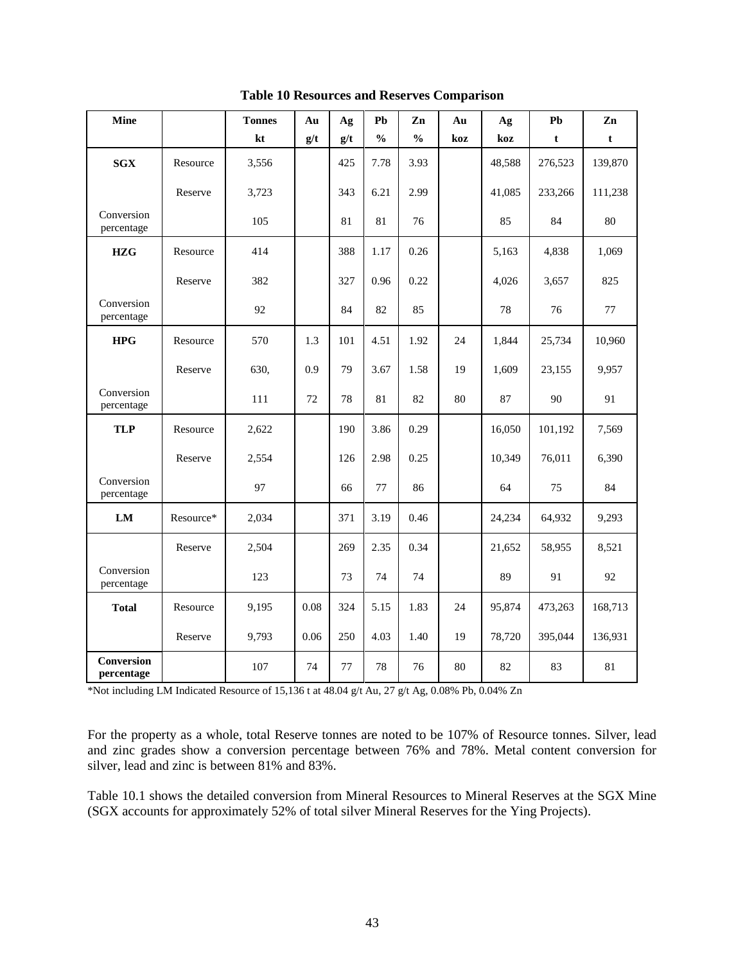| <b>Mine</b>              |           | <b>Tonnes</b> | Au   | Ag  | Pb            | Zn            | Au  | Ag     | Pb      | Zn      |
|--------------------------|-----------|---------------|------|-----|---------------|---------------|-----|--------|---------|---------|
|                          |           | kt            | g/t  | g/t | $\frac{0}{0}$ | $\frac{0}{0}$ | koz | koz    | t       | t       |
| <b>SGX</b>               | Resource  | 3,556         |      | 425 | 7.78          | 3.93          |     | 48,588 | 276,523 | 139,870 |
|                          | Reserve   | 3,723         |      | 343 | 6.21          | 2.99          |     | 41,085 | 233,266 | 111,238 |
| Conversion<br>percentage |           | 105           |      | 81  | 81            | 76            |     | 85     | 84      | 80      |
| <b>HZG</b>               | Resource  | 414           |      | 388 | 1.17          | 0.26          |     | 5,163  | 4,838   | 1,069   |
|                          | Reserve   | 382           |      | 327 | 0.96          | 0.22          |     | 4,026  | 3,657   | 825     |
| Conversion<br>percentage |           | 92            |      | 84  | 82            | 85            |     | 78     | 76      | 77      |
| <b>HPG</b>               | Resource  | 570           | 1.3  | 101 | 4.51          | 1.92          | 24  | 1,844  | 25,734  | 10,960  |
|                          | Reserve   | 630,          | 0.9  | 79  | 3.67          | 1.58          | 19  | 1,609  | 23,155  | 9,957   |
| Conversion<br>percentage |           | 111           | 72   | 78  | 81            | 82            | 80  | 87     | 90      | 91      |
| <b>TLP</b>               | Resource  | 2,622         |      | 190 | 3.86          | 0.29          |     | 16,050 | 101,192 | 7,569   |
|                          | Reserve   | 2,554         |      | 126 | 2.98          | 0.25          |     | 10,349 | 76,011  | 6,390   |
| Conversion<br>percentage |           | 97            |      | 66  | 77            | 86            |     | 64     | 75      | 84      |
| ${\bf LM}$               | Resource* | 2,034         |      | 371 | 3.19          | 0.46          |     | 24,234 | 64,932  | 9,293   |
|                          | Reserve   | 2,504         |      | 269 | 2.35          | 0.34          |     | 21,652 | 58,955  | 8,521   |
| Conversion<br>percentage |           | 123           |      | 73  | 74            | 74            |     | 89     | 91      | 92      |
| <b>Total</b>             | Resource  | 9,195         | 0.08 | 324 | 5.15          | 1.83          | 24  | 95,874 | 473,263 | 168,713 |
|                          | Reserve   | 9,793         | 0.06 | 250 | 4.03          | 1.40          | 19  | 78,720 | 395,044 | 136,931 |
| Conversion<br>percentage |           | 107           | 74   | 77  | 78            | 76            | 80  | 82     | 83      | 81      |

**Table 10 Resources and Reserves Comparison**

\*Not including LM Indicated Resource of 15,136 t at 48.04 g/t Au, 27 g/t Ag, 0.08% Pb, 0.04% Zn

For the property as a whole, total Reserve tonnes are noted to be 107% of Resource tonnes. Silver, lead and zinc grades show a conversion percentage between 76% and 78%. Metal content conversion for silver, lead and zinc is between 81% and 83%.

Table 10.1 shows the detailed conversion from Mineral Resources to Mineral Reserves at the SGX Mine (SGX accounts for approximately 52% of total silver Mineral Reserves for the Ying Projects).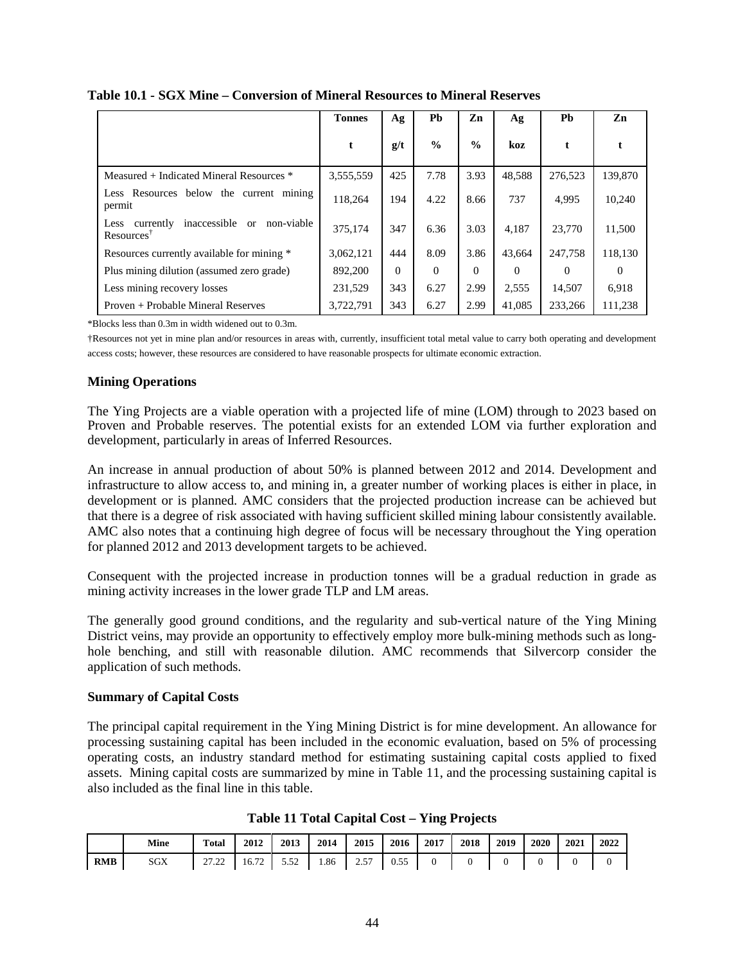|                                                                     | <b>Tonnes</b> | Ag       | Pb            | Zn            | Ag       | <b>Ph</b> | Zn      |
|---------------------------------------------------------------------|---------------|----------|---------------|---------------|----------|-----------|---------|
|                                                                     | t             | g/t      | $\frac{6}{6}$ | $\frac{0}{0}$ | koz      | t         |         |
| Measured + Indicated Mineral Resources *                            | 3,555,559     | 425      | 7.78          | 3.93          | 48,588   | 276,523   | 139,870 |
| Less Resources below the current mining<br>permit                   | 118,264       | 194      | 4.22          | 8.66          | 737      | 4,995     | 10,240  |
| inaccessible or<br>currently<br>non-viable<br>Less<br>$Resources^T$ | 375,174       | 347      | 6.36          | 3.03          | 4,187    | 23,770    | 11,500  |
| Resources currently available for mining *                          | 3,062,121     | 444      | 8.09          | 3.86          | 43.664   | 247,758   | 118.130 |
| Plus mining dilution (assumed zero grade)                           | 892,200       | $\Omega$ | $\Omega$      | $\Omega$      | $\Omega$ | 0         | 0       |
| Less mining recovery losses                                         | 231,529       | 343      | 6.27          | 2.99          | 2,555    | 14,507    | 6,918   |
| Proven + Probable Mineral Reserves                                  | 3,722,791     | 343      | 6.27          | 2.99          | 41.085   | 233,266   | 111.238 |

**Table 10.1 - SGX Mine – Conversion of Mineral Resources to Mineral Reserves**

\*Blocks less than 0.3m in width widened out to 0.3m.

†Resources not yet in mine plan and/or resources in areas with, currently, insufficient total metal value to carry both operating and development access costs; however, these resources are considered to have reasonable prospects for ultimate economic extraction.

## **Mining Operations**

The Ying Projects are a viable operation with a projected life of mine (LOM) through to 2023 based on Proven and Probable reserves. The potential exists for an extended LOM via further exploration and development, particularly in areas of Inferred Resources.

An increase in annual production of about 50% is planned between 2012 and 2014. Development and infrastructure to allow access to, and mining in, a greater number of working places is either in place, in development or is planned. AMC considers that the projected production increase can be achieved but that there is a degree of risk associated with having sufficient skilled mining labour consistently available. AMC also notes that a continuing high degree of focus will be necessary throughout the Ying operation for planned 2012 and 2013 development targets to be achieved.

Consequent with the projected increase in production tonnes will be a gradual reduction in grade as mining activity increases in the lower grade TLP and LM areas.

The generally good ground conditions, and the regularity and sub-vertical nature of the Ying Mining District veins, may provide an opportunity to effectively employ more bulk-mining methods such as longhole benching, and still with reasonable dilution. AMC recommends that Silvercorp consider the application of such methods.

#### **Summary of Capital Costs**

The principal capital requirement in the Ying Mining District is for mine development. An allowance for processing sustaining capital has been included in the economic evaluation, based on 5% of processing operating costs, an industry standard method for estimating sustaining capital costs applied to fixed assets. Mining capital costs are summarized by mine in Table 11, and the processing sustaining capital is also included as the final line in this table.

|            | Mine | <b>Total</b>   | 2012  | 2013 | 2014 | 2015      | 2016 | 2017 | 2018 | 2019 | 2020 | 2021 | 2022 |
|------------|------|----------------|-------|------|------|-----------|------|------|------|------|------|------|------|
| <b>RMB</b> | SGX  | 27.22<br>21.LL | 16.72 | 5.52 |      | 1.86 2.57 | 0.55 |      |      |      |      |      |      |

**Table 11 Total Capital Cost – Ying Projects**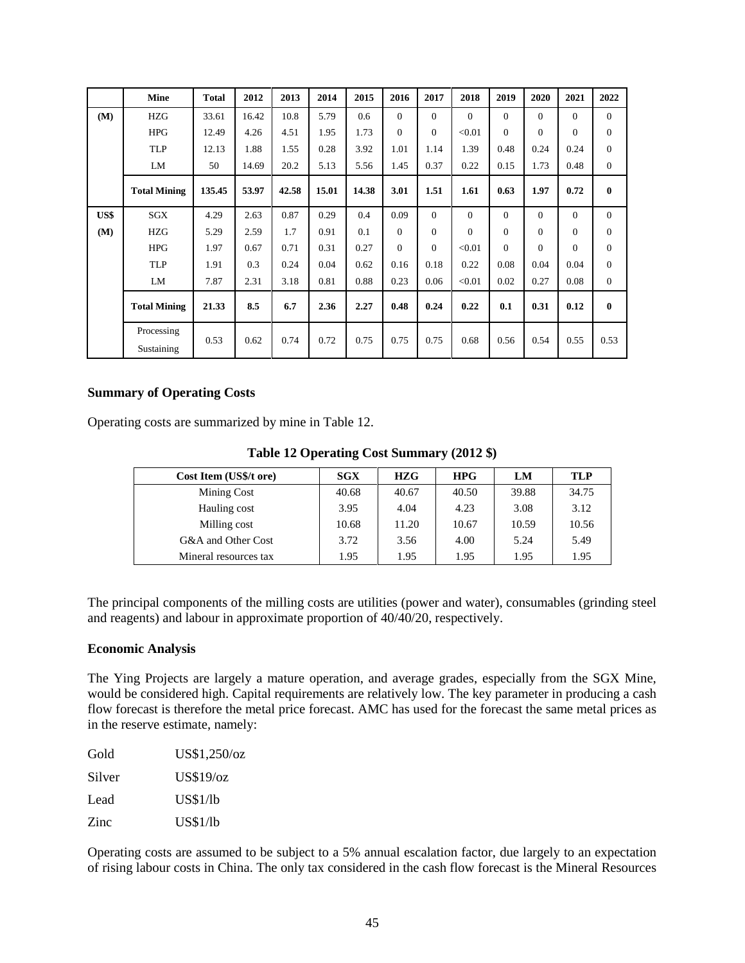|      | <b>Mine</b>              | <b>Total</b> | 2012  | 2013  | 2014  | 2015  | 2016     | 2017     | 2018     | 2019     | 2020         | 2021     | 2022           |
|------|--------------------------|--------------|-------|-------|-------|-------|----------|----------|----------|----------|--------------|----------|----------------|
| (M)  | <b>HZG</b>               | 33.61        | 16.42 | 10.8  | 5.79  | 0.6   | $\Omega$ | $\Omega$ | $\Omega$ | $\Omega$ | $\Omega$     | $\Omega$ | $\Omega$       |
|      | <b>HPG</b>               | 12.49        | 4.26  | 4.51  | 1.95  | 1.73  | $\Omega$ | $\Omega$ | < 0.01   | $\Omega$ | $\Omega$     | $\Omega$ | $\Omega$       |
|      | <b>TLP</b>               | 12.13        | 1.88  | 1.55  | 0.28  | 3.92  | 1.01     | 1.14     | 1.39     | 0.48     | 0.24         | 0.24     | $\overline{0}$ |
|      | LM                       | 50           | 14.69 | 20.2  | 5.13  | 5.56  | 1.45     | 0.37     | 0.22     | 0.15     | 1.73         | 0.48     | $\theta$       |
|      | <b>Total Mining</b>      | 135.45       | 53.97 | 42.58 | 15.01 | 14.38 | 3.01     | 1.51     | 1.61     | 0.63     | 1.97         | 0.72     | $\bf{0}$       |
| US\$ | <b>SGX</b>               | 4.29         | 2.63  | 0.87  | 0.29  | 0.4   | 0.09     | $\Omega$ | $\Omega$ | $\Omega$ | $\Omega$     | $\Omega$ | $\Omega$       |
| (M)  | <b>HZG</b>               | 5.29         | 2.59  | 1.7   | 0.91  | 0.1   | $\Omega$ | $\Omega$ | $\Omega$ | $\Omega$ | $\mathbf{0}$ | $\Omega$ | $\Omega$       |
|      | <b>HPG</b>               | 1.97         | 0.67  | 0.71  | 0.31  | 0.27  | $\Omega$ | $\Omega$ | < 0.01   | $\Omega$ | $\Omega$     | $\Omega$ | $\Omega$       |
|      | <b>TLP</b>               | 1.91         | 0.3   | 0.24  | 0.04  | 0.62  | 0.16     | 0.18     | 0.22     | 0.08     | 0.04         | 0.04     | $\theta$       |
|      | LM                       | 7.87         | 2.31  | 3.18  | 0.81  | 0.88  | 0.23     | 0.06     | < 0.01   | 0.02     | 0.27         | 0.08     | $\theta$       |
|      | <b>Total Mining</b>      | 21.33        | 8.5   | 6.7   | 2.36  | 2.27  | 0.48     | 0.24     | 0.22     | 0.1      | 0.31         | 0.12     | $\mathbf{0}$   |
|      | Processing<br>Sustaining | 0.53         | 0.62  | 0.74  | 0.72  | 0.75  | 0.75     | 0.75     | 0.68     | 0.56     | 0.54         | 0.55     | 0.53           |

### **Summary of Operating Costs**

Operating costs are summarized by mine in Table 12.

**Table 12 Operating Cost Summary (2012 \$)**

| Cost Item (US\$/t ore) | SGX   | HZG   | <b>HPG</b> | LM    | <b>TLP</b> |
|------------------------|-------|-------|------------|-------|------------|
| Mining Cost            | 40.68 | 40.67 | 40.50      | 39.88 | 34.75      |
| Hauling cost           | 3.95  | 4.04  | 4.23       | 3.08  | 3.12       |
| Milling cost           | 10.68 | 11.20 | 10.67      | 10.59 | 10.56      |
| G&A and Other Cost     | 3.72  | 3.56  | 4.00       | 5.24  | 5.49       |
| Mineral resources tax  | 1.95  | 1.95  | 1.95       | 1.95  | 1.95       |

The principal components of the milling costs are utilities (power and water), consumables (grinding steel and reagents) and labour in approximate proportion of 40/40/20, respectively.

### **Economic Analysis**

The Ying Projects are largely a mature operation, and average grades, especially from the SGX Mine, would be considered high. Capital requirements are relatively low. The key parameter in producing a cash flow forecast is therefore the metal price forecast. AMC has used for the forecast the same metal prices as in the reserve estimate, namely:

| Gold   | US\$1,250/oz     |
|--------|------------------|
| Silver | <b>US\$19/oz</b> |
| Lead   | US\$1/lb         |
| Zinc   | US\$1/lb         |

Operating costs are assumed to be subject to a 5% annual escalation factor, due largely to an expectation of rising labour costs in China. The only tax considered in the cash flow forecast is the Mineral Resources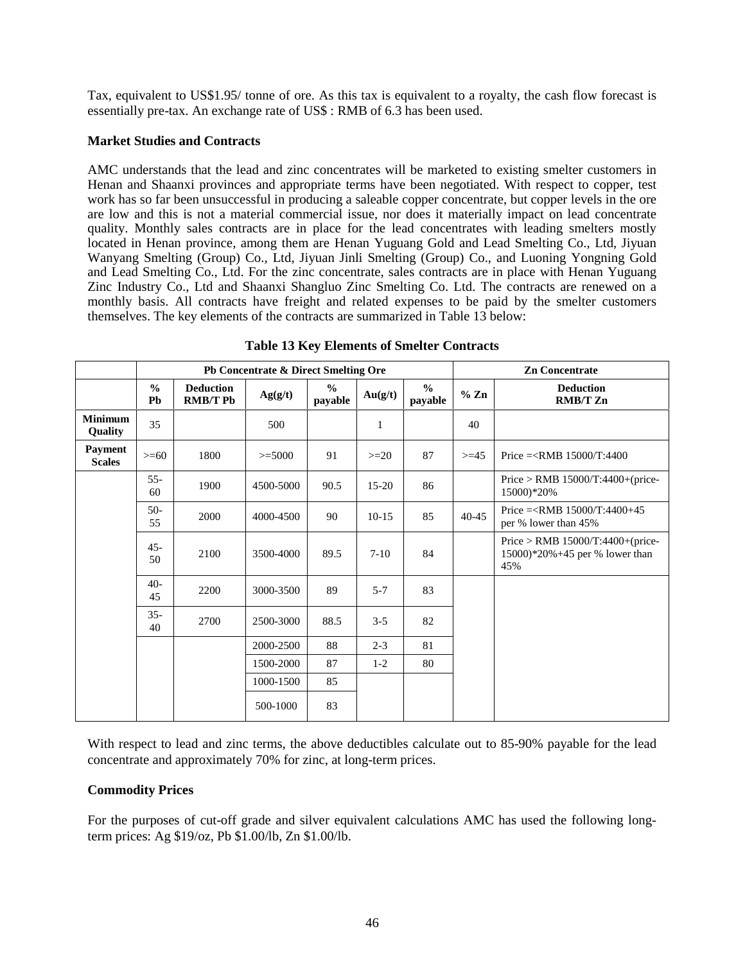Tax, equivalent to US\$1.95/ tonne of ore. As this tax is equivalent to a royalty, the cash flow forecast is essentially pre-tax. An exchange rate of US\$ : RMB of 6.3 has been used.

## **Market Studies and Contracts**

AMC understands that the lead and zinc concentrates will be marketed to existing smelter customers in Henan and Shaanxi provinces and appropriate terms have been negotiated. With respect to copper, test work has so far been unsuccessful in producing a saleable copper concentrate, but copper levels in the ore are low and this is not a material commercial issue, nor does it materially impact on lead concentrate quality. Monthly sales contracts are in place for the lead concentrates with leading smelters mostly located in Henan province, among them are Henan Yuguang Gold and Lead Smelting Co., Ltd, Jiyuan Wanyang Smelting (Group) Co., Ltd, Jiyuan Jinli Smelting (Group) Co., and Luoning Yongning Gold and Lead Smelting Co., Ltd. For the zinc concentrate, sales contracts are in place with Henan Yuguang Zinc Industry Co., Ltd and Shaanxi Shangluo Zinc Smelting Co. Ltd. The contracts are renewed on a monthly basis. All contracts have freight and related expenses to be paid by the smelter customers themselves. The key elements of the contracts are summarized in Table 13 below:

|                                  |                     |                                     | Pb Concentrate & Direct Smelting Ore |                          |              |                          | <b>Zn Concentrate</b> |                                                                                             |  |  |
|----------------------------------|---------------------|-------------------------------------|--------------------------------------|--------------------------|--------------|--------------------------|-----------------------|---------------------------------------------------------------------------------------------|--|--|
|                                  | $\frac{0}{0}$<br>Pb | <b>Deduction</b><br><b>RMB/T Pb</b> | Ag(g/t)                              | $\frac{0}{0}$<br>payable | Au(g/t)      | $\frac{0}{0}$<br>payable | $% \mathbf{Zn}$       | <b>Deduction</b><br><b>RMB/T Zn</b>                                                         |  |  |
| <b>Minimum</b><br><b>Quality</b> | 35                  |                                     | 500                                  |                          | $\mathbf{1}$ |                          | 40                    |                                                                                             |  |  |
| <b>Payment</b><br><b>Scales</b>  | $>= 60$             | 1800                                | $>=5000$                             | 91                       | $>=20$       | 87                       | $>=15$                | Price = $\langle$ RMB 15000/T:4400                                                          |  |  |
|                                  | $55 -$<br>60        | 1900                                | 4500-5000                            | 90.5                     | $15 - 20$    | 86                       |                       | Price > RMB $15000/T:4400+(price-$<br>15000)*20%                                            |  |  |
|                                  | $50-$<br>55         | 2000                                | 4000-4500                            | 90                       | $10-15$      | 85                       | $40 - 45$             | Price = $\langle$ RMB 15000/T:4400+45<br>per % lower than 45%                               |  |  |
|                                  | $45 -$<br>50        | 2100                                | 3500-4000                            | 89.5                     | $7-10$       | 84                       |                       | Price > RMB $15000/T:4400+(price$<br>$15000$ <sup>*</sup> $20\%+45$ per % lower than<br>45% |  |  |
|                                  | $40-$<br>45         | 2200                                | 3000-3500                            | 89                       | $5 - 7$      | 83                       |                       |                                                                                             |  |  |
|                                  | $35 -$<br>40        | 2700                                | 2500-3000                            | 88.5                     | $3 - 5$      | 82                       |                       |                                                                                             |  |  |
|                                  |                     |                                     | 2000-2500                            | 88                       | $2 - 3$      | 81                       |                       |                                                                                             |  |  |
|                                  |                     |                                     | 1500-2000                            | 87                       | $1 - 2$      | 80                       |                       |                                                                                             |  |  |
|                                  |                     |                                     | 1000-1500                            | 85                       |              |                          |                       |                                                                                             |  |  |
|                                  |                     |                                     | 500-1000                             | 83                       |              |                          |                       |                                                                                             |  |  |

**Table 13 Key Elements of Smelter Contracts**

With respect to lead and zinc terms, the above deductibles calculate out to 85-90% payable for the lead concentrate and approximately 70% for zinc, at long-term prices.

## **Commodity Prices**

For the purposes of cut-off grade and silver equivalent calculations AMC has used the following longterm prices: Ag \$19/oz, Pb \$1.00/lb, Zn \$1.00/lb.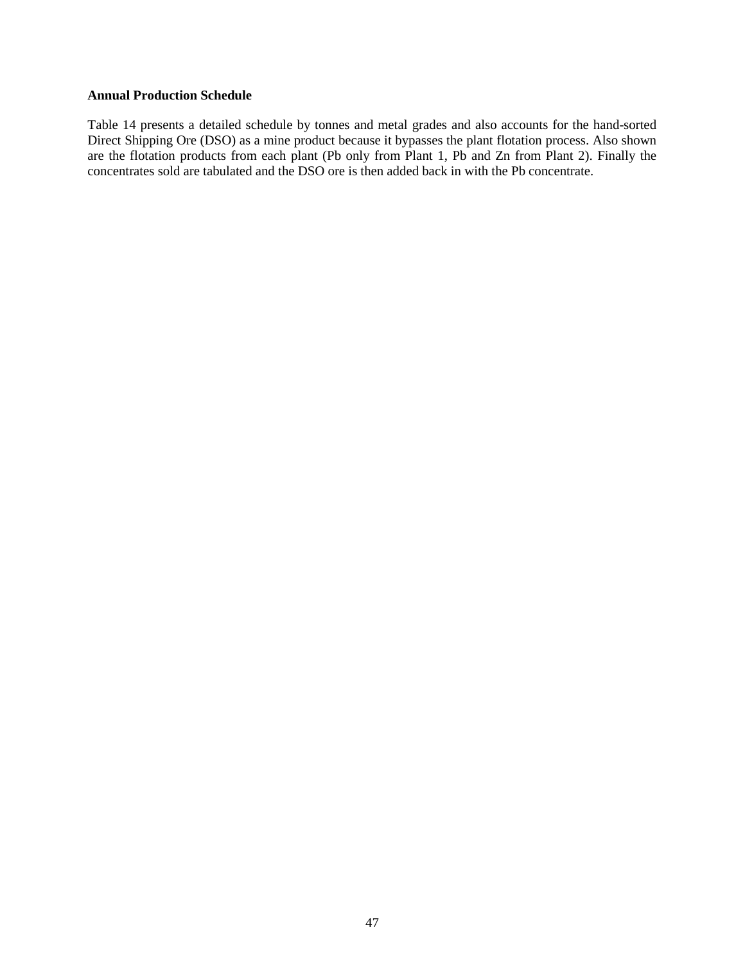## **Annual Production Schedule**

Table 14 presents a detailed schedule by tonnes and metal grades and also accounts for the hand-sorted Direct Shipping Ore (DSO) as a mine product because it bypasses the plant flotation process. Also shown are the flotation products from each plant (Pb only from Plant 1, Pb and Zn from Plant 2). Finally the concentrates sold are tabulated and the DSO ore is then added back in with the Pb concentrate.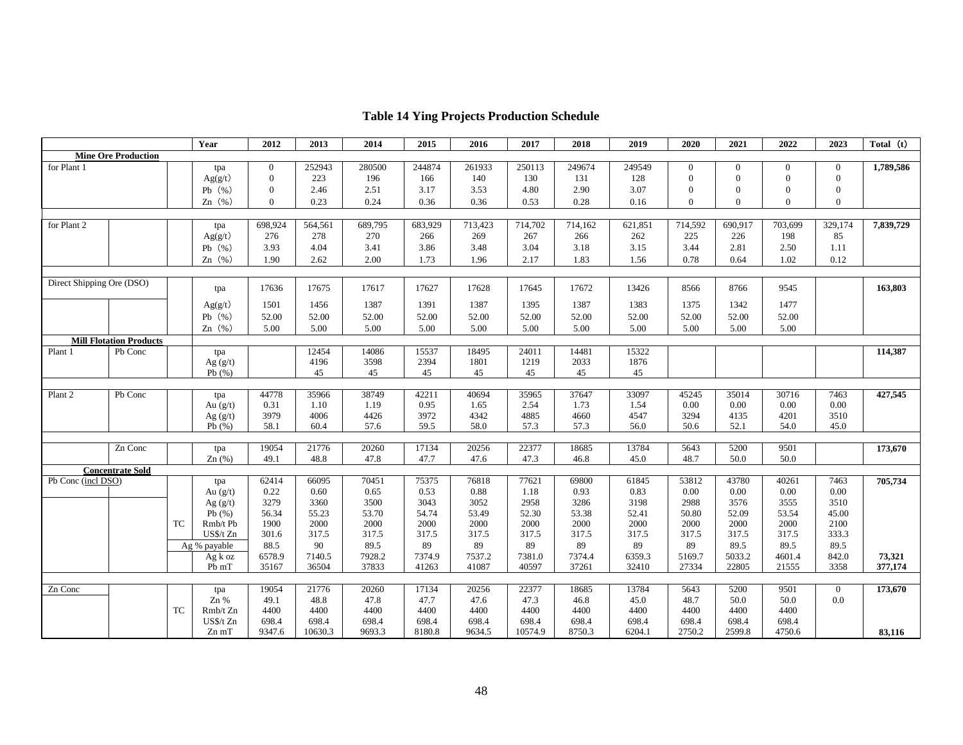|                           |                                |           | Year            | 2012           | 2013          | 2014          | 2015          | 2016    | 2017    | 2018          | 2019    | 2020     | 2021     | 2022           | 2023           | Total (t) |
|---------------------------|--------------------------------|-----------|-----------------|----------------|---------------|---------------|---------------|---------|---------|---------------|---------|----------|----------|----------------|----------------|-----------|
|                           | <b>Mine Ore Production</b>     |           |                 |                |               |               |               |         |         |               |         |          |          |                |                |           |
| for Plant 1               |                                |           | tpa             | $\overline{0}$ | 252943        | 280500        | 244874        | 261933  | 250113  | 249674        | 249549  | $\theta$ | $\Omega$ | $\overline{0}$ | $\overline{0}$ | 1,789,586 |
|                           |                                |           | Ag(g/t)         | $\overline{0}$ | 223           | 196           | 166           | 140     | 130     | 131           | 128     | $\theta$ | $\Omega$ | $\overline{0}$ | $\theta$       |           |
|                           |                                |           | Pb $(\%)$       | $\mathbf{0}$   | 2.46          | 2.51          | 3.17          | 3.53    | 4.80    | 2.90          | 3.07    | $\Omega$ | $\Omega$ | $\theta$       | $\Omega$       |           |
|                           |                                |           | Zn $(\% )$      | $\Omega$       | 0.23          | 0.24          | 0.36          | 0.36    | 0.53    | 0.28          | 0.16    | $\Omega$ | $\Omega$ | $\Omega$       | $\overline{0}$ |           |
|                           |                                |           |                 |                |               |               |               |         |         |               |         |          |          |                |                |           |
| for Plant 2               |                                |           | tpa             | 698,924        | 564,561       | 689,795       | 683,929       | 713,423 | 714,702 | 714,162       | 621,851 | 714,592  | 690,917  | 703,699        | 329,174        | 7,839,729 |
|                           |                                |           | Ag(g/t)         | 276            | 278           | 270           | 266           | 269     | 267     | 266           | 262     | 225      | 226      | 198            | 85             |           |
|                           |                                |           | Pb $(\%)$       | 3.93           | 4.04          | 3.41          | 3.86          | 3.48    | 3.04    | 3.18          | 3.15    | 3.44     | 2.81     | 2.50           | 1.11           |           |
|                           |                                |           | Zn $(\% )$      | 1.90           | 2.62          | 2.00          | 1.73          | 1.96    | 2.17    | 1.83          | 1.56    | 0.78     | 0.64     | 1.02           | 0.12           |           |
|                           |                                |           |                 |                |               |               |               |         |         |               |         |          |          |                |                |           |
| Direct Shipping Ore (DSO) |                                |           | tpa             | 17636          | 17675         | 17617         | 17627         | 17628   | 17645   | 17672         | 13426   | 8566     | 8766     | 9545           |                | 163,803   |
|                           |                                |           | Ag(g/t)         | 1501           | 1456          | 1387          | 1391          | 1387    | 1395    | 1387          | 1383    | 1375     | 1342     | 1477           |                |           |
|                           |                                |           | Pb $(%)$        | 52.00          | 52.00         | 52.00         | 52.00         | 52.00   | 52.00   | 52.00         | 52.00   | 52.00    | 52.00    | 52.00          |                |           |
|                           |                                |           | Zn $(\% )$      | 5.00           | 5.00          | 5.00          | 5.00          | 5.00    | 5.00    | 5.00          | 5.00    | 5.00     | 5.00     | 5.00           |                |           |
|                           | <b>Mill Flotation Products</b> |           |                 |                |               |               |               |         |         |               |         |          |          |                |                |           |
| Plant 1                   | Pb Conc                        |           | tpa             |                | 12454         | 14086         | 15537         | 18495   | 24011   | 14481         | 15322   |          |          |                |                | 114,387   |
|                           |                                |           | Ag(g/t)         |                | 4196          | 3598          | 2394          | 1801    | 1219    | 2033          | 1876    |          |          |                |                |           |
|                           |                                |           | Pb $(% )$       |                | 45            | 45            | 45            | 45      | 45      | 45            | 45      |          |          |                |                |           |
|                           |                                |           |                 |                |               |               |               |         |         |               |         |          |          |                |                |           |
| Plant 2                   | Pb Conc                        |           | tpa             | 44778          | 35966         | 38749         | 42211         | 40694   | 35965   | 37647         | 33097   | 45245    | 35014    | 30716          | 7463           | 427,545   |
|                           |                                |           | Au $(g/t)$      | 0.31           | 1.10          | 1.19          | 0.95          | 1.65    | 2.54    | 1.73          | 1.54    | 0.00     | 0.00     | 0.00           | 0.00           |           |
|                           |                                |           | Ag $(g/t)$      | 3979           | 4006          | 4426          | 3972          | 4342    | 4885    | 4660          | 4547    | 3294     | 4135     | 4201           | 3510           |           |
|                           |                                |           | Pb $(% )$       | 58.1           | 60.4          | 57.6          | 59.5          | 58.0    | 57.3    | 57.3          | 56.0    | 50.6     | 52.1     | 54.0           | 45.0           |           |
|                           | Zn Conc                        |           |                 | 19054          |               |               |               | 20256   | 22377   |               | 13784   | 5643     | 5200     | 9501           |                |           |
|                           |                                |           | tpa<br>Zn $(%)$ | 49.1           | 21776<br>48.8 | 20260<br>47.8 | 17134<br>47.7 | 47.6    | 47.3    | 18685<br>46.8 | 45.0    | 48.7     | 50.0     | 50.0           |                | 173,670   |
|                           | <b>Concentrate Sold</b>        |           |                 |                |               |               |               |         |         |               |         |          |          |                |                |           |
| Pb Conc (incl DSO)        |                                |           | tpa             | 62414          | 66095         | 70451         | 75375         | 76818   | 77621   | 69800         | 61845   | 53812    | 43780    | 40261          | 7463           | 705,734   |
|                           |                                |           | Au $(g/t)$      | 0.22           | 0.60          | 0.65          | 0.53          | 0.88    | 1.18    | 0.93          | 0.83    | 0.00     | 0.00     | 0.00           | 0.00           |           |
|                           |                                |           | Ag $(g/t)$      | 3279           | 3360          | 3500          | 3043          | 3052    | 2958    | 3286          | 3198    | 2988     | 3576     | 3555           | 3510           |           |
|                           |                                |           | Pb $(% )$       | 56.34          | 55.23         | 53.70         | 54.74         | 53.49   | 52.30   | 53.38         | 52.41   | 50.80    | 52.09    | 53.54          | 45.00          |           |
|                           |                                | TC        | Rmb/t Pb        | 1900           | 2000          | 2000          | 2000          | 2000    | 2000    | 2000          | 2000    | 2000     | 2000     | 2000           | 2100           |           |
|                           |                                |           | US\$/t Zn       | 301.6          | 317.5         | 317.5         | 317.5         | 317.5   | 317.5   | 317.5         | 317.5   | 317.5    | 317.5    | 317.5          | 333.3          |           |
|                           |                                |           | Ag % payable    | 88.5           | 90            | 89.5          | 89            | 89      | 89      | 89            | 89      | 89       | 89.5     | 89.5           | 89.5           |           |
|                           |                                |           | Ag k oz         | 6578.9         | 7140.5        | 7928.2        | 7374.9        | 7537.2  | 7381.0  | 7374.4        | 6359.3  | 5169.7   | 5033.2   | 4601.4         | 842.0          | 73,321    |
|                           |                                |           | Pb mT           | 35167          | 36504         | 37833         | 41263         | 41087   | 40597   | 37261         | 32410   | 27334    | 22805    | 21555          | 3358           | 377,174   |
|                           |                                |           |                 |                |               |               |               |         |         |               |         |          |          |                |                |           |
| Zn Conc                   |                                |           | tpa             | 19054          | 21776         | 20260         | 17134         | 20256   | 22377   | 18685         | 13784   | 5643     | 5200     | 9501           | $\overline{0}$ | 173,670   |
|                           |                                |           | $Zn$ %          | 49.1           | 48.8          | 47.8          | 47.7          | 47.6    | 47.3    | 46.8          | 45.0    | 48.7     | 50.0     | 50.0           | 0.0            |           |
|                           |                                | <b>TC</b> | Rmb/t Zn        | 4400           | 4400          | 4400          | 4400          | 4400    | 4400    | 4400          | 4400    | 4400     | 4400     | 4400           |                |           |
|                           |                                |           | US\$/t Zn       | 698.4          | 698.4         | 698.4         | 698.4         | 698.4   | 698.4   | 698.4         | 698.4   | 698.4    | 698.4    | 698.4          |                |           |
|                           |                                |           | Zn mT           | 9347.6         | 10630.3       | 9693.3        | 8180.8        | 9634.5  | 10574.9 | 8750.3        | 6204.1  | 2750.2   | 2599.8   | 4750.6         |                | 83,116    |

# **Table 14 Ying Projects Production Schedule**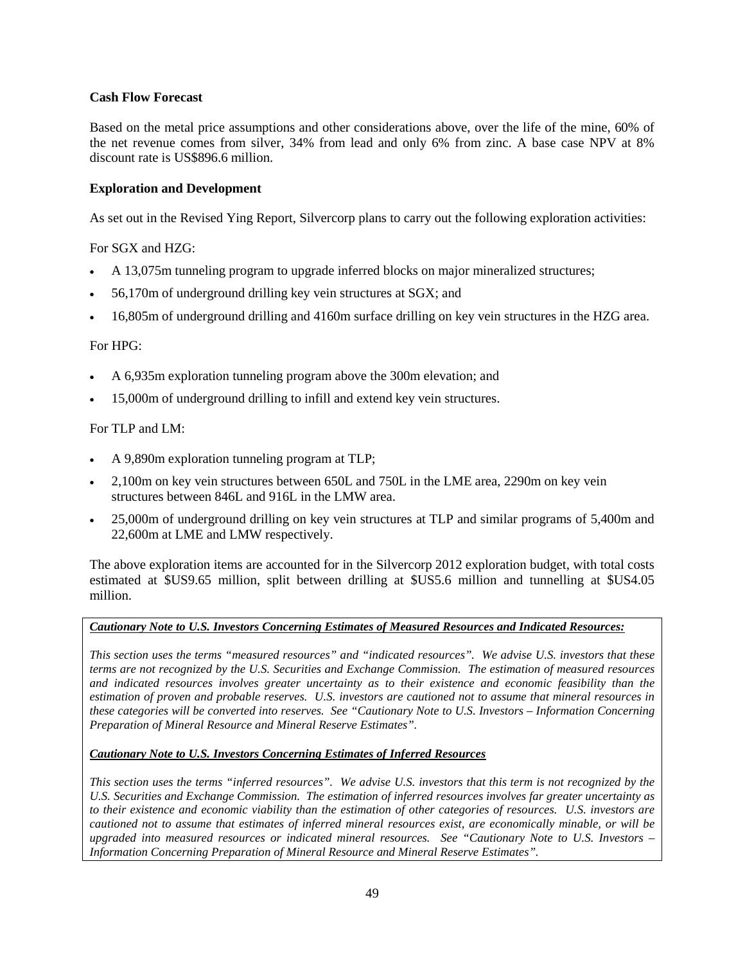# **Cash Flow Forecast**

Based on the metal price assumptions and other considerations above, over the life of the mine, 60% of the net revenue comes from silver, 34% from lead and only 6% from zinc. A base case NPV at 8% discount rate is US\$896.6 million.

## **Exploration and Development**

As set out in the Revised Ying Report, Silvercorp plans to carry out the following exploration activities:

For SGX and HZG:

- A 13,075m tunneling program to upgrade inferred blocks on major mineralized structures;
- 56,170m of underground drilling key vein structures at SGX; and
- 16,805m of underground drilling and 4160m surface drilling on key vein structures in the HZG area.

## For HPG:

- A 6,935m exploration tunneling program above the 300m elevation; and
- 15,000m of underground drilling to infill and extend key vein structures.

## For TLP and LM:

- A 9,890m exploration tunneling program at TLP;
- 2,100m on key vein structures between 650L and 750L in the LME area, 2290m on key vein structures between 846L and 916L in the LMW area.
- 25,000m of underground drilling on key vein structures at TLP and similar programs of 5,400m and 22,600m at LME and LMW respectively.

The above exploration items are accounted for in the Silvercorp 2012 exploration budget, with total costs estimated at \$US9.65 million, split between drilling at \$US5.6 million and tunnelling at \$US4.05 million.

## *Cautionary Note to U.S. Investors Concerning Estimates of Measured Resources and Indicated Resources:*

*This section uses the terms "measured resources" and "indicated resources". We advise U.S. investors that these terms are not recognized by the U.S. Securities and Exchange Commission. The estimation of measured resources and indicated resources involves greater uncertainty as to their existence and economic feasibility than the estimation of proven and probable reserves. U.S. investors are cautioned not to assume that mineral resources in these categories will be converted into reserves. See "Cautionary Note to U.S. Investors – Information Concerning Preparation of Mineral Resource and Mineral Reserve Estimates".*

*Cautionary Note to U.S. Investors Concerning Estimates of Inferred Resources*

*This section uses the terms "inferred resources". We advise U.S. investors that this term is not recognized by the U.S. Securities and Exchange Commission. The estimation of inferred resources involves far greater uncertainty as to their existence and economic viability than the estimation of other categories of resources. U.S. investors are cautioned not to assume that estimates of inferred mineral resources exist, are economically minable, or will be upgraded into measured resources or indicated mineral resources. See "Cautionary Note to U.S. Investors – Information Concerning Preparation of Mineral Resource and Mineral Reserve Estimates".*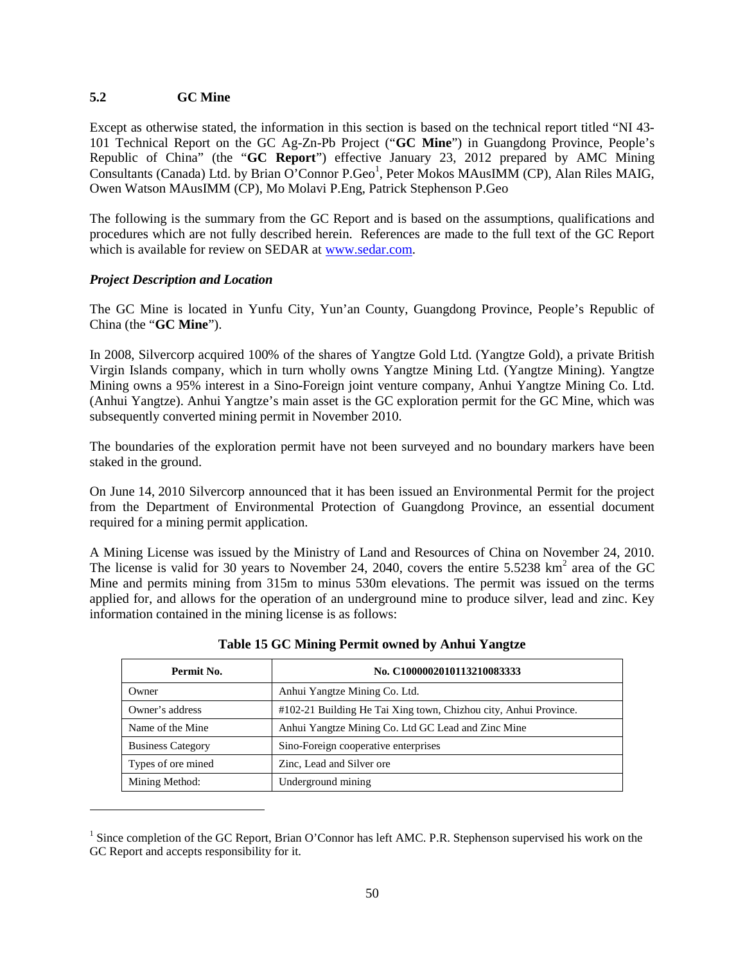## **5.2 GC Mine**

Except as otherwise stated, the information in this section is based on the technical report titled "NI 43- 101 Technical Report on the GC Ag-Zn-Pb Project ("**GC Mine**") in Guangdong Province, People's Republic of China" (the "**GC Report**") effective January 23, 2012 prepared by AMC Mining Consultants (Canada) Ltd. by Brian O'Connor P.Geo<sup>1</sup>, Peter Mokos MAusIMM (CP), Alan Riles MAIG, Owen Watson MAusIMM (CP), Mo Molavi P.Eng, Patrick Stephenson P.Geo

The following is the summary from the GC Report and is based on the assumptions, qualifications and procedures which are not fully described herein. References are made to the full text of the GC Report which is available for review on SEDAR at www.sedar.com.

## *Project Description and Location*

The GC Mine is located in Yunfu City, Yun'an County, Guangdong Province, People's Republic of China (the "**GC Mine**").

In 2008, Silvercorp acquired 100% of the shares of Yangtze Gold Ltd. (Yangtze Gold), a private British Virgin Islands company, which in turn wholly owns Yangtze Mining Ltd. (Yangtze Mining). Yangtze Mining owns a 95% interest in a Sino-Foreign joint venture company, Anhui Yangtze Mining Co. Ltd. (Anhui Yangtze). Anhui Yangtze's main asset is the GC exploration permit for the GC Mine, which was subsequently converted mining permit in November 2010.

The boundaries of the exploration permit have not been surveyed and no boundary markers have been staked in the ground.

On June 14, 2010 Silvercorp announced that it has been issued an Environmental Permit for the project from the Department of Environmental Protection of Guangdong Province, an essential document required for a mining permit application.

A Mining License was issued by the Ministry of Land and Resources of China on November 24, 2010. The license is valid for 30 years to November 24, 2040, covers the entire  $5.5238 \text{ km}^2$  area of the GC Mine and permits mining from 315m to minus 530m elevations. The permit was issued on the terms applied for, and allows for the operation of an underground mine to produce silver, lead and zinc. Key information contained in the mining license is as follows:

| Permit No.               | No. C1000002010113210083333                                      |  |  |  |  |
|--------------------------|------------------------------------------------------------------|--|--|--|--|
| Owner                    | Anhui Yangtze Mining Co. Ltd.                                    |  |  |  |  |
| Owner's address          | #102-21 Building He Tai Xing town, Chizhou city, Anhui Province. |  |  |  |  |
| Name of the Mine         | Anhui Yangtze Mining Co. Ltd GC Lead and Zinc Mine               |  |  |  |  |
| <b>Business Category</b> | Sino-Foreign cooperative enterprises                             |  |  |  |  |
| Types of ore mined       | Zinc, Lead and Silver ore                                        |  |  |  |  |
| Mining Method:           | Underground mining                                               |  |  |  |  |

**Table 15 GC Mining Permit owned by Anhui Yangtze**

<sup>&</sup>lt;sup>1</sup> Since completion of the GC Report, Brian O'Connor has left AMC. P.R. Stephenson supervised his work on the GC Report and accepts responsibility for it.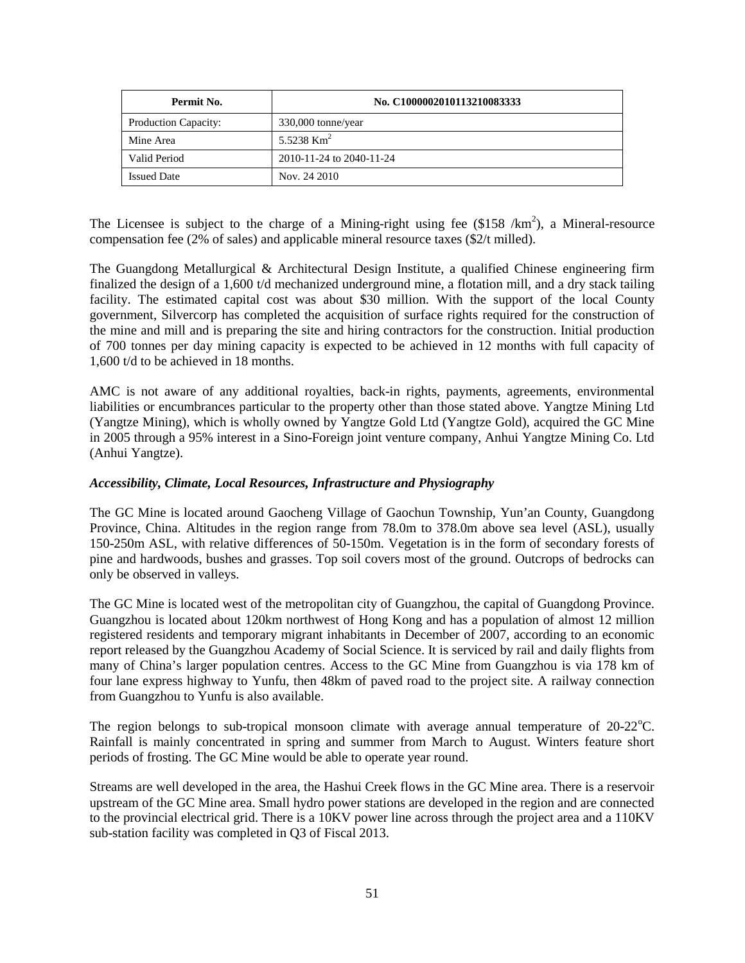| Permit No.           | No. C1000002010113210083333 |  |  |  |  |  |
|----------------------|-----------------------------|--|--|--|--|--|
| Production Capacity: | 330,000 tonne/year          |  |  |  |  |  |
| Mine Area            | 5.5238 Km <sup>2</sup>      |  |  |  |  |  |
| Valid Period         | 2010-11-24 to 2040-11-24    |  |  |  |  |  |
| <b>Issued Date</b>   | Nov. 24 2010                |  |  |  |  |  |

The Licensee is subject to the charge of a Mining-right using fee  $(\$158 / km^2)$ , a Mineral-resource compensation fee (2% of sales) and applicable mineral resource taxes (\$2/t milled).

The Guangdong Metallurgical & Architectural Design Institute, a qualified Chinese engineering firm finalized the design of a 1,600 t/d mechanized underground mine, a flotation mill, and a dry stack tailing facility. The estimated capital cost was about \$30 million. With the support of the local County government, Silvercorp has completed the acquisition of surface rights required for the construction of the mine and mill and is preparing the site and hiring contractors for the construction. Initial production of 700 tonnes per day mining capacity is expected to be achieved in 12 months with full capacity of 1,600 t/d to be achieved in 18 months.

AMC is not aware of any additional royalties, back-in rights, payments, agreements, environmental liabilities or encumbrances particular to the property other than those stated above. Yangtze Mining Ltd (Yangtze Mining), which is wholly owned by Yangtze Gold Ltd (Yangtze Gold), acquired the GC Mine in 2005 through a 95% interest in a Sino-Foreign joint venture company, Anhui Yangtze Mining Co. Ltd (Anhui Yangtze).

## *Accessibility, Climate, Local Resources, Infrastructure and Physiography*

The GC Mine is located around Gaocheng Village of Gaochun Township, Yun'an County, Guangdong Province, China. Altitudes in the region range from 78.0m to 378.0m above sea level (ASL), usually 150-250m ASL, with relative differences of 50-150m. Vegetation is in the form of secondary forests of pine and hardwoods, bushes and grasses. Top soil covers most of the ground. Outcrops of bedrocks can only be observed in valleys.

The GC Mine is located west of the metropolitan city of Guangzhou, the capital of Guangdong Province. Guangzhou is located about 120km northwest of Hong Kong and has a population of almost 12 million registered residents and temporary migrant inhabitants in December of 2007, according to an economic report released by the Guangzhou Academy of Social Science. It is serviced by rail and daily flights from many of China's larger population centres. Access to the GC Mine from Guangzhou is via 178 km of four lane express highway to Yunfu, then 48km of paved road to the project site. A railway connection from Guangzhou to Yunfu is also available.

The region belongs to sub-tropical monsoon climate with average annual temperature of  $20-22^{\circ}C$ . Rainfall is mainly concentrated in spring and summer from March to August. Winters feature short periods of frosting. The GC Mine would be able to operate year round.

Streams are well developed in the area, the Hashui Creek flows in the GC Mine area. There is a reservoir upstream of the GC Mine area. Small hydro power stations are developed in the region and are connected to the provincial electrical grid. There is a 10KV power line across through the project area and a 110KV sub-station facility was completed in Q3 of Fiscal 2013.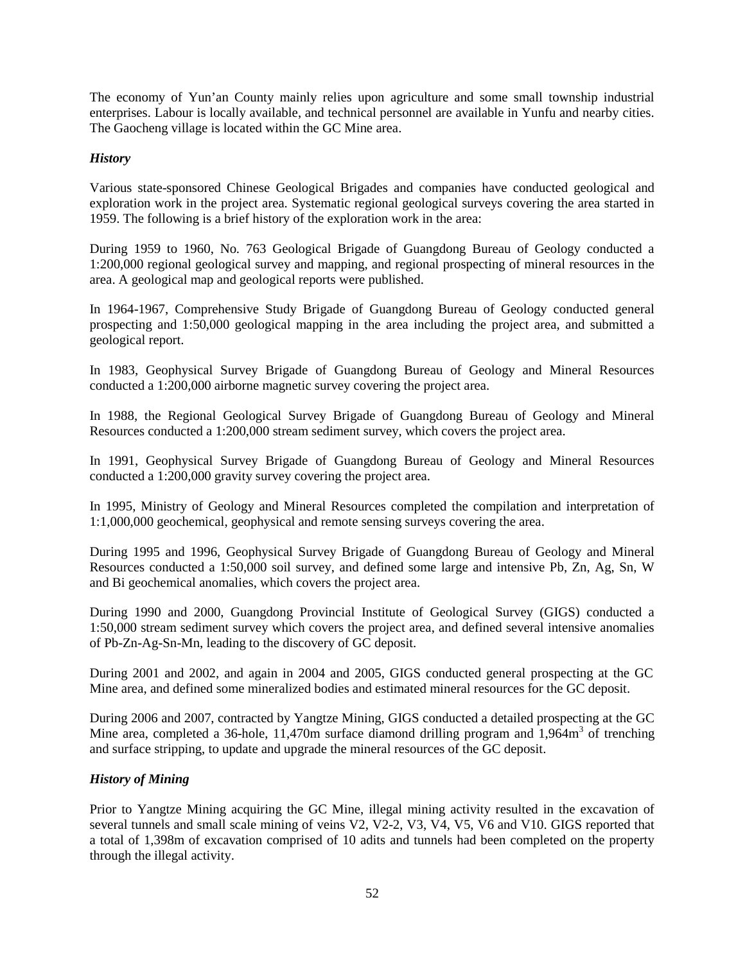The economy of Yun'an County mainly relies upon agriculture and some small township industrial enterprises. Labour is locally available, and technical personnel are available in Yunfu and nearby cities. The Gaocheng village is located within the GC Mine area.

## *History*

Various state-sponsored Chinese Geological Brigades and companies have conducted geological and exploration work in the project area. Systematic regional geological surveys covering the area started in 1959. The following is a brief history of the exploration work in the area:

During 1959 to 1960, No. 763 Geological Brigade of Guangdong Bureau of Geology conducted a 1:200,000 regional geological survey and mapping, and regional prospecting of mineral resources in the area. A geological map and geological reports were published.

In 1964-1967, Comprehensive Study Brigade of Guangdong Bureau of Geology conducted general prospecting and 1:50,000 geological mapping in the area including the project area, and submitted a geological report.

In 1983, Geophysical Survey Brigade of Guangdong Bureau of Geology and Mineral Resources conducted a 1:200,000 airborne magnetic survey covering the project area.

In 1988, the Regional Geological Survey Brigade of Guangdong Bureau of Geology and Mineral Resources conducted a 1:200,000 stream sediment survey, which covers the project area.

In 1991, Geophysical Survey Brigade of Guangdong Bureau of Geology and Mineral Resources conducted a 1:200,000 gravity survey covering the project area.

In 1995, Ministry of Geology and Mineral Resources completed the compilation and interpretation of 1:1,000,000 geochemical, geophysical and remote sensing surveys covering the area.

During 1995 and 1996, Geophysical Survey Brigade of Guangdong Bureau of Geology and Mineral Resources conducted a 1:50,000 soil survey, and defined some large and intensive Pb, Zn, Ag, Sn, W and Bi geochemical anomalies, which covers the project area.

During 1990 and 2000, Guangdong Provincial Institute of Geological Survey (GIGS) conducted a 1:50,000 stream sediment survey which covers the project area, and defined several intensive anomalies of Pb-Zn-Ag-Sn-Mn, leading to the discovery of GC deposit.

During 2001 and 2002, and again in 2004 and 2005, GIGS conducted general prospecting at the GC Mine area, and defined some mineralized bodies and estimated mineral resources for the GC deposit.

During 2006 and 2007, contracted by Yangtze Mining, GIGS conducted a detailed prospecting at the GC Mine area, completed a 36-hole, 11,470m surface diamond drilling program and 1,964m<sup>3</sup> of trenching and surface stripping, to update and upgrade the mineral resources of the GC deposit.

## *History of Mining*

Prior to Yangtze Mining acquiring the GC Mine, illegal mining activity resulted in the excavation of several tunnels and small scale mining of veins V2, V2-2, V3, V4, V5, V6 and V10. GIGS reported that a total of 1,398m of excavation comprised of 10 adits and tunnels had been completed on the property through the illegal activity.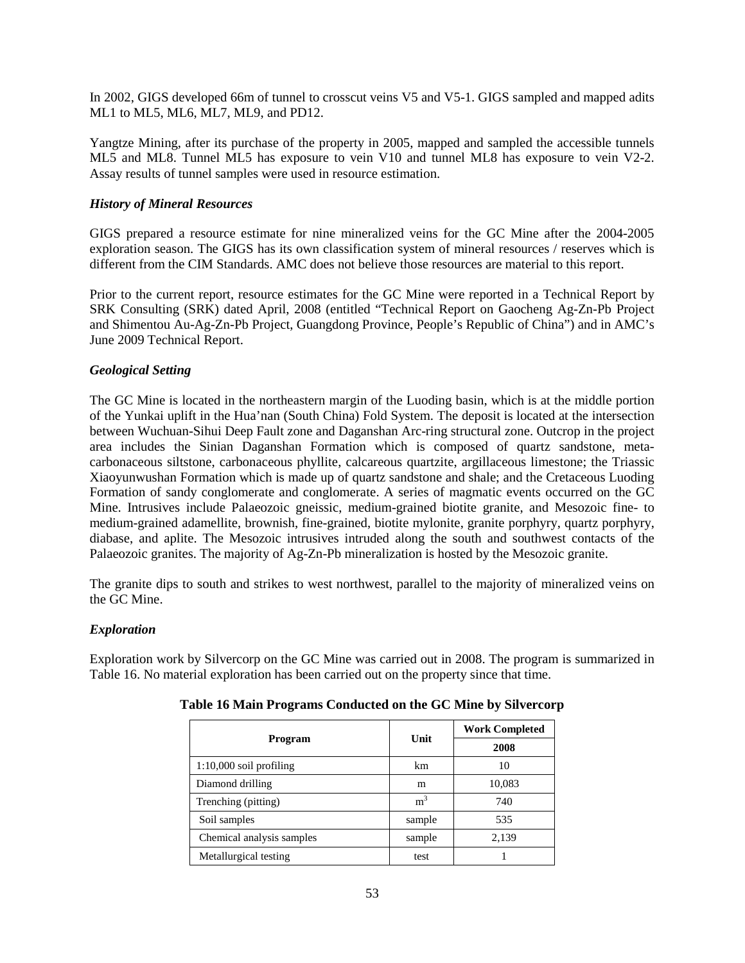In 2002, GIGS developed 66m of tunnel to crosscut veins V5 and V5-1. GIGS sampled and mapped adits ML1 to ML5, ML6, ML7, ML9, and PD12.

Yangtze Mining, after its purchase of the property in 2005, mapped and sampled the accessible tunnels ML5 and ML8. Tunnel ML5 has exposure to vein V10 and tunnel ML8 has exposure to vein V2-2. Assay results of tunnel samples were used in resource estimation.

#### *History of Mineral Resources*

GIGS prepared a resource estimate for nine mineralized veins for the GC Mine after the 2004-2005 exploration season. The GIGS has its own classification system of mineral resources / reserves which is different from the CIM Standards. AMC does not believe those resources are material to this report.

Prior to the current report, resource estimates for the GC Mine were reported in a Technical Report by SRK Consulting (SRK) dated April, 2008 (entitled "Technical Report on Gaocheng Ag-Zn-Pb Project and Shimentou Au-Ag-Zn-Pb Project, Guangdong Province, People's Republic of China") and in AMC's June 2009 Technical Report.

### *Geological Setting*

The GC Mine is located in the northeastern margin of the Luoding basin, which is at the middle portion of the Yunkai uplift in the Hua'nan (South China) Fold System. The deposit is located at the intersection between Wuchuan-Sihui Deep Fault zone and Daganshan Arc-ring structural zone. Outcrop in the project area includes the Sinian Daganshan Formation which is composed of quartz sandstone, metacarbonaceous siltstone, carbonaceous phyllite, calcareous quartzite, argillaceous limestone; the Triassic Xiaoyunwushan Formation which is made up of quartz sandstone and shale; and the Cretaceous Luoding Formation of sandy conglomerate and conglomerate. A series of magmatic events occurred on the GC Mine. Intrusives include Palaeozoic gneissic, medium-grained biotite granite, and Mesozoic fine- to medium-grained adamellite, brownish, fine-grained, biotite mylonite, granite porphyry, quartz porphyry, diabase, and aplite. The Mesozoic intrusives intruded along the south and southwest contacts of the Palaeozoic granites. The majority of Ag-Zn-Pb mineralization is hosted by the Mesozoic granite.

The granite dips to south and strikes to west northwest, parallel to the majority of mineralized veins on the GC Mine.

#### *Exploration*

Exploration work by Silvercorp on the GC Mine was carried out in 2008. The program is summarized in Table 16. No material exploration has been carried out on the property since that time.

|                           |                | <b>Work Completed</b> |
|---------------------------|----------------|-----------------------|
| <b>Program</b>            | Unit           | 2008                  |
| 1:10,000 soil profiling   | km.            | 10                    |
| Diamond drilling          | m              | 10,083                |
| Trenching (pitting)       | m <sup>3</sup> | 740                   |
| Soil samples              | sample         | 535                   |
| Chemical analysis samples | sample         | 2,139                 |
| Metallurgical testing     | test           |                       |

**Table 16 Main Programs Conducted on the GC Mine by Silvercorp**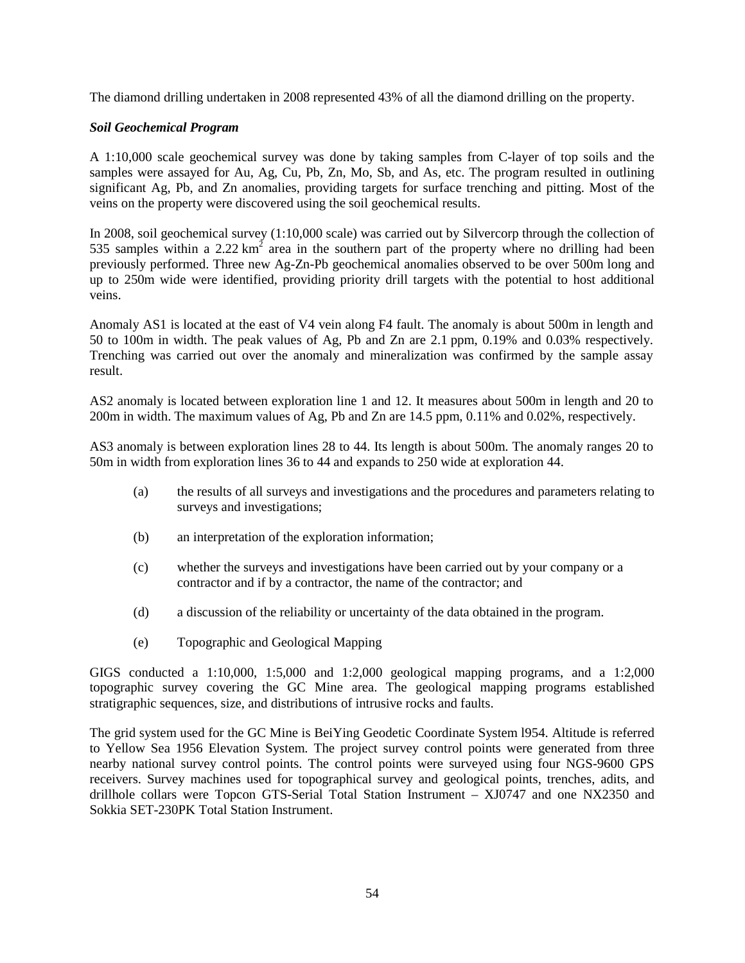The diamond drilling undertaken in 2008 represented 43% of all the diamond drilling on the property.

## *Soil Geochemical Program*

A 1:10,000 scale geochemical survey was done by taking samples from C-layer of top soils and the samples were assayed for Au, Ag, Cu, Pb, Zn, Mo, Sb, and As, etc. The program resulted in outlining significant Ag, Pb, and Zn anomalies, providing targets for surface trenching and pitting. Most of the veins on the property were discovered using the soil geochemical results.

In 2008, soil geochemical survey (1:10,000 scale) was carried out by Silvercorp through the collection of 535 samples within a 2.22  $km^2$  area in the southern part of the property where no drilling had been previously performed. Three new Ag-Zn-Pb geochemical anomalies observed to be over 500m long and up to 250m wide were identified, providing priority drill targets with the potential to host additional veins.

Anomaly AS1 is located at the east of V4 vein along F4 fault. The anomaly is about 500m in length and 50 to 100m in width. The peak values of Ag, Pb and Zn are 2.1 ppm, 0.19% and 0.03% respectively. Trenching was carried out over the anomaly and mineralization was confirmed by the sample assay result.

AS2 anomaly is located between exploration line 1 and 12. It measures about 500m in length and 20 to 200m in width. The maximum values of Ag, Pb and Zn are 14.5 ppm, 0.11% and 0.02%, respectively.

AS3 anomaly is between exploration lines 28 to 44. Its length is about 500m. The anomaly ranges 20 to 50m in width from exploration lines 36 to 44 and expands to 250 wide at exploration 44.

- (a) the results of all surveys and investigations and the procedures and parameters relating to surveys and investigations;
- (b) an interpretation of the exploration information;
- (c) whether the surveys and investigations have been carried out by your company or a contractor and if by a contractor, the name of the contractor; and
- (d) a discussion of the reliability or uncertainty of the data obtained in the program.
- (e) Topographic and Geological Mapping

GIGS conducted a  $1:10,000$ ,  $1:5,000$  and  $1:2,000$  geological mapping programs, and a  $1:2,000$ topographic survey covering the GC Mine area. The geological mapping programs established stratigraphic sequences, size, and distributions of intrusive rocks and faults.

The grid system used for the GC Mine is BeiYing Geodetic Coordinate System l954. Altitude is referred to Yellow Sea 1956 Elevation System. The project survey control points were generated from three nearby national survey control points. The control points were surveyed using four NGS-9600 GPS receivers. Survey machines used for topographical survey and geological points, trenches, adits, and drillhole collars were Topcon GTS-Serial Total Station Instrument – XJ0747 and one NX2350 and Sokkia SET-230PK Total Station Instrument.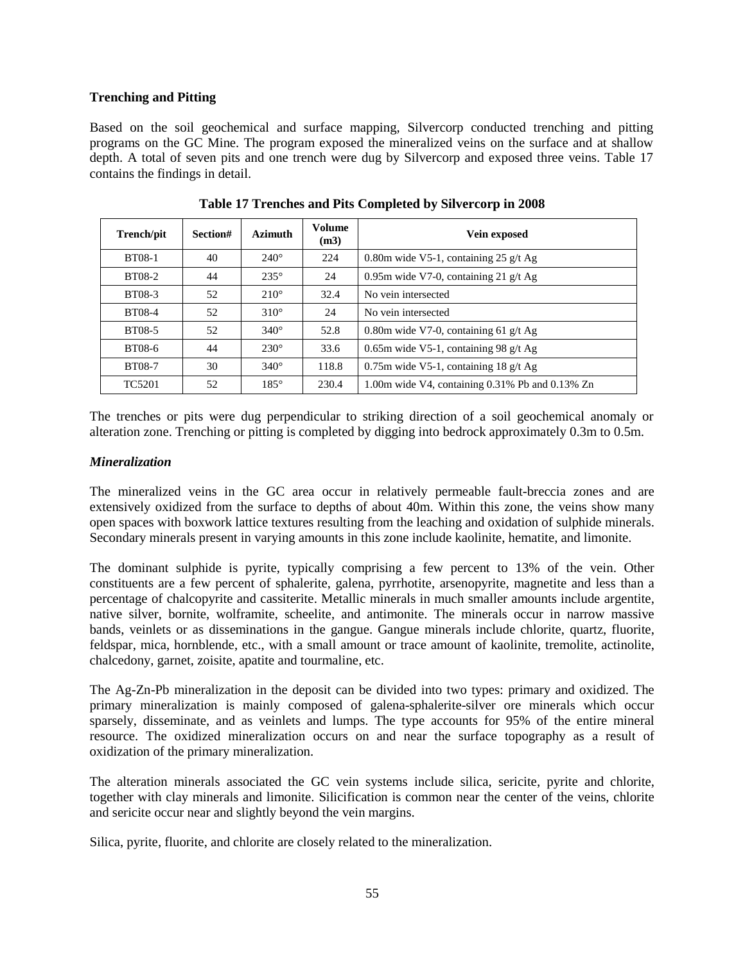## **Trenching and Pitting**

Based on the soil geochemical and surface mapping, Silvercorp conducted trenching and pitting programs on the GC Mine. The program exposed the mineralized veins on the surface and at shallow depth. A total of seven pits and one trench were dug by Silvercorp and exposed three veins. Table 17 contains the findings in detail.

| Trench/pit    | Section# | <b>Azimuth</b> | Volume<br>(m3) | Vein exposed                                    |
|---------------|----------|----------------|----------------|-------------------------------------------------|
| <b>BT08-1</b> | 40       | $240^\circ$    | 224            | 0.80m wide V5-1, containing 25 $g/t$ Ag         |
| <b>BT08-2</b> | 44       | $235^\circ$    | 24             | 0.95m wide V7-0, containing 21 $g/t$ Ag         |
| <b>BT08-3</b> | 52       | $210^\circ$    | 32.4           | No vein intersected                             |
| <b>BT08-4</b> | 52       | $310^\circ$    | 24             | No vein intersected                             |
| <b>BT08-5</b> | 52       | $340^\circ$    | 52.8           | 0.80m wide V7-0, containing 61 $g/t$ Ag         |
| <b>BT08-6</b> | 44       | $230^\circ$    | 33.6           | 0.65m wide V5-1, containing 98 $g/t$ Ag         |
| <b>BT08-7</b> | 30       | $340^\circ$    | 118.8          | 0.75m wide V5-1, containing 18 $g/t$ Ag         |
| <b>TC5201</b> | 52       | $185^\circ$    | 230.4          | 1.00m wide V4, containing 0.31% Pb and 0.13% Zn |

**Table 17 Trenches and Pits Completed by Silvercorp in 2008**

The trenches or pits were dug perpendicular to striking direction of a soil geochemical anomaly or alteration zone. Trenching or pitting is completed by digging into bedrock approximately 0.3m to 0.5m.

## *Mineralization*

The mineralized veins in the GC area occur in relatively permeable fault-breccia zones and are extensively oxidized from the surface to depths of about 40m. Within this zone, the veins show many open spaces with boxwork lattice textures resulting from the leaching and oxidation of sulphide minerals. Secondary minerals present in varying amounts in this zone include kaolinite, hematite, and limonite.

The dominant sulphide is pyrite, typically comprising a few percent to 13% of the vein. Other constituents are a few percent of sphalerite, galena, pyrrhotite, arsenopyrite, magnetite and less than a percentage of chalcopyrite and cassiterite. Metallic minerals in much smaller amounts include argentite, native silver, bornite, wolframite, scheelite, and antimonite. The minerals occur in narrow massive bands, veinlets or as disseminations in the gangue. Gangue minerals include chlorite, quartz, fluorite, feldspar, mica, hornblende, etc., with a small amount or trace amount of kaolinite, tremolite, actinolite, chalcedony, garnet, zoisite, apatite and tourmaline, etc.

The Ag-Zn-Pb mineralization in the deposit can be divided into two types: primary and oxidized. The primary mineralization is mainly composed of galena-sphalerite-silver ore minerals which occur sparsely, disseminate, and as veinlets and lumps. The type accounts for 95% of the entire mineral resource. The oxidized mineralization occurs on and near the surface topography as a result of oxidization of the primary mineralization.

The alteration minerals associated the GC vein systems include silica, sericite, pyrite and chlorite, together with clay minerals and limonite. Silicification is common near the center of the veins, chlorite and sericite occur near and slightly beyond the vein margins.

Silica, pyrite, fluorite, and chlorite are closely related to the mineralization.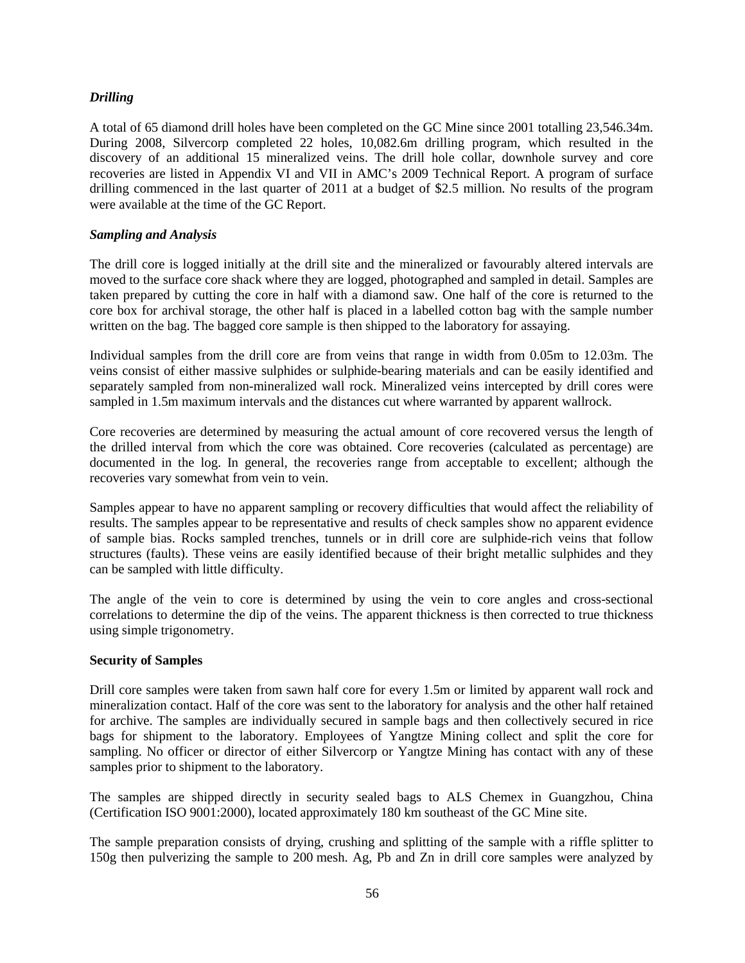## *Drilling*

A total of 65 diamond drill holes have been completed on the GC Mine since 2001 totalling 23,546.34m. During 2008, Silvercorp completed 22 holes, 10,082.6m drilling program, which resulted in the discovery of an additional 15 mineralized veins. The drill hole collar, downhole survey and core recoveries are listed in Appendix VI and VII in AMC's 2009 Technical Report. A program of surface drilling commenced in the last quarter of 2011 at a budget of \$2.5 million. No results of the program were available at the time of the GC Report.

## *Sampling and Analysis*

The drill core is logged initially at the drill site and the mineralized or favourably altered intervals are moved to the surface core shack where they are logged, photographed and sampled in detail. Samples are taken prepared by cutting the core in half with a diamond saw. One half of the core is returned to the core box for archival storage, the other half is placed in a labelled cotton bag with the sample number written on the bag. The bagged core sample is then shipped to the laboratory for assaying.

Individual samples from the drill core are from veins that range in width from 0.05m to 12.03m. The veins consist of either massive sulphides or sulphide-bearing materials and can be easily identified and separately sampled from non-mineralized wall rock. Mineralized veins intercepted by drill cores were sampled in 1.5m maximum intervals and the distances cut where warranted by apparent wallrock.

Core recoveries are determined by measuring the actual amount of core recovered versus the length of the drilled interval from which the core was obtained. Core recoveries (calculated as percentage) are documented in the log. In general, the recoveries range from acceptable to excellent; although the recoveries vary somewhat from vein to vein.

Samples appear to have no apparent sampling or recovery difficulties that would affect the reliability of results. The samples appear to be representative and results of check samples show no apparent evidence of sample bias. Rocks sampled trenches, tunnels or in drill core are sulphide-rich veins that follow structures (faults). These veins are easily identified because of their bright metallic sulphides and they can be sampled with little difficulty.

The angle of the vein to core is determined by using the vein to core angles and cross-sectional correlations to determine the dip of the veins. The apparent thickness is then corrected to true thickness using simple trigonometry.

## **Security of Samples**

Drill core samples were taken from sawn half core for every 1.5m or limited by apparent wall rock and mineralization contact. Half of the core was sent to the laboratory for analysis and the other half retained for archive. The samples are individually secured in sample bags and then collectively secured in rice bags for shipment to the laboratory. Employees of Yangtze Mining collect and split the core for sampling. No officer or director of either Silvercorp or Yangtze Mining has contact with any of these samples prior to shipment to the laboratory.

The samples are shipped directly in security sealed bags to ALS Chemex in Guangzhou, China (Certification ISO 9001:2000), located approximately 180 km southeast of the GC Mine site.

The sample preparation consists of drying, crushing and splitting of the sample with a riffle splitter to 150g then pulverizing the sample to 200 mesh. Ag, Pb and Zn in drill core samples were analyzed by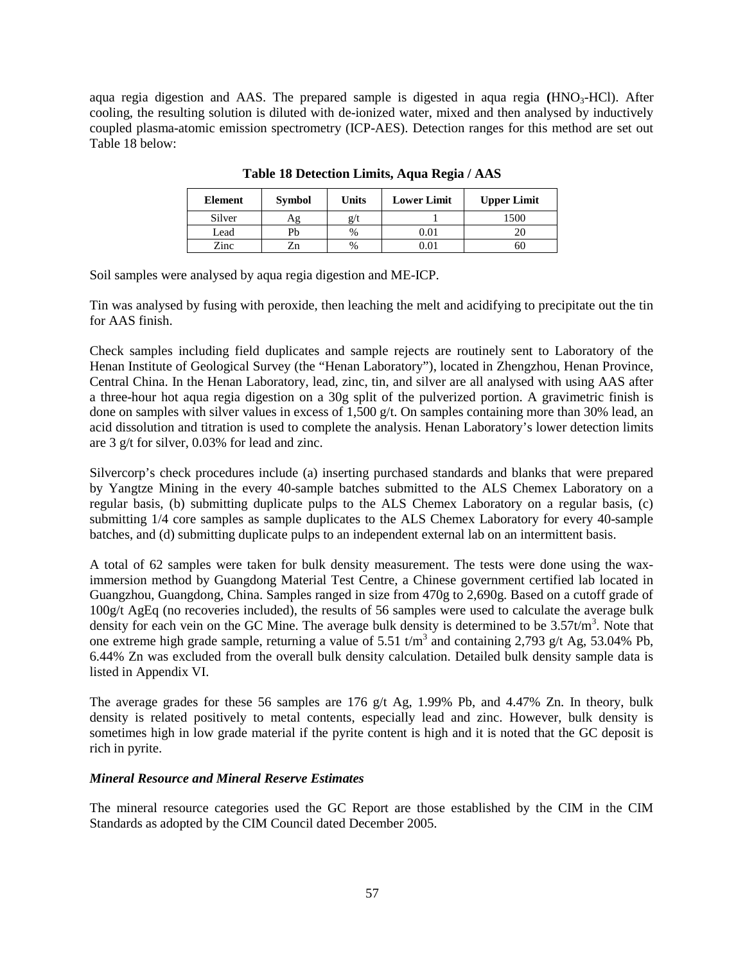aqua regia digestion and AAS. The prepared sample is digested in aqua regia **(**HNO3-HCl). After cooling, the resulting solution is diluted with de-ionized water, mixed and then analysed by inductively coupled plasma-atomic emission spectrometry (ICP-AES). Detection ranges for this method are set out Table 18 below:

| <b>Element</b> | <b>Symbol</b> | <b>Units</b>            | <b>Lower Limit</b> | <b>Upper Limit</b> |
|----------------|---------------|-------------------------|--------------------|--------------------|
| Silver         | Аg            | $\mathbf{g}/\mathbf{t}$ |                    | 1500               |
| Lead           | Pb            | %                       | 0.01               |                    |
| Zinc           | ∠n            | %                       | 0.0                | οU                 |

**Table 18 Detection Limits, Aqua Regia / AAS**

Soil samples were analysed by aqua regia digestion and ME-ICP.

Tin was analysed by fusing with peroxide, then leaching the melt and acidifying to precipitate out the tin for AAS finish.

Check samples including field duplicates and sample rejects are routinely sent to Laboratory of the Henan Institute of Geological Survey (the "Henan Laboratory"), located in Zhengzhou, Henan Province, Central China. In the Henan Laboratory, lead, zinc, tin, and silver are all analysed with using AAS after a three-hour hot aqua regia digestion on a 30g split of the pulverized portion. A gravimetric finish is done on samples with silver values in excess of 1,500 g/t. On samples containing more than 30% lead, an acid dissolution and titration is used to complete the analysis. Henan Laboratory's lower detection limits are 3 g/t for silver, 0.03% for lead and zinc.

Silvercorp's check procedures include (a) inserting purchased standards and blanks that were prepared by Yangtze Mining in the every 40-sample batches submitted to the ALS Chemex Laboratory on a regular basis, (b) submitting duplicate pulps to the ALS Chemex Laboratory on a regular basis, (c) submitting  $1/4$  core samples as sample duplicates to the ALS Chemex Laboratory for every 40-sample batches, and (d) submitting duplicate pulps to an independent external lab on an intermittent basis.

A total of 62 samples were taken for bulk density measurement. The tests were done using the waximmersion method by Guangdong Material Test Centre, a Chinese government certified lab located in Guangzhou, Guangdong, China. Samples ranged in size from 470g to 2,690g. Based on a cutoff grade of 100g/t AgEq (no recoveries included), the results of 56 samples were used to calculate the average bulk density for each vein on the GC Mine. The average bulk density is determined to be  $3.57t/m<sup>3</sup>$ . Note that one extreme high grade sample, returning a value of 5.51  $t/m<sup>3</sup>$  and containing 2,793 g/t Ag, 53.04% Pb, 6.44% Zn was excluded from the overall bulk density calculation. Detailed bulk density sample data is listed in Appendix VI.

The average grades for these 56 samples are 176 g/t Ag, 1.99% Pb, and 4.47% Zn. In theory, bulk density is related positively to metal contents, especially lead and zinc. However, bulk density is sometimes high in low grade material if the pyrite content is high and it is noted that the GC deposit is rich in pyrite.

## *Mineral Resource and Mineral Reserve Estimates*

The mineral resource categories used the GC Report are those established by the CIM in the CIM Standards as adopted by the CIM Council dated December 2005.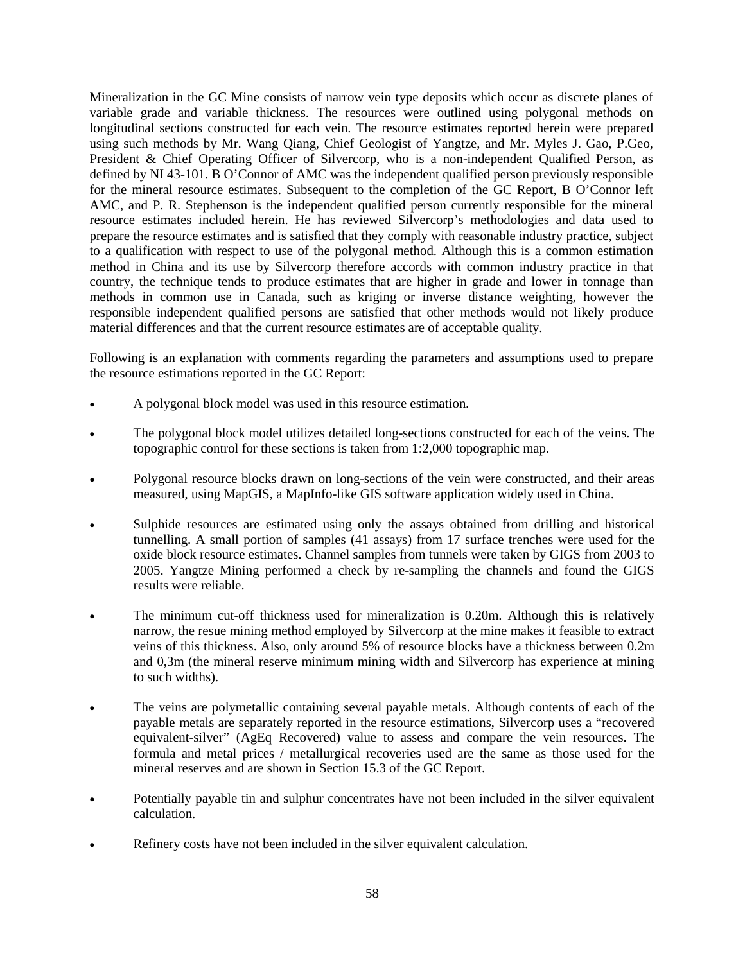Mineralization in the GC Mine consists of narrow vein type deposits which occur as discrete planes of variable grade and variable thickness. The resources were outlined using polygonal methods on longitudinal sections constructed for each vein. The resource estimates reported herein were prepared using such methods by Mr. Wang Qiang, Chief Geologist of Yangtze, and Mr. Myles J. Gao, P.Geo, President & Chief Operating Officer of Silvercorp, who is a non-independent Qualified Person, as defined by NI 43-101. B O'Connor of AMC was the independent qualified person previously responsible for the mineral resource estimates. Subsequent to the completion of the GC Report, B O'Connor left AMC, and P. R. Stephenson is the independent qualified person currently responsible for the mineral resource estimates included herein. He has reviewed Silvercorp's methodologies and data used to prepare the resource estimates and is satisfied that they comply with reasonable industry practice, subject to a qualification with respect to use of the polygonal method. Although this is a common estimation method in China and its use by Silvercorp therefore accords with common industry practice in that country, the technique tends to produce estimates that are higher in grade and lower in tonnage than methods in common use in Canada, such as kriging or inverse distance weighting, however the responsible independent qualified persons are satisfied that other methods would not likely produce material differences and that the current resource estimates are of acceptable quality.

Following is an explanation with comments regarding the parameters and assumptions used to prepare the resource estimations reported in the GC Report:

- A polygonal block model was used in this resource estimation.
- The polygonal block model utilizes detailed long-sections constructed for each of the veins. The topographic control for these sections is taken from 1:2,000 topographic map.
- Polygonal resource blocks drawn on long-sections of the vein were constructed, and their areas measured, using MapGIS, a MapInfo-like GIS software application widely used in China.
- Sulphide resources are estimated using only the assays obtained from drilling and historical tunnelling. A small portion of samples (41 assays) from 17 surface trenches were used for the oxide block resource estimates. Channel samples from tunnels were taken by GIGS from 2003 to 2005. Yangtze Mining performed a check by re-sampling the channels and found the GIGS results were reliable.
- The minimum cut-off thickness used for mineralization is 0.20m. Although this is relatively narrow, the resue mining method employed by Silvercorp at the mine makes it feasible to extract veins of this thickness. Also, only around 5% of resource blocks have a thickness between 0.2m and 0,3m (the mineral reserve minimum mining width and Silvercorp has experience at mining to such widths).
- The veins are polymetallic containing several payable metals. Although contents of each of the payable metals are separately reported in the resource estimations, Silvercorp uses a "recovered equivalent-silver" (AgEq Recovered) value to assess and compare the vein resources. The formula and metal prices / metallurgical recoveries used are the same as those used for the mineral reserves and are shown in Section 15.3 of the GC Report.
- Potentially payable tin and sulphur concentrates have not been included in the silver equivalent calculation.
- Refinery costs have not been included in the silver equivalent calculation.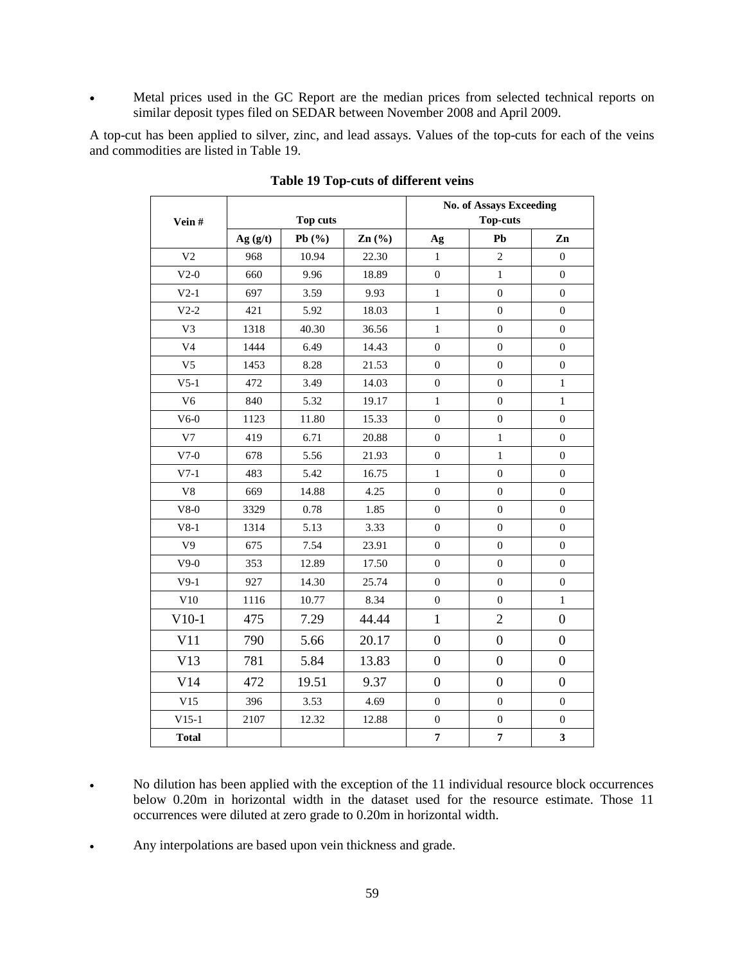Metal prices used in the GC Report are the median prices from selected technical reports on similar deposit types filed on SEDAR between November 2008 and April 2009.

A top-cut has been applied to silver, zinc, and lead assays. Values of the top-cuts for each of the veins and commodities are listed in Table 19.

|                |         |           |       |                  | <b>No. of Assays Exceeding</b> |                  |
|----------------|---------|-----------|-------|------------------|--------------------------------|------------------|
| Vein#          |         | Top cuts  |       |                  | <b>Top-cuts</b>                |                  |
|                | Ag(g/t) | Pb $(\%)$ | Zn(%) | Ag               | Pb                             | Zn               |
| V <sub>2</sub> | 968     | 10.94     | 22.30 | $\,1$            | $\overline{2}$                 | $\mathbf{0}$     |
| $V2-0$         | 660     | 9.96      | 18.89 | $\boldsymbol{0}$ | $\,1$                          | $\overline{0}$   |
| $V2-1$         | 697     | 3.59      | 9.93  | $\,1$            | $\boldsymbol{0}$               | $\boldsymbol{0}$ |
| $V2-2$         | 421     | 5.92      | 18.03 | $\mathbf{1}$     | $\overline{0}$                 | $\Omega$         |
| V <sub>3</sub> | 1318    | 40.30     | 36.56 | $\mathbf{1}$     | $\mathbf{0}$                   | $\overline{0}$   |
| V <sub>4</sub> | 1444    | 6.49      | 14.43 | $\boldsymbol{0}$ | $\boldsymbol{0}$               | $\overline{0}$   |
| V <sub>5</sub> | 1453    | 8.28      | 21.53 | $\boldsymbol{0}$ | $\boldsymbol{0}$               | $\boldsymbol{0}$ |
| $V5-1$         | 472     | 3.49      | 14.03 | $\boldsymbol{0}$ | $\boldsymbol{0}$               | $\,1$            |
| V <sub>6</sub> | 840     | 5.32      | 19.17 | $\mathbf{1}$     | $\boldsymbol{0}$               | $\mathbf{1}$     |
| $V6-0$         | 1123    | 11.80     | 15.33 | $\boldsymbol{0}$ | $\boldsymbol{0}$               | $\boldsymbol{0}$ |
| V <sub>7</sub> | 419     | 6.71      | 20.88 | $\boldsymbol{0}$ | $\,1$                          | $\boldsymbol{0}$ |
| $V7-0$         | 678     | 5.56      | 21.93 | $\boldsymbol{0}$ | $\,1$                          | $\boldsymbol{0}$ |
| $V7-1$         | 483     | 5.42      | 16.75 | $\mathbf{1}$     | $\boldsymbol{0}$               | $\boldsymbol{0}$ |
| V8             | 669     | 14.88     | 4.25  | $\boldsymbol{0}$ | $\boldsymbol{0}$               | $\boldsymbol{0}$ |
| $V8-0$         | 3329    | 0.78      | 1.85  | $\boldsymbol{0}$ | $\boldsymbol{0}$               | $\boldsymbol{0}$ |
| $V8-1$         | 1314    | 5.13      | 3.33  | $\overline{0}$   | $\overline{0}$                 | $\boldsymbol{0}$ |
| V9             | 675     | 7.54      | 23.91 | $\overline{0}$   | $\overline{0}$                 | $\mathbf{0}$     |
| $V9-0$         | 353     | 12.89     | 17.50 | $\boldsymbol{0}$ | $\boldsymbol{0}$               | $\boldsymbol{0}$ |
| $V9-1$         | 927     | 14.30     | 25.74 | $\boldsymbol{0}$ | $\boldsymbol{0}$               | $\boldsymbol{0}$ |
| V10            | 1116    | 10.77     | 8.34  | $\boldsymbol{0}$ | $\boldsymbol{0}$               | $\,1$            |
| $V10-1$        | 475     | 7.29      | 44.44 | $\mathbf{1}$     | $\overline{2}$                 | $\boldsymbol{0}$ |
| V11            | 790     | 5.66      | 20.17 | $\boldsymbol{0}$ | $\boldsymbol{0}$               | $\boldsymbol{0}$ |
| V13            | 781     | 5.84      | 13.83 | $\boldsymbol{0}$ | $\overline{0}$                 | $\overline{0}$   |
| V14            | 472     | 19.51     | 9.37  | $\boldsymbol{0}$ | $\boldsymbol{0}$               | $\boldsymbol{0}$ |
| V15            | 396     | 3.53      | 4.69  | $\boldsymbol{0}$ | $\boldsymbol{0}$               | $\boldsymbol{0}$ |
| $V15-1$        | 2107    | 12.32     | 12.88 | $\boldsymbol{0}$ | $\boldsymbol{0}$               | $\boldsymbol{0}$ |
| <b>Total</b>   |         |           |       | $\overline{7}$   | $\overline{7}$                 | $\mathbf{3}$     |

**Table 19 Top-cuts of different veins**

- No dilution has been applied with the exception of the 11 individual resource block occurrences below 0.20m in horizontal width in the dataset used for the resource estimate. Those 11 occurrences were diluted at zero grade to 0.20m in horizontal width.
- Any interpolations are based upon vein thickness and grade.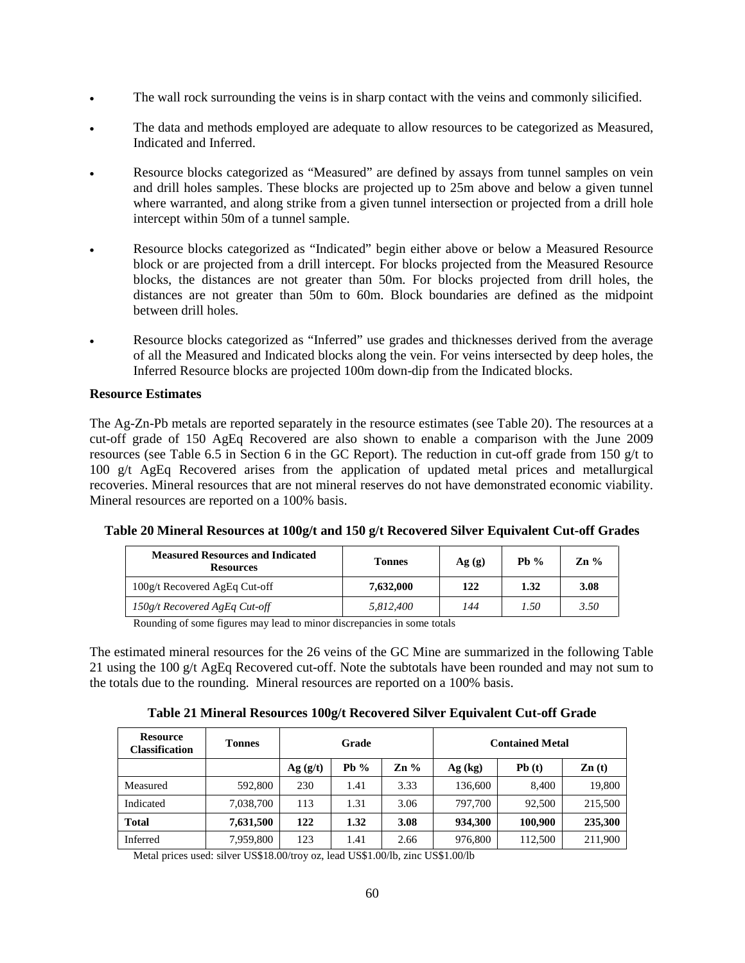- The wall rock surrounding the veins is in sharp contact with the veins and commonly silicified.
- The data and methods employed are adequate to allow resources to be categorized as Measured, Indicated and Inferred.
- Resource blocks categorized as "Measured" are defined by assays from tunnel samples on vein and drill holes samples. These blocks are projected up to 25m above and below a given tunnel where warranted, and along strike from a given tunnel intersection or projected from a drill hole intercept within 50m of a tunnel sample.
- Resource blocks categorized as "Indicated" begin either above or below a Measured Resource block or are projected from a drill intercept. For blocks projected from the Measured Resource blocks, the distances are not greater than 50m. For blocks projected from drill holes, the distances are not greater than 50m to 60m. Block boundaries are defined as the midpoint between drill holes.
- Resource blocks categorized as "Inferred" use grades and thicknesses derived from the average of all the Measured and Indicated blocks along the vein. For veins intersected by deep holes, the Inferred Resource blocks are projected 100m down-dip from the Indicated blocks.

## **Resource Estimates**

The Ag-Zn-Pb metals are reported separately in the resource estimates (see Table 20). The resources at a cut-off grade of 150 AgEq Recovered are also shown to enable a comparison with the June 2009 resources (see Table 6.5 in Section 6 in the GC Report). The reduction in cut-off grade from 150 g/t to 100 g/t AgEq Recovered arises from the application of updated metal prices and metallurgical recoveries. Mineral resources that are not mineral reserves do not have demonstrated economic viability. Mineral resources are reported on a 100% basis.

|  | Table 20 Mineral Resources at 100g/t and 150 g/t Recovered Silver Equivalent Cut-off Grades |  |  |  |  |
|--|---------------------------------------------------------------------------------------------|--|--|--|--|
|  |                                                                                             |  |  |  |  |

| <b>Measured Resources and Indicated</b><br><b>Resources</b> | Tonnes    | Ag(g) | $Ph \%$ | $Zn\%$ |
|-------------------------------------------------------------|-----------|-------|---------|--------|
| 100g/t Recovered AgEq Cut-off                               | 7.632,000 | 122   | 1.32    | 3.08   |
| 150g/t Recovered AgEq Cut-off                               | 5.812.400 | 144   | 1.50    | 3.50   |

Rounding of some figures may lead to minor discrepancies in some totals

The estimated mineral resources for the 26 veins of the GC Mine are summarized in the following Table 21 using the 100 g/t AgEq Recovered cut-off. Note the subtotals have been rounded and may not sum to the totals due to the rounding. Mineral resources are reported on a 100% basis.

| Table 21 Mineral Resources 100g/t Recovered Silver Equivalent Cut-off Grade |  |  |  |
|-----------------------------------------------------------------------------|--|--|--|
|-----------------------------------------------------------------------------|--|--|--|

| Resource<br><b>Classification</b> | <b>Tonnes</b> |         | Grade  |                 | <b>Contained Metal</b> |         |                   |
|-----------------------------------|---------------|---------|--------|-----------------|------------------------|---------|-------------------|
|                                   |               | Ag(g/t) | Pb $%$ | $\mathbf{Zn}$ % | Ag(kg)                 | Pb(t)   | $\mathbf{Zn}$ (t) |
| Measured                          | 592,800       | 230     | 1.41   | 3.33            | 136,600                | 8.400   | 19,800            |
| Indicated                         | 7,038,700     | 113     | 1.31   | 3.06            | 797,700                | 92,500  | 215,500           |
| <b>Total</b>                      | 7,631,500     | 122     | 1.32   | 3.08            | 934.300                | 100,900 | 235,300           |
| Inferred                          | 7,959,800     | 123     | 1.41   | 2.66            | 976,800                | 112,500 | 211,900           |

Metal prices used: silver US\$18.00/troy oz, lead US\$1.00/lb, zinc US\$1.00/lb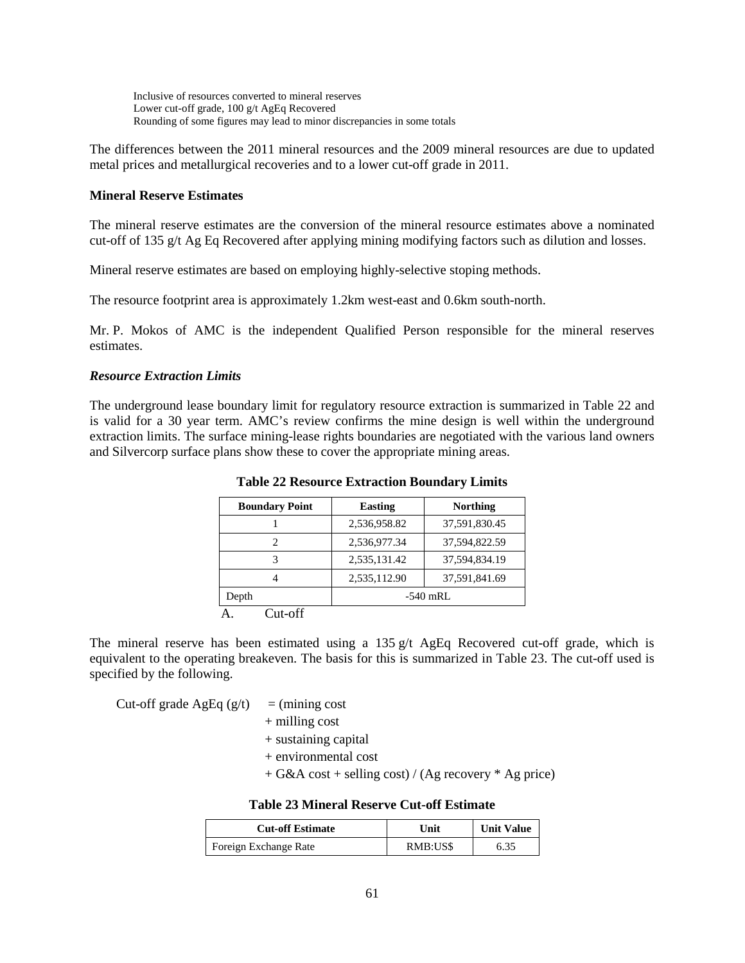Inclusive of resources converted to mineral reserves Lower cut-off grade, 100 g/t AgEq Recovered Rounding of some figures may lead to minor discrepancies in some totals

The differences between the 2011 mineral resources and the 2009 mineral resources are due to updated metal prices and metallurgical recoveries and to a lower cut-off grade in 2011.

### **Mineral Reserve Estimates**

The mineral reserve estimates are the conversion of the mineral resource estimates above a nominated cut-off of 135 g/t Ag Eq Recovered after applying mining modifying factors such as dilution and losses.

Mineral reserve estimates are based on employing highly-selective stoping methods.

The resource footprint area is approximately 1.2km west-east and 0.6km south-north.

Mr. P. Mokos of AMC is the independent Qualified Person responsible for the mineral reserves estimates.

## *Resource Extraction Limits*

The underground lease boundary limit for regulatory resource extraction is summarized in Table 22 and is valid for a 30 year term. AMC's review confirms the mine design is well within the underground extraction limits. The surface mining-lease rights boundaries are negotiated with the various land owners and Silvercorp surface plans show these to cover the appropriate mining areas.

| <b>Boundary Point</b> | <b>Easting</b> | <b>Northing</b> |
|-----------------------|----------------|-----------------|
|                       | 2,536,958.82   | 37,591,830.45   |
| 2                     | 2,536,977.34   | 37,594,822.59   |
| 3                     | 2,535,131.42   | 37,594,834.19   |
|                       | 2,535,112.90   | 37,591,841.69   |
| Depth                 |                | $-540$ mRL      |
| Cut-off               |                |                 |

**Table 22 Resource Extraction Boundary Limits**

The mineral reserve has been estimated using a 135 g/t AgEq Recovered cut-off grade, which is equivalent to the operating breakeven. The basis for this is summarized in Table 23. The cut-off used is specified by the following.

Cut-off grade AgEq  $(g/t)$  = (mining cost

+ milling cost

+ sustaining capital

+ environmental cost

 $+$  G&A cost + selling cost) / (Ag recovery  $*$  Ag price)

## **Table 23 Mineral Reserve Cut-off Estimate**

| <b>Cut-off Estimate</b> | Unit     | <b>Unit Value</b> |
|-------------------------|----------|-------------------|
| Foreign Exchange Rate   | RMB:US\$ | 6.35              |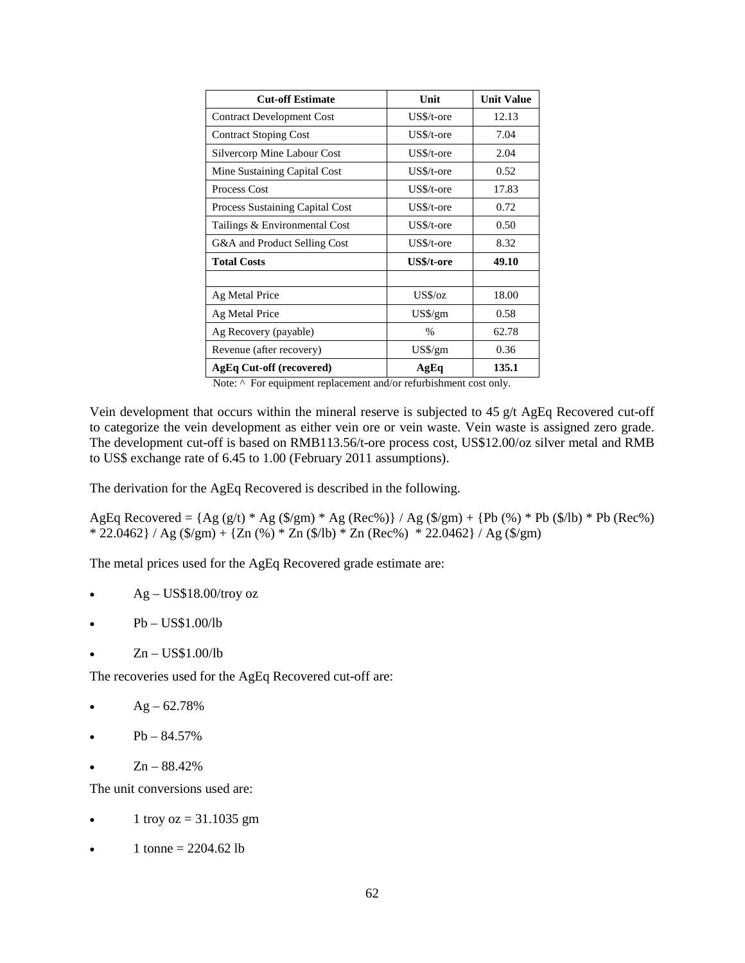| <b>Cut-off Estimate</b>          | Unit             | <b>Unit Value</b> |
|----------------------------------|------------------|-------------------|
| <b>Contract Development Cost</b> | $US\$ /t-ore     | 12.13             |
| <b>Contract Stoping Cost</b>     | $US\$ /t-ore     | 7.04              |
| Silvercorp Mine Labour Cost      | $US\$ /t-ore     | 2.04              |
| Mine Sustaining Capital Cost     | $US\$ /t-ore     | 0.52              |
| Process Cost                     | $US\$ /t-ore     | 17.83             |
| Process Sustaining Capital Cost  | $US$/t-ore$      | 0.72              |
| Tailings & Environmental Cost    | $US\$ /t-ore     | 0.50              |
| G&A and Product Selling Cost     | $US\$ /t-ore     | 8.32              |
| <b>Total Costs</b>               | US\$/t-ore       | 49.10             |
|                                  |                  |                   |
| Ag Metal Price                   | $US\%$ /oz       | 18.00             |
| Ag Metal Price                   | $US\frac{g}{gm}$ | 0.58              |
| Ag Recovery (payable)            | $\frac{0}{0}$    | 62.78             |
| Revenue (after recovery)         | $US\frac{g}{gm}$ | 0.36              |
| AgEq Cut-off (recovered)         | AgEq             | 135.1             |

Note:  $\wedge$  For equipment replacement and/or refurbishment cost only.

Vein development that occurs within the mineral reserve is subjected to 45 g/t AgEq Recovered cut-off to categorize the vein development as either vein ore or vein waste. Vein waste is assigned zero grade. The development cut-off is based on RMB113.56/t-ore process cost, US\$12.00/oz silver metal and RMB to US\$ exchange rate of 6.45 to 1.00 (February 2011 assumptions).

The derivation for the AgEq Recovered is described in the following.

AgEq Recovered =  ${Ag (g/t) * Ag ($/gm) * Ag (Rec%) } / Ag ($/gm) + {Pb (%) * Pb ($/b) * Pb (Rec%) }$ \* 22.0462} / Ag (\$/gm) + {Zn (%) \* Zn (\$/lb) \* Zn (Rec%) \* 22.0462} / Ag (\$/gm)

The metal prices used for the AgEq Recovered grade estimate are:

- Ag US\$18.00/troy oz
- Pb US\$1.00/lb
- Zn US\$1.00/lb

The recoveries used for the AgEq Recovered cut-off are:

- $Ag 62.78%$
- $Pb 84.57%$
- Zn 88.42%

The unit conversions used are:

- 1 troy  $oz = 31.1035$  gm
- 1 tonne =  $2204.62$  lb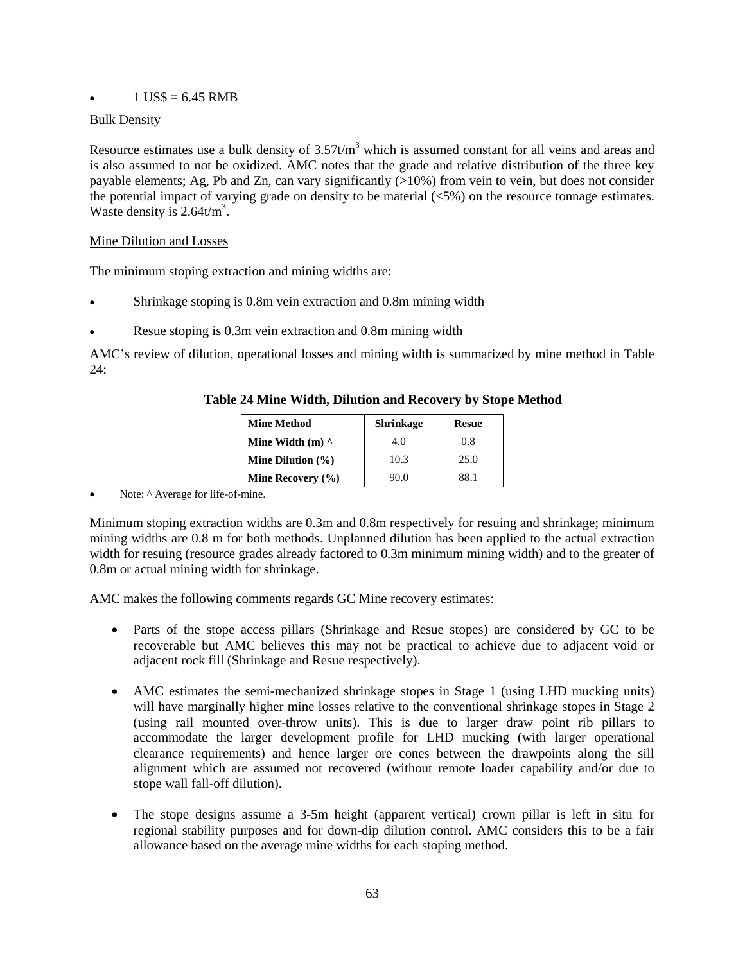## $\bullet$  1 US\$ = 6.45 RMB

## Bulk Density

Resource estimates use a bulk density of  $3.57$ t/m<sup>3</sup> which is assumed constant for all veins and areas and is also assumed to not be oxidized. AMC notes that the grade and relative distribution of the three key payable elements; Ag, Pb and Zn, can vary significantly (>10%) from vein to vein, but does not consider the potential impact of varying grade on density to be material  $\langle 5\% \rangle$  on the resource tonnage estimates. Waste density is  $2.64t/m^3$ .

## Mine Dilution and Losses

The minimum stoping extraction and mining widths are:

- Shrinkage stoping is 0.8m vein extraction and 0.8m mining width
- Resue stoping is 0.3m vein extraction and 0.8m mining width

AMC's review of dilution, operational losses and mining width is summarized by mine method in Table 24:

| <b>Mine Method</b>      | <b>Shrinkage</b> | <b>Resue</b> |
|-------------------------|------------------|--------------|
| Mine Width (m) $\wedge$ | 4.0              | 0.8          |
| Mine Dilution $(\% )$   | 10.3             | 25.0         |
| Mine Recovery $(\% )$   | 90.0             | 88.1         |

**Table 24 Mine Width, Dilution and Recovery by Stope Method**

Note: ^ Average for life-of-mine.

Minimum stoping extraction widths are 0.3m and 0.8m respectively for resuing and shrinkage; minimum mining widths are 0.8 m for both methods. Unplanned dilution has been applied to the actual extraction width for resuing (resource grades already factored to 0.3m minimum mining width) and to the greater of 0.8m or actual mining width for shrinkage.

AMC makes the following comments regards GC Mine recovery estimates:

- Parts of the stope access pillars (Shrinkage and Resue stopes) are considered by GC to be recoverable but AMC believes this may not be practical to achieve due to adjacent void or adjacent rock fill (Shrinkage and Resue respectively).
- AMC estimates the semi-mechanized shrinkage stopes in Stage 1 (using LHD mucking units) will have marginally higher mine losses relative to the conventional shrinkage stopes in Stage 2 (using rail mounted over-throw units). This is due to larger draw point rib pillars to accommodate the larger development profile for LHD mucking (with larger operational clearance requirements) and hence larger ore cones between the drawpoints along the sill alignment which are assumed not recovered (without remote loader capability and/or due to stope wall fall-off dilution).
- The stope designs assume a 3-5m height (apparent vertical) crown pillar is left in situ for regional stability purposes and for down-dip dilution control. AMC considers this to be a fair allowance based on the average mine widths for each stoping method.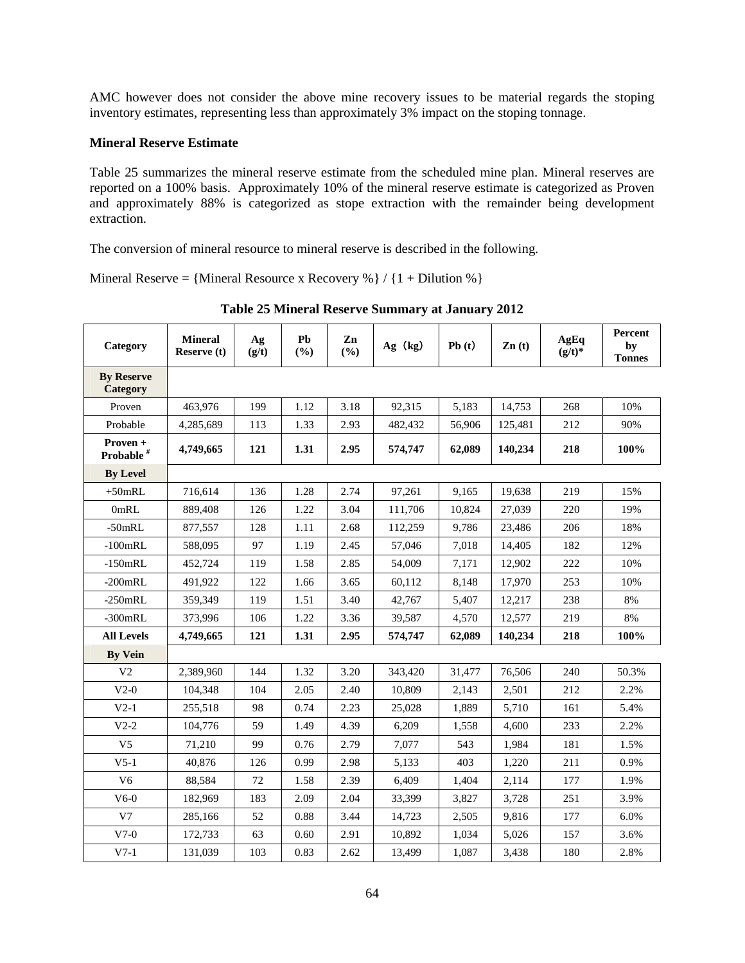AMC however does not consider the above mine recovery issues to be material regards the stoping inventory estimates, representing less than approximately 3% impact on the stoping tonnage.

## **Mineral Reserve Estimate**

Table 25 summarizes the mineral reserve estimate from the scheduled mine plan. Mineral reserves are reported on a 100% basis. Approximately 10% of the mineral reserve estimate is categorized as Proven and approximately 88% is categorized as stope extraction with the remainder being development extraction.

The conversion of mineral resource to mineral reserve is described in the following.

Mineral Reserve = {Mineral Resource x Recovery %} / { $1 +$  Dilution %}

| Category                          | <b>Mineral</b><br>Reserve (t) | Ag<br>(g/t) | Pb<br>(%) | Zn<br>$(\%)$ | Ag (kg) | Pb(t)  | $\mathbf{Zn}$ (t) | AgEq<br>$(g/t)^*$ | Percent<br>by<br><b>Tonnes</b> |
|-----------------------------------|-------------------------------|-------------|-----------|--------------|---------|--------|-------------------|-------------------|--------------------------------|
| <b>By Reserve</b><br>Category     |                               |             |           |              |         |        |                   |                   |                                |
| Proven                            | 463,976                       | 199         | 1.12      | 3.18         | 92,315  | 5,183  | 14,753            | 268               | 10%                            |
| Probable                          | 4,285,689                     | 113         | 1.33      | 2.93         | 482,432 | 56,906 | 125,481           | 212               | 90%                            |
| Proven +<br>Probable <sup>#</sup> | 4,749,665                     | 121         | 1.31      | 2.95         | 574,747 | 62,089 | 140,234           | 218               | 100%                           |
| <b>By Level</b>                   |                               |             |           |              |         |        |                   |                   |                                |
| $+50$ mRL                         | 716,614                       | 136         | 1.28      | 2.74         | 97,261  | 9,165  | 19,638            | 219               | 15%                            |
| 0mRL                              | 889,408                       | 126         | 1.22      | 3.04         | 111,706 | 10,824 | 27.039            | 220               | 19%                            |
| $-50$ mRL                         | 877,557                       | 128         | 1.11      | 2.68         | 112,259 | 9,786  | 23,486            | 206               | 18%                            |
| $-100$ mRL                        | 588,095                       | 97          | 1.19      | 2.45         | 57,046  | 7,018  | 14,405            | 182               | 12%                            |
| $-150$ mRL                        | 452,724                       | 119         | 1.58      | 2.85         | 54,009  | 7,171  | 12,902            | 222               | 10%                            |
| $-200$ mRL                        | 491,922                       | 122         | 1.66      | 3.65         | 60,112  | 8,148  | 17,970            | 253               | 10%                            |
| $-250$ mRL                        | 359,349                       | 119         | 1.51      | 3.40         | 42,767  | 5,407  | 12,217            | 238               | 8%                             |
| $-300$ mRL                        | 373,996                       | 106         | 1.22      | 3.36         | 39,587  | 4,570  | 12,577            | 219               | 8%                             |
| <b>All Levels</b>                 | 4,749,665                     | 121         | 1.31      | 2.95         | 574,747 | 62,089 | 140,234           | 218               | 100%                           |
| <b>By Vein</b>                    |                               |             |           |              |         |        |                   |                   |                                |
| V <sub>2</sub>                    | 2,389,960                     | 144         | 1.32      | 3.20         | 343,420 | 31,477 | 76,506            | 240               | 50.3%                          |
| $V2-0$                            | 104,348                       | 104         | 2.05      | 2.40         | 10,809  | 2,143  | 2,501             | 212               | 2.2%                           |
| $V2-1$                            | 255,518                       | 98          | 0.74      | 2.23         | 25,028  | 1,889  | 5,710             | 161               | 5.4%                           |
| $V2-2$                            | 104,776                       | 59          | 1.49      | 4.39         | 6,209   | 1,558  | 4,600             | 233               | 2.2%                           |
| V <sub>5</sub>                    | 71,210                        | 99          | 0.76      | 2.79         | 7,077   | 543    | 1,984             | 181               | 1.5%                           |
| $V5-1$                            | 40,876                        | 126         | 0.99      | 2.98         | 5,133   | 403    | 1,220             | 211               | 0.9%                           |
| V <sub>6</sub>                    | 88,584                        | 72          | 1.58      | 2.39         | 6,409   | 1,404  | 2,114             | 177               | 1.9%                           |
| $V6-0$                            | 182,969                       | 183         | 2.09      | 2.04         | 33,399  | 3,827  | 3,728             | 251               | 3.9%                           |
| V <sub>7</sub>                    | 285,166                       | 52          | 0.88      | 3.44         | 14,723  | 2,505  | 9,816             | 177               | 6.0%                           |
| $V7-0$                            | 172,733                       | 63          | 0.60      | 2.91         | 10,892  | 1,034  | 5,026             | 157               | 3.6%                           |
| $V7-1$                            | 131,039                       | 103         | 0.83      | 2.62         | 13,499  | 1,087  | 3,438             | 180               | 2.8%                           |

**Table 25 Mineral Reserve Summary at January 2012**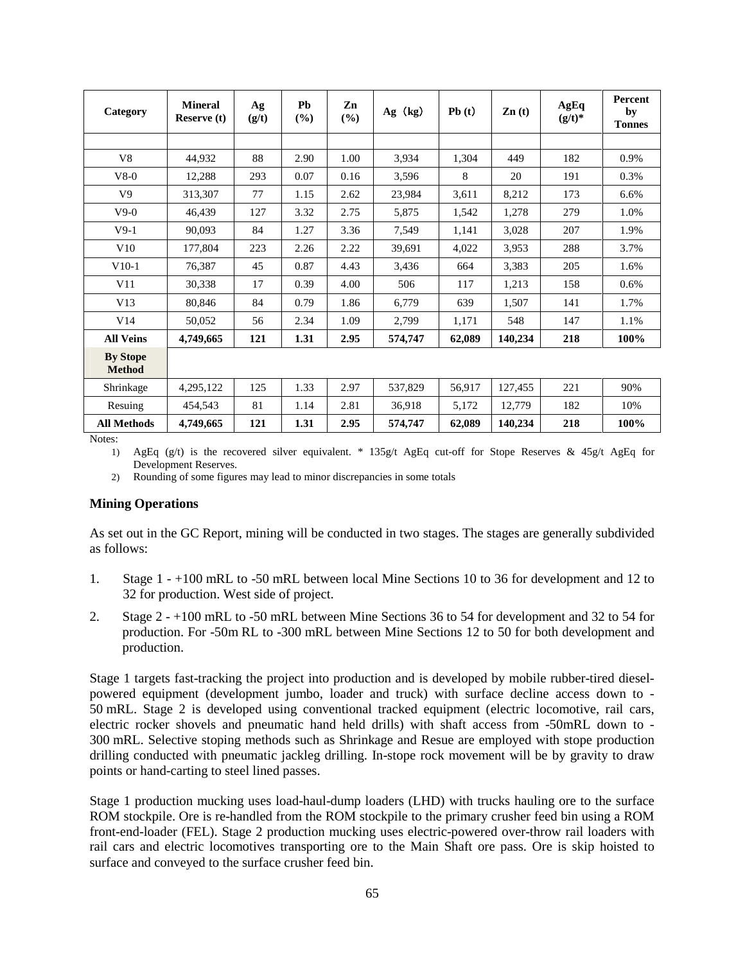| Category                         | <b>Mineral</b><br><b>Reserve</b> (t) | Ag<br>(g/t) | Pb<br>$(\%)$ | Zn<br>(%) | Ag $(kg)$ | Pb(t)  | $\mathbf{Zn}$ (t) | AgEq<br>$(g/t)^*$ | <b>Percent</b><br>by<br><b>Tonnes</b> |
|----------------------------------|--------------------------------------|-------------|--------------|-----------|-----------|--------|-------------------|-------------------|---------------------------------------|
|                                  |                                      |             |              |           |           |        |                   |                   |                                       |
| V8                               | 44,932                               | 88          | 2.90         | 1.00      | 3,934     | 1,304  | 449               | 182               | 0.9%                                  |
| $V8-0$                           | 12,288                               | 293         | 0.07         | 0.16      | 3,596     | 8      | 20                | 191               | 0.3%                                  |
| V <sub>9</sub>                   | 313,307                              | 77          | 1.15         | 2.62      | 23,984    | 3,611  | 8,212             | 173               | 6.6%                                  |
| $V9-0$                           | 46,439                               | 127         | 3.32         | 2.75      | 5,875     | 1,542  | 1,278             | 279               | 1.0%                                  |
| $V9-1$                           | 90.093                               | 84          | 1.27         | 3.36      | 7,549     | 1,141  | 3,028             | 207               | 1.9%                                  |
| V10                              | 177,804                              | 223         | 2.26         | 2.22      | 39,691    | 4,022  | 3,953             | 288               | 3.7%                                  |
| $V10-1$                          | 76,387                               | 45          | 0.87         | 4.43      | 3,436     | 664    | 3,383             | 205               | 1.6%                                  |
| V11                              | 30,338                               | 17          | 0.39         | 4.00      | 506       | 117    | 1,213             | 158               | 0.6%                                  |
| V13                              | 80,846                               | 84          | 0.79         | 1.86      | 6,779     | 639    | 1,507             | 141               | 1.7%                                  |
| V14                              | 50,052                               | 56          | 2.34         | 1.09      | 2,799     | 1,171  | 548               | 147               | 1.1%                                  |
| <b>All Veins</b>                 | 4,749,665                            | 121         | 1.31         | 2.95      | 574,747   | 62,089 | 140,234           | 218               | 100%                                  |
| <b>By Stope</b><br><b>Method</b> |                                      |             |              |           |           |        |                   |                   |                                       |
| Shrinkage                        | 4,295,122                            | 125         | 1.33         | 2.97      | 537,829   | 56,917 | 127,455           | 221               | 90%                                   |
| Resuing                          | 454.543                              | 81          | 1.14         | 2.81      | 36,918    | 5,172  | 12,779            | 182               | 10%                                   |
| <b>All Methods</b>               | 4,749,665                            | 121         | 1.31         | 2.95      | 574,747   | 62,089 | 140,234           | 218               | 100%                                  |

Notes:

1) AgEq (g/t) is the recovered silver equivalent. \* 135g/t AgEq cut-off for Stope Reserves & 45g/t AgEq for Development Reserves.

2) Rounding of some figures may lead to minor discrepancies in some totals

#### **Mining Operations**

As set out in the GC Report, mining will be conducted in two stages. The stages are generally subdivided as follows:

- 1. Stage 1 +100 mRL to -50 mRL between local Mine Sections 10 to 36 for development and 12 to 32 for production. West side of project.
- 2. Stage 2 +100 mRL to -50 mRL between Mine Sections 36 to 54 for development and 32 to 54 for production. For -50m RL to -300 mRL between Mine Sections 12 to 50 for both development and production.

Stage 1 targets fast-tracking the project into production and is developed by mobile rubber-tired dieselpowered equipment (development jumbo, loader and truck) with surface decline access down to - 50 mRL. Stage 2 is developed using conventional tracked equipment (electric locomotive, rail cars, electric rocker shovels and pneumatic hand held drills) with shaft access from -50mRL down to - 300 mRL. Selective stoping methods such as Shrinkage and Resue are employed with stope production drilling conducted with pneumatic jackleg drilling. In-stope rock movement will be by gravity to draw points or hand-carting to steel lined passes.

Stage 1 production mucking uses load-haul-dump loaders (LHD) with trucks hauling ore to the surface ROM stockpile. Ore is re-handled from the ROM stockpile to the primary crusher feed bin using a ROM front-end-loader (FEL). Stage 2 production mucking uses electric-powered over-throw rail loaders with rail cars and electric locomotives transporting ore to the Main Shaft ore pass. Ore is skip hoisted to surface and conveyed to the surface crusher feed bin.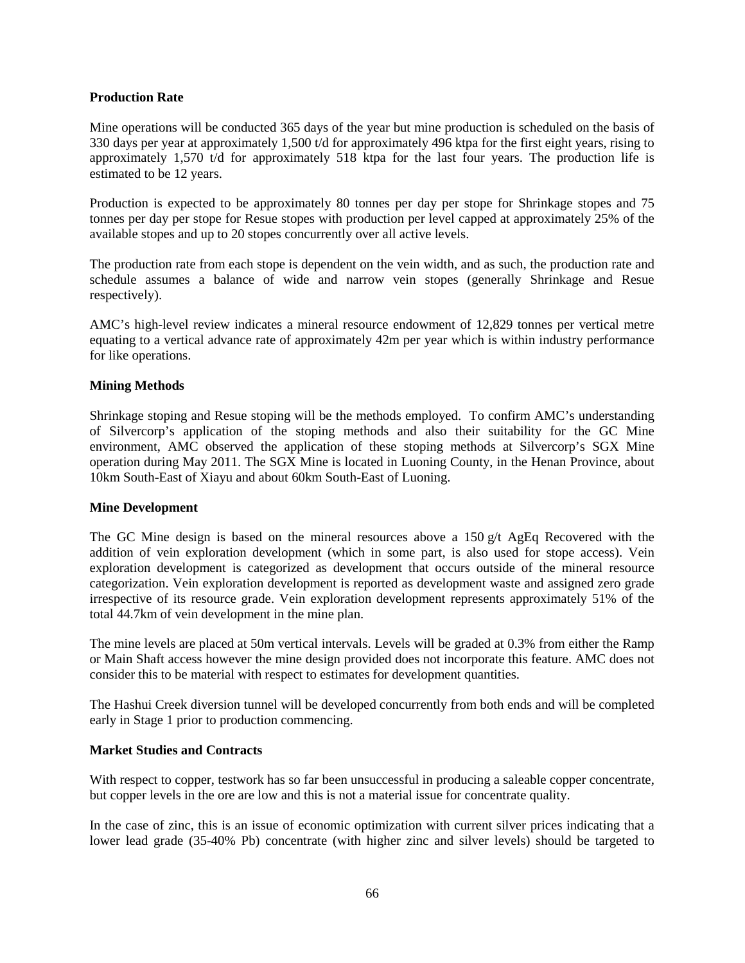## **Production Rate**

Mine operations will be conducted 365 days of the year but mine production is scheduled on the basis of 330 days per year at approximately 1,500 t/d for approximately 496 ktpa for the first eight years, rising to approximately 1,570 t/d for approximately 518 ktpa for the last four years. The production life is estimated to be 12 years.

Production is expected to be approximately 80 tonnes per day per stope for Shrinkage stopes and 75 tonnes per day per stope for Resue stopes with production per level capped at approximately 25% of the available stopes and up to 20 stopes concurrently over all active levels.

The production rate from each stope is dependent on the vein width, and as such, the production rate and schedule assumes a balance of wide and narrow vein stopes (generally Shrinkage and Resue respectively).

AMC's high-level review indicates a mineral resource endowment of 12,829 tonnes per vertical metre equating to a vertical advance rate of approximately 42m per year which is within industry performance for like operations.

### **Mining Methods**

Shrinkage stoping and Resue stoping will be the methods employed. To confirm AMC's understanding of Silvercorp's application of the stoping methods and also their suitability for the GC Mine environment, AMC observed the application of these stoping methods at Silvercorp's SGX Mine operation during May 2011. The SGX Mine is located in Luoning County, in the Henan Province, about 10km South-East of Xiayu and about 60km South-East of Luoning.

#### **Mine Development**

The GC Mine design is based on the mineral resources above a 150  $g/t$  AgEq Recovered with the addition of vein exploration development (which in some part, is also used for stope access). Vein exploration development is categorized as development that occurs outside of the mineral resource categorization. Vein exploration development is reported as development waste and assigned zero grade irrespective of its resource grade. Vein exploration development represents approximately 51% of the total 44.7km of vein development in the mine plan.

The mine levels are placed at 50m vertical intervals. Levels will be graded at 0.3% from either the Ramp or Main Shaft access however the mine design provided does not incorporate this feature. AMC does not consider this to be material with respect to estimates for development quantities.

The Hashui Creek diversion tunnel will be developed concurrently from both ends and will be completed early in Stage 1 prior to production commencing.

#### **Market Studies and Contracts**

With respect to copper, testwork has so far been unsuccessful in producing a saleable copper concentrate, but copper levels in the ore are low and this is not a material issue for concentrate quality.

In the case of zinc, this is an issue of economic optimization with current silver prices indicating that a lower lead grade (35-40% Pb) concentrate (with higher zinc and silver levels) should be targeted to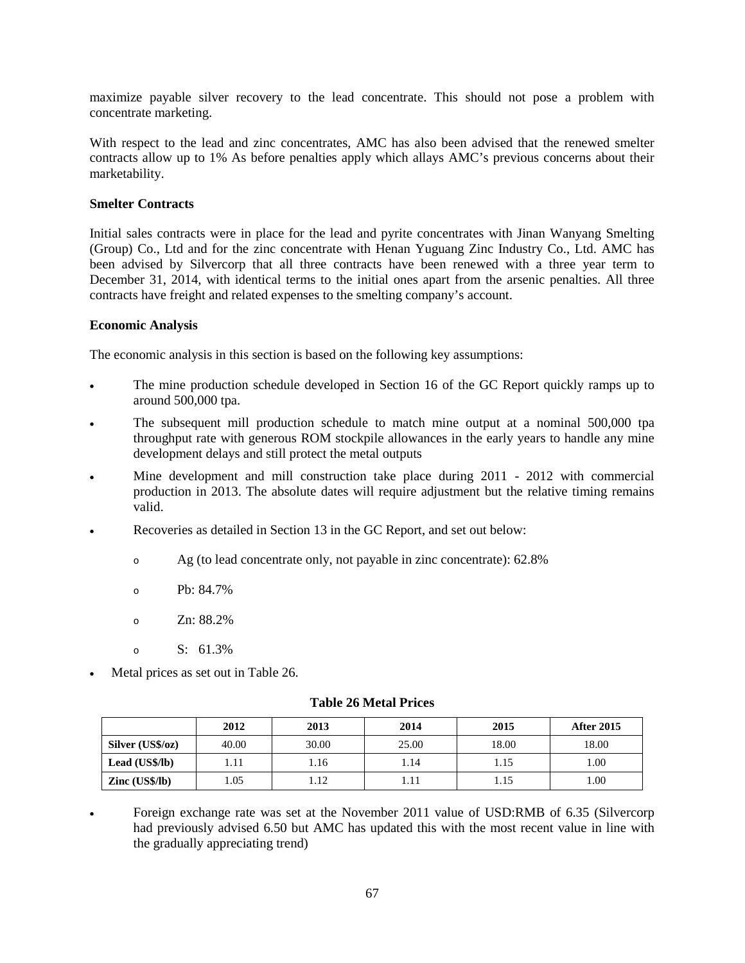maximize payable silver recovery to the lead concentrate. This should not pose a problem with concentrate marketing.

With respect to the lead and zinc concentrates, AMC has also been advised that the renewed smelter contracts allow up to 1% As before penalties apply which allays AMC's previous concerns about their marketability.

### **Smelter Contracts**

Initial sales contracts were in place for the lead and pyrite concentrates with Jinan Wanyang Smelting (Group) Co., Ltd and for the zinc concentrate with Henan Yuguang Zinc Industry Co., Ltd. AMC has been advised by Silvercorp that all three contracts have been renewed with a three year term to December 31, 2014, with identical terms to the initial ones apart from the arsenic penalties. All three contracts have freight and related expenses to the smelting company's account.

### **Economic Analysis**

The economic analysis in this section is based on the following key assumptions:

- The mine production schedule developed in Section 16 of the GC Report quickly ramps up to around 500,000 tpa.
- The subsequent mill production schedule to match mine output at a nominal 500,000 tpa throughput rate with generous ROM stockpile allowances in the early years to handle any mine development delays and still protect the metal outputs
- Mine development and mill construction take place during 2011 2012 with commercial production in 2013. The absolute dates will require adjustment but the relative timing remains valid.
- Recoveries as detailed in Section 13 in the GC Report, and set out below:
	- o Ag (to lead concentrate only, not payable in zinc concentrate): 62.8%
	- o Pb: 84.7%
	- o Zn: 88.2%
	- o S: 61.3%
- Metal prices as set out in Table 26.

### **Table 26 Metal Prices**

|                      | 2012  | 2013  | 2014  | 2015  | <b>After 2015</b> |
|----------------------|-------|-------|-------|-------|-------------------|
| Silver (US\$/oz)     | 40.00 | 30.00 | 25.00 | 18.00 | 18.00             |
| Lead (US\$/lb)       | 1.11  | l.16  | 1.14  | l.15  | 1.00              |
| $\rm Zinc$ (US\$/lb) | 05    | 1.12  |       | .15   | 1.00              |

 Foreign exchange rate was set at the November 2011 value of USD:RMB of 6.35 (Silvercorp had previously advised 6.50 but AMC has updated this with the most recent value in line with the gradually appreciating trend)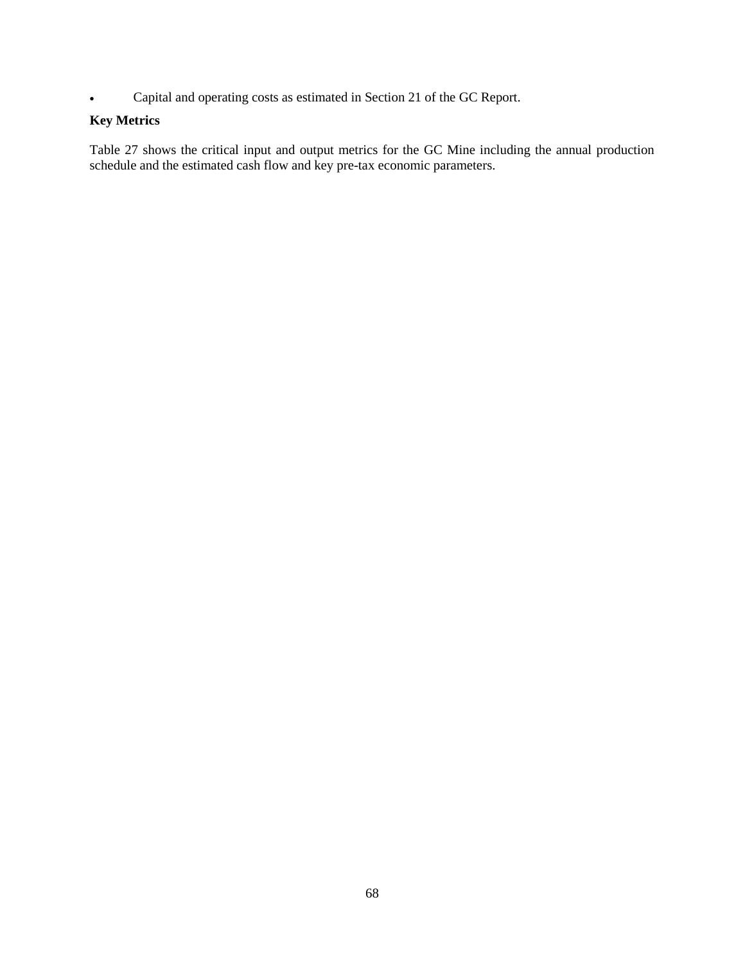Capital and operating costs as estimated in Section 21 of the GC Report.

# **Key Metrics**

Table 27 shows the critical input and output metrics for the GC Mine including the annual production schedule and the estimated cash flow and key pre-tax economic parameters.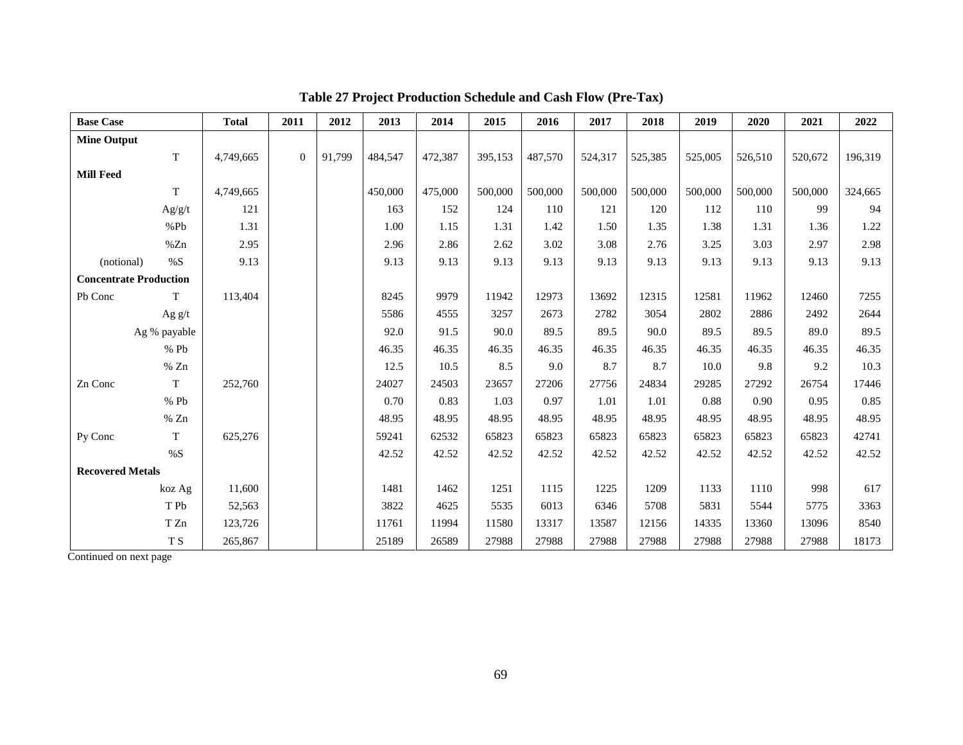| <b>Base Case</b>              |                | <b>Total</b> | 2011         | 2012   | 2013    | 2014    | 2015    | 2016    | 2017    | 2018    | 2019    | 2020    | 2021    | 2022    |
|-------------------------------|----------------|--------------|--------------|--------|---------|---------|---------|---------|---------|---------|---------|---------|---------|---------|
| <b>Mine Output</b>            |                |              |              |        |         |         |         |         |         |         |         |         |         |         |
|                               | <sup>T</sup>   | 4,749,665    | $\mathbf{0}$ | 91,799 | 484,547 | 472,387 | 395,153 | 487,570 | 524,317 | 525,385 | 525,005 | 526,510 | 520,672 | 196,319 |
| <b>Mill Feed</b>              |                |              |              |        |         |         |         |         |         |         |         |         |         |         |
|                               | <sup>T</sup>   | 4,749,665    |              |        | 450,000 | 475,000 | 500,000 | 500,000 | 500,000 | 500,000 | 500,000 | 500,000 | 500,000 | 324,665 |
|                               | Ag/g/t         | 121          |              |        | 163     | 152     | 124     | 110     | 121     | 120     | 112     | 110     | 99      | 94      |
|                               | %Pb            | 1.31         |              |        | 1.00    | 1.15    | 1.31    | 1.42    | 1.50    | 1.35    | 1.38    | 1.31    | 1.36    | 1.22    |
|                               | %Zn            | 2.95         |              |        | 2.96    | 2.86    | 2.62    | 3.02    | 3.08    | 2.76    | 3.25    | 3.03    | 2.97    | 2.98    |
| (notional)                    | %S             | 9.13         |              |        | 9.13    | 9.13    | 9.13    | 9.13    | 9.13    | 9.13    | 9.13    | 9.13    | 9.13    | 9.13    |
| <b>Concentrate Production</b> |                |              |              |        |         |         |         |         |         |         |         |         |         |         |
| Pb Conc                       | T              | 113,404      |              |        | 8245    | 9979    | 11942   | 12973   | 13692   | 12315   | 12581   | 11962   | 12460   | 7255    |
|                               | Ag $g/t$       |              |              |        | 5586    | 4555    | 3257    | 2673    | 2782    | 3054    | 2802    | 2886    | 2492    | 2644    |
|                               | Ag % payable   |              |              |        | 92.0    | 91.5    | 90.0    | 89.5    | 89.5    | 90.0    | 89.5    | 89.5    | 89.0    | 89.5    |
|                               | %Pb            |              |              |        | 46.35   | 46.35   | 46.35   | 46.35   | 46.35   | 46.35   | 46.35   | 46.35   | 46.35   | 46.35   |
|                               | % Zn           |              |              |        | 12.5    | 10.5    | 8.5     | 9.0     | 8.7     | 8.7     | 10.0    | 9.8     | 9.2     | 10.3    |
| Zn Conc                       | $\mathbf T$    | 252,760      |              |        | 24027   | 24503   | 23657   | 27206   | 27756   | 24834   | 29285   | 27292   | 26754   | 17446   |
|                               | % Pb           |              |              |        | 0.70    | 0.83    | 1.03    | 0.97    | 1.01    | 1.01    | 0.88    | 0.90    | 0.95    | 0.85    |
|                               | % Zn           |              |              |        | 48.95   | 48.95   | 48.95   | 48.95   | 48.95   | 48.95   | 48.95   | 48.95   | 48.95   | 48.95   |
| Py Conc                       | T              | 625,276      |              |        | 59241   | 62532   | 65823   | 65823   | 65823   | 65823   | 65823   | 65823   | 65823   | 42741   |
|                               | %S             |              |              |        | 42.52   | 42.52   | 42.52   | 42.52   | 42.52   | 42.52   | 42.52   | 42.52   | 42.52   | 42.52   |
| <b>Recovered Metals</b>       |                |              |              |        |         |         |         |         |         |         |         |         |         |         |
|                               | koz Ag         | 11,600       |              |        | 1481    | 1462    | 1251    | 1115    | 1225    | 1209    | 1133    | 1110    | 998     | 617     |
|                               | T Pb           | 52,563       |              |        | 3822    | 4625    | 5535    | 6013    | 6346    | 5708    | 5831    | 5544    | 5775    | 3363    |
|                               | T Zn           | 123,726      |              |        | 11761   | 11994   | 11580   | 13317   | 13587   | 12156   | 14335   | 13360   | 13096   | 8540    |
|                               | T <sub>S</sub> | 265,867      |              |        | 25189   | 26589   | 27988   | 27988   | 27988   | 27988   | 27988   | 27988   | 27988   | 18173   |

**Table 27 Project Production Schedule and Cash Flow (Pre-Tax)**

Continued on next page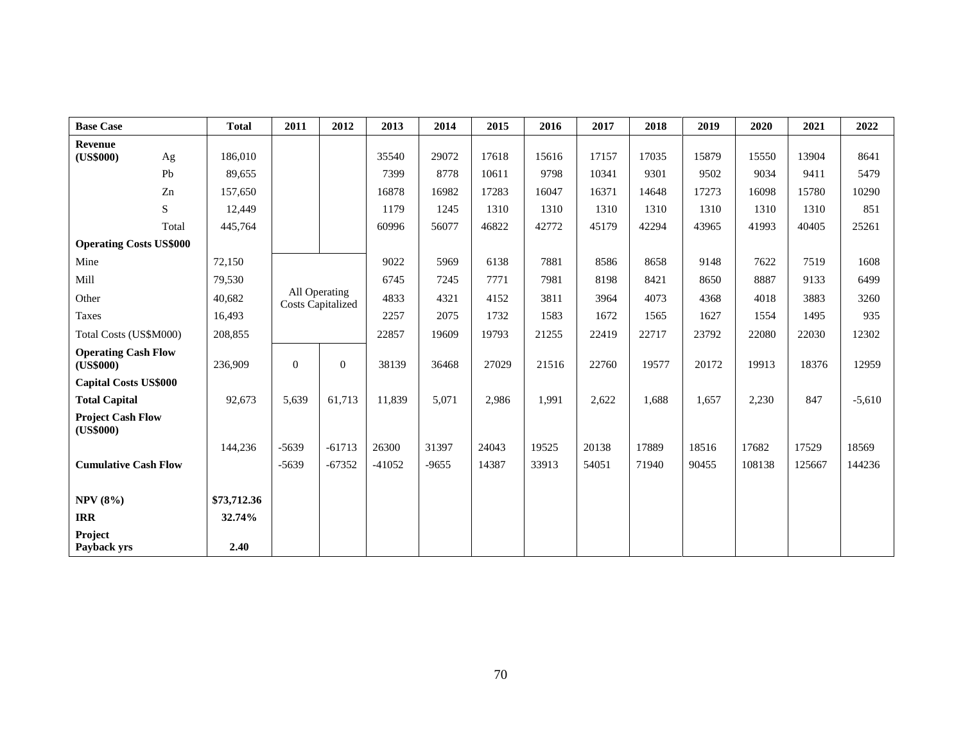| <b>Base Case</b>                        |       | <b>Total</b> | 2011                                      | 2012           | 2013     | 2014    | 2015  | 2016  | 2017  | 2018  | 2019  | 2020   | 2021   | 2022     |
|-----------------------------------------|-------|--------------|-------------------------------------------|----------------|----------|---------|-------|-------|-------|-------|-------|--------|--------|----------|
| Revenue<br>(US\$000)                    | Ag    | 186,010      |                                           |                | 35540    | 29072   | 17618 | 15616 | 17157 | 17035 | 15879 | 15550  | 13904  | 8641     |
|                                         | Pb    | 89,655       |                                           |                | 7399     | 8778    | 10611 | 9798  | 10341 | 9301  | 9502  | 9034   | 9411   | 5479     |
|                                         | Zn    | 157,650      |                                           |                | 16878    | 16982   | 17283 | 16047 | 16371 | 14648 | 17273 | 16098  | 15780  | 10290    |
|                                         | S     | 12,449       |                                           |                | 1179     | 1245    | 1310  | 1310  | 1310  | 1310  | 1310  | 1310   | 1310   | 851      |
|                                         | Total | 445,764      |                                           |                | 60996    | 56077   | 46822 | 42772 | 45179 | 42294 | 43965 | 41993  | 40405  | 25261    |
| <b>Operating Costs US\$000</b>          |       |              |                                           |                |          |         |       |       |       |       |       |        |        |          |
| Mine                                    |       | 72,150       |                                           |                | 9022     | 5969    | 6138  | 7881  | 8586  | 8658  | 9148  | 7622   | 7519   | 1608     |
| Mill                                    |       | 79,530       |                                           |                | 6745     | 7245    | 7771  | 7981  | 8198  | 8421  | 8650  | 8887   | 9133   | 6499     |
| Other                                   |       | 40,682       | All Operating<br><b>Costs Capitalized</b> |                | 4833     | 4321    | 4152  | 3811  | 3964  | 4073  | 4368  | 4018   | 3883   | 3260     |
| <b>Taxes</b>                            |       | 16,493       |                                           |                | 2257     | 2075    | 1732  | 1583  | 1672  | 1565  | 1627  | 1554   | 1495   | 935      |
| Total Costs (US\$M000)                  |       | 208,855      |                                           |                | 22857    | 19609   | 19793 | 21255 | 22419 | 22717 | 23792 | 22080  | 22030  | 12302    |
| <b>Operating Cash Flow</b><br>(US\$000) |       | 236,909      | $\overline{0}$                            | $\overline{0}$ | 38139    | 36468   | 27029 | 21516 | 22760 | 19577 | 20172 | 19913  | 18376  | 12959    |
| <b>Capital Costs US\$000</b>            |       |              |                                           |                |          |         |       |       |       |       |       |        |        |          |
| <b>Total Capital</b>                    |       | 92,673       | 5,639                                     | 61,713         | 11,839   | 5,071   | 2,986 | 1,991 | 2,622 | 1,688 | 1,657 | 2,230  | 847    | $-5,610$ |
| <b>Project Cash Flow</b><br>(US\$000)   |       |              |                                           |                |          |         |       |       |       |       |       |        |        |          |
|                                         |       | 144,236      | $-5639$                                   | $-61713$       | 26300    | 31397   | 24043 | 19525 | 20138 | 17889 | 18516 | 17682  | 17529  | 18569    |
| <b>Cumulative Cash Flow</b>             |       |              | $-5639$                                   | $-67352$       | $-41052$ | $-9655$ | 14387 | 33913 | 54051 | 71940 | 90455 | 108138 | 125667 | 144236   |
| <b>NPV</b> (8%)                         |       | \$73,712.36  |                                           |                |          |         |       |       |       |       |       |        |        |          |
| <b>IRR</b>                              |       | 32.74%       |                                           |                |          |         |       |       |       |       |       |        |        |          |
| Project<br>Payback yrs                  |       | 2.40         |                                           |                |          |         |       |       |       |       |       |        |        |          |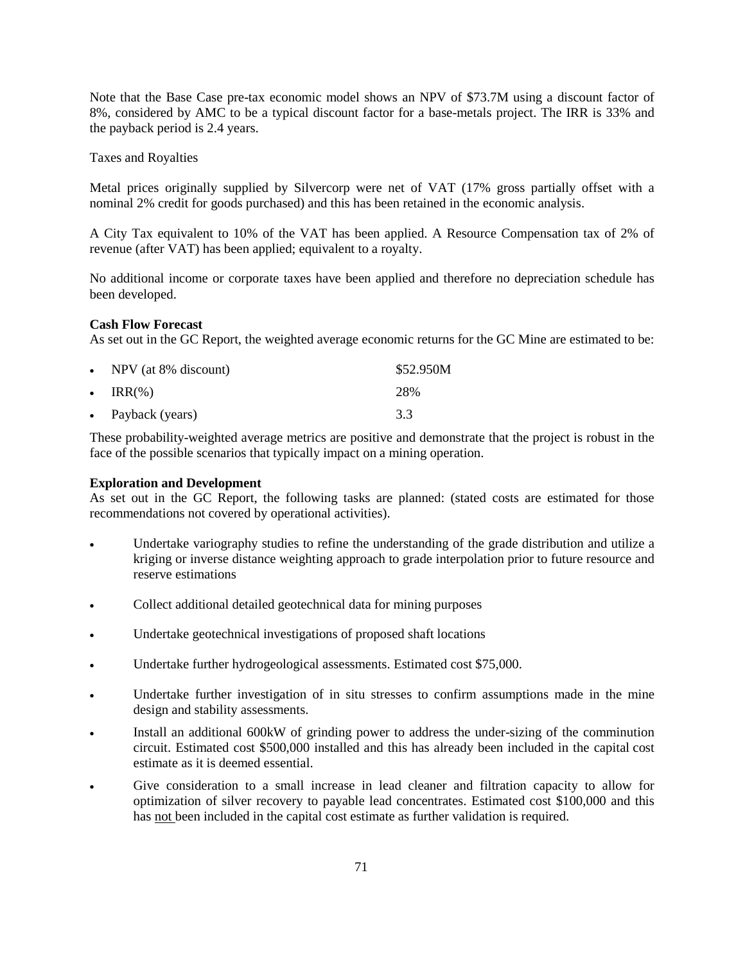Note that the Base Case pre-tax economic model shows an NPV of \$73.7M using a discount factor of 8%, considered by AMC to be a typical discount factor for a base-metals project. The IRR is 33% and the payback period is 2.4 years.

Taxes and Royalties

Metal prices originally supplied by Silvercorp were net of VAT (17% gross partially offset with a nominal 2% credit for goods purchased) and this has been retained in the economic analysis.

A City Tax equivalent to 10% of the VAT has been applied. A Resource Compensation tax of 2% of revenue (after VAT) has been applied; equivalent to a royalty.

No additional income or corporate taxes have been applied and therefore no depreciation schedule has been developed.

#### **Cash Flow Forecast**

As set out in the GC Report, the weighted average economic returns for the GC Mine are estimated to be:

| • NPV (at $8\%$ discount) | \$52.950M |
|---------------------------|-----------|
| $\cdot$ IRR $(\% )$       | 28%       |
| • Payback (years)         | 3.3       |

These probability-weighted average metrics are positive and demonstrate that the project is robust in the face of the possible scenarios that typically impact on a mining operation.

#### **Exploration and Development**

As set out in the GC Report, the following tasks are planned: (stated costs are estimated for those recommendations not covered by operational activities).

- Undertake variography studies to refine the understanding of the grade distribution and utilize a kriging or inverse distance weighting approach to grade interpolation prior to future resource and reserve estimations
- Collect additional detailed geotechnical data for mining purposes
- Undertake geotechnical investigations of proposed shaft locations
- Undertake further hydrogeological assessments. Estimated cost \$75,000.
- Undertake further investigation of in situ stresses to confirm assumptions made in the mine design and stability assessments.
- Install an additional 600kW of grinding power to address the under-sizing of the comminution circuit. Estimated cost \$500,000 installed and this has already been included in the capital cost estimate as it is deemed essential.
- Give consideration to a small increase in lead cleaner and filtration capacity to allow for optimization of silver recovery to payable lead concentrates. Estimated cost \$100,000 and this has not been included in the capital cost estimate as further validation is required.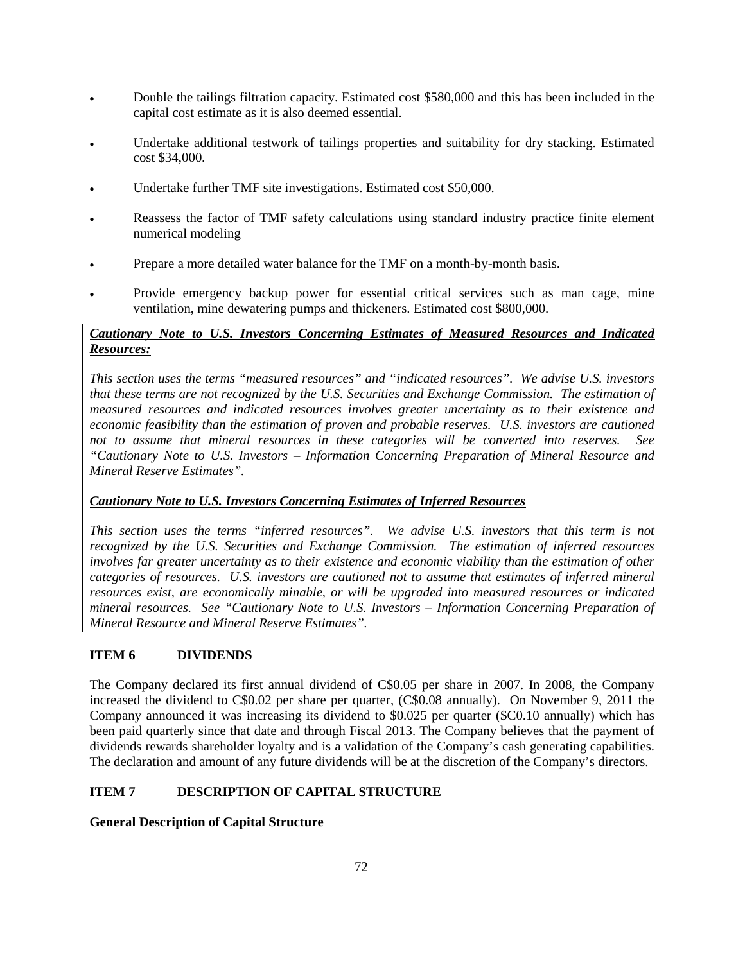- Double the tailings filtration capacity. Estimated cost \$580,000 and this has been included in the capital cost estimate as it is also deemed essential.
- Undertake additional testwork of tailings properties and suitability for dry stacking. Estimated cost \$34,000.
- Undertake further TMF site investigations. Estimated cost \$50,000.
- Reassess the factor of TMF safety calculations using standard industry practice finite element numerical modeling
- Prepare a more detailed water balance for the TMF on a month-by-month basis.
- Provide emergency backup power for essential critical services such as man cage, mine ventilation, mine dewatering pumps and thickeners. Estimated cost \$800,000.

# *Cautionary Note to U.S. Investors Concerning Estimates of Measured Resources and Indicated Resources:*

*This section uses the terms "measured resources" and "indicated resources". We advise U.S. investors that these terms are not recognized by the U.S. Securities and Exchange Commission. The estimation of measured resources and indicated resources involves greater uncertainty as to their existence and economic feasibility than the estimation of proven and probable reserves. U.S. investors are cautioned not to assume that mineral resources in these categories will be converted into reserves. See "Cautionary Note to U.S. Investors – Information Concerning Preparation of Mineral Resource and Mineral Reserve Estimates".*

## *Cautionary Note to U.S. Investors Concerning Estimates of Inferred Resources*

*This section uses the terms "inferred resources". We advise U.S. investors that this term is not recognized by the U.S. Securities and Exchange Commission. The estimation of inferred resources involves far greater uncertainty as to their existence and economic viability than the estimation of other categories of resources. U.S. investors are cautioned not to assume that estimates of inferred mineral resources exist, are economically minable, or will be upgraded into measured resources or indicated mineral resources. See "Cautionary Note to U.S. Investors – Information Concerning Preparation of Mineral Resource and Mineral Reserve Estimates".*

# **ITEM 6 DIVIDENDS**

The Company declared its first annual dividend of C\$0.05 per share in 2007. In 2008, the Company increased the dividend to C\$0.02 per share per quarter, (C\$0.08 annually). On November 9, 2011 the Company announced it was increasing its dividend to \$0.025 per quarter (\$C0.10 annually) which has been paid quarterly since that date and through Fiscal 2013. The Company believes that the payment of dividends rewards shareholder loyalty and is a validation of the Company's cash generating capabilities. The declaration and amount of any future dividends will be at the discretion of the Company's directors.

# **ITEM 7 DESCRIPTION OF CAPITAL STRUCTURE**

**General Description of Capital Structure**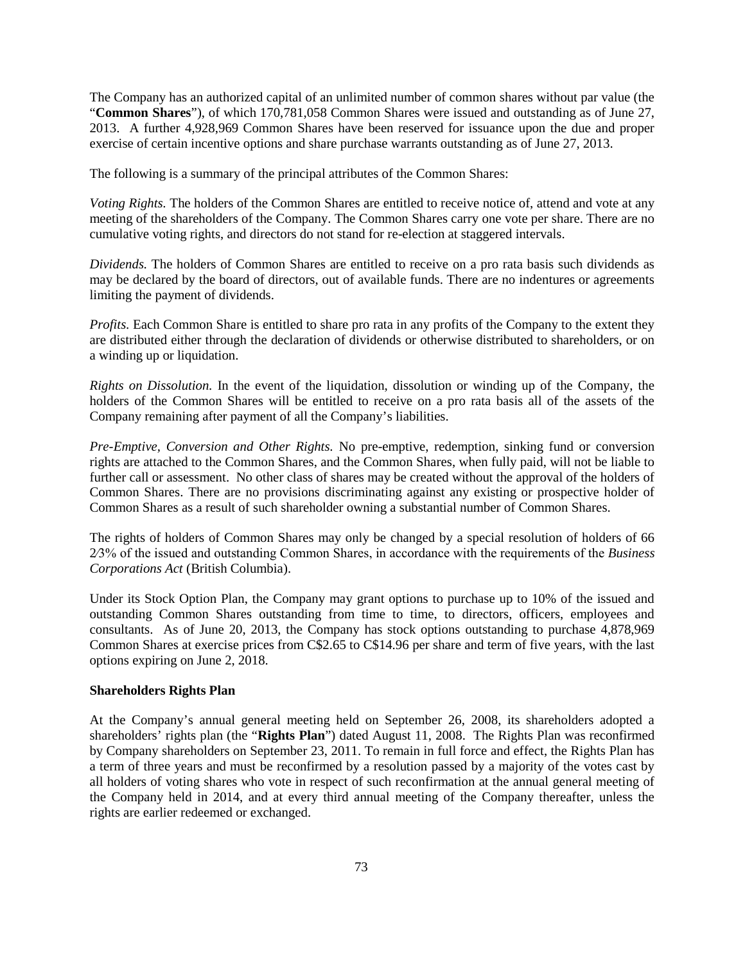The Company has an authorized capital of an unlimited number of common shares without par value (the "**Common Shares**"), of which 170,781,058 Common Shares were issued and outstanding as of June 27, 2013. A further 4,928,969 Common Shares have been reserved for issuance upon the due and proper exercise of certain incentive options and share purchase warrants outstanding as of June 27, 2013.

The following is a summary of the principal attributes of the Common Shares:

*Voting Rights.* The holders of the Common Shares are entitled to receive notice of, attend and vote at any meeting of the shareholders of the Company. The Common Shares carry one vote per share. There are no cumulative voting rights, and directors do not stand for re-election at staggered intervals.

*Dividends.* The holders of Common Shares are entitled to receive on a pro rata basis such dividends as may be declared by the board of directors, out of available funds. There are no indentures or agreements limiting the payment of dividends.

*Profits.* Each Common Share is entitled to share pro rata in any profits of the Company to the extent they are distributed either through the declaration of dividends or otherwise distributed to shareholders, or on a winding up or liquidation.

*Rights on Dissolution.* In the event of the liquidation, dissolution or winding up of the Company, the holders of the Common Shares will be entitled to receive on a pro rata basis all of the assets of the Company remaining after payment of all the Company's liabilities.

*Pre-Emptive, Conversion and Other Rights.* No pre-emptive, redemption, sinking fund or conversion rights are attached to the Common Shares, and the Common Shares, when fully paid, will not be liable to further call or assessment. No other class of shares may be created without the approval of the holders of Common Shares. There are no provisions discriminating against any existing or prospective holder of Common Shares as a result of such shareholder owning a substantial number of Common Shares.

The rights of holders of Common Shares may only be changed by a special resolution of holders of 66 2⁄3% of the issued and outstanding Common Shares, in accordance with the requirements of the *Business Corporations Act* (British Columbia).

Under its Stock Option Plan, the Company may grant options to purchase up to 10% of the issued and outstanding Common Shares outstanding from time to time, to directors, officers, employees and consultants. As of June 20, 2013, the Company has stock options outstanding to purchase 4,878,969 Common Shares at exercise prices from C\$2.65 to C\$14.96 per share and term of five years, with the last options expiring on June 2, 2018.

#### **Shareholders Rights Plan**

At the Company's annual general meeting held on September 26, 2008, its shareholders adopted a shareholders' rights plan (the "**Rights Plan**") dated August 11, 2008. The Rights Plan was reconfirmed by Company shareholders on September 23, 2011. To remain in full force and effect, the Rights Plan has a term of three years and must be reconfirmed by a resolution passed by a majority of the votes cast by all holders of voting shares who vote in respect of such reconfirmation at the annual general meeting of the Company held in 2014, and at every third annual meeting of the Company thereafter, unless the rights are earlier redeemed or exchanged.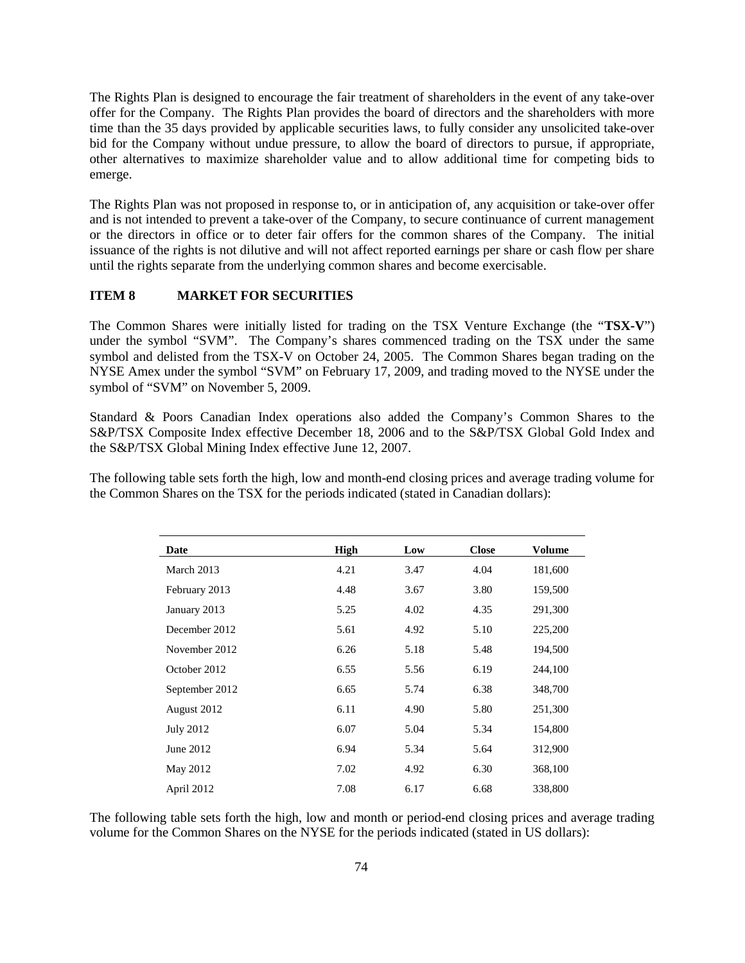The Rights Plan is designed to encourage the fair treatment of shareholders in the event of any take-over offer for the Company. The Rights Plan provides the board of directors and the shareholders with more time than the 35 days provided by applicable securities laws, to fully consider any unsolicited take-over bid for the Company without undue pressure, to allow the board of directors to pursue, if appropriate, other alternatives to maximize shareholder value and to allow additional time for competing bids to emerge.

The Rights Plan was not proposed in response to, or in anticipation of, any acquisition or take-over offer and is not intended to prevent a take-over of the Company, to secure continuance of current management or the directors in office or to deter fair offers for the common shares of the Company. The initial issuance of the rights is not dilutive and will not affect reported earnings per share or cash flow per share until the rights separate from the underlying common shares and become exercisable.

## **ITEM 8 MARKET FOR SECURITIES**

The Common Shares were initially listed for trading on the TSX Venture Exchange (the "**TSX-V**") under the symbol "SVM". The Company's shares commenced trading on the TSX under the same symbol and delisted from the TSX-V on October 24, 2005. The Common Shares began trading on the NYSE Amex under the symbol "SVM" on February 17, 2009, and trading moved to the NYSE under the symbol of "SVM" on November 5, 2009.

Standard & Poors Canadian Index operations also added the Company's Common Shares to the S&P/TSX Composite Index effective December 18, 2006 and to the S&P/TSX Global Gold Index and the S&P/TSX Global Mining Index effective June 12, 2007.

The following table sets forth the high, low and month-end closing prices and average trading volume for the Common Shares on the TSX for the periods indicated (stated in Canadian dollars):

| Date             | High | Low  | <b>Close</b> | Volume  |
|------------------|------|------|--------------|---------|
| March 2013       | 4.21 | 3.47 | 4.04         | 181,600 |
| February 2013    | 4.48 | 3.67 | 3.80         | 159,500 |
| January 2013     | 5.25 | 4.02 | 4.35         | 291,300 |
| December 2012    | 5.61 | 4.92 | 5.10         | 225,200 |
| November 2012    | 6.26 | 5.18 | 5.48         | 194,500 |
| October 2012     | 6.55 | 5.56 | 6.19         | 244,100 |
| September 2012   | 6.65 | 5.74 | 6.38         | 348,700 |
| August 2012      | 6.11 | 4.90 | 5.80         | 251,300 |
| <b>July 2012</b> | 6.07 | 5.04 | 5.34         | 154,800 |
| June 2012        | 6.94 | 5.34 | 5.64         | 312,900 |
| May 2012         | 7.02 | 4.92 | 6.30         | 368,100 |
| April 2012       | 7.08 | 6.17 | 6.68         | 338,800 |

The following table sets forth the high, low and month or period-end closing prices and average trading volume for the Common Shares on the NYSE for the periods indicated (stated in US dollars):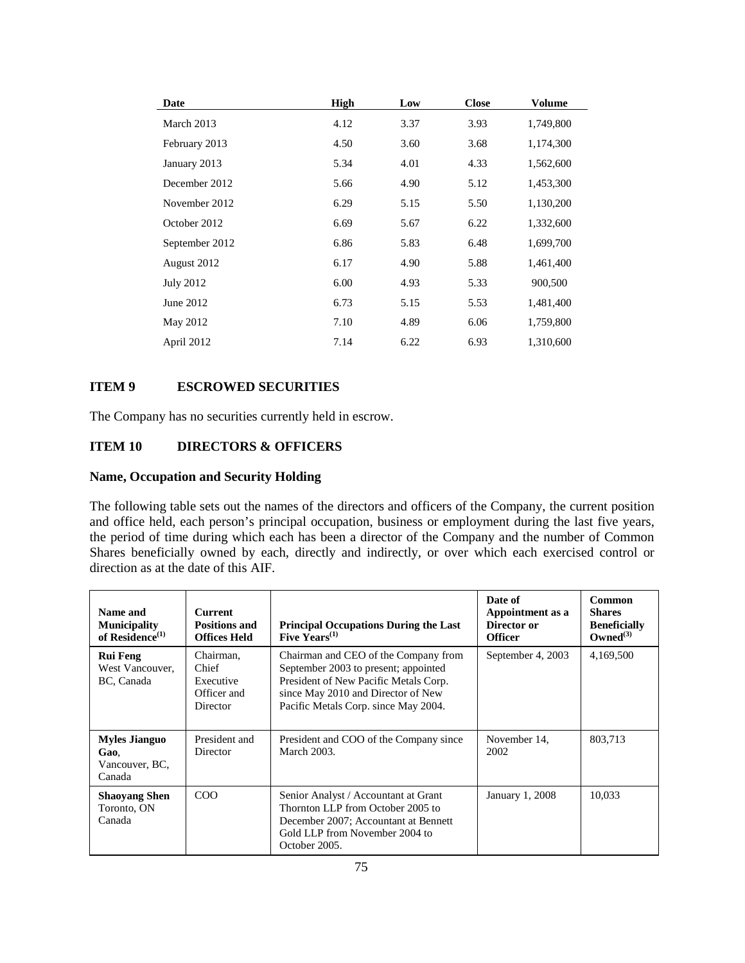| Date           | High | Low  | <b>Close</b> | Volume    |
|----------------|------|------|--------------|-----------|
| March 2013     | 4.12 | 3.37 | 3.93         | 1,749,800 |
| February 2013  | 4.50 | 3.60 | 3.68         | 1,174,300 |
| January 2013   | 5.34 | 4.01 | 4.33         | 1,562,600 |
| December 2012  | 5.66 | 4.90 | 5.12         | 1,453,300 |
| November 2012  | 6.29 | 5.15 | 5.50         | 1,130,200 |
| October 2012   | 6.69 | 5.67 | 6.22         | 1,332,600 |
| September 2012 | 6.86 | 5.83 | 6.48         | 1,699,700 |
| August 2012    | 6.17 | 4.90 | 5.88         | 1,461,400 |
| July 2012      | 6.00 | 4.93 | 5.33         | 900,500   |
| June 2012      | 6.73 | 5.15 | 5.53         | 1,481,400 |
| May 2012       | 7.10 | 4.89 | 6.06         | 1,759,800 |
| April 2012     | 7.14 | 6.22 | 6.93         | 1,310,600 |

# **ITEM 9 ESCROWED SECURITIES**

The Company has no securities currently held in escrow.

# **ITEM 10 DIRECTORS & OFFICERS**

# **Name, Occupation and Security Holding**

The following table sets out the names of the directors and officers of the Company, the current position and office held, each person's principal occupation, business or employment during the last five years, the period of time during which each has been a director of the Company and the number of Common Shares beneficially owned by each, directly and indirectly, or over which each exercised control or direction as at the date of this AIF.

| Name and<br><b>Municipality</b><br>of Residence $^{(1)}$ | <b>Current</b><br><b>Positions and</b><br><b>Offices Held</b> | <b>Principal Occupations During the Last</b><br>Five Years <sup>(1)</sup>                                                                                                                           | Date of<br>Appointment as a<br>Director or<br><b>Officer</b> | <b>Common</b><br><b>Shares</b><br><b>Beneficially</b><br>Owned $^{(3)}$ |
|----------------------------------------------------------|---------------------------------------------------------------|-----------------------------------------------------------------------------------------------------------------------------------------------------------------------------------------------------|--------------------------------------------------------------|-------------------------------------------------------------------------|
| <b>Rui Feng</b><br>West Vancouver.<br>BC, Canada         | Chairman,<br>Chief<br>Executive<br>Officer and<br>Director    | Chairman and CEO of the Company from<br>September 2003 to present; appointed<br>President of New Pacific Metals Corp.<br>since May 2010 and Director of New<br>Pacific Metals Corp. since May 2004. | September 4, 2003                                            | 4,169,500                                                               |
| <b>Myles Jianguo</b><br>Gao.<br>Vancouver, BC,<br>Canada | President and<br>Director                                     | President and COO of the Company since<br>March 2003.                                                                                                                                               | November 14,<br>2002                                         | 803,713                                                                 |
| <b>Shaoyang Shen</b><br>Toronto, ON<br>Canada            | COO                                                           | Senior Analyst / Accountant at Grant<br>Thornton LLP from October 2005 to<br>December 2007; Accountant at Bennett<br>Gold LLP from November 2004 to<br>October 2005.                                | January 1, 2008                                              | 10,033                                                                  |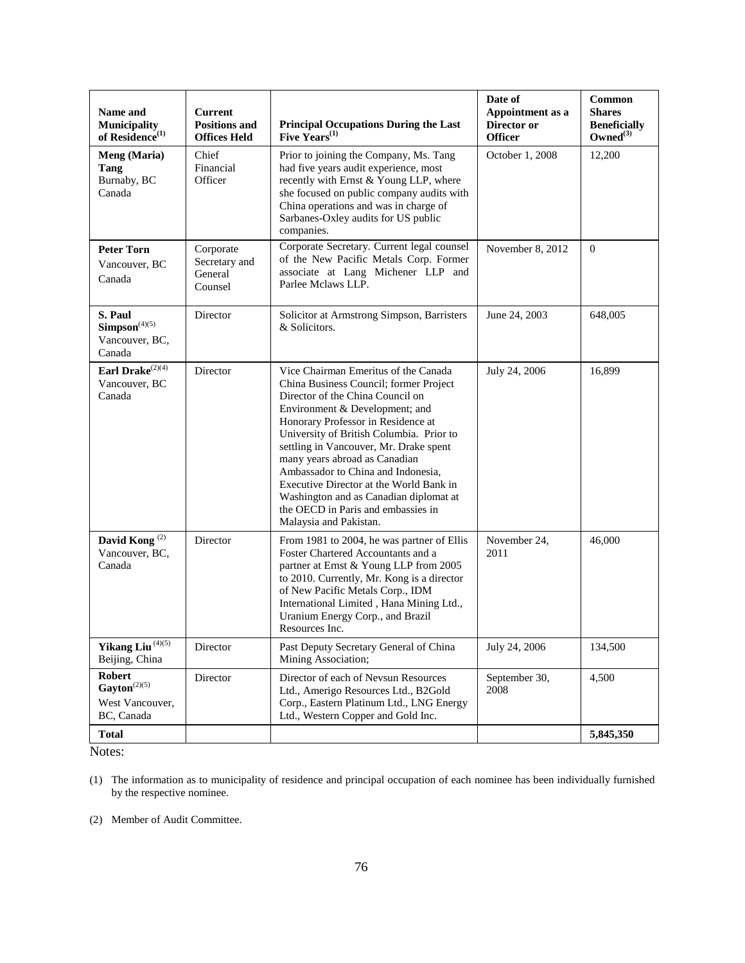| Name and<br><b>Municipality</b><br>of Residence <sup>(1)</sup>   | <b>Current</b><br><b>Positions and</b><br><b>Offices Held</b> | <b>Principal Occupations During the Last</b><br>Five Years <sup>(1)</sup>                                                                                                                                                                                                                                                                                                                                                                                                                                    | Date of<br>Appointment as a<br>Director or<br><b>Officer</b> | Common<br><b>Shares</b><br><b>Beneficially</b><br>Owned $^{(3)}$ |
|------------------------------------------------------------------|---------------------------------------------------------------|--------------------------------------------------------------------------------------------------------------------------------------------------------------------------------------------------------------------------------------------------------------------------------------------------------------------------------------------------------------------------------------------------------------------------------------------------------------------------------------------------------------|--------------------------------------------------------------|------------------------------------------------------------------|
| Meng (Maria)<br>Tang<br>Burnaby, BC<br>Canada                    | Chief<br>Financial<br>Officer                                 | Prior to joining the Company, Ms. Tang<br>had five years audit experience, most<br>recently with Ernst & Young LLP, where<br>she focused on public company audits with<br>China operations and was in charge of<br>Sarbanes-Oxley audits for US public<br>companies.                                                                                                                                                                                                                                         | October 1, 2008                                              | 12,200                                                           |
| <b>Peter Torn</b><br>Vancouver, BC<br>Canada                     | Corporate<br>Secretary and<br>General<br>Counsel              | Corporate Secretary. Current legal counsel<br>of the New Pacific Metals Corp. Former<br>associate at Lang Michener LLP and<br>Parlee Mclaws LLP.                                                                                                                                                                                                                                                                                                                                                             | November 8, 2012                                             | $\mathbf{0}$                                                     |
| S. Paul<br>Simpson <sup>(4)(5)</sup><br>Vancouver, BC,<br>Canada | Director                                                      | Solicitor at Armstrong Simpson, Barristers<br>& Solicitors.                                                                                                                                                                                                                                                                                                                                                                                                                                                  | June 24, 2003                                                | 648,005                                                          |
| Earl Drake $\sqrt{2)(4)}$<br>Vancouver, BC<br>Canada             | Director                                                      | Vice Chairman Emeritus of the Canada<br>China Business Council; former Project<br>Director of the China Council on<br>Environment & Development; and<br>Honorary Professor in Residence at<br>University of British Columbia. Prior to<br>settling in Vancouver, Mr. Drake spent<br>many years abroad as Canadian<br>Ambassador to China and Indonesia,<br>Executive Director at the World Bank in<br>Washington and as Canadian diplomat at<br>the OECD in Paris and embassies in<br>Malaysia and Pakistan. | July 24, 2006                                                | 16,899                                                           |
| David Kong <sup>(2)</sup><br>Vancouver, BC,<br>Canada            | Director                                                      | From 1981 to 2004, he was partner of Ellis<br>Foster Chartered Accountants and a<br>partner at Ernst & Young LLP from 2005<br>to 2010. Currently, Mr. Kong is a director<br>of New Pacific Metals Corp., IDM<br>International Limited, Hana Mining Ltd.,<br>Uranium Energy Corp., and Brazil<br>Resources Inc.                                                                                                                                                                                               | November 24,<br>2011                                         | 46,000                                                           |
| Yikang Liu <sup>(4)(5)</sup><br>Beijing, China                   | Director                                                      | Past Deputy Secretary General of China<br>Mining Association;                                                                                                                                                                                                                                                                                                                                                                                                                                                | July 24, 2006                                                | 134,500                                                          |
| Robert<br>$Gayton^{(2)(5)}$<br>West Vancouver,<br>BC, Canada     | Director                                                      | Director of each of Nevsun Resources<br>Ltd., Amerigo Resources Ltd., B2Gold<br>Corp., Eastern Platinum Ltd., LNG Energy<br>Ltd., Western Copper and Gold Inc.                                                                                                                                                                                                                                                                                                                                               | September 30,<br>2008                                        | 4,500                                                            |
| <b>Total</b>                                                     |                                                               |                                                                                                                                                                                                                                                                                                                                                                                                                                                                                                              |                                                              | 5,845,350                                                        |

Notes:

(1) The information as to municipality of residence and principal occupation of each nominee has been individually furnished by the respective nominee.

(2) Member of Audit Committee.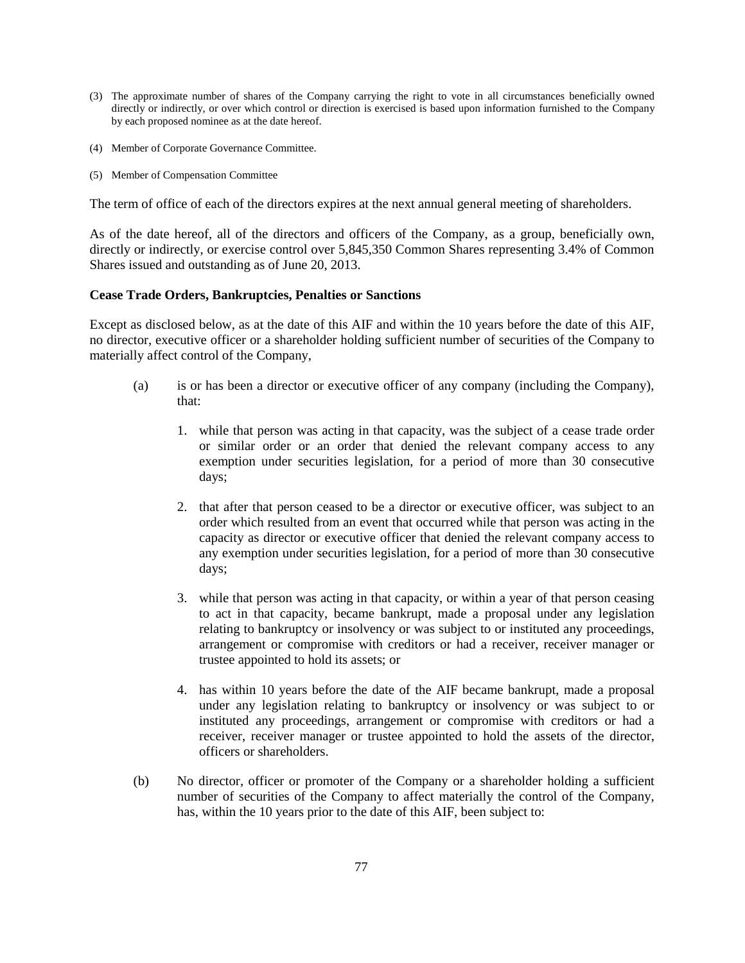- (3) The approximate number of shares of the Company carrying the right to vote in all circumstances beneficially owned directly or indirectly, or over which control or direction is exercised is based upon information furnished to the Company by each proposed nominee as at the date hereof.
- (4) Member of Corporate Governance Committee.
- (5) Member of Compensation Committee

The term of office of each of the directors expires at the next annual general meeting of shareholders.

As of the date hereof, all of the directors and officers of the Company, as a group, beneficially own, directly or indirectly, or exercise control over 5,845,350 Common Shares representing 3.4% of Common Shares issued and outstanding as of June 20, 2013.

### **Cease Trade Orders, Bankruptcies, Penalties or Sanctions**

Except as disclosed below, as at the date of this AIF and within the 10 years before the date of this AIF, no director, executive officer or a shareholder holding sufficient number of securities of the Company to materially affect control of the Company,

- (a) is or has been a director or executive officer of any company (including the Company), that:
	- 1. while that person was acting in that capacity, was the subject of a cease trade order or similar order or an order that denied the relevant company access to any exemption under securities legislation, for a period of more than 30 consecutive days;
	- 2. that after that person ceased to be a director or executive officer, was subject to an order which resulted from an event that occurred while that person was acting in the capacity as director or executive officer that denied the relevant company access to any exemption under securities legislation, for a period of more than 30 consecutive days;
	- 3. while that person was acting in that capacity, or within a year of that person ceasing to act in that capacity, became bankrupt, made a proposal under any legislation relating to bankruptcy or insolvency or was subject to or instituted any proceedings, arrangement or compromise with creditors or had a receiver, receiver manager or trustee appointed to hold its assets; or
	- 4. has within 10 years before the date of the AIF became bankrupt, made a proposal under any legislation relating to bankruptcy or insolvency or was subject to or instituted any proceedings, arrangement or compromise with creditors or had a receiver, receiver manager or trustee appointed to hold the assets of the director, officers or shareholders.
- (b) No director, officer or promoter of the Company or a shareholder holding a sufficient number of securities of the Company to affect materially the control of the Company, has, within the 10 years prior to the date of this AIF, been subject to: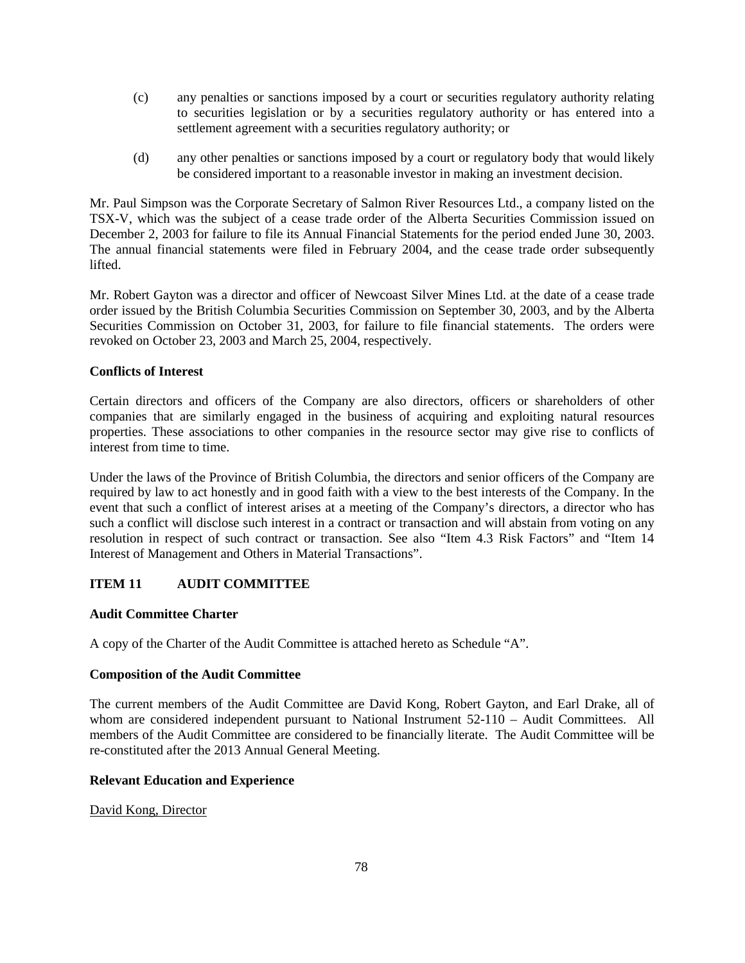- (c) any penalties or sanctions imposed by a court or securities regulatory authority relating to securities legislation or by a securities regulatory authority or has entered into a settlement agreement with a securities regulatory authority; or
- (d) any other penalties or sanctions imposed by a court or regulatory body that would likely be considered important to a reasonable investor in making an investment decision.

Mr. Paul Simpson was the Corporate Secretary of Salmon River Resources Ltd., a company listed on the TSX-V, which was the subject of a cease trade order of the Alberta Securities Commission issued on December 2, 2003 for failure to file its Annual Financial Statements for the period ended June 30, 2003. The annual financial statements were filed in February 2004, and the cease trade order subsequently **lifted** 

Mr. Robert Gayton was a director and officer of Newcoast Silver Mines Ltd. at the date of a cease trade order issued by the British Columbia Securities Commission on September 30, 2003, and by the Alberta Securities Commission on October 31, 2003, for failure to file financial statements. The orders were revoked on October 23, 2003 and March 25, 2004, respectively.

## **Conflicts of Interest**

Certain directors and officers of the Company are also directors, officers or shareholders of other companies that are similarly engaged in the business of acquiring and exploiting natural resources properties. These associations to other companies in the resource sector may give rise to conflicts of interest from time to time.

Under the laws of the Province of British Columbia, the directors and senior officers of the Company are required by law to act honestly and in good faith with a view to the best interests of the Company. In the event that such a conflict of interest arises at a meeting of the Company's directors, a director who has such a conflict will disclose such interest in a contract or transaction and will abstain from voting on any resolution in respect of such contract or transaction. See also "Item 4.3 Risk Factors" and "Item 14 Interest of Management and Others in Material Transactions".

# **ITEM 11 AUDIT COMMITTEE**

### **Audit Committee Charter**

A copy of the Charter of the Audit Committee is attached hereto as Schedule "A".

### **Composition of the Audit Committee**

The current members of the Audit Committee are David Kong, Robert Gayton, and Earl Drake, all of whom are considered independent pursuant to National Instrument 52-110 – Audit Committees. All members of the Audit Committee are considered to be financially literate. The Audit Committee will be re-constituted after the 2013 Annual General Meeting.

### **Relevant Education and Experience**

David Kong, Director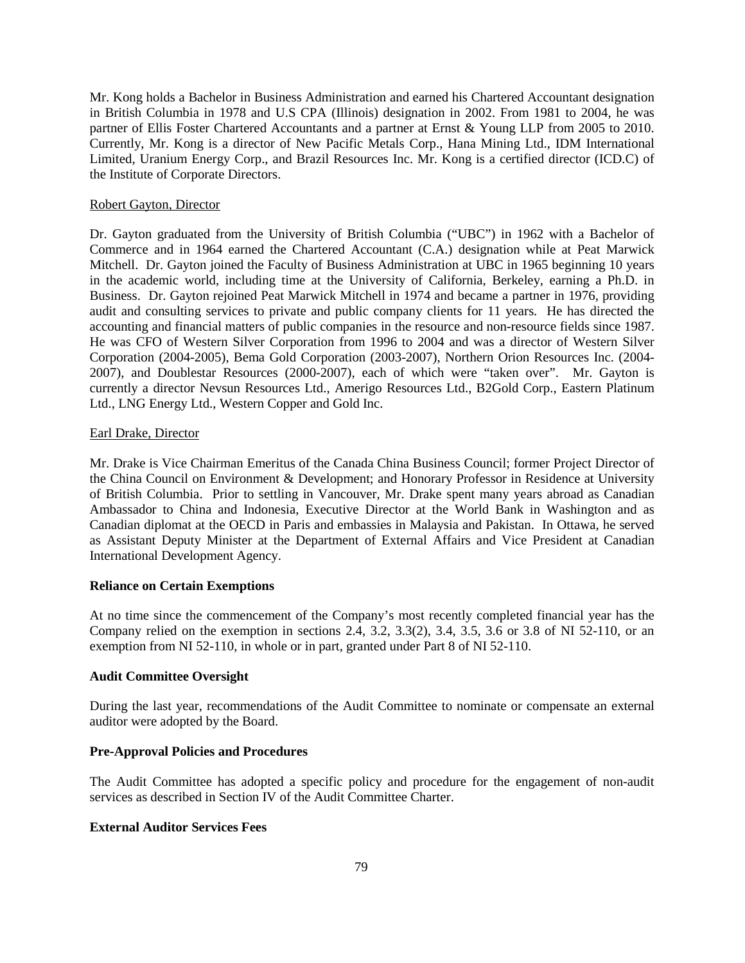Mr. Kong holds a Bachelor in Business Administration and earned his Chartered Accountant designation in British Columbia in 1978 and U.S CPA (Illinois) designation in 2002. From 1981 to 2004, he was partner of Ellis Foster Chartered Accountants and a partner at Ernst & Young LLP from 2005 to 2010. Currently, Mr. Kong is a director of New Pacific Metals Corp., Hana Mining Ltd., IDM International Limited, Uranium Energy Corp., and Brazil Resources Inc. Mr. Kong is a certified director (ICD.C) of the Institute of Corporate Directors.

#### Robert Gayton, Director

Dr. Gayton graduated from the University of British Columbia ("UBC") in 1962 with a Bachelor of Commerce and in 1964 earned the Chartered Accountant (C.A.) designation while at Peat Marwick Mitchell. Dr. Gayton joined the Faculty of Business Administration at UBC in 1965 beginning 10 years in the academic world, including time at the University of California, Berkeley, earning a Ph.D. in Business. Dr. Gayton rejoined Peat Marwick Mitchell in 1974 and became a partner in 1976, providing audit and consulting services to private and public company clients for 11 years. He has directed the accounting and financial matters of public companies in the resource and non-resource fields since 1987. He was CFO of Western Silver Corporation from 1996 to 2004 and was a director of Western Silver Corporation (2004-2005), Bema Gold Corporation (2003-2007), Northern Orion Resources Inc. (2004- 2007), and Doublestar Resources (2000-2007), each of which were "taken over". Mr. Gayton is currently a director Nevsun Resources Ltd., Amerigo Resources Ltd., B2Gold Corp., Eastern Platinum Ltd., LNG Energy Ltd., Western Copper and Gold Inc.

#### Earl Drake, Director

Mr. Drake is Vice Chairman Emeritus of the Canada China Business Council; former Project Director of the China Council on Environment & Development; and Honorary Professor in Residence at University of British Columbia. Prior to settling in Vancouver, Mr. Drake spent many years abroad as Canadian Ambassador to China and Indonesia, Executive Director at the World Bank in Washington and as Canadian diplomat at the OECD in Paris and embassies in Malaysia and Pakistan. In Ottawa, he served as Assistant Deputy Minister at the Department of External Affairs and Vice President at Canadian International Development Agency.

#### **Reliance on Certain Exemptions**

At no time since the commencement of the Company's most recently completed financial year has the Company relied on the exemption in sections 2.4, 3.2, 3.3(2), 3.4, 3.5, 3.6 or 3.8 of NI 52-110, or an exemption from NI 52-110, in whole or in part, granted under Part 8 of NI 52-110.

#### **Audit Committee Oversight**

During the last year, recommendations of the Audit Committee to nominate or compensate an external auditor were adopted by the Board.

### **Pre-Approval Policies and Procedures**

The Audit Committee has adopted a specific policy and procedure for the engagement of non-audit services as described in Section IV of the Audit Committee Charter.

### **External Auditor Services Fees**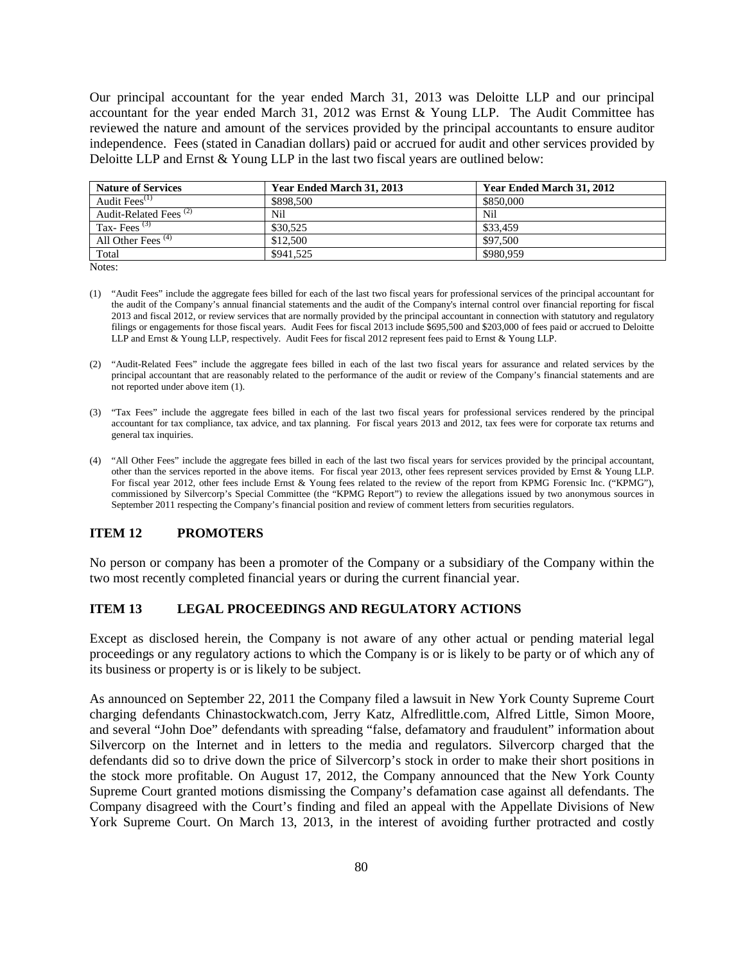Our principal accountant for the year ended March 31, 2013 was Deloitte LLP and our principal accountant for the year ended March 31, 2012 was Ernst & Young LLP. The Audit Committee has reviewed the nature and amount of the services provided by the principal accountants to ensure auditor independence. Fees (stated in Canadian dollars) paid or accrued for audit and other services provided by Deloitte LLP and Ernst & Young LLP in the last two fiscal years are outlined below:

| <b>Nature of Services</b>            | Year Ended March 31, 2013 | Year Ended March 31, 2012 |
|--------------------------------------|---------------------------|---------------------------|
| Audit Fees $(1)$                     | \$898,500                 | \$850,000                 |
| Audit-Related Fees <sup>(2)</sup>    | Nil                       | Nil                       |
| Tax-Fees <sup><math>(3)</math></sup> | \$30,525                  | \$33,459                  |
| All Other Fees <sup>(4)</sup>        | \$12,500                  | \$97.500                  |
| Total                                | \$941,525                 | \$980,959                 |

Notes:

- (2) "Audit-Related Fees" include the aggregate fees billed in each of the last two fiscal years for assurance and related services by the principal accountant that are reasonably related to the performance of the audit or review of the Company's financial statements and are not reported under above item (1).
- (3) "Tax Fees" include the aggregate fees billed in each of the last two fiscal years for professional services rendered by the principal accountant for tax compliance, tax advice, and tax planning. For fiscal years 2013 and 2012, tax fees were for corporate tax returns and general tax inquiries.
- (4) "All Other Fees" include the aggregate fees billed in each of the last two fiscal years for services provided by the principal accountant, other than the services reported in the above items. For fiscal year 2013, other fees represent services provided by Ernst & Young LLP. For fiscal year 2012, other fees include Ernst & Young fees related to the review of the report from KPMG Forensic Inc. ("KPMG"), commissioned by Silvercorp's Special Committee (the "KPMG Report") to review the allegations issued by two anonymous sources in September 2011 respecting the Company's financial position and review of comment letters from securities regulators.

### **ITEM 12 PROMOTERS**

No person or company has been a promoter of the Company or a subsidiary of the Company within the two most recently completed financial years or during the current financial year.

# **ITEM 13 LEGAL PROCEEDINGS AND REGULATORY ACTIONS**

Except as disclosed herein, the Company is not aware of any other actual or pending material legal proceedings or any regulatory actions to which the Company is or is likely to be party or of which any of its business or property is or is likely to be subject.

As announced on September 22, 2011 the Company filed a lawsuit in New York County Supreme Court charging defendants Chinastockwatch.com, Jerry Katz, Alfredlittle.com, Alfred Little, Simon Moore, and several "John Doe" defendants with spreading "false, defamatory and fraudulent" information about Silvercorp on the Internet and in letters to the media and regulators. Silvercorp charged that the defendants did so to drive down the price of Silvercorp's stock in order to make their short positions in the stock more profitable. On August 17, 2012, the Company announced that the New York County Supreme Court granted motions dismissing the Company's defamation case against all defendants. The Company disagreed with the Court's finding and filed an appeal with the Appellate Divisions of New York Supreme Court. On March 13, 2013, in the interest of avoiding further protracted and costly

<sup>(1)</sup> "Audit Fees" include the aggregate fees billed for each of the last two fiscal years for professional services of the principal accountant for the audit of the Company's annual financial statements and the audit of the Company's internal control over financial reporting for fiscal 2013 and fiscal 2012, or review services that are normally provided by the principal accountant in connection with statutory and regulatory filings or engagements for those fiscal years. Audit Fees for fiscal 2013 include \$695,500 and \$203,000 of fees paid or accrued to Deloitte LLP and Ernst & Young LLP, respectively. Audit Fees for fiscal 2012 represent fees paid to Ernst & Young LLP.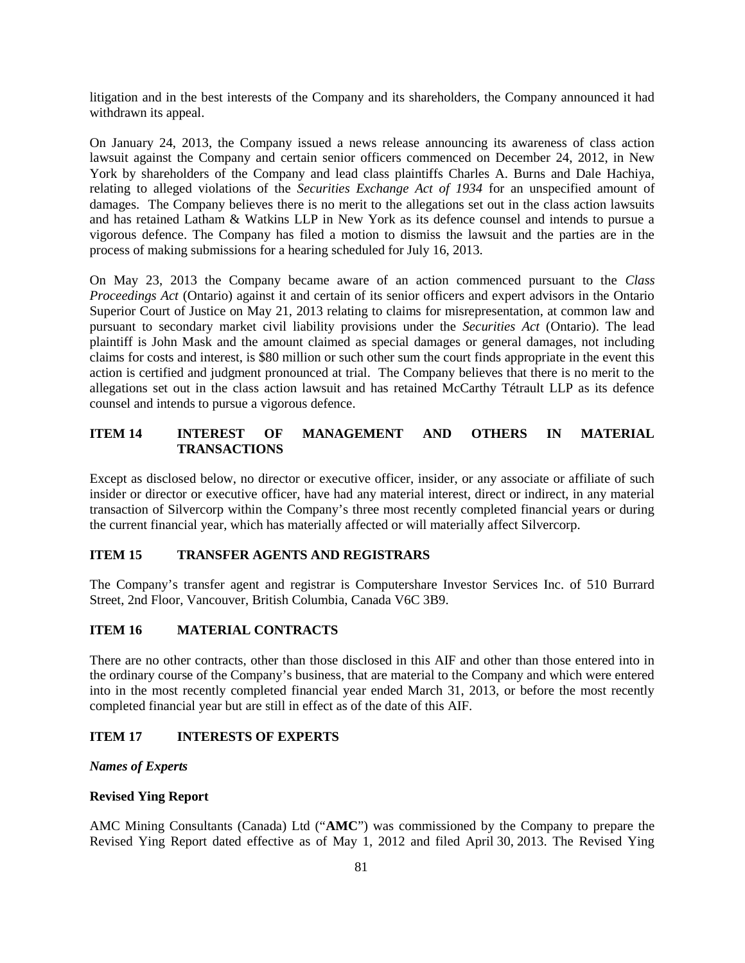litigation and in the best interests of the Company and its shareholders, the Company announced it had withdrawn its appeal.

On January 24, 2013, the Company issued a news release announcing its awareness of class action lawsuit against the Company and certain senior officers commenced on December 24, 2012, in New York by shareholders of the Company and lead class plaintiffs Charles A. Burns and Dale Hachiya, relating to alleged violations of the *Securities Exchange Act of 1934* for an unspecified amount of damages. The Company believes there is no merit to the allegations set out in the class action lawsuits and has retained Latham & Watkins LLP in New York as its defence counsel and intends to pursue a vigorous defence. The Company has filed a motion to dismiss the lawsuit and the parties are in the process of making submissions for a hearing scheduled for July 16, 2013.

On May 23, 2013 the Company became aware of an action commenced pursuant to the *Class Proceedings Act* (Ontario) against it and certain of its senior officers and expert advisors in the Ontario Superior Court of Justice on May 21, 2013 relating to claims for misrepresentation, at common law and pursuant to secondary market civil liability provisions under the *Securities Act* (Ontario). The lead plaintiff is John Mask and the amount claimed as special damages or general damages, not including claims for costs and interest, is \$80 million or such other sum the court finds appropriate in the event this action is certified and judgment pronounced at trial. The Company believes that there is no merit to the allegations set out in the class action lawsuit and has retained McCarthy Tétrault LLP as its defence counsel and intends to pursue a vigorous defence.

## **ITEM 14 INTEREST OF MANAGEMENT AND OTHERS IN MATERIAL TRANSACTIONS**

Except as disclosed below, no director or executive officer, insider, or any associate or affiliate of such insider or director or executive officer, have had any material interest, direct or indirect, in any material transaction of Silvercorp within the Company's three most recently completed financial years or during the current financial year, which has materially affected or will materially affect Silvercorp.

## **ITEM 15 TRANSFER AGENTS AND REGISTRARS**

The Company's transfer agent and registrar is Computershare Investor Services Inc. of 510 Burrard Street, 2nd Floor, Vancouver, British Columbia, Canada V6C 3B9.

# **ITEM 16 MATERIAL CONTRACTS**

There are no other contracts, other than those disclosed in this AIF and other than those entered into in the ordinary course of the Company's business, that are material to the Company and which were entered into in the most recently completed financial year ended March 31, 2013, or before the most recently completed financial year but are still in effect as of the date of this AIF.

## **ITEM 17 INTERESTS OF EXPERTS**

## *Names of Experts*

### **Revised Ying Report**

AMC Mining Consultants (Canada) Ltd ("**AMC**") was commissioned by the Company to prepare the Revised Ying Report dated effective as of May 1, 2012 and filed April 30, 2013. The Revised Ying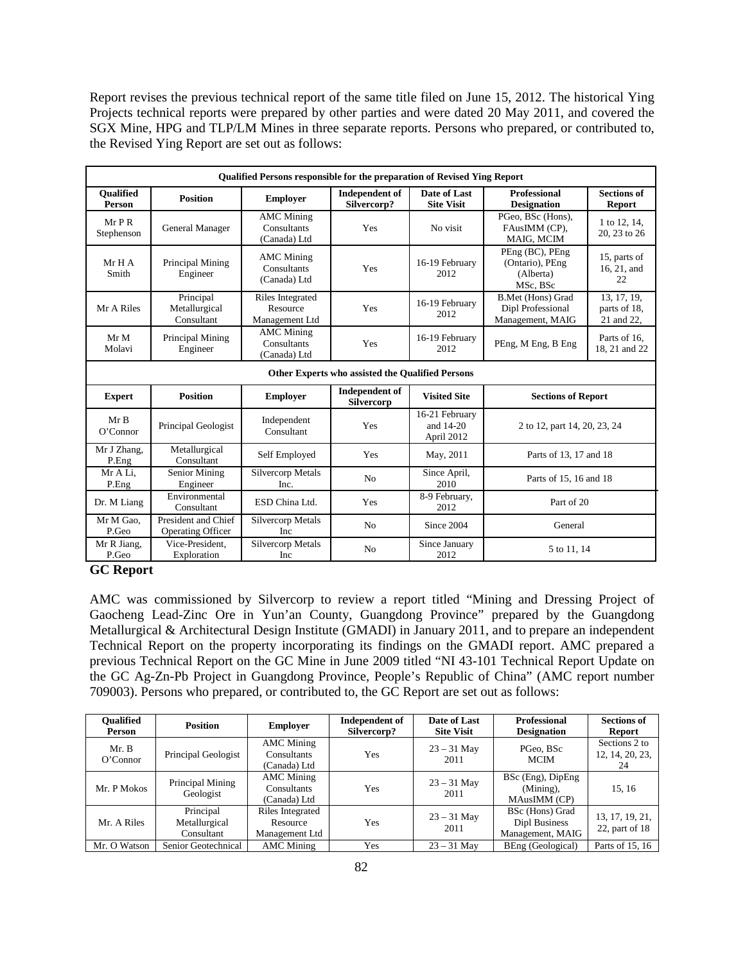Report revises the previous technical report of the same title filed on June 15, 2012. The historical Ying Projects technical reports were prepared by other parties and were dated 20 May 2011, and covered the SGX Mine, HPG and TLP/LM Mines in three separate reports. Persons who prepared, or contributed to, the Revised Ying Report are set out as follows:

| <b>Oualified Persons responsible for the preparation of Revised Ying Report</b> |                                                 |                                                  |                                                  |                                           |                                                             |                                           |  |
|---------------------------------------------------------------------------------|-------------------------------------------------|--------------------------------------------------|--------------------------------------------------|-------------------------------------------|-------------------------------------------------------------|-------------------------------------------|--|
| <b>Oualified</b><br>Person                                                      | <b>Position</b>                                 | <b>Employer</b>                                  | Independent of<br>Silvercorp?                    | Date of Last<br><b>Site Visit</b>         | <b>Professional</b><br><b>Designation</b>                   | <b>Sections of</b><br><b>Report</b>       |  |
| MrPR<br>Stephenson                                                              | General Manager                                 | <b>AMC</b> Mining<br>Consultants<br>(Canada) Ltd | Yes                                              | No visit                                  | PGeo, BSc (Hons),<br>FAusIMM (CP),<br>MAIG. MCIM            | 1 to 12, 14,<br>20, 23 to 26              |  |
| Mr H A<br>Smith                                                                 | Principal Mining<br>Engineer                    | <b>AMC</b> Mining<br>Consultants<br>(Canada) Ltd | Yes                                              | 16-19 February<br>2012                    | PEng (BC), PEng<br>(Ontario), PEng<br>(Alberta)<br>MSc, BSc | 15, parts of<br>16, 21, and<br>22         |  |
| Mr A Riles                                                                      | Principal<br>Metallurgical<br>Consultant        | Riles Integrated<br>Resource<br>Management Ltd   | Yes                                              | 16-19 February<br>2012                    | B.Met (Hons) Grad<br>Dipl Professional<br>Management, MAIG  | 13, 17, 19,<br>parts of 18,<br>21 and 22, |  |
| Mr M<br>Molavi                                                                  | Principal Mining<br>Engineer                    | <b>AMC</b> Mining<br>Consultants<br>(Canada) Ltd | Yes                                              | 16-19 February<br>2012                    | PEng, M Eng, B Eng                                          | Parts of 16.<br>18, 21 and 22             |  |
|                                                                                 |                                                 |                                                  | Other Experts who assisted the Qualified Persons |                                           |                                                             |                                           |  |
| <b>Expert</b>                                                                   | <b>Position</b>                                 | <b>Employer</b>                                  | <b>Independent of</b><br><b>Silvercorp</b>       | <b>Visited Site</b>                       | <b>Sections of Report</b>                                   |                                           |  |
| Mr B<br>O'Connect                                                               | Principal Geologist                             | Independent<br>Consultant                        | Yes                                              | 16-21 February<br>and 14-20<br>April 2012 | 2 to 12, part 14, 20, 23, 24                                |                                           |  |
| Mr J Zhang,<br>P.Eng                                                            | Metallurgical<br>Consultant                     | Self Employed                                    | Yes                                              | May, 2011                                 | Parts of 13, 17 and 18                                      |                                           |  |
| Mr A Li.<br>P.Eng                                                               | Senior Mining<br>Engineer                       | Silvercorp Metals<br>Inc.                        | N <sub>0</sub>                                   | Since April,<br>2010                      | Parts of 15, 16 and 18                                      |                                           |  |
| Dr. M Liang                                                                     | Environmental<br>Consultant                     | ESD China Ltd.                                   | Yes                                              | 8-9 February,<br>2012                     | Part of 20                                                  |                                           |  |
| Mr M Gao.<br>P.Geo                                                              | President and Chief<br><b>Operating Officer</b> | Silvercorp Metals<br><b>Inc</b>                  | No                                               | Since 2004                                | General                                                     |                                           |  |
| Mr R Jiang,<br>P.Geo                                                            | Vice-President.<br>Exploration                  | Silvercorp Metals<br><b>Inc</b>                  | N <sub>o</sub>                                   | Since January<br>2012                     | 5 to 11, 14                                                 |                                           |  |

# **GC Report**

AMC was commissioned by Silvercorp to review a report titled "Mining and Dressing Project of Gaocheng Lead-Zinc Ore in Yun'an County, Guangdong Province" prepared by the Guangdong Metallurgical & Architectural Design Institute (GMADI) in January 2011, and to prepare an independent Technical Report on the property incorporating its findings on the GMADI report. AMC prepared a previous Technical Report on the GC Mine in June 2009 titled "NI 43-101 Technical Report Update on the GC Ag-Zn-Pb Project in Guangdong Province, People's Republic of China" (AMC report number 709003). Persons who prepared, or contributed to, the GC Report are set out as follows:

| Oualified<br>Person | <b>Position</b>                          | <b>Employer</b>                                  | Independent of<br>Silvercorp? | Date of Last<br><b>Site Visit</b> | <b>Professional</b><br><b>Designation</b>            | <b>Sections of</b><br><b>Report</b>    |
|---------------------|------------------------------------------|--------------------------------------------------|-------------------------------|-----------------------------------|------------------------------------------------------|----------------------------------------|
| Mr. B<br>O'Connect  | Principal Geologist                      | <b>AMC</b> Mining<br>Consultants<br>(Canada) Ltd | Yes                           | $23 - 31$ May<br>2011             | PGeo, BSc<br><b>MCIM</b>                             | Sections 2 to<br>12, 14, 20, 23,<br>24 |
| Mr. P Mokos         | Principal Mining<br>Geologist            | <b>AMC</b> Mining<br>Consultants<br>(Canada) Ltd | Yes                           | $23 - 31$ May<br>2011             | BSc (Eng), DipEng<br>(Mining),<br>MAusIMM (CP)       | 15, 16                                 |
| Mr. A Riles         | Principal<br>Metallurgical<br>Consultant | Riles Integrated<br>Resource<br>Management Ltd   | Yes                           | $23 - 31$ May<br>2011             | BSc (Hons) Grad<br>Dipl Business<br>Management, MAIG | 13, 17, 19, 21,<br>22, part of $18$    |
| Mr. O Watson        | Senior Geotechnical                      | <b>AMC</b> Mining                                | Yes                           | $23 - 31$ May                     | BEng (Geological)                                    | Parts of 15, 16                        |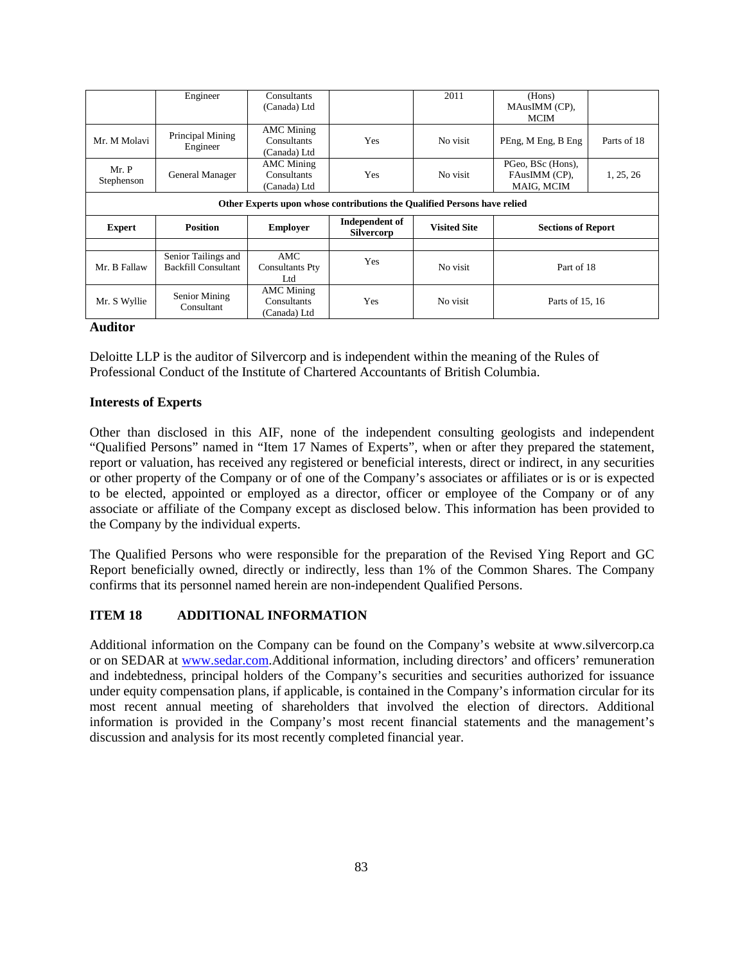|                     | Engineer                                          | Consultants<br>(Canada) Ltd                      |                                                                          | 2011                | (Hons)<br>MAusIMM (CP),<br><b>MCIM</b>           |             |
|---------------------|---------------------------------------------------|--------------------------------------------------|--------------------------------------------------------------------------|---------------------|--------------------------------------------------|-------------|
| Mr. M Molavi        | Principal Mining<br>Engineer                      | <b>AMC</b> Mining<br>Consultants<br>(Canada) Ltd | Yes                                                                      | No visit            | PEng, M Eng, B Eng                               | Parts of 18 |
| Mr. P<br>Stephenson | General Manager                                   | <b>AMC</b> Mining<br>Consultants<br>(Canada) Ltd | Yes                                                                      | No visit            | PGeo, BSc (Hons),<br>FAusIMM (CP),<br>MAIG, MCIM | 1, 25, 26   |
|                     |                                                   |                                                  | Other Experts upon whose contributions the Qualified Persons have relied |                     |                                                  |             |
| <b>Expert</b>       | <b>Position</b>                                   | <b>Employer</b>                                  | Independent of<br><b>Silvercorp</b>                                      | <b>Visited Site</b> | <b>Sections of Report</b>                        |             |
|                     |                                                   |                                                  |                                                                          |                     |                                                  |             |
| Mr. B Fallaw        | Senior Tailings and<br><b>Backfill Consultant</b> | AMC<br><b>Consultants Pty</b><br>Ltd             | <b>Yes</b>                                                               | No visit            | Part of 18                                       |             |
| Mr. S Wyllie        | Senior Mining<br>Consultant                       | <b>AMC</b> Mining<br>Consultants<br>(Canada) Ltd | Yes                                                                      | No visit            | Parts of 15, 16                                  |             |

## **Auditor**

Deloitte LLP is the auditor of Silvercorp and is independent within the meaning of the Rules of Professional Conduct of the Institute of Chartered Accountants of British Columbia.

### **Interests of Experts**

Other than disclosed in this AIF, none of the independent consulting geologists and independent "Qualified Persons" named in "Item 17 Names of Experts", when or after they prepared the statement, report or valuation, has received any registered or beneficial interests, direct or indirect, in any securities or other property of the Company or of one of the Company's associates or affiliates or is or is expected to be elected, appointed or employed as a director, officer or employee of the Company or of any associate or affiliate of the Company except as disclosed below. This information has been provided to the Company by the individual experts.

The Qualified Persons who were responsible for the preparation of the Revised Ying Report and GC Report beneficially owned, directly or indirectly, less than 1% of the Common Shares. The Company confirms that its personnel named herein are non-independent Qualified Persons.

# **ITEM 18 ADDITIONAL INFORMATION**

Additional information on the Company can be found on the Company's website at www.silvercorp.ca or on SEDAR at www.sedar.com.Additional information, including directors' and officers' remuneration and indebtedness, principal holders of the Company's securities and securities authorized for issuance under equity compensation plans, if applicable, is contained in the Company's information circular for its most recent annual meeting of shareholders that involved the election of directors. Additional information is provided in the Company's most recent financial statements and the management's discussion and analysis for its most recently completed financial year.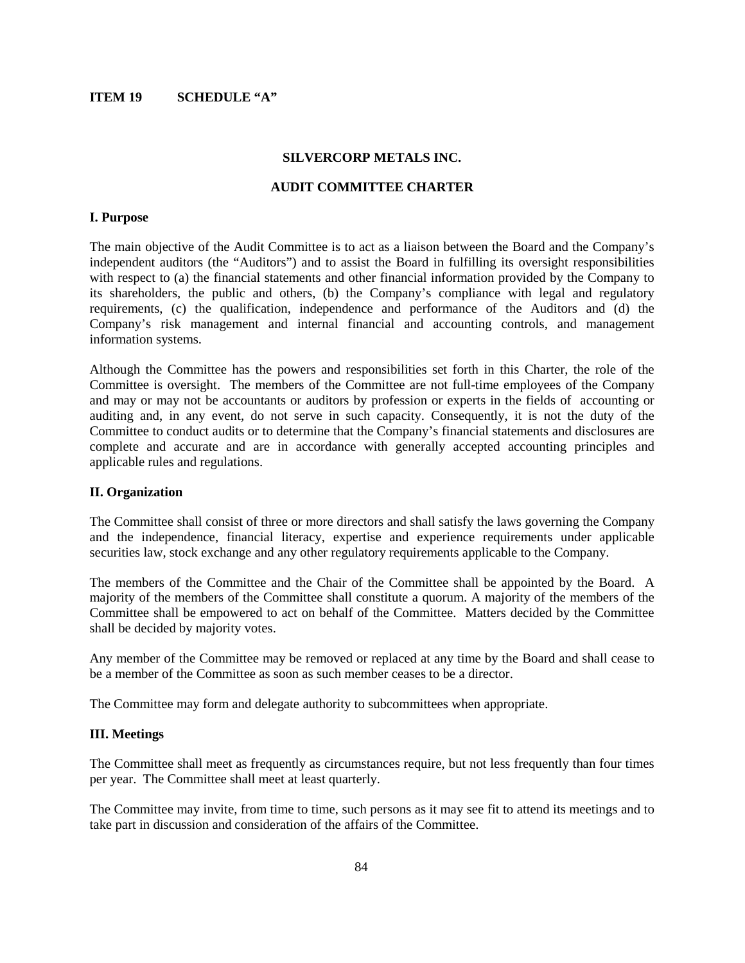### **SILVERCORP METALS INC.**

# **AUDIT COMMITTEE CHARTER**

#### **I. Purpose**

The main objective of the Audit Committee is to act as a liaison between the Board and the Company's independent auditors (the "Auditors") and to assist the Board in fulfilling its oversight responsibilities with respect to (a) the financial statements and other financial information provided by the Company to its shareholders, the public and others, (b) the Company's compliance with legal and regulatory requirements, (c) the qualification, independence and performance of the Auditors and (d) the Company's risk management and internal financial and accounting controls, and management information systems.

Although the Committee has the powers and responsibilities set forth in this Charter, the role of the Committee is oversight. The members of the Committee are not full-time employees of the Company and may or may not be accountants or auditors by profession or experts in the fields of accounting or auditing and, in any event, do not serve in such capacity. Consequently, it is not the duty of the Committee to conduct audits or to determine that the Company's financial statements and disclosures are complete and accurate and are in accordance with generally accepted accounting principles and applicable rules and regulations.

### **II. Organization**

The Committee shall consist of three or more directors and shall satisfy the laws governing the Company and the independence, financial literacy, expertise and experience requirements under applicable securities law, stock exchange and any other regulatory requirements applicable to the Company.

The members of the Committee and the Chair of the Committee shall be appointed by the Board. A majority of the members of the Committee shall constitute a quorum. A majority of the members of the Committee shall be empowered to act on behalf of the Committee. Matters decided by the Committee shall be decided by majority votes.

Any member of the Committee may be removed or replaced at any time by the Board and shall cease to be a member of the Committee as soon as such member ceases to be a director.

The Committee may form and delegate authority to subcommittees when appropriate.

#### **III. Meetings**

The Committee shall meet as frequently as circumstances require, but not less frequently than four times per year. The Committee shall meet at least quarterly.

The Committee may invite, from time to time, such persons as it may see fit to attend its meetings and to take part in discussion and consideration of the affairs of the Committee.